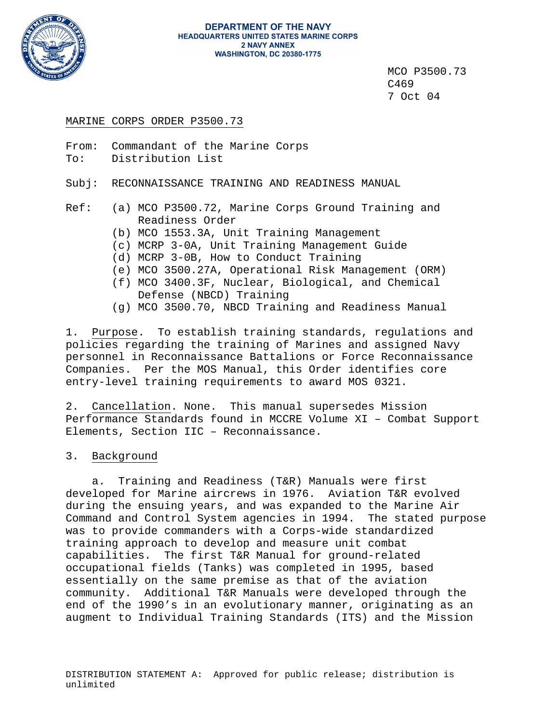

#### **DEPARTMENT OF THE NAVY HEADQUARTERS UNITED STATES MARINE CORPS 2 NAVY ANNEX WASHINGTON, DC 20380-1775**

 MCO P3500.73 C469 7 Oct 04

# MARINE CORPS ORDER P3500.73

From: Commandant of the Marine Corps To: Distribution List

Subj: RECONNAISSANCE TRAINING AND READINESS MANUAL

Ref: (a) MCO P3500.72, Marine Corps Ground Training and Readiness Order

- (b) MCO 1553.3A, Unit Training Management
- (c) MCRP 3-0A, Unit Training Management Guide
- (d) MCRP 3-0B, How to Conduct Training
- (e) MCO 3500.27A, Operational Risk Management (ORM)
- (f) MCO 3400.3F, Nuclear, Biological, and Chemical Defense (NBCD) Training
- (g) MCO 3500.70, NBCD Training and Readiness Manual

1. Purpose. To establish training standards, regulations and policies regarding the training of Marines and assigned Navy personnel in Reconnaissance Battalions or Force Reconnaissance Companies. Per the MOS Manual, this Order identifies core entry-level training requirements to award MOS 0321.

2. Cancellation. None. This manual supersedes Mission Performance Standards found in MCCRE Volume XI – Combat Support Elements, Section IIC – Reconnaissance.

# 3. Background

 a. Training and Readiness (T&R) Manuals were first developed for Marine aircrews in 1976. Aviation T&R evolved during the ensuing years, and was expanded to the Marine Air Command and Control System agencies in 1994. The stated purpose was to provide commanders with a Corps-wide standardized training approach to develop and measure unit combat capabilities. The first T&R Manual for ground-related occupational fields (Tanks) was completed in 1995, based essentially on the same premise as that of the aviation community. Additional T&R Manuals were developed through the end of the 1990's in an evolutionary manner, originating as an augment to Individual Training Standards (ITS) and the Mission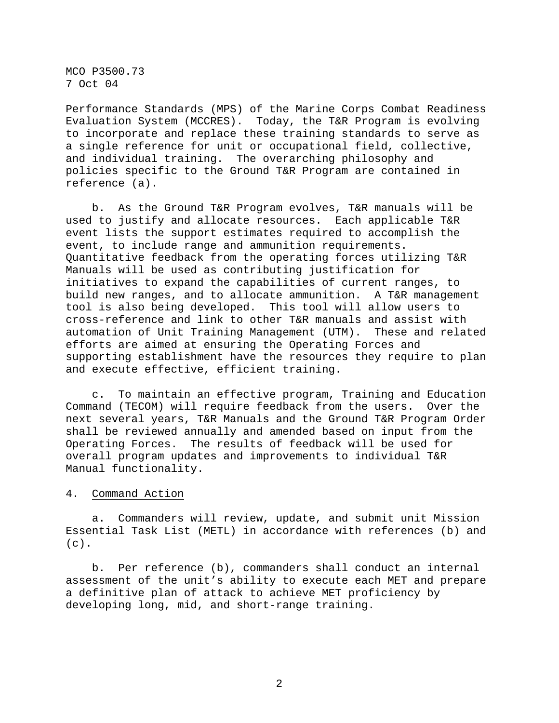MCO P3500.73 7 Oct 04

Performance Standards (MPS) of the Marine Corps Combat Readiness Evaluation System (MCCRES). Today, the T&R Program is evolving to incorporate and replace these training standards to serve as a single reference for unit or occupational field, collective, and individual training. The overarching philosophy and policies specific to the Ground T&R Program are contained in reference (a).

 b. As the Ground T&R Program evolves, T&R manuals will be used to justify and allocate resources. Each applicable T&R event lists the support estimates required to accomplish the event, to include range and ammunition requirements. Quantitative feedback from the operating forces utilizing T&R Manuals will be used as contributing justification for initiatives to expand the capabilities of current ranges, to build new ranges, and to allocate ammunition. A T&R management tool is also being developed. This tool will allow users to cross-reference and link to other T&R manuals and assist with automation of Unit Training Management (UTM). These and related efforts are aimed at ensuring the Operating Forces and supporting establishment have the resources they require to plan and execute effective, efficient training.

 c. To maintain an effective program, Training and Education Command (TECOM) will require feedback from the users. Over the next several years, T&R Manuals and the Ground T&R Program Order shall be reviewed annually and amended based on input from the Operating Forces. The results of feedback will be used for overall program updates and improvements to individual T&R Manual functionality.

4. Command Action

 a. Commanders will review, update, and submit unit Mission Essential Task List (METL) in accordance with references (b) and  $(c)$ .

 b. Per reference (b), commanders shall conduct an internal assessment of the unit's ability to execute each MET and prepare a definitive plan of attack to achieve MET proficiency by developing long, mid, and short-range training.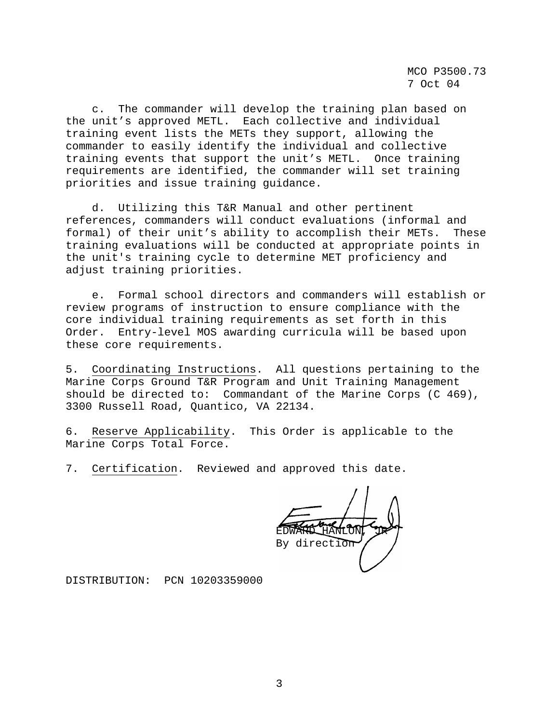MCO P3500.73 7 Oct 04

 c. The commander will develop the training plan based on the unit's approved METL. Each collective and individual training event lists the METs they support, allowing the commander to easily identify the individual and collective training events that support the unit's METL. Once training requirements are identified, the commander will set training priorities and issue training guidance.

 d. Utilizing this T&R Manual and other pertinent references, commanders will conduct evaluations (informal and formal) of their unit's ability to accomplish their METs. These training evaluations will be conducted at appropriate points in the unit's training cycle to determine MET proficiency and adjust training priorities.

 e. Formal school directors and commanders will establish or review programs of instruction to ensure compliance with the core individual training requirements as set forth in this Order. Entry-level MOS awarding curricula will be based upon these core requirements.

5. Coordinating Instructions. All questions pertaining to the Marine Corps Ground T&R Program and Unit Training Management should be directed to: Commandant of the Marine Corps (C 469), 3300 Russell Road, Quantico, VA 22134.

6. Reserve Applicability. This Order is applicable to the Marine Corps Total Force.

7. Certification. Reviewed and approved this date.

EDWARD HANLON, JR By direction

DISTRIBUTION: PCN 10203359000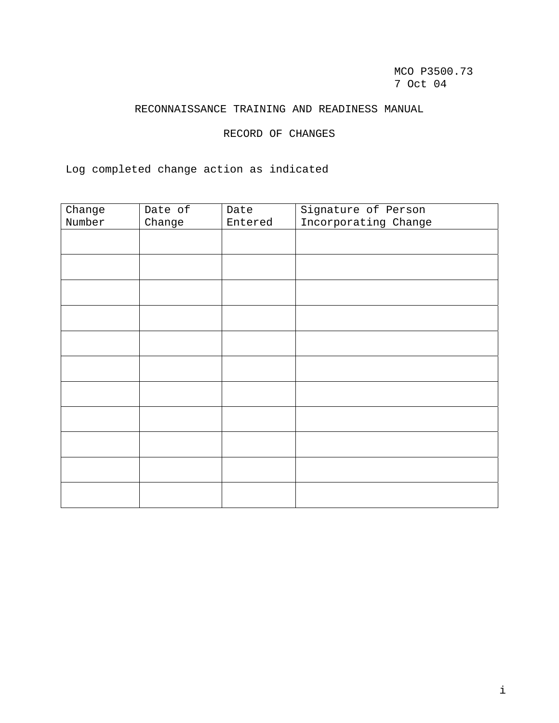MCO P3500.73 7 Oct 04

# RECONNAISSANCE TRAINING AND READINESS MANUAL

RECORD OF CHANGES

Log completed change action as indicated

| Change | Date of | Date    | Signature of Person  |
|--------|---------|---------|----------------------|
| Number | Change  | Entered | Incorporating Change |
|        |         |         |                      |
|        |         |         |                      |
|        |         |         |                      |
|        |         |         |                      |
|        |         |         |                      |
|        |         |         |                      |
|        |         |         |                      |
|        |         |         |                      |
|        |         |         |                      |
|        |         |         |                      |
|        |         |         |                      |
|        |         |         |                      |
|        |         |         |                      |
|        |         |         |                      |
|        |         |         |                      |
|        |         |         |                      |
|        |         |         |                      |
|        |         |         |                      |
|        |         |         |                      |
|        |         |         |                      |
|        |         |         |                      |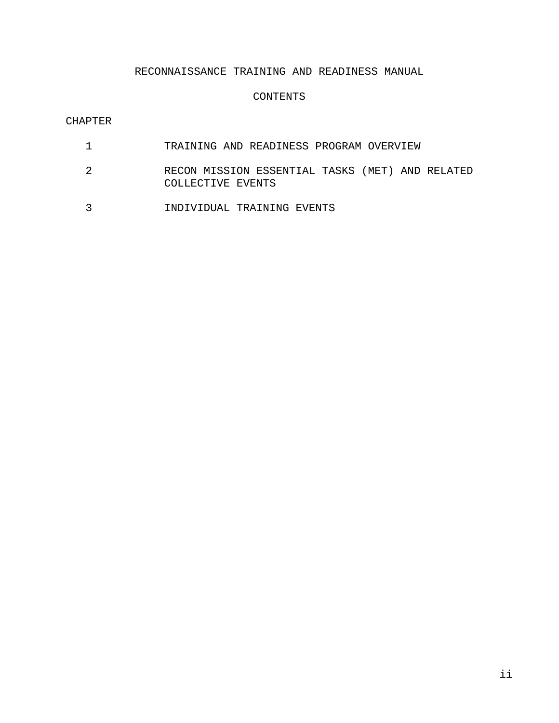# RECONNAISSANCE TRAINING AND READINESS MANUAL

## CONTENTS

## CHAPTER

- 1 TRAINING AND READINESS PROGRAM OVERVIEW
- 2 RECON MISSION ESSENTIAL TASKS (MET) AND RELATED COLLECTIVE EVENTS
- 3 INDIVIDUAL TRAINING EVENTS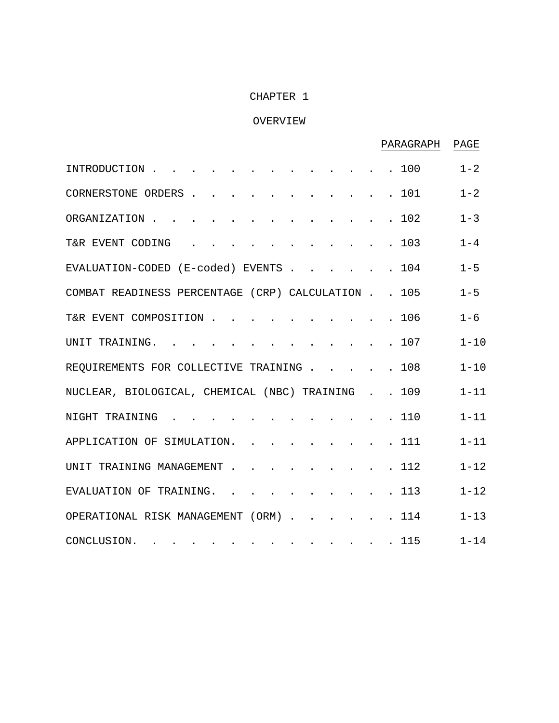# CHAPTER 1

# OVERVIEW

|                                                |                                                                               |        |  |  |  | PARAGRAPH                                   | PAGE     |
|------------------------------------------------|-------------------------------------------------------------------------------|--------|--|--|--|---------------------------------------------|----------|
| INTRODUCTION                                   |                                                                               |        |  |  |  | . 100                                       | $1 - 2$  |
| CORNERSTONE ORDERS                             |                                                                               |        |  |  |  | 101                                         | $1 - 2$  |
| ORGANIZATION                                   |                                                                               |        |  |  |  | 102                                         | $1 - 3$  |
| T&R EVENT CODING                               |                                                                               |        |  |  |  | 103                                         | $1 - 4$  |
| EVALUATION-CODED (E-coded) EVENTS              |                                                                               |        |  |  |  | 104                                         | $1 - 5$  |
| COMBAT READINESS PERCENTAGE (CRP) CALCULATION. |                                                                               |        |  |  |  | 105<br>$\mathbb{R}^{\mathbb{Z}}$            | $1 - 5$  |
| T&R EVENT COMPOSITION                          |                                                                               |        |  |  |  | 106                                         | $1 - 6$  |
| UNIT TRAINING.                                 | $\sim$ $\sim$ $\sim$                                                          |        |  |  |  | 107                                         | $1 - 10$ |
| REQUIREMENTS FOR COLLECTIVE TRAINING.          |                                                                               |        |  |  |  | 108                                         | $1 - 10$ |
| NUCLEAR, BIOLOGICAL, CHEMICAL (NBC) TRAINING   |                                                                               |        |  |  |  | 109                                         | $1 - 11$ |
| NIGHT TRAINING                                 |                                                                               |        |  |  |  | 110                                         | $1 - 11$ |
| APPLICATION OF SIMULATION.                     |                                                                               |        |  |  |  | 111                                         | $1 - 11$ |
| UNIT TRAINING MANAGEMENT.                      |                                                                               | $\sim$ |  |  |  | 112                                         | $1 - 12$ |
| EVALUATION OF TRAINING.                        |                                                                               |        |  |  |  | 113                                         | $1 - 12$ |
| OPERATIONAL RISK MANAGEMENT (ORM).             |                                                                               |        |  |  |  | 114                                         | $1 - 13$ |
| CONCLUSION.                                    | . The simulation of the simulation of the simulation $\mathcal{L}_\text{max}$ |        |  |  |  | $\cdot$ $\cdot$ $\cdot$ $\cdot$ $\cdot$ 115 | $1 - 14$ |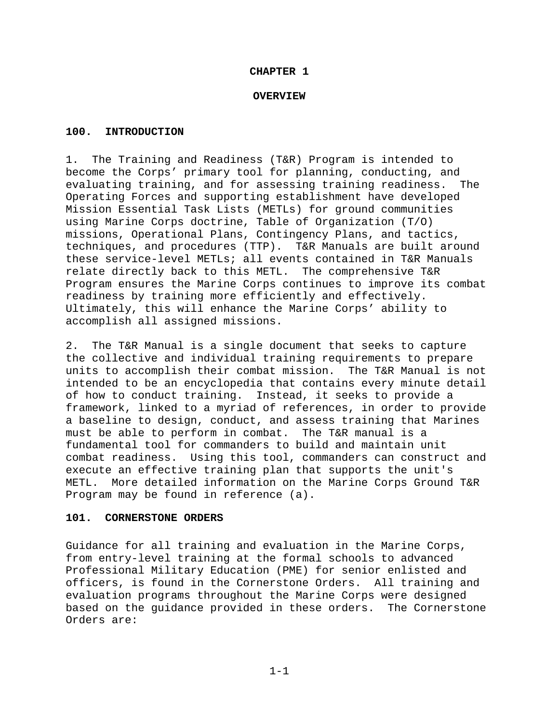## **CHAPTER 1**

## **OVERVIEW**

## **100. INTRODUCTION**

1. The Training and Readiness (T&R) Program is intended to become the Corps' primary tool for planning, conducting, and evaluating training, and for assessing training readiness. The Operating Forces and supporting establishment have developed Mission Essential Task Lists (METLs) for ground communities using Marine Corps doctrine, Table of Organization (T/O) missions, Operational Plans, Contingency Plans, and tactics, techniques, and procedures (TTP). T&R Manuals are built around these service-level METLs; all events contained in T&R Manuals relate directly back to this METL. The comprehensive T&R Program ensures the Marine Corps continues to improve its combat readiness by training more efficiently and effectively. Ultimately, this will enhance the Marine Corps' ability to accomplish all assigned missions.

2. The T&R Manual is a single document that seeks to capture the collective and individual training requirements to prepare units to accomplish their combat mission. The T&R Manual is not intended to be an encyclopedia that contains every minute detail of how to conduct training. Instead, it seeks to provide a framework, linked to a myriad of references, in order to provide a baseline to design, conduct, and assess training that Marines must be able to perform in combat. The T&R manual is a fundamental tool for commanders to build and maintain unit combat readiness. Using this tool, commanders can construct and execute an effective training plan that supports the unit's METL. More detailed information on the Marine Corps Ground T&R Program may be found in reference (a).

## **101. CORNERSTONE ORDERS**

Guidance for all training and evaluation in the Marine Corps, from entry-level training at the formal schools to advanced Professional Military Education (PME) for senior enlisted and officers, is found in the Cornerstone Orders. All training and evaluation programs throughout the Marine Corps were designed based on the guidance provided in these orders. The Cornerstone Orders are: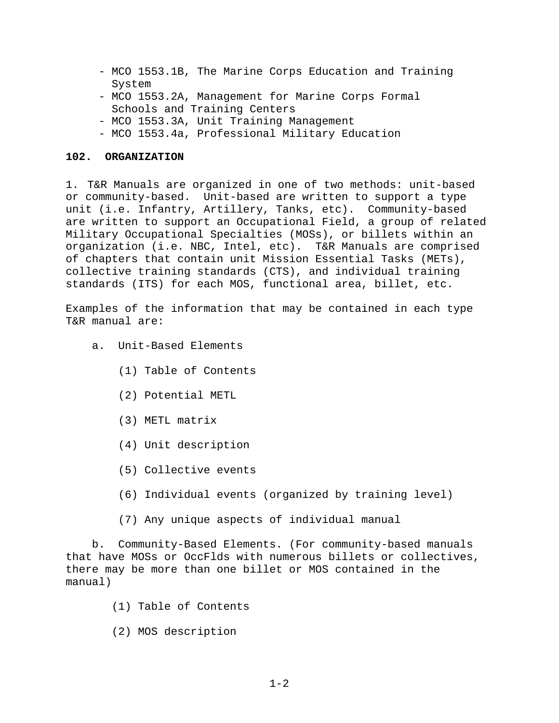- MCO 1553.1B, The Marine Corps Education and Training System
- MCO 1553.2A, Management for Marine Corps Formal Schools and Training Centers
- MCO 1553.3A, Unit Training Management
- MCO 1553.4a, Professional Military Education

## **102. ORGANIZATION**

1. T&R Manuals are organized in one of two methods: unit-based or community-based. Unit-based are written to support a type unit (i.e. Infantry, Artillery, Tanks, etc). Community-based are written to support an Occupational Field, a group of related Military Occupational Specialties (MOSs), or billets within an organization (i.e. NBC, Intel, etc). T&R Manuals are comprised of chapters that contain unit Mission Essential Tasks (METs), collective training standards (CTS), and individual training standards (ITS) for each MOS, functional area, billet, etc.

Examples of the information that may be contained in each type T&R manual are:

- a. Unit-Based Elements
	- (1) Table of Contents
	- (2) Potential METL
	- (3) METL matrix
	- (4) Unit description
	- (5) Collective events
	- (6) Individual events (organized by training level)
	- (7) Any unique aspects of individual manual

 b. Community-Based Elements. (For community-based manuals that have MOSs or OccFlds with numerous billets or collectives, there may be more than one billet or MOS contained in the manual)

- (1) Table of Contents
- (2) MOS description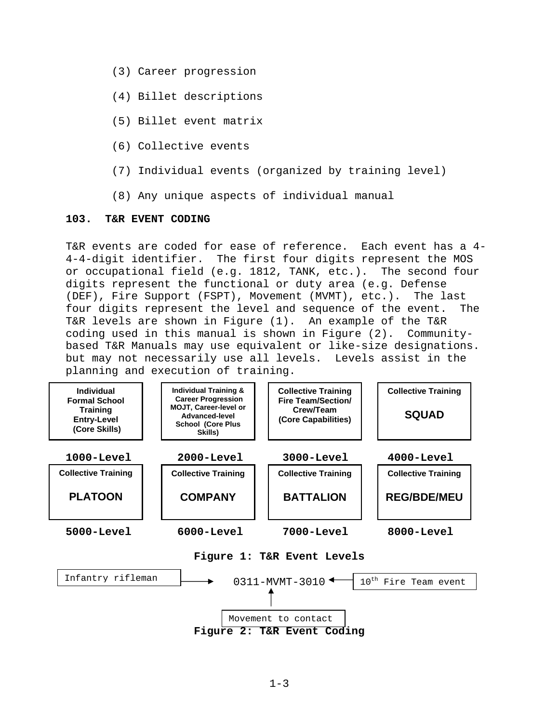- (3) Career progression
- (4) Billet descriptions
- (5) Billet event matrix
- (6) Collective events
- (7) Individual events (organized by training level)
- (8) Any unique aspects of individual manual

## **103. T&R EVENT CODING**

T&R events are coded for ease of reference. Each event has a 4- 4-4-digit identifier. The first four digits represent the MOS or occupational field (e.g. 1812, TANK, etc.). The second four digits represent the functional or duty area (e.g. Defense (DEF), Fire Support (FSPT), Movement (MVMT), etc.). The last four digits represent the level and sequence of the event. The T&R levels are shown in Figure (1). An example of the T&R coding used in this manual is shown in Figure (2). Communitybased T&R Manuals may use equivalent or like-size designations. but may not necessarily use all levels. Levels assist in the planning and execution of training.

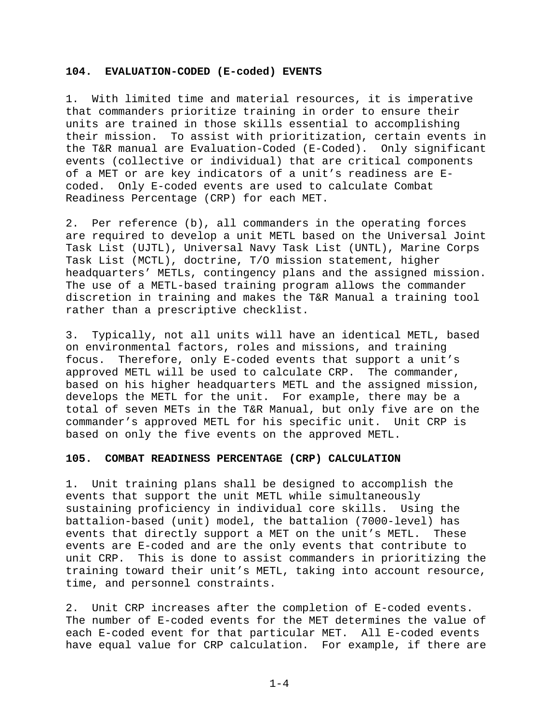## **104. EVALUATION-CODED (E-coded) EVENTS**

1. With limited time and material resources, it is imperative that commanders prioritize training in order to ensure their units are trained in those skills essential to accomplishing their mission. To assist with prioritization, certain events in the T&R manual are Evaluation-Coded (E-Coded). Only significant events (collective or individual) that are critical components of a MET or are key indicators of a unit's readiness are Ecoded. Only E-coded events are used to calculate Combat Readiness Percentage (CRP) for each MET.

2. Per reference (b), all commanders in the operating forces are required to develop a unit METL based on the Universal Joint Task List (UJTL), Universal Navy Task List (UNTL), Marine Corps Task List (MCTL), doctrine, T/O mission statement, higher headquarters' METLs, contingency plans and the assigned mission. The use of a METL-based training program allows the commander discretion in training and makes the T&R Manual a training tool rather than a prescriptive checklist.

3. Typically, not all units will have an identical METL, based on environmental factors, roles and missions, and training focus. Therefore, only E-coded events that support a unit's approved METL will be used to calculate CRP. The commander, based on his higher headquarters METL and the assigned mission, develops the METL for the unit. For example, there may be a total of seven METs in the T&R Manual, but only five are on the commander's approved METL for his specific unit. Unit CRP is based on only the five events on the approved METL.

## **105. COMBAT READINESS PERCENTAGE (CRP) CALCULATION**

1. Unit training plans shall be designed to accomplish the events that support the unit METL while simultaneously sustaining proficiency in individual core skills. Using the battalion-based (unit) model, the battalion (7000-level) has events that directly support a MET on the unit's METL. These events are E-coded and are the only events that contribute to unit CRP. This is done to assist commanders in prioritizing the training toward their unit's METL, taking into account resource, time, and personnel constraints.

2. Unit CRP increases after the completion of E-coded events. The number of E-coded events for the MET determines the value of each E-coded event for that particular MET. All E-coded events have equal value for CRP calculation. For example, if there are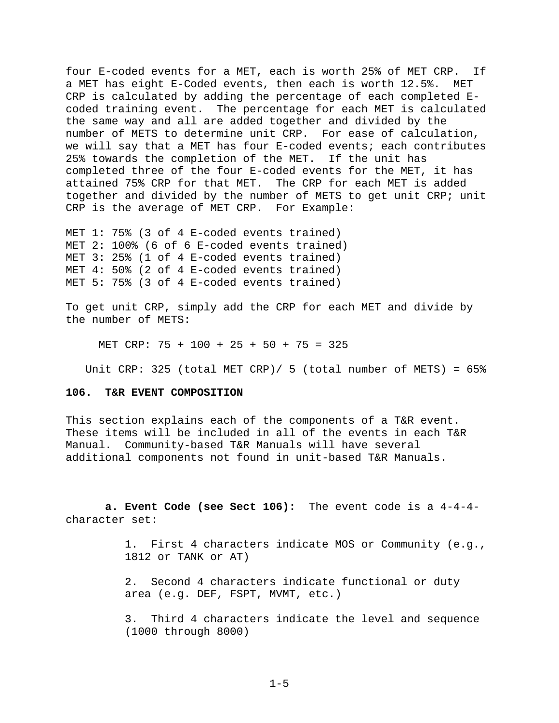four E-coded events for a MET, each is worth 25% of MET CRP. If a MET has eight E-Coded events, then each is worth 12.5%. MET CRP is calculated by adding the percentage of each completed Ecoded training event. The percentage for each MET is calculated the same way and all are added together and divided by the number of METS to determine unit CRP. For ease of calculation, we will say that a MET has four E-coded events; each contributes 25% towards the completion of the MET. If the unit has completed three of the four E-coded events for the MET, it has attained 75% CRP for that MET. The CRP for each MET is added together and divided by the number of METS to get unit CRP; unit CRP is the average of MET CRP. For Example:

MET 1: 75% (3 of 4 E-coded events trained) MET 2: 100% (6 of 6 E-coded events trained) MET 3: 25% (1 of 4 E-coded events trained) MET 4: 50% (2 of 4 E-coded events trained) MET 5: 75% (3 of 4 E-coded events trained)

To get unit CRP, simply add the CRP for each MET and divide by the number of METS:

MET CRP: 75 + 100 + 25 + 50 + 75 = 325

Unit CRP: 325 (total MET CRP)/ 5 (total number of METS) =  $65\%$ 

# **106. T&R EVENT COMPOSITION**

This section explains each of the components of a T&R event. These items will be included in all of the events in each T&R Manual. Community-based T&R Manuals will have several additional components not found in unit-based T&R Manuals.

 **a. Event Code (see Sect 106):** The event code is a 4-4-4 character set:

> 1. First 4 characters indicate MOS or Community (e.g., 1812 or TANK or AT)

 2. Second 4 characters indicate functional or duty area (e.g. DEF, FSPT, MVMT, etc.)

 3. Third 4 characters indicate the level and sequence (1000 through 8000)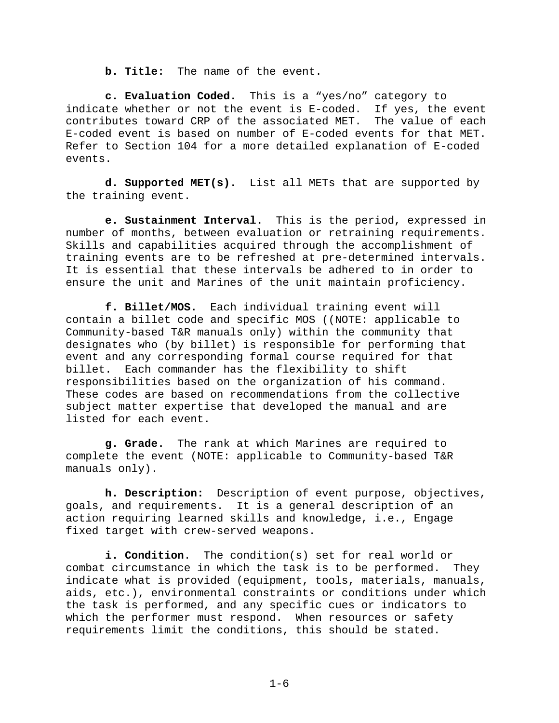**b. Title:** The name of the event.

 **c. Evaluation Coded.** This is a "yes/no" category to indicate whether or not the event is E-coded. If yes, the event contributes toward CRP of the associated MET. The value of each E-coded event is based on number of E-coded events for that MET. Refer to Section 104 for a more detailed explanation of E-coded events.

 **d. Supported MET(s).** List all METs that are supported by the training event.

 **e. Sustainment Interval.** This is the period, expressed in number of months, between evaluation or retraining requirements. Skills and capabilities acquired through the accomplishment of training events are to be refreshed at pre-determined intervals. It is essential that these intervals be adhered to in order to ensure the unit and Marines of the unit maintain proficiency.

 **f. Billet/MOS.** Each individual training event will contain a billet code and specific MOS ((NOTE: applicable to Community-based T&R manuals only) within the community that designates who (by billet) is responsible for performing that event and any corresponding formal course required for that billet. Each commander has the flexibility to shift responsibilities based on the organization of his command. These codes are based on recommendations from the collective subject matter expertise that developed the manual and are listed for each event.

 **g. Grade.** The rank at which Marines are required to complete the event (NOTE: applicable to Community-based T&R manuals only).

 **h. Description:** Description of event purpose, objectives, goals, and requirements. It is a general description of an action requiring learned skills and knowledge, i.e., Engage fixed target with crew-served weapons.

 **i. Condition**. The condition(s) set for real world or combat circumstance in which the task is to be performed. They indicate what is provided (equipment, tools, materials, manuals, aids, etc.), environmental constraints or conditions under which the task is performed, and any specific cues or indicators to which the performer must respond. When resources or safety requirements limit the conditions, this should be stated.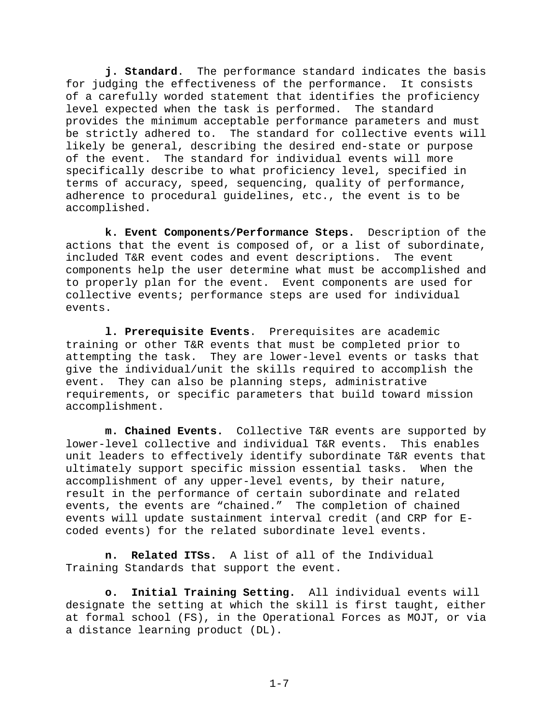**j. Standard**. The performance standard indicates the basis for judging the effectiveness of the performance. It consists of a carefully worded statement that identifies the proficiency level expected when the task is performed. The standard provides the minimum acceptable performance parameters and must be strictly adhered to. The standard for collective events will likely be general, describing the desired end-state or purpose of the event. The standard for individual events will more specifically describe to what proficiency level, specified in terms of accuracy, speed, sequencing, quality of performance, adherence to procedural guidelines, etc., the event is to be accomplished.

 **k. Event Components/Performance Steps.** Description of the actions that the event is composed of, or a list of subordinate, included T&R event codes and event descriptions. The event components help the user determine what must be accomplished and to properly plan for the event. Event components are used for collective events; performance steps are used for individual events.

 **l. Prerequisite Events**. Prerequisites are academic training or other T&R events that must be completed prior to attempting the task. They are lower-level events or tasks that give the individual/unit the skills required to accomplish the event. They can also be planning steps, administrative requirements, or specific parameters that build toward mission accomplishment.

 **m. Chained Events.** Collective T&R events are supported by lower-level collective and individual T&R events. This enables unit leaders to effectively identify subordinate T&R events that ultimately support specific mission essential tasks. When the accomplishment of any upper-level events, by their nature, result in the performance of certain subordinate and related events, the events are "chained." The completion of chained events will update sustainment interval credit (and CRP for Ecoded events) for the related subordinate level events.

 **n. Related ITSs.** A list of all of the Individual Training Standards that support the event.

**o. Initial Training Setting.** All individual events will designate the setting at which the skill is first taught, either at formal school (FS), in the Operational Forces as MOJT, or via a distance learning product (DL).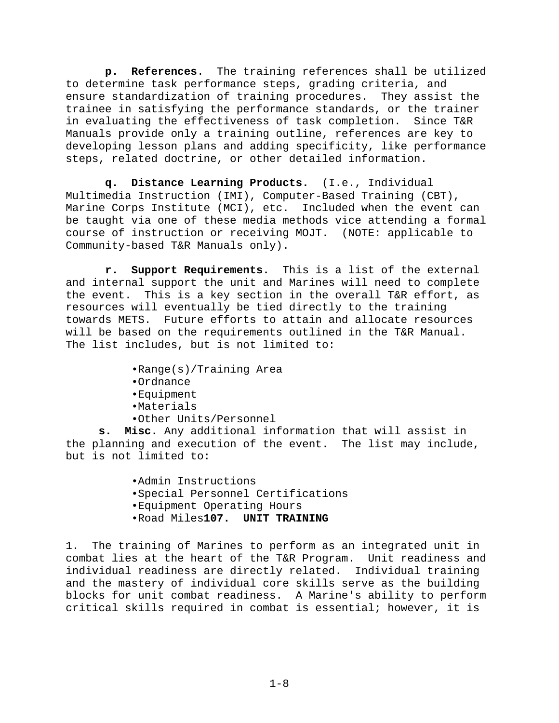**p. References**. The training references shall be utilized to determine task performance steps, grading criteria, and ensure standardization of training procedures. They assist the trainee in satisfying the performance standards, or the trainer in evaluating the effectiveness of task completion. Since T&R Manuals provide only a training outline, references are key to developing lesson plans and adding specificity, like performance steps, related doctrine, or other detailed information.

 **q. Distance Learning Products.** (I.e., Individual Multimedia Instruction (IMI), Computer-Based Training (CBT), Marine Corps Institute (MCI), etc. Included when the event can be taught via one of these media methods vice attending a formal course of instruction or receiving MOJT. (NOTE: applicable to Community-based T&R Manuals only).

 **r. Support Requirements.** This is a list of the external and internal support the unit and Marines will need to complete the event. This is a key section in the overall T&R effort, as resources will eventually be tied directly to the training towards METS. Future efforts to attain and allocate resources will be based on the requirements outlined in the T&R Manual. The list includes, but is not limited to:

•Range(s)/Training Area

- •Ordnance
- •Equipment
- •Materials
- •Other Units/Personnel

**s. Misc.** Any additional information that will assist in the planning and execution of the event. The list may include, but is not limited to:

> •Admin Instructions •Special Personnel Certifications •Equipment Operating Hours •Road Miles**107. UNIT TRAINING**

1. The training of Marines to perform as an integrated unit in combat lies at the heart of the T&R Program. Unit readiness and individual readiness are directly related. Individual training and the mastery of individual core skills serve as the building blocks for unit combat readiness. A Marine's ability to perform critical skills required in combat is essential; however, it is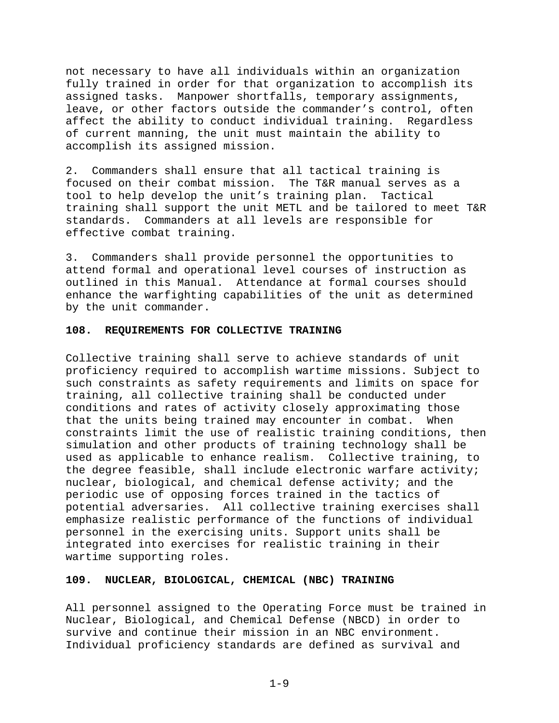not necessary to have all individuals within an organization fully trained in order for that organization to accomplish its assigned tasks. Manpower shortfalls, temporary assignments, leave, or other factors outside the commander's control, often affect the ability to conduct individual training. Regardless of current manning, the unit must maintain the ability to accomplish its assigned mission.

2. Commanders shall ensure that all tactical training is focused on their combat mission. The T&R manual serves as a tool to help develop the unit's training plan. Tactical training shall support the unit METL and be tailored to meet T&R standards. Commanders at all levels are responsible for effective combat training.

3. Commanders shall provide personnel the opportunities to attend formal and operational level courses of instruction as outlined in this Manual. Attendance at formal courses should enhance the warfighting capabilities of the unit as determined by the unit commander.

# **108. REQUIREMENTS FOR COLLECTIVE TRAINING**

Collective training shall serve to achieve standards of unit proficiency required to accomplish wartime missions. Subject to such constraints as safety requirements and limits on space for training, all collective training shall be conducted under conditions and rates of activity closely approximating those that the units being trained may encounter in combat. When constraints limit the use of realistic training conditions, then simulation and other products of training technology shall be used as applicable to enhance realism. Collective training, to the degree feasible, shall include electronic warfare activity; nuclear, biological, and chemical defense activity; and the periodic use of opposing forces trained in the tactics of potential adversaries. All collective training exercises shall emphasize realistic performance of the functions of individual personnel in the exercising units. Support units shall be integrated into exercises for realistic training in their wartime supporting roles.

# **109. NUCLEAR, BIOLOGICAL, CHEMICAL (NBC) TRAINING**

All personnel assigned to the Operating Force must be trained in Nuclear, Biological, and Chemical Defense (NBCD) in order to survive and continue their mission in an NBC environment. Individual proficiency standards are defined as survival and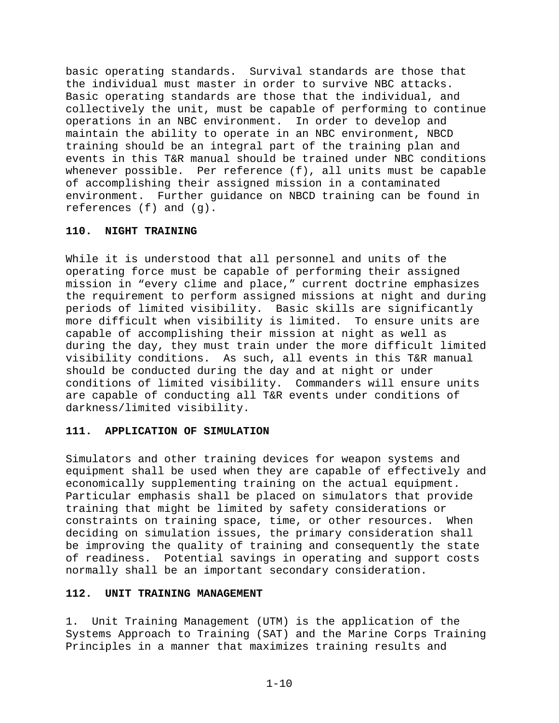basic operating standards. Survival standards are those that the individual must master in order to survive NBC attacks. Basic operating standards are those that the individual, and collectively the unit, must be capable of performing to continue operations in an NBC environment. In order to develop and maintain the ability to operate in an NBC environment, NBCD training should be an integral part of the training plan and events in this T&R manual should be trained under NBC conditions whenever possible. Per reference (f), all units must be capable of accomplishing their assigned mission in a contaminated environment. Further guidance on NBCD training can be found in references (f) and (g).

## **110. NIGHT TRAINING**

While it is understood that all personnel and units of the operating force must be capable of performing their assigned mission in "every clime and place," current doctrine emphasizes the requirement to perform assigned missions at night and during periods of limited visibility. Basic skills are significantly more difficult when visibility is limited. To ensure units are capable of accomplishing their mission at night as well as during the day, they must train under the more difficult limited visibility conditions. As such, all events in this T&R manual should be conducted during the day and at night or under conditions of limited visibility. Commanders will ensure units are capable of conducting all T&R events under conditions of darkness/limited visibility.

# **111. APPLICATION OF SIMULATION**

Simulators and other training devices for weapon systems and equipment shall be used when they are capable of effectively and economically supplementing training on the actual equipment. Particular emphasis shall be placed on simulators that provide training that might be limited by safety considerations or constraints on training space, time, or other resources. When deciding on simulation issues, the primary consideration shall be improving the quality of training and consequently the state of readiness. Potential savings in operating and support costs normally shall be an important secondary consideration.

## **112. UNIT TRAINING MANAGEMENT**

1. Unit Training Management (UTM) is the application of the Systems Approach to Training (SAT) and the Marine Corps Training Principles in a manner that maximizes training results and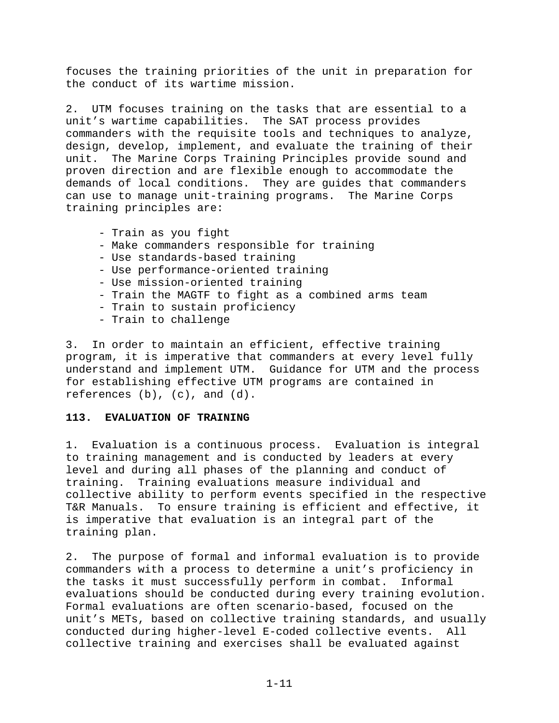focuses the training priorities of the unit in preparation for the conduct of its wartime mission.

2. UTM focuses training on the tasks that are essential to a unit's wartime capabilities. The SAT process provides commanders with the requisite tools and techniques to analyze, design, develop, implement, and evaluate the training of their unit. The Marine Corps Training Principles provide sound and proven direction and are flexible enough to accommodate the demands of local conditions. They are guides that commanders can use to manage unit-training programs. The Marine Corps training principles are:

- Train as you fight
- Make commanders responsible for training
- Use standards-based training
- Use performance-oriented training
- Use mission-oriented training
- Train the MAGTF to fight as a combined arms team
- Train to sustain proficiency
- Train to challenge

3. In order to maintain an efficient, effective training program, it is imperative that commanders at every level fully understand and implement UTM. Guidance for UTM and the process for establishing effective UTM programs are contained in references (b), (c), and (d).

# **113. EVALUATION OF TRAINING**

1. Evaluation is a continuous process. Evaluation is integral to training management and is conducted by leaders at every level and during all phases of the planning and conduct of training. Training evaluations measure individual and collective ability to perform events specified in the respective T&R Manuals. To ensure training is efficient and effective, it is imperative that evaluation is an integral part of the training plan.

2. The purpose of formal and informal evaluation is to provide commanders with a process to determine a unit's proficiency in the tasks it must successfully perform in combat. Informal evaluations should be conducted during every training evolution. Formal evaluations are often scenario-based, focused on the unit's METs, based on collective training standards, and usually conducted during higher-level E-coded collective events. All collective training and exercises shall be evaluated against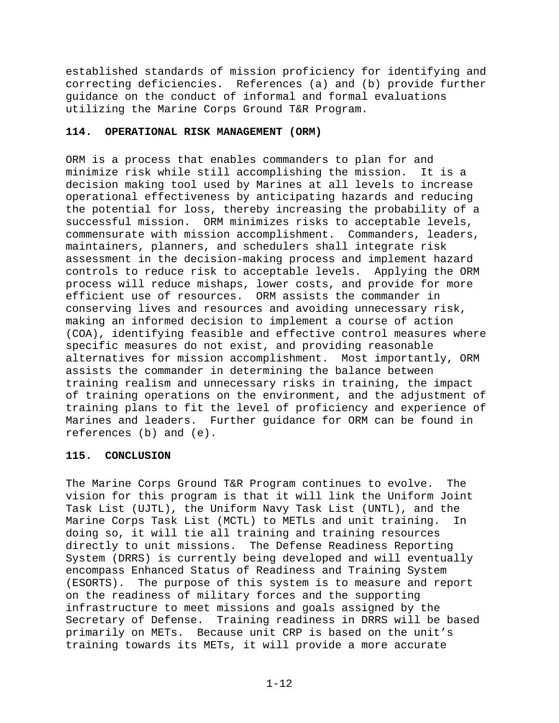established standards of mission proficiency for identifying and correcting deficiencies. References (a) and (b) provide further guidance on the conduct of informal and formal evaluations utilizing the Marine Corps Ground T&R Program.

# **114. OPERATIONAL RISK MANAGEMENT (ORM)**

ORM is a process that enables commanders to plan for and minimize risk while still accomplishing the mission. It is a decision making tool used by Marines at all levels to increase operational effectiveness by anticipating hazards and reducing the potential for loss, thereby increasing the probability of a successful mission. ORM minimizes risks to acceptable levels, commensurate with mission accomplishment. Commanders, leaders, maintainers, planners, and schedulers shall integrate risk assessment in the decision-making process and implement hazard controls to reduce risk to acceptable levels. Applying the ORM process will reduce mishaps, lower costs, and provide for more efficient use of resources. ORM assists the commander in conserving lives and resources and avoiding unnecessary risk, making an informed decision to implement a course of action (COA), identifying feasible and effective control measures where specific measures do not exist, and providing reasonable alternatives for mission accomplishment. Most importantly, ORM assists the commander in determining the balance between training realism and unnecessary risks in training, the impact of training operations on the environment, and the adjustment of training plans to fit the level of proficiency and experience of Marines and leaders. Further guidance for ORM can be found in references (b) and (e).

# **115. CONCLUSION**

The Marine Corps Ground T&R Program continues to evolve. The vision for this program is that it will link the Uniform Joint Task List (UJTL), the Uniform Navy Task List (UNTL), and the Marine Corps Task List (MCTL) to METLs and unit training. In doing so, it will tie all training and training resources directly to unit missions. The Defense Readiness Reporting System (DRRS) is currently being developed and will eventually encompass Enhanced Status of Readiness and Training System (ESORTS). The purpose of this system is to measure and report on the readiness of military forces and the supporting infrastructure to meet missions and goals assigned by the Secretary of Defense. Training readiness in DRRS will be based primarily on METs. Because unit CRP is based on the unit's training towards its METs, it will provide a more accurate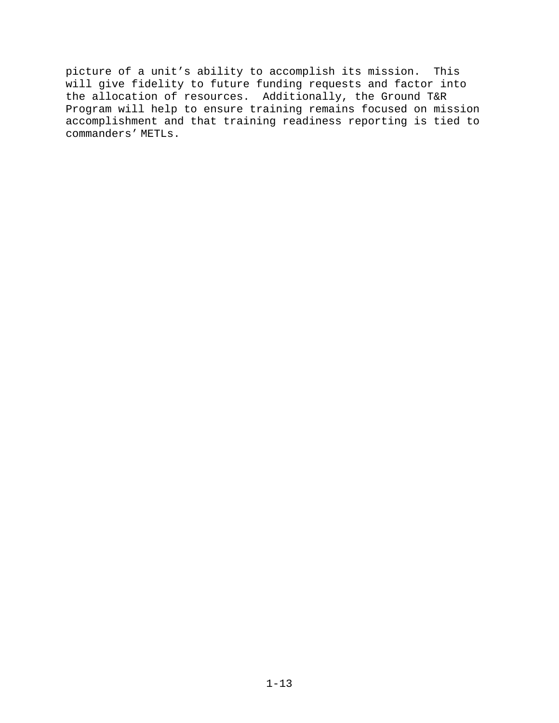picture of a unit's ability to accomplish its mission. This will give fidelity to future funding requests and factor into the allocation of resources. Additionally, the Ground T&R Program will help to ensure training remains focused on mission accomplishment and that training readiness reporting is tied to commanders' METLs.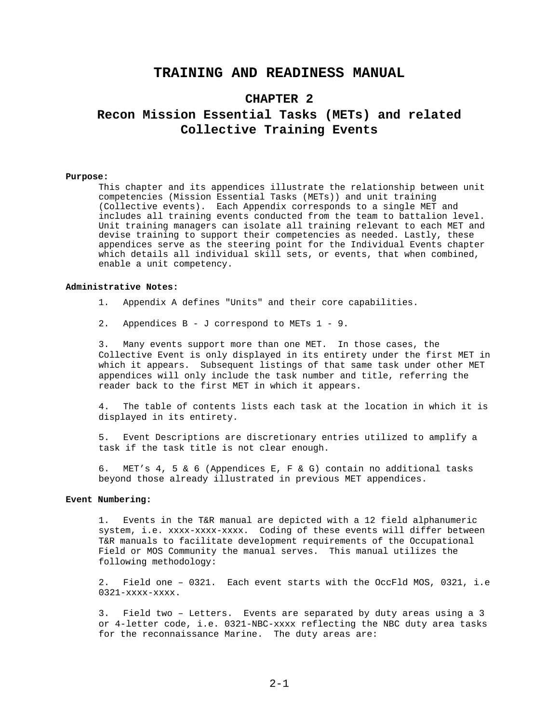# **TRAINING AND READINESS MANUAL**

# **CHAPTER 2 Recon Mission Essential Tasks (METs) and related Collective Training Events**

#### **Purpose:**

This chapter and its appendices illustrate the relationship between unit competencies (Mission Essential Tasks (METs)) and unit training (Collective events). Each Appendix corresponds to a single MET and includes all training events conducted from the team to battalion level. Unit training managers can isolate all training relevant to each MET and devise training to support their competencies as needed. Lastly, these appendices serve as the steering point for the Individual Events chapter which details all individual skill sets, or events, that when combined, enable a unit competency.

#### **Administrative Notes:**

- 1. Appendix A defines "Units" and their core capabilities.
- 2. Appendices B J correspond to METs 1 9.

3. Many events support more than one MET. In those cases, the Collective Event is only displayed in its entirety under the first MET in which it appears. Subsequent listings of that same task under other MET appendices will only include the task number and title, referring the reader back to the first MET in which it appears.

4. The table of contents lists each task at the location in which it is displayed in its entirety.

5. Event Descriptions are discretionary entries utilized to amplify a task if the task title is not clear enough.

6. MET's 4, 5 & 6 (Appendices E, F & G) contain no additional tasks beyond those already illustrated in previous MET appendices.

#### **Event Numbering:**

1. Events in the T&R manual are depicted with a 12 field alphanumeric system, i.e. xxxx-xxxx-xxxx. Coding of these events will differ between T&R manuals to facilitate development requirements of the Occupational Field or MOS Community the manual serves. This manual utilizes the following methodology:

2. Field one – 0321. Each event starts with the OccFld MOS, 0321, i.e 0321-xxxx-xxxx.

3. Field two – Letters. Events are separated by duty areas using a 3 or 4-letter code, i.e. 0321-NBC-xxxx reflecting the NBC duty area tasks for the reconnaissance Marine. The duty areas are: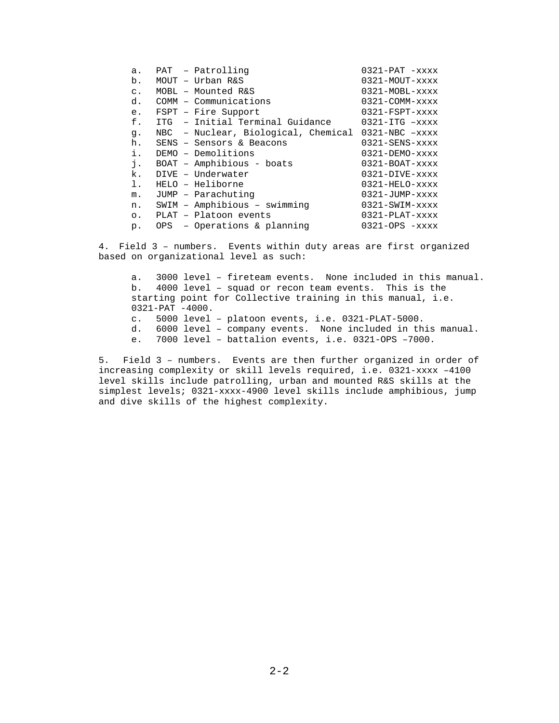| a.             | PAT - Patrolling                                        | $0321-PAT$ -xxxx                 |
|----------------|---------------------------------------------------------|----------------------------------|
| b.             | MOUT - Urban R&S                                        | 0321-MOUT-xxxx                   |
| $\mathsf{C}$ . | MOBL - Mounted R&S                                      | $0321 - MOBL - XXXX$             |
| d.             | COMM - Communications                                   | $0321 - \text{COMM}-\text{xxxx}$ |
| e.             | FSPT - Fire Support                                     | $0321 - FSPT - XXXX$             |
| f.             | ITG - Initial Terminal Guidance                         | $0321 - ITG$ $-xxxx$             |
| q.             | $NBC$ - Nuclear, Biological, Chemical 0321-NBC $-xxxxx$ |                                  |
| h.             | SENS - Sensors & Beacons                                | $0321 - SENS - XXXX$             |
| i.             | DEMO - Demolitions                                      | $0321 - DEMO - XXXX$             |
| j.             | BOAT - Amphibious - boats                               | $0321 - BOAT - XXXX$             |
| k.             | DIVE - Underwater                                       | $0321 - DIVE - XXXX$             |
| ı.             | HELO - Heliborne                                        | $0321$ -HELO- $xxxx$             |
| m.             | JUMP - Parachuting                                      | $0321 - JUMP - XXXX$             |
| n.             | SWIM - Amphibious - swimming                            | $0321 - SWIM - XXXX$             |
| $\circ$ .      | PLAT - Platoon events                                   | $0321 - PLAT - XXXX$             |
| $p$ .          | OPS - Operations & planning                             | $0321 - OPS - XXXX$              |

4. Field 3 – numbers. Events within duty areas are first organized based on organizational level as such:

a. 3000 level – fireteam events. None included in this manual. b. 4000 level – squad or recon team events. This is the starting point for Collective training in this manual, i.e. 0321-PAT -4000. c. 5000 level – platoon events, i.e. 0321-PLAT-5000. d. 6000 level – company events. None included in this manual. e. 7000 level – battalion events, i.e. 0321-OPS –7000.

5. Field 3 – numbers. Events are then further organized in order of increasing complexity or skill levels required, i.e. 0321-xxxx –4100 level skills include patrolling, urban and mounted R&S skills at the simplest levels; 0321-xxxx-4900 level skills include amphibious, jump and dive skills of the highest complexity.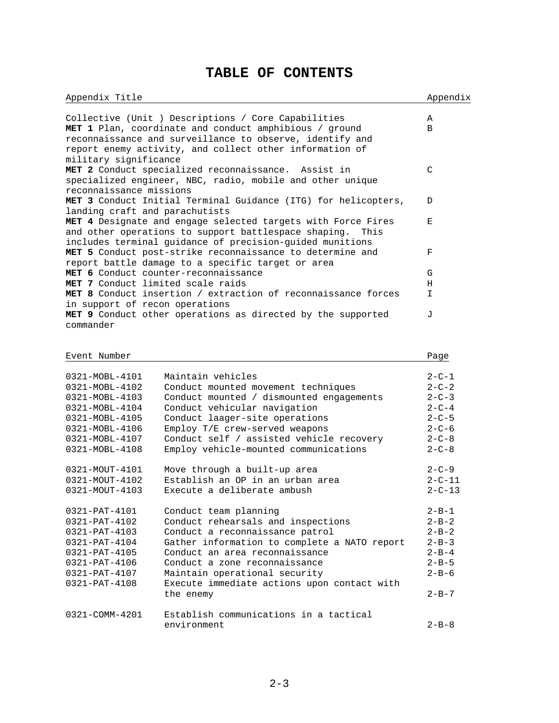# **TABLE OF CONTENTS**

Appendix Title Appendix Appendix

| military significance             | Collective (Unit ) Descriptions / Core Capabilities<br>MET 1 Plan, coordinate and conduct amphibious / ground<br>reconnaissance and surveillance to observe, identify and<br>report enemy activity, and collect other information of | Α<br>B       |
|-----------------------------------|--------------------------------------------------------------------------------------------------------------------------------------------------------------------------------------------------------------------------------------|--------------|
| reconnaissance missions           | MET 2 Conduct specialized reconnaissance. Assist in<br>specialized engineer, NBC, radio, mobile and other unique                                                                                                                     | $\mathsf{C}$ |
| landing craft and parachutists    | MET 3 Conduct Initial Terminal Guidance (ITG) for helicopters,                                                                                                                                                                       | D            |
|                                   | MET 4 Designate and engage selected targets with Force Fires<br>and other operations to support battlespace shaping.<br>This<br>includes terminal guidance of precision-guided munitions                                             | Е            |
|                                   | MET 5 Conduct post-strike reconnaissance to determine and<br>report battle damage to a specific target or area                                                                                                                       | F            |
|                                   | MET 6 Conduct counter-reconnaissance                                                                                                                                                                                                 | G            |
| MET 7 Conduct limited scale raids |                                                                                                                                                                                                                                      | Н            |
|                                   | MET 8 Conduct insertion / extraction of reconnaissance forces                                                                                                                                                                        | I.           |
| in support of recon operations    |                                                                                                                                                                                                                                      |              |
|                                   | MET 9 Conduct other operations as directed by the supported                                                                                                                                                                          | <b>J</b>     |
|                                   |                                                                                                                                                                                                                                      |              |
| commander                         |                                                                                                                                                                                                                                      |              |
|                                   |                                                                                                                                                                                                                                      |              |
|                                   |                                                                                                                                                                                                                                      |              |
| Event Number                      |                                                                                                                                                                                                                                      | Page         |
|                                   |                                                                                                                                                                                                                                      |              |
| 0321-MOBL-4101                    | Maintain vehicles                                                                                                                                                                                                                    | $2 - C - 1$  |
| 0321-MOBL-4102                    | Conduct mounted movement techniques                                                                                                                                                                                                  | $2 - C - 2$  |
| 0321-MOBL-4103                    | Conduct mounted / dismounted engagements                                                                                                                                                                                             | $2 - C - 3$  |
| 0321-MOBL-4104                    | Conduct vehicular navigation                                                                                                                                                                                                         | $2 - C - 4$  |
| 0321-MOBL-4105                    | Conduct laager-site operations                                                                                                                                                                                                       | $2 - C - 5$  |
| 0321-MOBL-4106                    | Employ T/E crew-served weapons                                                                                                                                                                                                       | $2 - C - 6$  |
| 0321-MOBL-4107                    | Conduct self / assisted vehicle recovery                                                                                                                                                                                             | $2 - C - 8$  |
| 0321-MOBL-4108                    | Employ vehicle-mounted communications                                                                                                                                                                                                | $2 - C - 8$  |
|                                   |                                                                                                                                                                                                                                      |              |
| 0321-MOUT-4101                    | Move through a built-up area                                                                                                                                                                                                         | $2 - C - 9$  |
| 0321-MOUT-4102                    | Establish an OP in an urban area                                                                                                                                                                                                     | $2 - C - 11$ |
| 0321-MOUT-4103                    | Execute a deliberate ambush                                                                                                                                                                                                          | $2 - C - 13$ |
|                                   |                                                                                                                                                                                                                                      |              |
| 0321-PAT-4101                     | Conduct team planning                                                                                                                                                                                                                | $2 - B - 1$  |
|                                   | Conduct rehearsals and inspections                                                                                                                                                                                                   |              |
| 0321-PAT-4102<br>0321-PAT-4103    |                                                                                                                                                                                                                                      | $2 - B - 2$  |
| 0321-PAT-4104                     | Conduct a reconnaissance patrol                                                                                                                                                                                                      | $2 - B - 2$  |
|                                   |                                                                                                                                                                                                                                      |              |
| 0321-PAT-4105                     | Gather information to complete a NATO report                                                                                                                                                                                         | $2 - B - 3$  |
|                                   | Conduct an area reconnaissance                                                                                                                                                                                                       | $2 - B - 4$  |
| 0321-PAT-4106                     | Conduct a zone reconnaissance                                                                                                                                                                                                        | $2 - B - 5$  |
| $0321 - PAT - 4107$               | Maintain operational security                                                                                                                                                                                                        | $2 - B - 6$  |
| $0321 - PAT - 4108$               | Execute immediate actions upon contact with                                                                                                                                                                                          | $2 - B - 7$  |

0321-COMM-4201 Establish communications in a tactical environment 2-B-8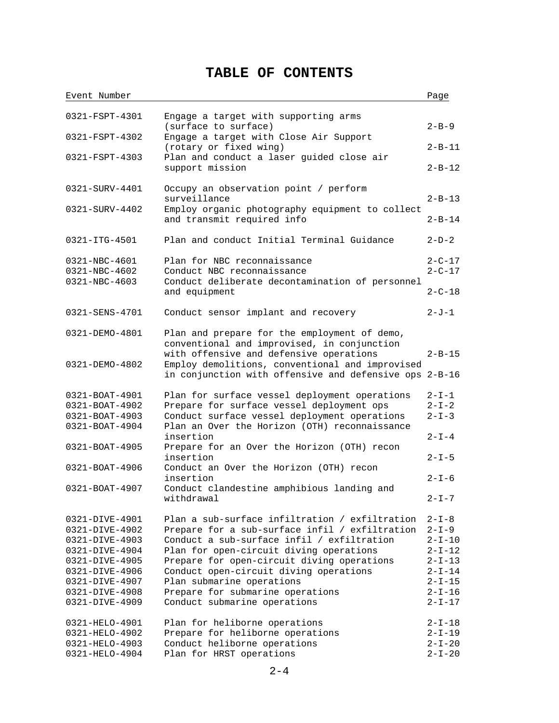# **TABLE OF CONTENTS**

| Event Number                     |                                                                                           | Page                 |
|----------------------------------|-------------------------------------------------------------------------------------------|----------------------|
|                                  |                                                                                           |                      |
| 0321-FSPT-4301                   | Engage a target with supporting arms                                                      |                      |
|                                  | (surface to surface)                                                                      | $2 - B - 9$          |
| 0321-FSPT-4302                   | Engage a target with Close Air Support                                                    |                      |
|                                  | (rotary or fixed wing)                                                                    | $2 - B - 11$         |
| 0321-FSPT-4303                   | Plan and conduct a laser quided close air                                                 |                      |
|                                  | support mission                                                                           | $2 - B - 12$         |
|                                  |                                                                                           |                      |
| 0321-SURV-4401                   | Occupy an observation point / perform                                                     |                      |
|                                  | surveillance                                                                              | $2 - B - 13$         |
| 0321-SURV-4402                   | Employ organic photography equipment to collect                                           |                      |
|                                  | and transmit required info                                                                | $2 - B - 14$         |
|                                  |                                                                                           |                      |
| 0321-ITG-4501                    | Plan and conduct Initial Terminal Guidance                                                | $2-D-2$              |
|                                  |                                                                                           |                      |
| 0321-NBC-4601                    | Plan for NBC reconnaissance                                                               | $2 - C - 17$         |
| 0321-NBC-4602                    | Conduct NBC reconnaissance                                                                | $2 - C - 17$         |
| 0321-NBC-4603                    | Conduct deliberate decontamination of personnel                                           |                      |
|                                  | and equipment                                                                             | $2 - C - 18$         |
|                                  |                                                                                           |                      |
| 0321-SENS-4701                   | Conduct sensor implant and recovery                                                       | $2 - J - 1$          |
|                                  |                                                                                           |                      |
| 0321-DEMO-4801                   | Plan and prepare for the employment of demo,                                              |                      |
|                                  | conventional and improvised, in conjunction                                               |                      |
|                                  | with offensive and defensive operations                                                   | $2 - B - 15$         |
| 0321-DEMO-4802                   | Employ demolitions, conventional and improvised                                           |                      |
|                                  | in conjunction with offensive and defensive ops 2-B-16                                    |                      |
|                                  |                                                                                           |                      |
| 0321-BOAT-4901<br>0321-BOAT-4902 | Plan for surface vessel deployment operations                                             | 2-I-1<br>$2 - I - 2$ |
| 0321-BOAT-4903                   | Prepare for surface vessel deployment ops<br>Conduct surface vessel deployment operations | $2 - I - 3$          |
| 0321-BOAT-4904                   | Plan an Over the Horizon (OTH) reconnaissance                                             |                      |
|                                  | insertion                                                                                 | $2 - I - 4$          |
| 0321-BOAT-4905                   | Prepare for an Over the Horizon (OTH) recon                                               |                      |
|                                  | insertion                                                                                 | $2 - I - 5$          |
| 0321-BOAT-4906                   | Conduct an Over the Horizon (OTH) recon                                                   |                      |
|                                  | insertion                                                                                 | $2 - I - 6$          |
| $0321 - BOAT - 4907$             | Conduct clandestine amphibious landing and                                                |                      |
|                                  | withdrawal                                                                                | $2 - I - 7$          |
|                                  |                                                                                           |                      |
| 0321-DIVE-4901                   | Plan a sub-surface infiltration / exfiltration                                            | $2 - I - 8$          |
| 0321-DIVE-4902                   | Prepare for a sub-surface infil / exfiltration                                            | $2 - I - 9$          |
| 0321-DIVE-4903                   | Conduct a sub-surface infil / exfiltration                                                | $2 - I - 10$         |
| 0321-DIVE-4904                   | Plan for open-circuit diving operations                                                   | $2 - I - 12$         |
| 0321-DIVE-4905                   | Prepare for open-circuit diving operations                                                | $2 - I - 13$         |
| 0321-DIVE-4906                   | Conduct open-circuit diving operations                                                    | $2 - I - 14$         |
| 0321-DIVE-4907                   | Plan submarine operations                                                                 | $2 - I - 15$         |
| 0321-DIVE-4908                   | Prepare for submarine operations                                                          | $2 - I - 16$         |
| 0321-DIVE-4909                   | Conduct submarine operations                                                              | 2-I-17               |
|                                  |                                                                                           |                      |
| 0321-HELO-4901                   | Plan for heliborne operations                                                             | $2 - I - 18$         |
| 0321-HELO-4902                   | Prepare for heliborne operations                                                          | $2 - I - 19$         |
| 0321-HELO-4903                   | Conduct heliborne operations                                                              | $2 - I - 20$         |
| 0321-HELO-4904                   | Plan for HRST operations                                                                  | $2 - I - 20$         |
|                                  |                                                                                           |                      |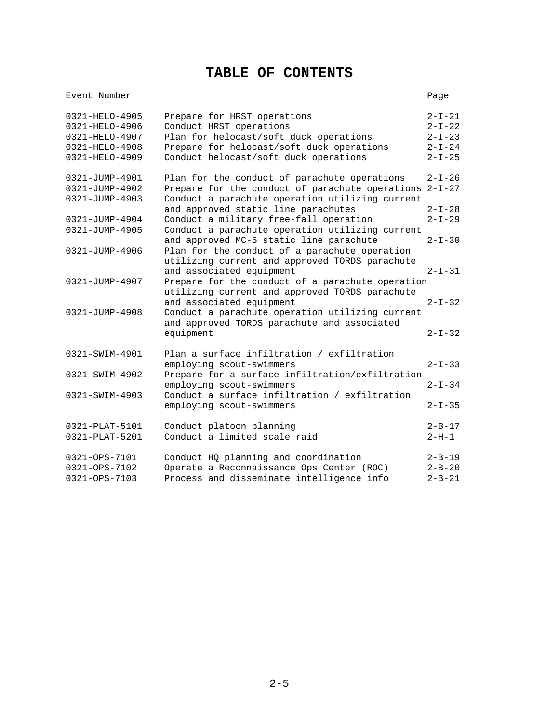# **TABLE OF CONTENTS**

| Event Number                                                                           |                                                                                                                                                                                           | Page                                                                         |
|----------------------------------------------------------------------------------------|-------------------------------------------------------------------------------------------------------------------------------------------------------------------------------------------|------------------------------------------------------------------------------|
| 0321-HELO-4905<br>0321-HELO-4906<br>0321-HELO-4907<br>0321-HELO-4908<br>0321-HELO-4909 | Prepare for HRST operations<br>Conduct HRST operations<br>Plan for helocast/soft duck operations<br>Prepare for helocast/soft duck operations<br>Conduct helocast/soft duck operations    | $2 - I - 21$<br>$2 - I - 22$<br>$2 - I - 23$<br>$2 - I - 24$<br>$2 - I - 25$ |
| 0321-JUMP-4901<br>0321-JUMP-4902<br>0321-JUMP-4903                                     | Plan for the conduct of parachute operations<br>Prepare for the conduct of parachute operations<br>Conduct a parachute operation utilizing current<br>and approved static line parachutes | $2 - I - 26$<br>$2 - I - 27$<br>$2 - I - 28$                                 |
| 0321-JUMP-4904<br>0321-JUMP-4905                                                       | Conduct a military free-fall operation<br>Conduct a parachute operation utilizing current<br>and approved MC-5 static line parachute                                                      | $2 - I - 29$<br>$2 - I - 30$                                                 |
| 0321-JUMP-4906<br>0321-JUMP-4907                                                       | Plan for the conduct of a parachute operation<br>utilizing current and approved TORDS parachute<br>and associated equipment<br>Prepare for the conduct of a parachute operation           | $2 - I - 31$                                                                 |
| 0321-JUMP-4908                                                                         | utilizing current and approved TORDS parachute<br>and associated equipment<br>Conduct a parachute operation utilizing current<br>and approved TORDS parachute and associated              | $2 - I - 32$                                                                 |
|                                                                                        | equipment                                                                                                                                                                                 | $2 - I - 32$                                                                 |
| 0321-SWIM-4901<br>0321-SWIM-4902                                                       | Plan a surface infiltration / exfiltration<br>employing scout-swimmers<br>Prepare for a surface infiltration/exfiltration                                                                 | $2 - I - 33$                                                                 |
|                                                                                        | employing scout-swimmers                                                                                                                                                                  | $2 - I - 34$                                                                 |
| 0321-SWIM-4903                                                                         | Conduct a surface infiltration / exfiltration<br>employing scout-swimmers                                                                                                                 | $2 - I - 35$                                                                 |
| 0321-PLAT-5101<br>0321-PLAT-5201                                                       | Conduct platoon planning<br>Conduct a limited scale raid                                                                                                                                  | $2 - B - 17$<br>$2 - H - 1$                                                  |
| 0321-OPS-7101<br>0321-OPS-7102<br>0321-OPS-7103                                        | Conduct HQ planning and coordination<br>Operate a Reconnaissance Ops Center (ROC)<br>Process and disseminate intelligence info                                                            | $2 - B - 19$<br>$2 - B - 20$<br>$2 - B - 21$                                 |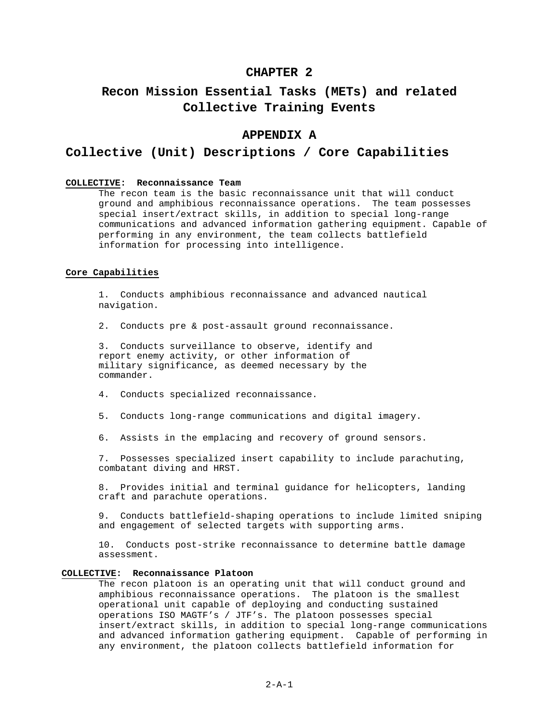## **CHAPTER 2**

# **Recon Mission Essential Tasks (METs) and related Collective Training Events**

# **APPENDIX A**

## **Collective (Unit) Descriptions / Core Capabilities**

#### **COLLECTIVE: Reconnaissance Team**

The recon team is the basic reconnaissance unit that will conduct ground and amphibious reconnaissance operations. The team possesses special insert/extract skills, in addition to special long-range communications and advanced information gathering equipment. Capable of performing in any environment, the team collects battlefield information for processing into intelligence.

### **Core Capabilities**

1. Conducts amphibious reconnaissance and advanced nautical navigation.

2. Conducts pre & post-assault ground reconnaissance.

3. Conducts surveillance to observe, identify and report enemy activity, or other information of military significance, as deemed necessary by the commander.

- 4. Conducts specialized reconnaissance.
- 5. Conducts long-range communications and digital imagery.
- 6. Assists in the emplacing and recovery of ground sensors.

7. Possesses specialized insert capability to include parachuting, combatant diving and HRST.

8. Provides initial and terminal guidance for helicopters, landing craft and parachute operations.

9. Conducts battlefield-shaping operations to include limited sniping and engagement of selected targets with supporting arms.

10. Conducts post-strike reconnaissance to determine battle damage assessment.

#### **COLLECTIVE: Reconnaissance Platoon**

The recon platoon is an operating unit that will conduct ground and amphibious reconnaissance operations. The platoon is the smallest operational unit capable of deploying and conducting sustained operations ISO MAGTF's / JTF's. The platoon possesses special insert/extract skills, in addition to special long-range communications and advanced information gathering equipment. Capable of performing in any environment, the platoon collects battlefield information for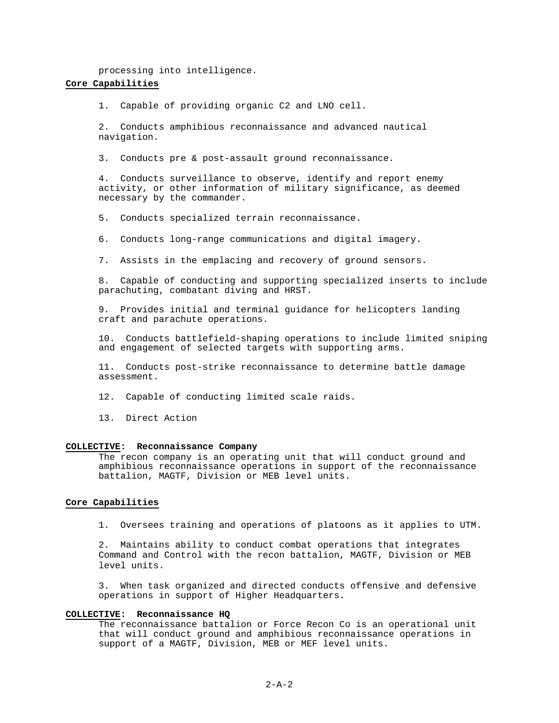processing into intelligence.

## **Core Capabilities**

1. Capable of providing organic C2 and LNO cell.

2. Conducts amphibious reconnaissance and advanced nautical navigation.

3. Conducts pre & post-assault ground reconnaissance.

4. Conducts surveillance to observe, identify and report enemy activity, or other information of military significance, as deemed necessary by the commander.

5. Conducts specialized terrain reconnaissance.

6. Conducts long-range communications and digital imagery.

7. Assists in the emplacing and recovery of ground sensors.

8. Capable of conducting and supporting specialized inserts to include parachuting, combatant diving and HRST.

9. Provides initial and terminal guidance for helicopters landing craft and parachute operations.

10. Conducts battlefield-shaping operations to include limited sniping and engagement of selected targets with supporting arms.

11. Conducts post-strike reconnaissance to determine battle damage assessment.

12. Capable of conducting limited scale raids.

13. Direct Action

#### **COLLECTIVE: Reconnaissance Company**

The recon company is an operating unit that will conduct ground and amphibious reconnaissance operations in support of the reconnaissance battalion, MAGTF, Division or MEB level units.

### **Core Capabilities**

1. Oversees training and operations of platoons as it applies to UTM.

2. Maintains ability to conduct combat operations that integrates Command and Control with the recon battalion, MAGTF, Division or MEB level units.

3. When task organized and directed conducts offensive and defensive operations in support of Higher Headquarters.

#### **COLLECTIVE: Reconnaissance HQ**

The reconnaissance battalion or Force Recon Co is an operational unit that will conduct ground and amphibious reconnaissance operations in support of a MAGTF, Division, MEB or MEF level units.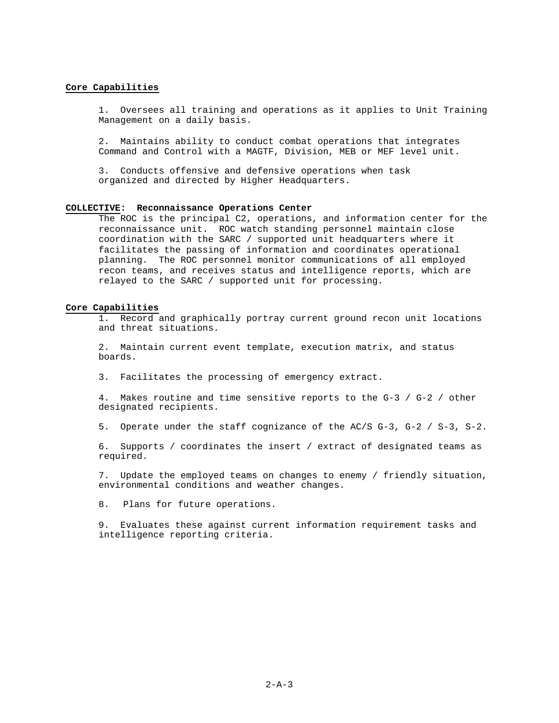#### **Core Capabilities**

1. Oversees all training and operations as it applies to Unit Training Management on a daily basis.

2. Maintains ability to conduct combat operations that integrates Command and Control with a MAGTF, Division, MEB or MEF level unit.

3. Conducts offensive and defensive operations when task organized and directed by Higher Headquarters.

#### **COLLECTIVE: Reconnaissance Operations Center**

The ROC is the principal C2, operations, and information center for the reconnaissance unit. ROC watch standing personnel maintain close coordination with the SARC / supported unit headquarters where it facilitates the passing of information and coordinates operational planning. The ROC personnel monitor communications of all employed recon teams, and receives status and intelligence reports, which are relayed to the SARC / supported unit for processing.

#### **Core Capabilities**

1. Record and graphically portray current ground recon unit locations and threat situations.

2. Maintain current event template, execution matrix, and status boards.

3. Facilitates the processing of emergency extract.

4. Makes routine and time sensitive reports to the G-3 / G-2 / other designated recipients.

5. Operate under the staff cognizance of the AC/S G-3, G-2 / S-3, S-2.

6. Supports / coordinates the insert / extract of designated teams as required.

7. Update the employed teams on changes to enemy / friendly situation, environmental conditions and weather changes.

8. Plans for future operations.

9. Evaluates these against current information requirement tasks and intelligence reporting criteria.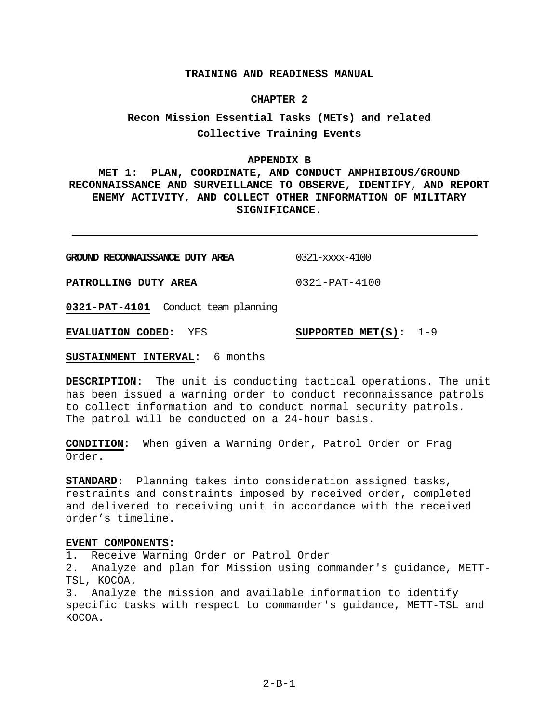## **TRAINING AND READINESS MANUAL**

### **CHAPTER 2**

# **Recon Mission Essential Tasks (METs) and related Collective Training Events**

## **APPENDIX B**

**MET 1: PLAN, COORDINATE, AND CONDUCT AMPHIBIOUS/GROUND RECONNAISSANCE AND SURVEILLANCE TO OBSERVE, IDENTIFY, AND REPORT ENEMY ACTIVITY, AND COLLECT OTHER INFORMATION OF MILITARY SIGNIFICANCE.**

| GROUND RECONNAISSANCE DUTY AREA | 0321-xxxx-4100      |
|---------------------------------|---------------------|
| PATROLLING DUTY AREA            | $0321 - PAT - 4100$ |

**0321-PAT-4101** Conduct team planning

**EVALUATION CODED:** YES **SUPPORTED MET(S):** 1-9

**SUSTAINMENT INTERVAL:** 6 months

**DESCRIPTION:** The unit is conducting tactical operations. The unit has been issued a warning order to conduct reconnaissance patrols to collect information and to conduct normal security patrols. The patrol will be conducted on a 24-hour basis.

**CONDITION:** When given a Warning Order, Patrol Order or Frag Order.

**STANDARD:** Planning takes into consideration assigned tasks, restraints and constraints imposed by received order, completed and delivered to receiving unit in accordance with the received order's timeline.

## **EVENT COMPONENTS:**

1. Receive Warning Order or Patrol Order

2. Analyze and plan for Mission using commander's guidance, METT-TSL, KOCOA.

3. Analyze the mission and available information to identify specific tasks with respect to commander's guidance, METT-TSL and KOCOA.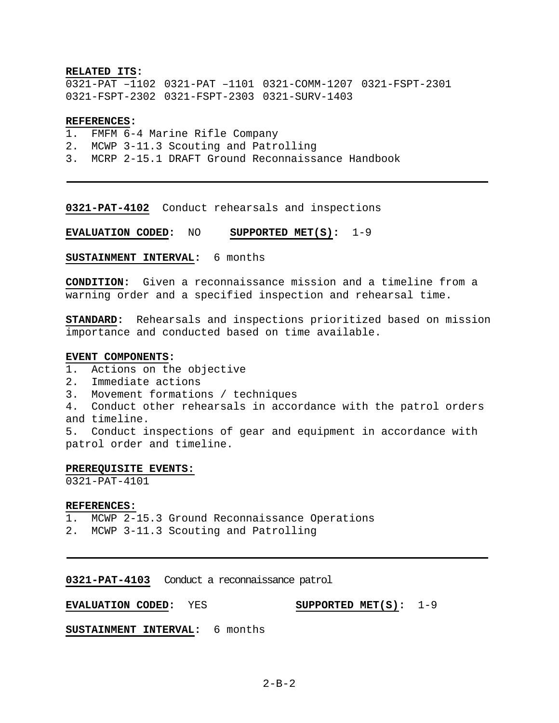## **RELATED ITS:**

0321-PAT –1102 0321-PAT –1101 0321-COMM-1207 0321-FSPT-2301 0321-FSPT-2302 0321-FSPT-2303 0321-SURV-1403

## **REFERENCES:**

- 1. FMFM 6-4 Marine Rifle Company
- 2. MCWP 3-11.3 Scouting and Patrolling
- 3. MCRP 2-15.1 DRAFT Ground Reconnaissance Handbook

**0321-PAT-4102** Conduct rehearsals and inspections

**EVALUATION CODED:** NO **SUPPORTED MET(S):** 1-9

**SUSTAINMENT INTERVAL:** 6 months

**CONDITION:** Given a reconnaissance mission and a timeline from a warning order and a specified inspection and rehearsal time.

**STANDARD:** Rehearsals and inspections prioritized based on mission importance and conducted based on time available.

## **EVENT COMPONENTS:**

- 1. Actions on the objective
- 2. Immediate actions
- 3. Movement formations / techniques
- 4. Conduct other rehearsals in accordance with the patrol orders and timeline.

5. Conduct inspections of gear and equipment in accordance with patrol order and timeline.

## **PREREQUISITE EVENTS:**

0321-PAT-4101

## **REFERENCES:**

1. MCWP 2-15.3 Ground Reconnaissance Operations

2. MCWP 3-11.3 Scouting and Patrolling

**0321-PAT-4103** Conduct a reconnaissance patrol

### **EVALUATION CODED:** YES **SUPPORTED MET(S):** 1-9

**SUSTAINMENT INTERVAL:** 6 months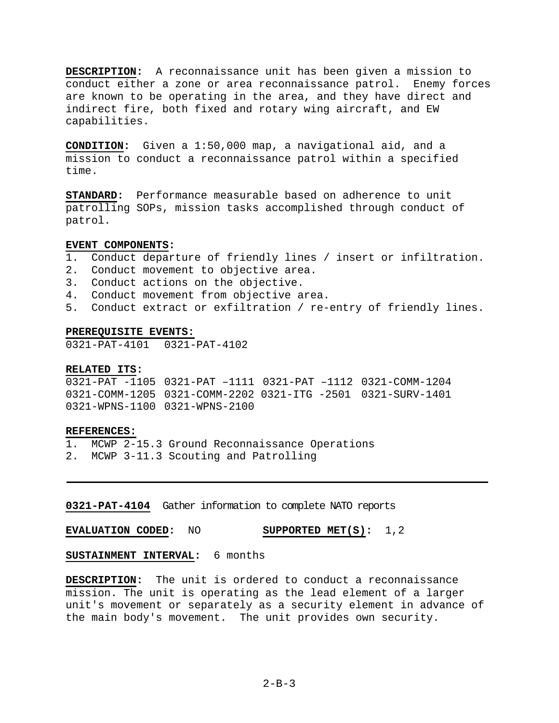**DESCRIPTION:** A reconnaissance unit has been given a mission to conduct either a zone or area reconnaissance patrol. Enemy forces are known to be operating in the area, and they have direct and indirect fire, both fixed and rotary wing aircraft, and EW capabilities.

**CONDITION:** Given a 1:50,000 map, a navigational aid, and a mission to conduct a reconnaissance patrol within a specified time.

**STANDARD:** Performance measurable based on adherence to unit patrolling SOPs, mission tasks accomplished through conduct of patrol.

## **EVENT COMPONENTS:**

- 1. Conduct departure of friendly lines / insert or infiltration.
- 2. Conduct movement to objective area.
- 3. Conduct actions on the objective.
- 4. Conduct movement from objective area.
- 5. Conduct extract or exfiltration / re-entry of friendly lines.

#### **PREREQUISITE EVENTS:**

0321-PAT-4101 0321-PAT-4102

#### **RELATED ITS:**

0321-PAT -1105 0321-PAT –1111 0321-PAT –1112 0321-COMM-1204 0321-COMM-1205 0321-COMM-2202 0321-ITG -2501 0321-SURV-1401 0321-WPNS-1100 0321-WPNS-2100

## **REFERENCES:**

1. MCWP 2-15.3 Ground Reconnaissance Operations 2. MCWP 3-11.3 Scouting and Patrolling

# **0321-PAT-4104** Gather information to complete NATO reports

**EVALUATION CODED:** NO **SUPPORTED MET(S):** 1,2

# **SUSTAINMENT INTERVAL:** 6 months

**DESCRIPTION:** The unit is ordered to conduct a reconnaissance mission. The unit is operating as the lead element of a larger unit's movement or separately as a security element in advance of the main body's movement. The unit provides own security.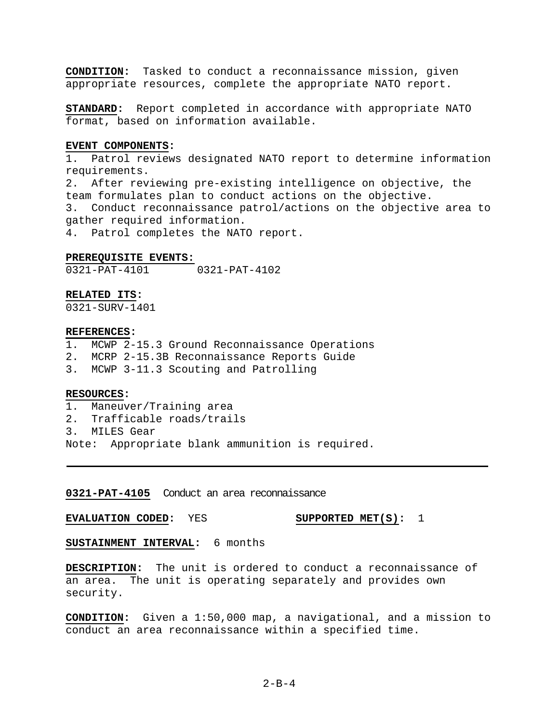**CONDITION:** Tasked to conduct a reconnaissance mission, given appropriate resources, complete the appropriate NATO report.

**STANDARD:** Report completed in accordance with appropriate NATO format, based on information available.

## **EVENT COMPONENTS:**

1. Patrol reviews designated NATO report to determine information requirements.

2. After reviewing pre-existing intelligence on objective, the team formulates plan to conduct actions on the objective. 3. Conduct reconnaissance patrol/actions on the objective area to gather required information.

4. Patrol completes the NATO report.

## **PREREQUISITE EVENTS:**

0321-PAT-4101 0321-PAT-4102

## **RELATED ITS:**

0321-SURV-1401

#### **REFERENCES:**

- 1. MCWP 2-15.3 Ground Reconnaissance Operations
- 2. MCRP 2-15.3B Reconnaissance Reports Guide
- 3. MCWP 3-11.3 Scouting and Patrolling

## **RESOURCES:**

- 1. Maneuver/Training area
- 2. Trafficable roads/trails
- 3. MILES Gear
- Note: Appropriate blank ammunition is required.

**0321-PAT-4105** Conduct an area reconnaissance

**EVALUATION CODED:** YES **SUPPORTED MET(S):** 1

**SUSTAINMENT INTERVAL:** 6 months

**DESCRIPTION:** The unit is ordered to conduct a reconnaissance of an area. The unit is operating separately and provides own security.

**CONDITION:** Given a 1:50,000 map, a navigational, and a mission to conduct an area reconnaissance within a specified time.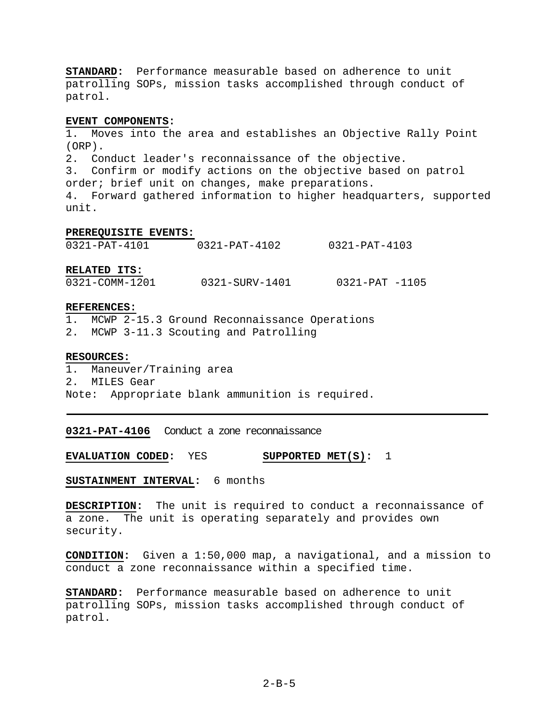**STANDARD:** Performance measurable based on adherence to unit patrolling SOPs, mission tasks accomplished through conduct of patrol.

## **EVENT COMPONENTS:**

1. Moves into the area and establishes an Objective Rally Point (ORP). 2. Conduct leader's reconnaissance of the objective. 3. Confirm or modify actions on the objective based on patrol order; brief unit on changes, make preparations. 4. Forward gathered information to higher headquarters, supported unit.

## **PREREQUISITE EVENTS:**

**RELATED ITS:**

0321-COMM-1201 0321-SURV-1401 0321-PAT -1105

#### **REFERENCES:**

- 1. MCWP 2-15.3 Ground Reconnaissance Operations
- 2. MCWP 3-11.3 Scouting and Patrolling

## **RESOURCES:**

1. Maneuver/Training area 2. MILES Gear Note: Appropriate blank ammunition is required.

**0321-PAT-4106** Conduct a zone reconnaissance

**EVALUATION CODED:** YES **SUPPORTED MET(S):** 1

**SUSTAINMENT INTERVAL:** 6 months

**DESCRIPTION:** The unit is required to conduct a reconnaissance of a zone. The unit is operating separately and provides own security.

**CONDITION:** Given a 1:50,000 map, a navigational, and a mission to conduct a zone reconnaissance within a specified time.

**STANDARD:** Performance measurable based on adherence to unit patrolling SOPs, mission tasks accomplished through conduct of patrol.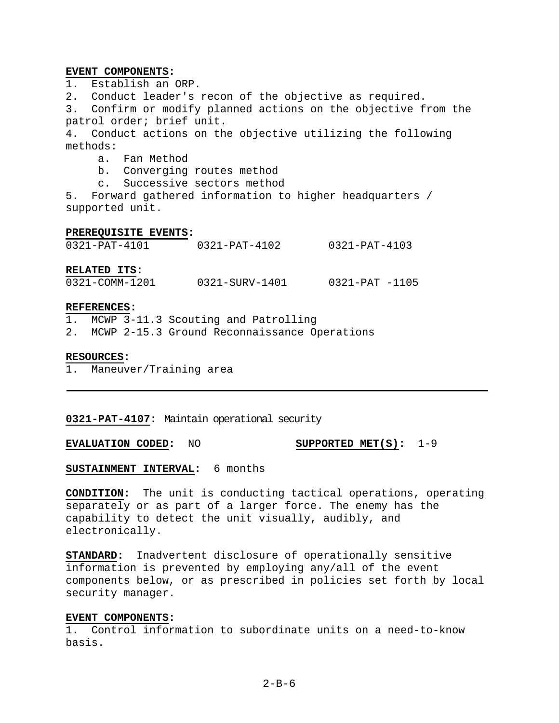## **EVENT COMPONENTS:**

1. Establish an ORP.

2. Conduct leader's recon of the objective as required.

3. Confirm or modify planned actions on the objective from the patrol order; brief unit.

4. Conduct actions on the objective utilizing the following methods:

a. Fan Method

b. Converging routes method

c. Successive sectors method

5. Forward gathered information to higher headquarters / supported unit.

#### **PREREQUISITE EVENTS:**

| $0321 - PAT - 4101$ | 0321-PAT-4102 | 0321-PAT-4103 |
|---------------------|---------------|---------------|
|                     |               |               |

**RELATED ITS:**

0321-COMM-1201 0321-SURV-1401 0321-PAT -1105

#### **REFERENCES:**

1. MCWP 3-11.3 Scouting and Patrolling

2. MCWP 2-15.3 Ground Reconnaissance Operations

## **RESOURCES:**

1. Maneuver/Training area

**0321-PAT-4107:** Maintain operational security

**EVALUATION CODED:** NO **SUPPORTED MET(S):** 1-9

**SUSTAINMENT INTERVAL:** 6 months

**CONDITION:** The unit is conducting tactical operations, operating separately or as part of a larger force. The enemy has the capability to detect the unit visually, audibly, and electronically.

**STANDARD:** Inadvertent disclosure of operationally sensitive information is prevented by employing any/all of the event components below, or as prescribed in policies set forth by local security manager.

## **EVENT COMPONENTS:**

1. Control information to subordinate units on a need-to-know basis.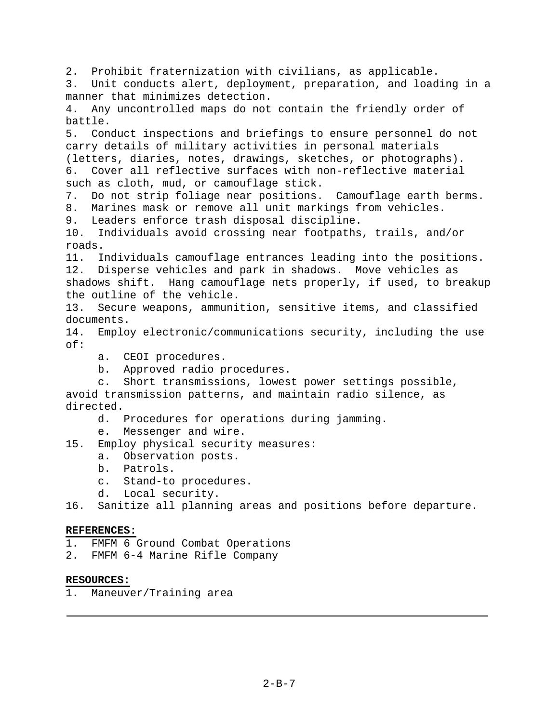2. Prohibit fraternization with civilians, as applicable. 3. Unit conducts alert, deployment, preparation, and loading in a manner that minimizes detection. 4. Any uncontrolled maps do not contain the friendly order of battle. 5. Conduct inspections and briefings to ensure personnel do not carry details of military activities in personal materials (letters, diaries, notes, drawings, sketches, or photographs). 6. Cover all reflective surfaces with non-reflective material such as cloth, mud, or camouflage stick. 7. Do not strip foliage near positions. Camouflage earth berms. 8. Marines mask or remove all unit markings from vehicles. 9. Leaders enforce trash disposal discipline. 10. Individuals avoid crossing near footpaths, trails, and/or roads. 11. Individuals camouflage entrances leading into the positions. 12. Disperse vehicles and park in shadows. Move vehicles as shadows shift. Hang camouflage nets properly, if used, to breakup the outline of the vehicle. 13. Secure weapons, ammunition, sensitive items, and classified documents. 14. Employ electronic/communications security, including the use of: a. CEOI procedures. b. Approved radio procedures. c. Short transmissions, lowest power settings possible, avoid transmission patterns, and maintain radio silence, as directed. d. Procedures for operations during jamming. e. Messenger and wire. 15. Employ physical security measures: a. Observation posts. b. Patrols. c. Stand-to procedures. d. Local security. 16. Sanitize all planning areas and positions before departure. **REFERENCES:**

- 1. FMFM 6 Ground Combat Operations
- 2. FMFM 6-4 Marine Rifle Company

## **RESOURCES:**

1. Maneuver/Training area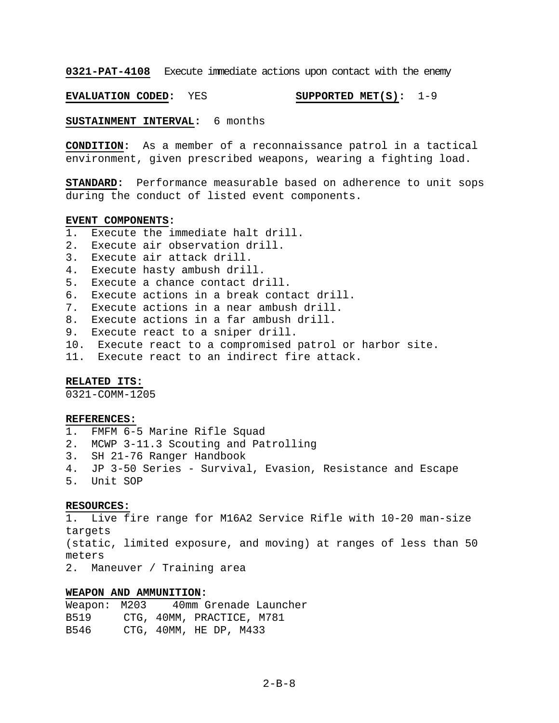**0321-PAT-4108** Execute immediate actions upon contact with the enemy

**EVALUATION CODED:** YES **SUPPORTED MET(S):** 1-9

**SUSTAINMENT INTERVAL:** 6 months

**CONDITION:** As a member of a reconnaissance patrol in a tactical environment, given prescribed weapons, wearing a fighting load.

**STANDARD:** Performance measurable based on adherence to unit sops during the conduct of listed event components.

## **EVENT COMPONENTS:**

- 1. Execute the immediate halt drill.
- 2. Execute air observation drill.
- 3. Execute air attack drill.
- 4. Execute hasty ambush drill.
- 5. Execute a chance contact drill.
- 6. Execute actions in a break contact drill.
- 7. Execute actions in a near ambush drill.
- 8. Execute actions in a far ambush drill.
- 9. Execute react to a sniper drill.
- 10. Execute react to a compromised patrol or harbor site.
- 11. Execute react to an indirect fire attack.

## **RELATED ITS:**

0321-COMM-1205

#### **REFERENCES:**

1. FMFM 6-5 Marine Rifle Squad 2. MCWP 3-11.3 Scouting and Patrolling 3. SH 21-76 Ranger Handbook 4. JP 3-50 Series - Survival, Evasion, Resistance and Escape 5. Unit SOP

## **RESOURCES:**

Live fire range for M16A2 Service Rifle with 10-20 man-size targets (static, limited exposure, and moving) at ranges of less than 50 meters 2. Maneuver / Training area

## **WEAPON AND AMMUNITION:**

Weapon: M203 40mm Grenade Launcher B519 CTG, 40MM, PRACTICE, M781 B546 CTG, 40MM, HE DP, M433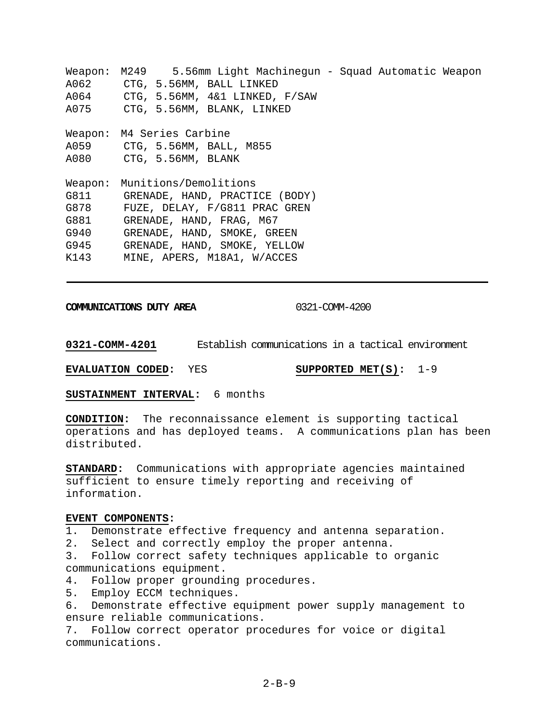Weapon: M249 5.56mm Light Machinegun - Squad Automatic Weapon A062 CTG, 5.56MM, BALL LINKED A064 CTG, 5.56MM, 4&1 LINKED, F/SAW A075 CTG, 5.56MM, BLANK, LINKED Weapon: M4 Series Carbine A059 CTG, 5.56MM, BALL, M855 A080 CTG, 5.56MM, BLANK Weapon: Munitions/Demolitions G811 GRENADE, HAND, PRACTICE (BODY) G878 FUZE, DELAY, F/G811 PRAC GREN G881 GRENADE, HAND, FRAG, M67 G940 GRENADE, HAND, SMOKE, GREEN G945 GRENADE, HAND, SMOKE, YELLOW K143 MINE, APERS, M18A1, W/ACCES

**COMMUNICATIONS DUTY AREA** 0321-COMM-4200

**0321-COMM-4201** Establish communications in a tactical environment

**EVALUATION CODED:** YES **SUPPORTED MET(S):** 1-9

**SUSTAINMENT INTERVAL:** 6 months

**CONDITION:** The reconnaissance element is supporting tactical operations and has deployed teams. A communications plan has been distributed.

**STANDARD:** Communications with appropriate agencies maintained sufficient to ensure timely reporting and receiving of information.

## **EVENT COMPONENTS:**

1. Demonstrate effective frequency and antenna separation.

2. Select and correctly employ the proper antenna.

3. Follow correct safety techniques applicable to organic communications equipment.

4. Follow proper grounding procedures.

5. Employ ECCM techniques.

6. Demonstrate effective equipment power supply management to ensure reliable communications.

7. Follow correct operator procedures for voice or digital communications.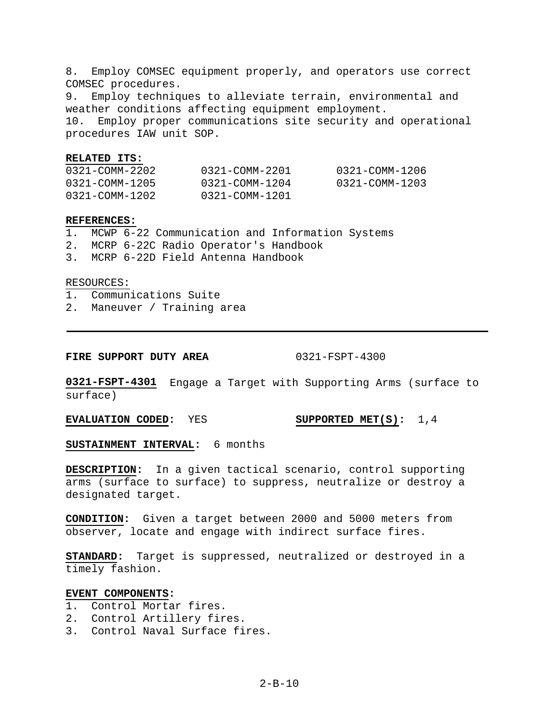8. Employ COMSEC equipment properly, and operators use correct COMSEC procedures.

9. Employ techniques to alleviate terrain, environmental and weather conditions affecting equipment employment. 10. Employ proper communications site security and operational procedures IAW unit SOP.

#### **RELATED ITS:**

| 0321-COMM-2202 | 0321-COMM-2201 | 0321-COMM-1206 |
|----------------|----------------|----------------|
| 0321-COMM-1205 | 0321-COMM-1204 | 0321-COMM-1203 |
| 0321-COMM-1202 | 0321-COMM-1201 |                |

## **REFERENCES:**

- 1. MCWP 6-22 Communication and Information Systems
- 2. MCRP 6-22C Radio Operator's Handbook
- 3. MCRP 6-22D Field Antenna Handbook

#### RESOURCES:

- 1. Communications Suite
- 2. Maneuver / Training area

**FIRE SUPPORT DUTY AREA** 0321-FSPT-4300

**0321-FSPT-4301** Engage a Target with Supporting Arms (surface to surface)

**EVALUATION CODED:** YES **SUPPORTED MET(S):** 1,4

**SUSTAINMENT INTERVAL:** 6 months

**DESCRIPTION:** In a given tactical scenario, control supporting arms (surface to surface) to suppress, neutralize or destroy a designated target.

**CONDITION:** Given a target between 2000 and 5000 meters from observer, locate and engage with indirect surface fires.

**STANDARD:** Target is suppressed, neutralized or destroyed in a timely fashion.

## **EVENT COMPONENTS:**

- 1. Control Mortar fires.
- 2. Control Artillery fires.
- 3. Control Naval Surface fires.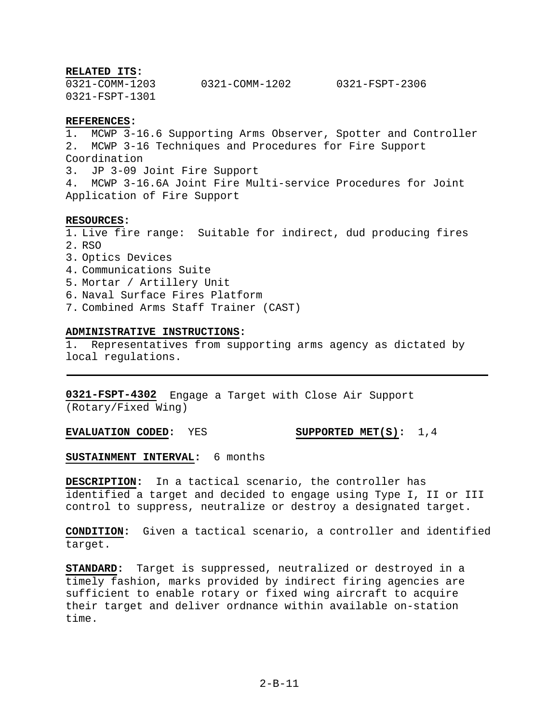#### **RELATED ITS:**

0321-COMM-1203 0321-COMM-1202 0321-FSPT-2306 0321-FSPT-1301

## **REFERENCES:**

1. MCWP 3-16.6 Supporting Arms Observer, Spotter and Controller 2. MCWP 3-16 Techniques and Procedures for Fire Support Coordination 3. JP 3-09 Joint Fire Support 4. MCWP 3-16.6A Joint Fire Multi-service Procedures for Joint Application of Fire Support

#### **RESOURCES:**

1. Live fire range: Suitable for indirect, dud producing fires 2. RSO

- 3. Optics Devices
- 4. Communications Suite
- 5. Mortar / Artillery Unit
- 6. Naval Surface Fires Platform
- 7. Combined Arms Staff Trainer (CAST)

#### **ADMINISTRATIVE INSTRUCTIONS:**

1. Representatives from supporting arms agency as dictated by local regulations.

**0321-FSPT-4302** Engage a Target with Close Air Support (Rotary/Fixed Wing)

**EVALUATION CODED:** YES **SUPPORTED MET(S):** 1,4

## **SUSTAINMENT INTERVAL:** 6 months

**DESCRIPTION:** In a tactical scenario, the controller has identified a target and decided to engage using Type I, II or III control to suppress, neutralize or destroy a designated target.

**CONDITION:** Given a tactical scenario, a controller and identified target.

**STANDARD:** Target is suppressed, neutralized or destroyed in a timely fashion, marks provided by indirect firing agencies are sufficient to enable rotary or fixed wing aircraft to acquire their target and deliver ordnance within available on-station time.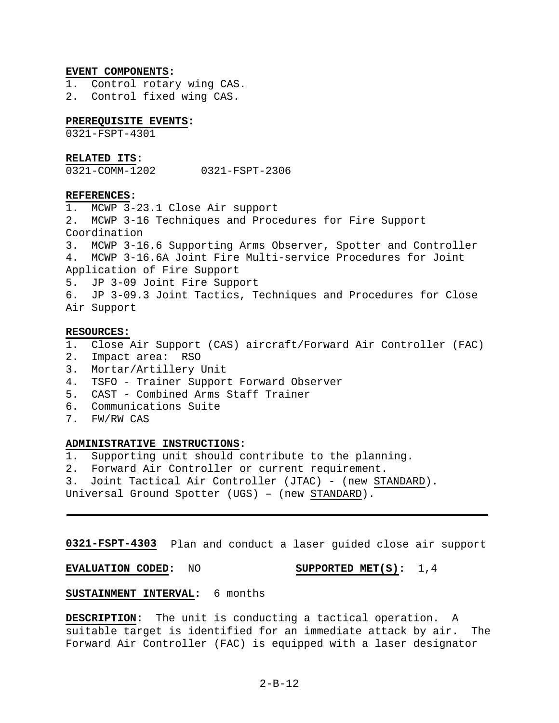#### **EVENT COMPONENTS:**

- 1. Control rotary wing CAS.
- 2. Control fixed wing CAS.

## **PREREQUISITE EVENTS:**

0321-FSPT-4301

#### **RELATED ITS:**

0321-COMM-1202 0321-FSPT-2306

## **REFERENCES:**

1. MCWP 3-23.1 Close Air support 2. MCWP 3-16 Techniques and Procedures for Fire Support Coordination 3. MCWP 3-16.6 Supporting Arms Observer, Spotter and Controller 4. MCWP 3-16.6A Joint Fire Multi-service Procedures for Joint Application of Fire Support 5. JP 3-09 Joint Fire Support 6. JP 3-09.3 Joint Tactics, Techniques and Procedures for Close Air Support

#### **RESOURCES:**

- 1. Close Air Support (CAS) aircraft/Forward Air Controller (FAC)
- 2. Impact area: RSO
- 3. Mortar/Artillery Unit
- 4. TSFO Trainer Support Forward Observer
- 5. CAST Combined Arms Staff Trainer
- 6. Communications Suite
- 7. FW/RW CAS

#### **ADMINISTRATIVE INSTRUCTIONS:**

- 1. Supporting unit should contribute to the planning.
- 2. Forward Air Controller or current requirement.
- 3. Joint Tactical Air Controller (JTAC) (new STANDARD).
- Universal Ground Spotter (UGS) (new STANDARD).

**0321-FSPT-4303** Plan and conduct a laser guided close air support

**EVALUATION CODED:** NO **SUPPORTED MET(S):** 1,4

# **SUSTAINMENT INTERVAL:** 6 months

**DESCRIPTION:** The unit is conducting a tactical operation. A suitable target is identified for an immediate attack by air. The Forward Air Controller (FAC) is equipped with a laser designator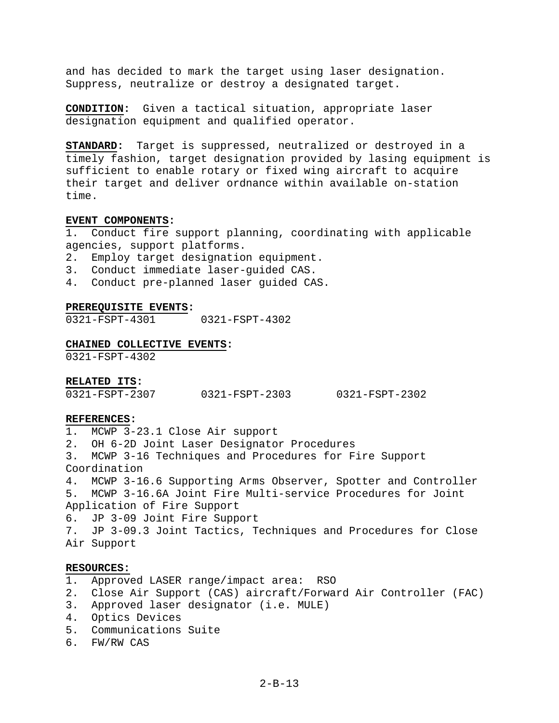and has decided to mark the target using laser designation. Suppress, neutralize or destroy a designated target.

**CONDITION:** Given a tactical situation, appropriate laser designation equipment and qualified operator.

**STANDARD:** Target is suppressed, neutralized or destroyed in a timely fashion, target designation provided by lasing equipment is sufficient to enable rotary or fixed wing aircraft to acquire their target and deliver ordnance within available on-station time.

## **EVENT COMPONENTS:**

1. Conduct fire support planning, coordinating with applicable agencies, support platforms.

2. Employ target designation equipment.

- 3. Conduct immediate laser-guided CAS.
- 4. Conduct pre-planned laser guided CAS.

#### **PREREQUISITE EVENTS:**

0321-FSPT-4301 0321-FSPT-4302

#### **CHAINED COLLECTIVE EVENTS:**

0321-FSPT-4302

## **RELATED ITS:**

| 0321-FSPT-2307 | 0321-FSPT-2303 | 0321-FSPT-2302 |
|----------------|----------------|----------------|
|----------------|----------------|----------------|

#### **REFERENCES:**

1. MCWP 3-23.1 Close Air support 2. OH 6-2D Joint Laser Designator Procedures 3. MCWP 3-16 Techniques and Procedures for Fire Support Coordination 4. MCWP 3-16.6 Supporting Arms Observer, Spotter and Controller 5. MCWP 3-16.6A Joint Fire Multi-service Procedures for Joint Application of Fire Support 6. JP 3-09 Joint Fire Support 7. JP 3-09.3 Joint Tactics, Techniques and Procedures for Close Air Support

# **RESOURCES:**

- 1. Approved LASER range/impact area: RSO
- 2. Close Air Support (CAS) aircraft/Forward Air Controller (FAC)
- 3. Approved laser designator (i.e. MULE)
- 4. Optics Devices
- 5. Communications Suite
- 6. FW/RW CAS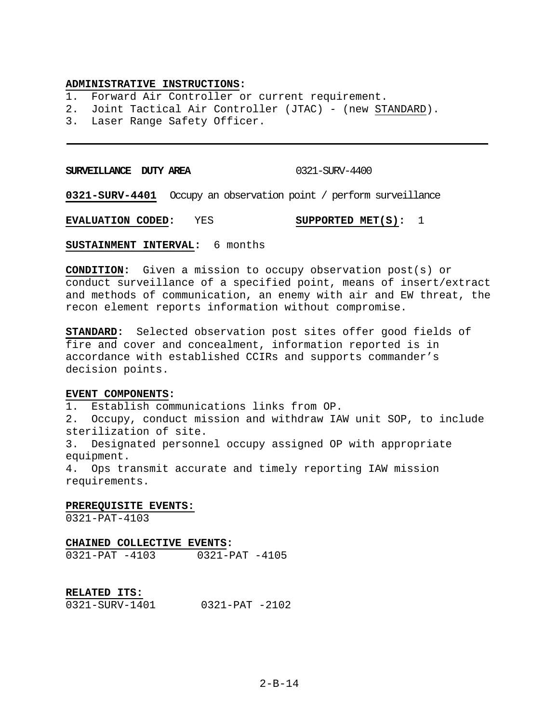#### **ADMINISTRATIVE INSTRUCTIONS:**

1. Forward Air Controller or current requirement.

- 2. Joint Tactical Air Controller (JTAC) (new STANDARD).
- 3. Laser Range Safety Officer.

**SURVEILLANCE DUTY AREA** 0321-SURV-4400

**0321-SURV-4401** Occupy an observation point / perform surveillance

**EVALUATION CODED:** YES **SUPPORTED MET(S):** 1

**SUSTAINMENT INTERVAL:** 6 months

**CONDITION:** Given a mission to occupy observation post(s) or conduct surveillance of a specified point, means of insert/extract and methods of communication, an enemy with air and EW threat, the recon element reports information without compromise.

**STANDARD:** Selected observation post sites offer good fields of fire and cover and concealment, information reported is in accordance with established CCIRs and supports commander's decision points.

#### **EVENT COMPONENTS:**

1. Establish communications links from OP.

2. Occupy, conduct mission and withdraw IAW unit SOP, to include sterilization of site.

3. Designated personnel occupy assigned OP with appropriate equipment.

4. Ops transmit accurate and timely reporting IAW mission requirements.

## **PREREQUISITE EVENTS:**

0321-PAT-4103

# **CHAINED COLLECTIVE EVENTS:**

0321-PAT -4103 0321-PAT -4105

## **RELATED ITS:**

0321-SURV-1401 0321-PAT -2102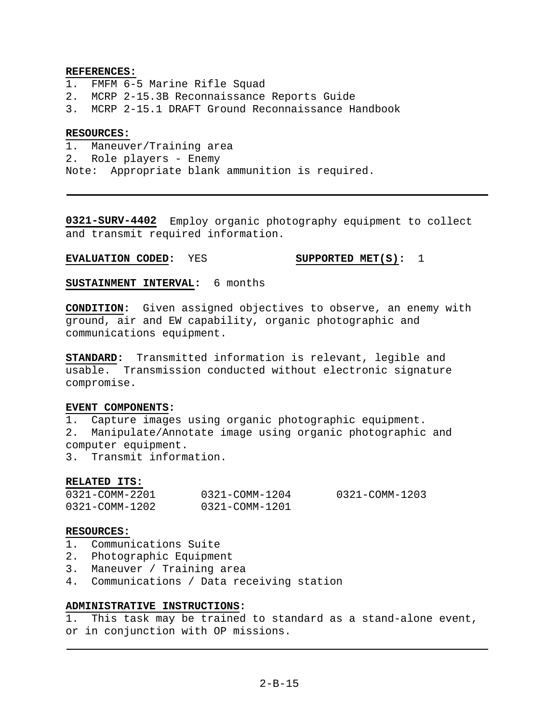## **REFERENCES:**

- 1. FMFM 6-5 Marine Rifle Squad
- 2. MCRP 2-15.3B Reconnaissance Reports Guide
- 3. MCRP 2-15.1 DRAFT Ground Reconnaissance Handbook

## **RESOURCES:**

1. Maneuver/Training area 2. Role players - Enemy Note: Appropriate blank ammunition is required.

**0321-SURV-4402** Employ organic photography equipment to collect and transmit required information.

# **EVALUATION CODED:** YES **SUPPORTED MET(S):** 1

**SUSTAINMENT INTERVAL:** 6 months

**CONDITION:** Given assigned objectives to observe, an enemy with ground, air and EW capability, organic photographic and communications equipment.

**STANDARD:** Transmitted information is relevant, legible and usable. Transmission conducted without electronic signature compromise.

# **EVENT COMPONENTS:**

1. Capture images using organic photographic equipment.

2. Manipulate/Annotate image using organic photographic and computer equipment.

3. Transmit information.

## **RELATED ITS:**

| 0321-COMM-2201 | 0321-COMM-1204 | 0321-COMM-1203 |
|----------------|----------------|----------------|
| 0321-COMM-1202 | 0321-COMM-1201 |                |

## **RESOURCES:**

- 1. Communications Suite
- 2. Photographic Equipment
- 3. Maneuver / Training area
- 4. Communications / Data receiving station

# **ADMINISTRATIVE INSTRUCTIONS:**

1. This task may be trained to standard as a stand-alone event, or in conjunction with OP missions.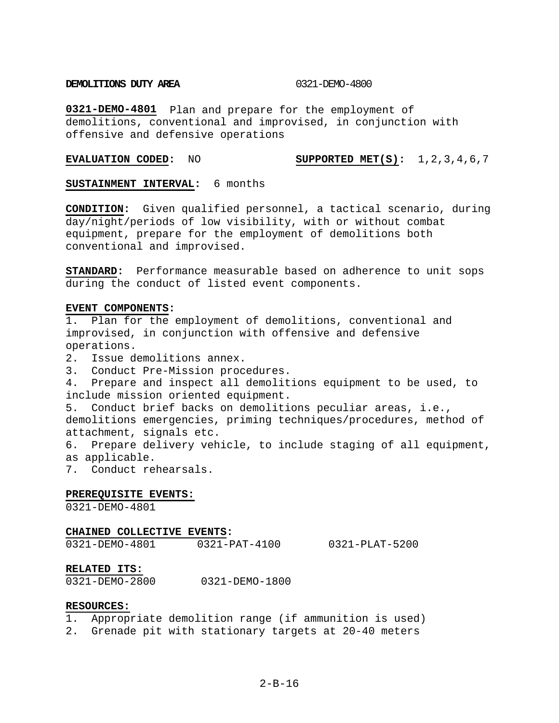#### **DEMOLITIONS DUTY AREA** 0321-DEMO-4800

**0321-DEMO-4801** Plan and prepare for the employment of demolitions, conventional and improvised, in conjunction with offensive and defensive operations

## **EVALUATION CODED:** NO **SUPPORTED MET(S):** 1,2,3,4,6,7

## **SUSTAINMENT INTERVAL:** 6 months

**CONDITION:** Given qualified personnel, a tactical scenario, during day/night/periods of low visibility, with or without combat equipment, prepare for the employment of demolitions both conventional and improvised.

**STANDARD:** Performance measurable based on adherence to unit sops during the conduct of listed event components.

#### **EVENT COMPONENTS:**

1. Plan for the employment of demolitions, conventional and improvised, in conjunction with offensive and defensive operations. 2. Issue demolitions annex.

- 
- 3. Conduct Pre-Mission procedures.
- 4. Prepare and inspect all demolitions equipment to be used, to include mission oriented equipment.

5. Conduct brief backs on demolitions peculiar areas, i.e., demolitions emergencies, priming techniques/procedures, method of attachment, signals etc.

6. Prepare delivery vehicle, to include staging of all equipment, as applicable.

7. Conduct rehearsals.

#### **PREREQUISITE EVENTS:**

0321-DEMO-4801

#### **CHAINED COLLECTIVE EVENTS:**

0321-DEMO-4801 0321-PAT-4100 0321-PLAT-5200

#### **RELATED ITS:**

0321-DEMO-2800 0321-DEMO-1800

## **RESOURCES:**

- 1. Appropriate demolition range (if ammunition is used)
- 2. Grenade pit with stationary targets at 20-40 meters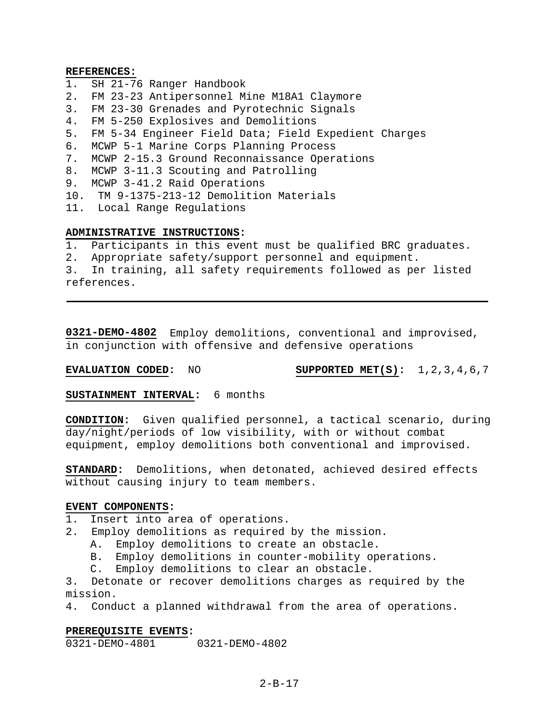#### **REFERENCES:**

- 1. SH 21-76 Ranger Handbook
- 2. FM 23-23 Antipersonnel Mine M18A1 Claymore
- 3. FM 23-30 Grenades and Pyrotechnic Signals
- 4. FM 5-250 Explosives and Demolitions
- 5. FM 5-34 Engineer Field Data; Field Expedient Charges
- 6. MCWP 5-1 Marine Corps Planning Process
- 7. MCWP 2-15.3 Ground Reconnaissance Operations
- 8. MCWP 3-11.3 Scouting and Patrolling
- 9. MCWP 3-41.2 Raid Operations
- 10. TM 9-1375-213-12 Demolition Materials
- 11. Local Range Regulations

## **ADMINISTRATIVE INSTRUCTIONS:**

- 1. Participants in this event must be qualified BRC graduates.
- 2. Appropriate safety/support personnel and equipment.

3. In training, all safety requirements followed as per listed references.

**0321-DEMO-4802** Employ demolitions, conventional and improvised, in conjunction with offensive and defensive operations

**EVALUATION CODED:** NO **SUPPORTED MET(S):** 1,2,3,4,6,7

**SUSTAINMENT INTERVAL:** 6 months

**CONDITION:** Given qualified personnel, a tactical scenario, during day/night/periods of low visibility, with or without combat equipment, employ demolitions both conventional and improvised.

**STANDARD:** Demolitions, when detonated, achieved desired effects without causing injury to team members.

## **EVENT COMPONENTS:**

1. Insert into area of operations.

- 2. Employ demolitions as required by the mission.
	- A. Employ demolitions to create an obstacle.
	- B. Employ demolitions in counter-mobility operations.
	- C. Employ demolitions to clear an obstacle.

3. Detonate or recover demolitions charges as required by the mission.

4. Conduct a planned withdrawal from the area of operations.

## **PREREQUISITE EVENTS:**

0321-DEMO-4801 0321-DEMO-4802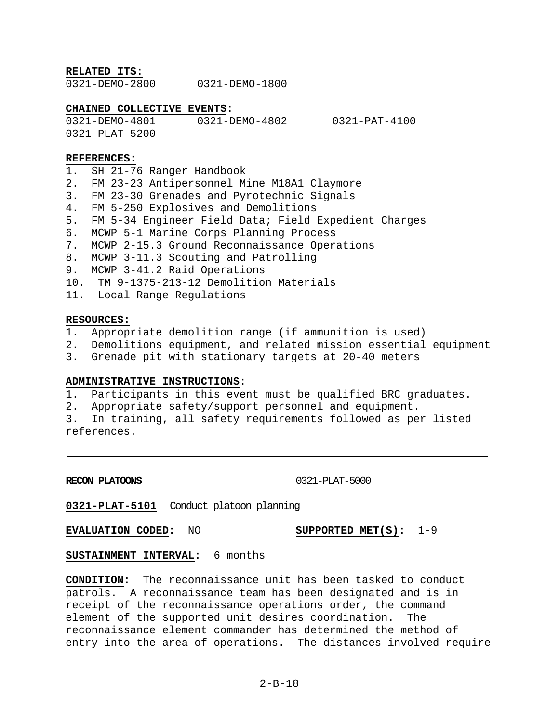**RELATED ITS:**

0321-DEMO-2800 0321-DEMO-1800

# **CHAINED COLLECTIVE EVENTS:**

0321-DEMO-4801 0321-DEMO-4802 0321-PAT-4100 0321-PLAT-5200

## **REFERENCES:**

1. SH 21-76 Ranger Handbook 2. FM 23-23 Antipersonnel Mine M18A1 Claymore 3. FM 23-30 Grenades and Pyrotechnic Signals 4. FM 5-250 Explosives and Demolitions 5. FM 5-34 Engineer Field Data; Field Expedient Charges 6. MCWP 5-1 Marine Corps Planning Process 7. MCWP 2-15.3 Ground Reconnaissance Operations 8. MCWP 3-11.3 Scouting and Patrolling 9. MCWP 3-41.2 Raid Operations 10. TM 9-1375-213-12 Demolition Materials 11. Local Range Regulations

## **RESOURCES:**

- 1. Appropriate demolition range (if ammunition is used)
- 2. Demolitions equipment, and related mission essential equipment
- 3. Grenade pit with stationary targets at 20-40 meters

## **ADMINISTRATIVE INSTRUCTIONS:**

1. Participants in this event must be qualified BRC graduates.

2. Appropriate safety/support personnel and equipment.

3. In training, all safety requirements followed as per listed references.

## **RECON PLATOONS** 0321-PLAT-5000

**0321-PLAT-5101** Conduct platoon planning

**EVALUATION CODED:** NO **SUPPORTED MET(S):** 1-9

**SUSTAINMENT INTERVAL:** 6 months

**CONDITION:** The reconnaissance unit has been tasked to conduct patrols. A reconnaissance team has been designated and is in receipt of the reconnaissance operations order, the command element of the supported unit desires coordination. The reconnaissance element commander has determined the method of entry into the area of operations. The distances involved require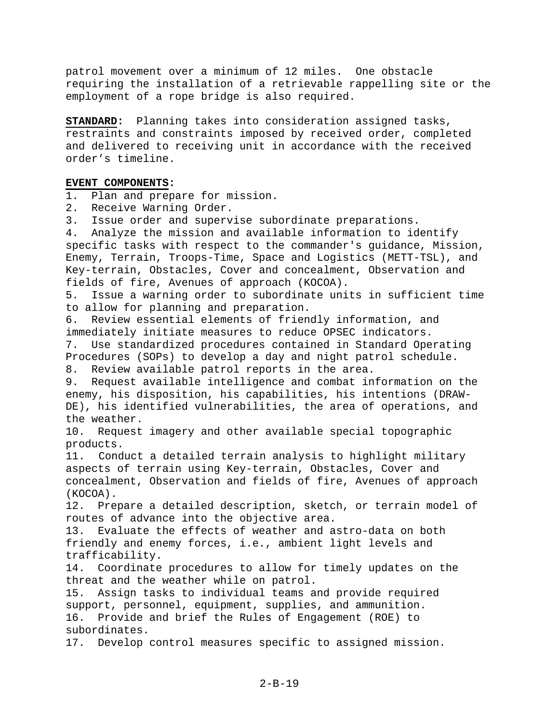patrol movement over a minimum of 12 miles. One obstacle requiring the installation of a retrievable rappelling site or the employment of a rope bridge is also required.

**STANDARD:** Planning takes into consideration assigned tasks, restraints and constraints imposed by received order, completed and delivered to receiving unit in accordance with the received order's timeline.

## **EVENT COMPONENTS:**

1. Plan and prepare for mission.

- 2. Receive Warning Order.
- 3. Issue order and supervise subordinate preparations.

4. Analyze the mission and available information to identify specific tasks with respect to the commander's guidance, Mission, Enemy, Terrain, Troops-Time, Space and Logistics (METT-TSL), and Key-terrain, Obstacles, Cover and concealment, Observation and fields of fire, Avenues of approach (KOCOA).

5. Issue a warning order to subordinate units in sufficient time to allow for planning and preparation.

6. Review essential elements of friendly information, and immediately initiate measures to reduce OPSEC indicators. 7. Use standardized procedures contained in Standard Operating

Procedures (SOPs) to develop a day and night patrol schedule.

8. Review available patrol reports in the area.

9. Request available intelligence and combat information on the enemy, his disposition, his capabilities, his intentions (DRAW-DE), his identified vulnerabilities, the area of operations, and the weather.

10. Request imagery and other available special topographic products.

11. Conduct a detailed terrain analysis to highlight military aspects of terrain using Key-terrain, Obstacles, Cover and concealment, Observation and fields of fire, Avenues of approach (KOCOA).

12. Prepare a detailed description, sketch, or terrain model of routes of advance into the objective area.

13. Evaluate the effects of weather and astro-data on both friendly and enemy forces, i.e., ambient light levels and trafficability.

14. Coordinate procedures to allow for timely updates on the threat and the weather while on patrol.

15. Assign tasks to individual teams and provide required support, personnel, equipment, supplies, and ammunition. 16. Provide and brief the Rules of Engagement (ROE) to subordinates.

17. Develop control measures specific to assigned mission.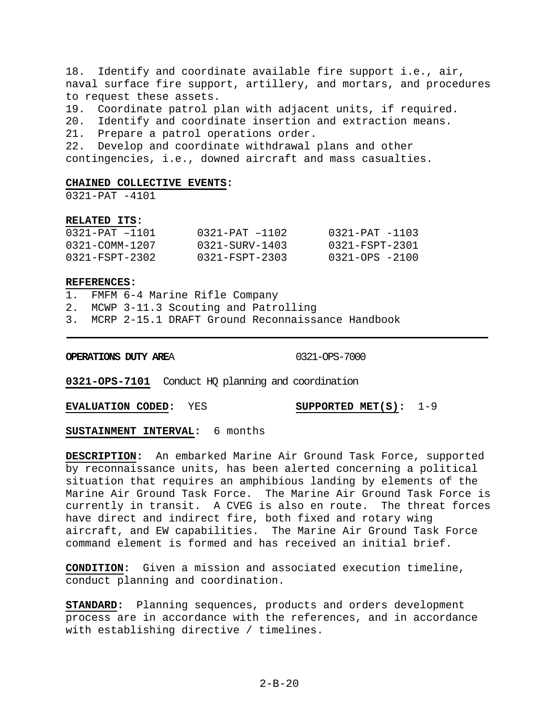18. Identify and coordinate available fire support i.e., air, naval surface fire support, artillery, and mortars, and procedures to request these assets. 19. Coordinate patrol plan with adjacent units, if required.

20. Identify and coordinate insertion and extraction means.

21. Prepare a patrol operations order.

22. Develop and coordinate withdrawal plans and other

contingencies, i.e., downed aircraft and mass casualties.

## **CHAINED COLLECTIVE EVENTS:**

0321-PAT -4101

## **RELATED ITS:**

| 0321-PAT -1101 | $0321 - PAT - 1102$  | $0321 - PAT - 1103$ |
|----------------|----------------------|---------------------|
| 0321-COMM-1207 | 0321-SURV-1403       | 0321-FSPT-2301      |
| 0321-FSPT-2302 | $0321 - FSPT - 2303$ | $0321 - OPS - 2100$ |

## **REFERENCES:**

1. FMFM 6-4 Marine Rifle Company

2. MCWP 3-11.3 Scouting and Patrolling

3. MCRP 2-15.1 DRAFT Ground Reconnaissance Handbook

**OPERATIONS DUTY AREA 0321-OPS-7000** 

**0321-OPS-7101** Conduct HQ planning and coordination

**EVALUATION CODED:** YES **SUPPORTED MET(S):** 1-9

**SUSTAINMENT INTERVAL:** 6 months

**DESCRIPTION:** An embarked Marine Air Ground Task Force, supported by reconnaissance units, has been alerted concerning a political situation that requires an amphibious landing by elements of the Marine Air Ground Task Force. The Marine Air Ground Task Force is currently in transit. A CVEG is also en route. The threat forces have direct and indirect fire, both fixed and rotary wing aircraft, and EW capabilities. The Marine Air Ground Task Force command element is formed and has received an initial brief.

**CONDITION:** Given a mission and associated execution timeline, conduct planning and coordination.

**STANDARD:** Planning sequences, products and orders development process are in accordance with the references, and in accordance with establishing directive / timelines.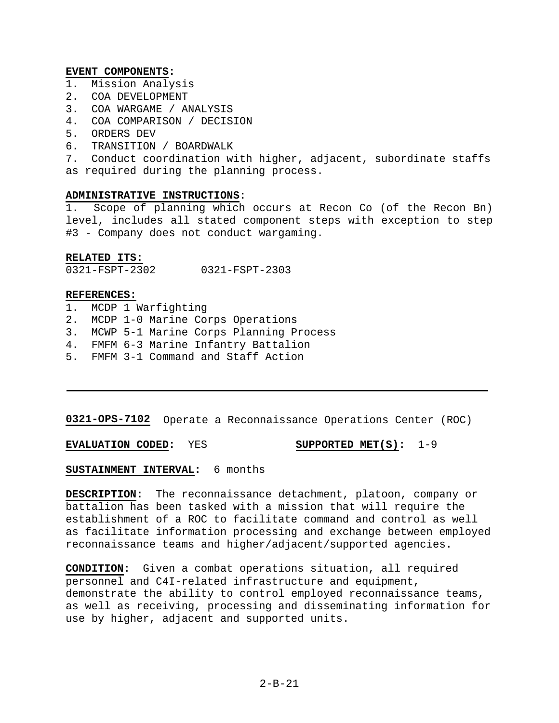## **EVENT COMPONENTS:**

- 1. Mission Analysis
- 2. COA DEVELOPMENT
- 3. COA WARGAME / ANALYSIS
- 4. COA COMPARISON / DECISION
- 5. ORDERS DEV
- 6. TRANSITION / BOARDWALK

7. Conduct coordination with higher, adjacent, subordinate staffs as required during the planning process.

## **ADMINISTRATIVE INSTRUCTIONS:**

1. Scope of planning which occurs at Recon Co (of the Recon Bn) level, includes all stated component steps with exception to step #3 - Company does not conduct wargaming.

## **RELATED ITS:**

0321-FSPT-2302 0321-FSPT-2303

## **REFERENCES:**

- 1. MCDP 1 Warfighting
- 2. MCDP 1-0 Marine Corps Operations
- 3. MCWP 5-1 Marine Corps Planning Process
- 4. FMFM 6-3 Marine Infantry Battalion
- 5. FMFM 3-1 Command and Staff Action

**0321-OPS-7102** Operate a Reconnaissance Operations Center (ROC)

**EVALUATION CODED:** YES **SUPPORTED MET(S):** 1-9

## **SUSTAINMENT INTERVAL:** 6 months

**DESCRIPTION:** The reconnaissance detachment, platoon, company or battalion has been tasked with a mission that will require the establishment of a ROC to facilitate command and control as well as facilitate information processing and exchange between employed reconnaissance teams and higher/adjacent/supported agencies.

**CONDITION:** Given a combat operations situation, all required personnel and C4I-related infrastructure and equipment, demonstrate the ability to control employed reconnaissance teams, as well as receiving, processing and disseminating information for use by higher, adjacent and supported units.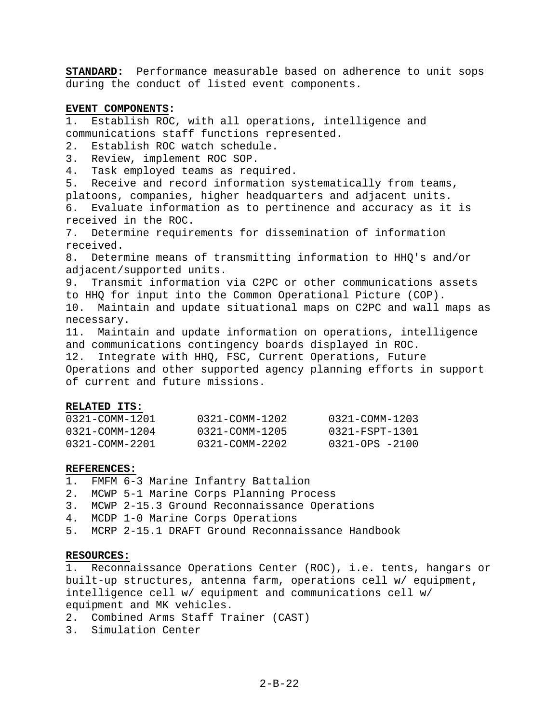**STANDARD:** Performance measurable based on adherence to unit sops during the conduct of listed event components.

## **EVENT COMPONENTS:**

1. Establish ROC, with all operations, intelligence and communications staff functions represented.

2. Establish ROC watch schedule.

3. Review, implement ROC SOP.

4. Task employed teams as required.

5. Receive and record information systematically from teams, platoons, companies, higher headquarters and adjacent units. 6. Evaluate information as to pertinence and accuracy as it is received in the ROC.

7. Determine requirements for dissemination of information received.

8. Determine means of transmitting information to HHQ's and/or adjacent/supported units.

9. Transmit information via C2PC or other communications assets to HHQ for input into the Common Operational Picture (COP).

10. Maintain and update situational maps on C2PC and wall maps as necessary.

11. Maintain and update information on operations, intelligence and communications contingency boards displayed in ROC. 12. Integrate with HHQ, FSC, Current Operations, Future

Operations and other supported agency planning efforts in support of current and future missions.

## **RELATED ITS:**

| 0321-COMM-1201 | 0321-COMM-1202 | 0321-COMM-1203 |
|----------------|----------------|----------------|
| 0321-COMM-1204 | 0321-COMM-1205 | 0321-FSPT-1301 |
| 0321-COMM-2201 | 0321-COMM-2202 | 0321-OPS -2100 |

## **REFERENCES:**

- 1. FMFM 6-3 Marine Infantry Battalion
- 2. MCWP 5-1 Marine Corps Planning Process
- 3. MCWP 2-15.3 Ground Reconnaissance Operations
- 4. MCDP 1-0 Marine Corps Operations
- 5. MCRP 2-15.1 DRAFT Ground Reconnaissance Handbook

## **RESOURCES:**

1. Reconnaissance Operations Center (ROC), i.e. tents, hangars or built-up structures, antenna farm, operations cell w/ equipment, intelligence cell w/ equipment and communications cell w/ equipment and MK vehicles.

- 2. Combined Arms Staff Trainer (CAST)
- 3. Simulation Center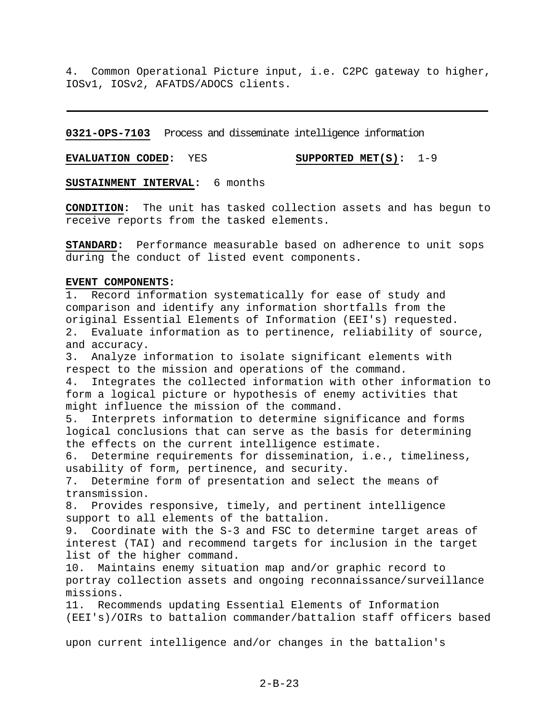4. Common Operational Picture input, i.e. C2PC gateway to higher, IOSv1, IOSv2, AFATDS/ADOCS clients.

**0321-OPS-7103** Process and disseminate intelligence information

**EVALUATION CODED:** YES **SUPPORTED MET(S):** 1-9

**SUSTAINMENT INTERVAL:** 6 months

**CONDITION:** The unit has tasked collection assets and has begun to receive reports from the tasked elements.

**STANDARD:** Performance measurable based on adherence to unit sops during the conduct of listed event components.

## **EVENT COMPONENTS:**

1. Record information systematically for ease of study and comparison and identify any information shortfalls from the original Essential Elements of Information (EEI's) requested. 2. Evaluate information as to pertinence, reliability of source, and accuracy. 3. Analyze information to isolate significant elements with respect to the mission and operations of the command. 4. Integrates the collected information with other information to form a logical picture or hypothesis of enemy activities that might influence the mission of the command. 5. Interprets information to determine significance and forms logical conclusions that can serve as the basis for determining the effects on the current intelligence estimate. 6. Determine requirements for dissemination, i.e., timeliness, usability of form, pertinence, and security. 7. Determine form of presentation and select the means of transmission. 8. Provides responsive, timely, and pertinent intelligence support to all elements of the battalion. 9. Coordinate with the S-3 and FSC to determine target areas of interest (TAI) and recommend targets for inclusion in the target list of the higher command. 10. Maintains enemy situation map and/or graphic record to portray collection assets and ongoing reconnaissance/surveillance missions. 11. Recommends updating Essential Elements of Information (EEI's)/OIRs to battalion commander/battalion staff officers based upon current intelligence and/or changes in the battalion's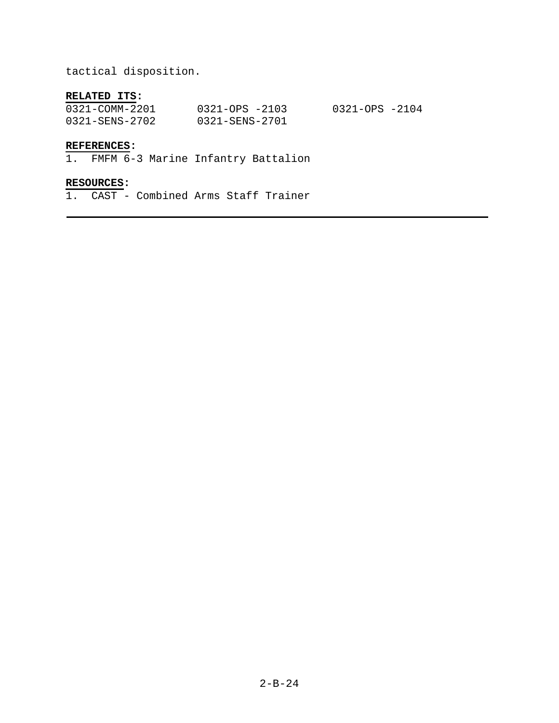tactical disposition.

# **RELATED ITS:**

| 0321-COMM-2201 | $0321 - OPS - 2103$ | 0321-OPS -2104 |
|----------------|---------------------|----------------|
| 0321-SENS-2702 | 0321-SENS-2701      |                |

# **REFERENCES:**

1. FMFM 6-3 Marine Infantry Battalion

# **RESOURCES:**

1. CAST - Combined Arms Staff Trainer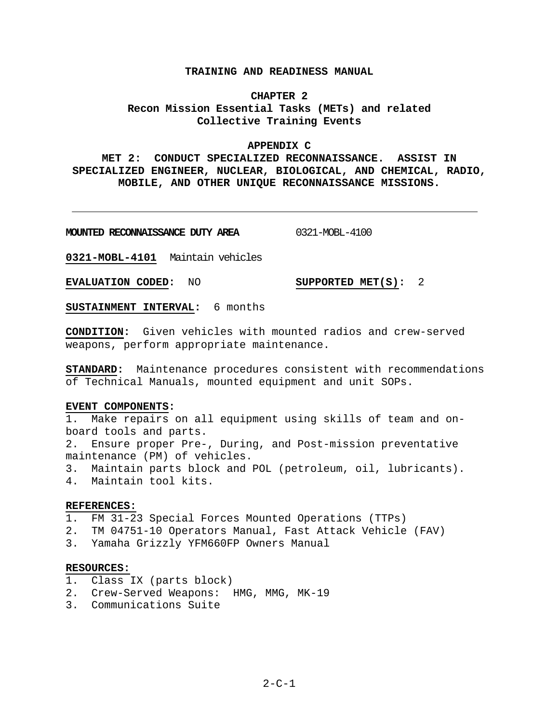## **TRAINING AND READINESS MANUAL**

# **CHAPTER 2 Recon Mission Essential Tasks (METs) and related Collective Training Events**

## **APPENDIX C**

# **MET 2: CONDUCT SPECIALIZED RECONNAISSANCE. ASSIST IN SPECIALIZED ENGINEER, NUCLEAR, BIOLOGICAL, AND CHEMICAL, RADIO, MOBILE, AND OTHER UNIQUE RECONNAISSANCE MISSIONS.**

**MOUNTED RECONNAISSANCE DUTY AREA** 0321-MOBL-4100

**0321-MOBL-4101** Maintain vehicles

**EVALUATION CODED:** NO **SUPPORTED MET(S):** 2

**SUSTAINMENT INTERVAL:** 6 months

**CONDITION:** Given vehicles with mounted radios and crew-served weapons, perform appropriate maintenance.

**STANDARD:** Maintenance procedures consistent with recommendations of Technical Manuals, mounted equipment and unit SOPs.

## **EVENT COMPONENTS:**

1. Make repairs on all equipment using skills of team and onboard tools and parts.

2. Ensure proper Pre-, During, and Post-mission preventative maintenance (PM) of vehicles.

3. Maintain parts block and POL (petroleum, oil, lubricants).

4. Maintain tool kits.

## **REFERENCES:**

1. FM 31-23 Special Forces Mounted Operations (TTPs)

- 2. TM 04751-10 Operators Manual, Fast Attack Vehicle (FAV)
- 3. Yamaha Grizzly YFM660FP Owners Manual

## **RESOURCES:**

- 1. Class IX (parts block)
- 2. Crew-Served Weapons: HMG, MMG, MK-19
- 3. Communications Suite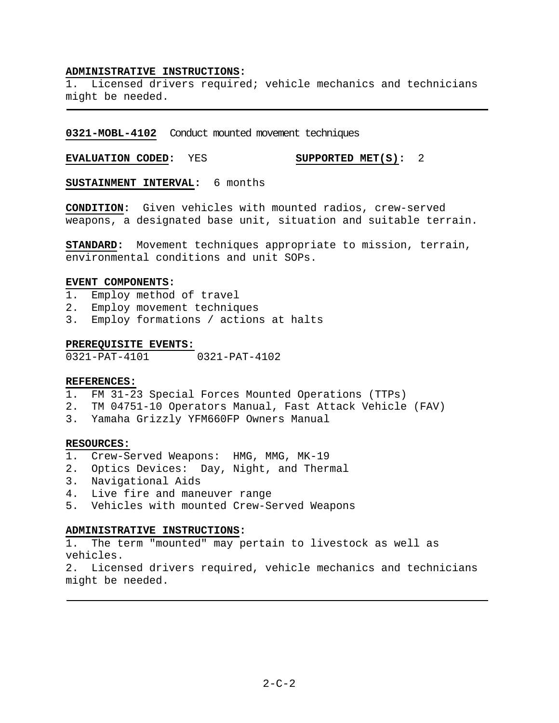## **ADMINISTRATIVE INSTRUCTIONS:**

1. Licensed drivers required; vehicle mechanics and technicians might be needed.

**0321-MOBL-4102** Conduct mounted movement techniques

**EVALUATION CODED:** YES **SUPPORTED MET(S):** 2

**SUSTAINMENT INTERVAL:** 6 months

**CONDITION:** Given vehicles with mounted radios, crew-served weapons, a designated base unit, situation and suitable terrain.

**STANDARD:** Movement techniques appropriate to mission, terrain, environmental conditions and unit SOPs.

## **EVENT COMPONENTS:**

- 1. Employ method of travel
- 2. Employ movement techniques
- 3. Employ formations / actions at halts

## **PREREQUISITE EVENTS:**

0321-PAT-4101 0321-PAT-4102

## **REFERENCES:**

- 1. FM 31-23 Special Forces Mounted Operations (TTPs)
- 2. TM 04751-10 Operators Manual, Fast Attack Vehicle (FAV)
- 3. Yamaha Grizzly YFM660FP Owners Manual

## **RESOURCES:**

- 1. Crew-Served Weapons: HMG, MMG, MK-19
- 2. Optics Devices: Day, Night, and Thermal
- 3. Navigational Aids
- 4. Live fire and maneuver range
- 5. Vehicles with mounted Crew-Served Weapons

## **ADMINISTRATIVE INSTRUCTIONS:**

1. The term "mounted" may pertain to livestock as well as vehicles.

2. Licensed drivers required, vehicle mechanics and technicians might be needed.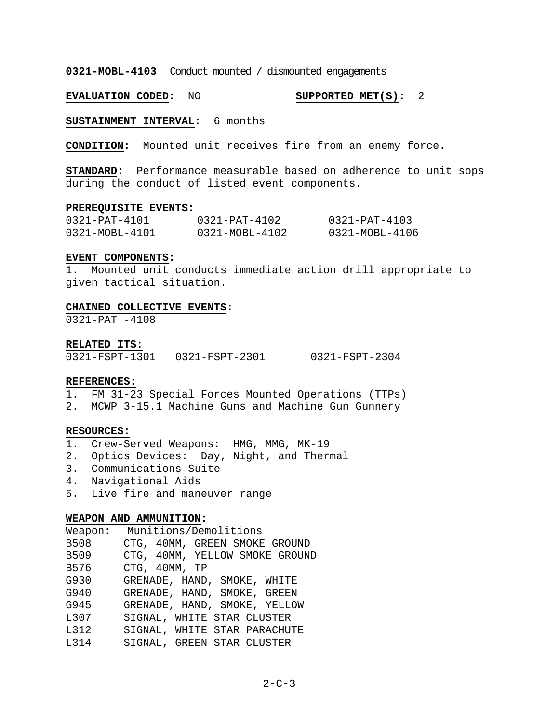**0321-MOBL-4103** Conduct mounted / dismounted engagements

**EVALUATION CODED:** NO **SUPPORTED MET(S):** 2

**SUSTAINMENT INTERVAL:** 6 months

**CONDITION:** Mounted unit receives fire from an enemy force.

**STANDARD:** Performance measurable based on adherence to unit sops during the conduct of listed event components.

#### **PREREQUISITE EVENTS:**

| $0321 - PAT - 4101$ | $0321 - PAT - 4102$ | $0321 - PAT - 4103$ |
|---------------------|---------------------|---------------------|
| 0321-MOBL-4101      | 0321-MOBL-4102      | 0321-MOBL-4106      |

## **EVENT COMPONENTS:**

1. Mounted unit conducts immediate action drill appropriate to given tactical situation.

#### **CHAINED COLLECTIVE EVENTS:**

0321-PAT -4108

**RELATED ITS:**

0321-FSPT-1301 0321-FSPT-2301 0321-FSPT-2304

## **REFERENCES:**

1. FM 31-23 Special Forces Mounted Operations (TTPs)

2. MCWP 3-15.1 Machine Guns and Machine Gun Gunnery

## **RESOURCES:**

- 1. Crew-Served Weapons: HMG, MMG, MK-19
- 2. Optics Devices: Day, Night, and Thermal
- 3. Communications Suite
- 4. Navigational Aids
- 5. Live fire and maneuver range

#### **WEAPON AND AMMUNITION:**

| Weapon:                                                                                                        | Munitions/Demolitions          |
|----------------------------------------------------------------------------------------------------------------|--------------------------------|
| B508                                                                                                           | CTG, 40MM, GREEN SMOKE GROUND  |
| B509                                                                                                           | CTG, 40MM, YELLOW SMOKE GROUND |
| B576 and the set of the set of the set of the set of the set of the set of the set of the set of the set of th | CTG, 40MM, TP                  |
| G930 and the set of the set of the set of the set of the set of the set of the set of the set of the set of th | GRENADE, HAND, SMOKE, WHITE    |
| G940                                                                                                           | GRENADE, HAND, SMOKE, GREEN    |
| G945                                                                                                           | GRENADE, HAND, SMOKE, YELLOW   |
| L307                                                                                                           | SIGNAL, WHITE STAR CLUSTER     |
| L312                                                                                                           | SIGNAL, WHITE STAR PARACHUTE   |
| L314                                                                                                           | SIGNAL, GREEN STAR CLUSTER     |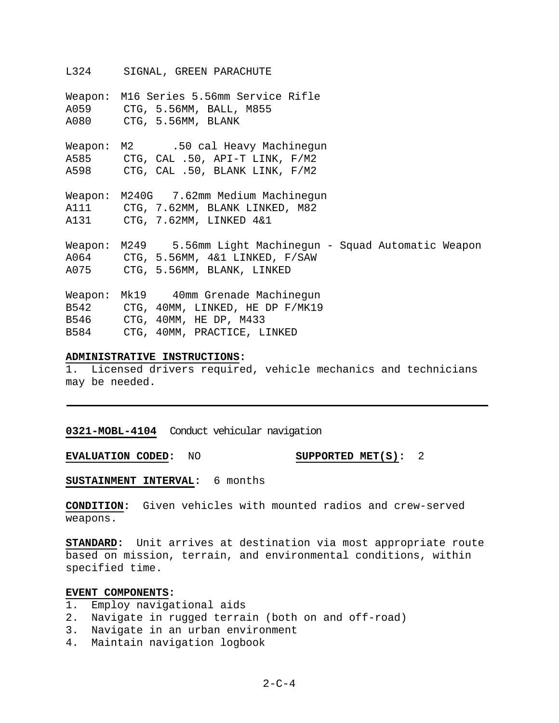L324 SIGNAL, GREEN PARACHUTE

Weapon: M16 Series 5.56mm Service Rifle A059 CTG, 5.56MM, BALL, M855 A080 CTG, 5.56MM, BLANK Weapon: M2 .50 cal Heavy Machinegun A585 CTG, CAL .50, API-T LINK, F/M2 A598 CTG, CAL .50, BLANK LINK, F/M2 Weapon: M240G 7.62mm Medium Machinegun A111 CTG, 7.62MM, BLANK LINKED, M82 A131 CTG, 7.62MM, LINKED 4&1 Weapon: M249 5.56mm Light Machinegun - Squad Automatic Weapon A064 CTG, 5.56MM, 4&1 LINKED, F/SAW A075 CTG, 5.56MM, BLANK, LINKED Weapon: Mk19 40mm Grenade Machinegun B542 CTG, 40MM, LINKED, HE DP F/MK19 B546 CTG, 40MM, HE DP, M433 B584 CTG, 40MM, PRACTICE, LINKED

## **ADMINISTRATIVE INSTRUCTIONS:**

1. Licensed drivers required, vehicle mechanics and technicians may be needed.

**0321-MOBL-4104** Conduct vehicular navigation

**EVALUATION CODED:** NO **SUPPORTED MET(S):** 2

**SUSTAINMENT INTERVAL:** 6 months

**CONDITION:** Given vehicles with mounted radios and crew-served weapons.

**STANDARD:** Unit arrives at destination via most appropriate route based on mission, terrain, and environmental conditions, within specified time.

## **EVENT COMPONENTS:**

- 1. Employ navigational aids
- 2. Navigate in rugged terrain (both on and off-road)
- 3. Navigate in an urban environment
- 4. Maintain navigation logbook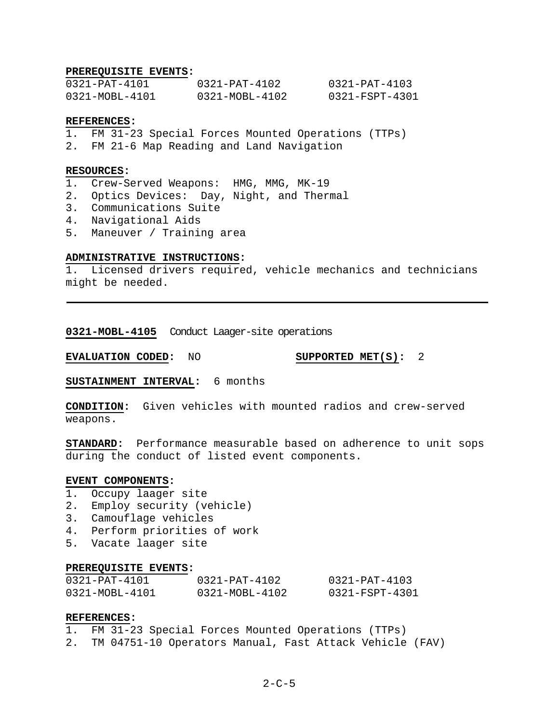## **PREREQUISITE EVENTS:**

| 0321-PAT-4101  | 0321-PAT-4102  | $0321 - PAT - 4103$ |
|----------------|----------------|---------------------|
| 0321-MOBL-4101 | 0321-MOBL-4102 | 0321-FSPT-4301      |

## **REFERENCES:**

- 1. FM 31-23 Special Forces Mounted Operations (TTPs)
- 2. FM 21-6 Map Reading and Land Navigation

## **RESOURCES:**

- 1. Crew-Served Weapons: HMG, MMG, MK-19
- 2. Optics Devices: Day, Night, and Thermal
- 3. Communications Suite
- 4. Navigational Aids
- 5. Maneuver / Training area

## **ADMINISTRATIVE INSTRUCTIONS:**

1. Licensed drivers required, vehicle mechanics and technicians might be needed.

**0321-MOBL-4105** Conduct Laager-site operations

**EVALUATION CODED:** NO **SUPPORTED MET(S):** 2

**SUSTAINMENT INTERVAL:** 6 months

**CONDITION:** Given vehicles with mounted radios and crew-served weapons.

**STANDARD:** Performance measurable based on adherence to unit sops during the conduct of listed event components.

## **EVENT COMPONENTS:**

- 1. Occupy laager site
- 2. Employ security (vehicle)
- 3. Camouflage vehicles
- 4. Perform priorities of work
- 5. Vacate laager site

#### **PREREQUISITE EVENTS:**

| $0321 - PAT - 4101$ | $0321 - PAT - 4102$ | 0321-PAT-4103  |
|---------------------|---------------------|----------------|
| 0321-MOBL-4101      | 0321-MOBL-4102      | 0321-FSPT-4301 |

## **REFERENCES:**

1. FM 31-23 Special Forces Mounted Operations (TTPs) 2. TM 04751-10 Operators Manual, Fast Attack Vehicle (FAV)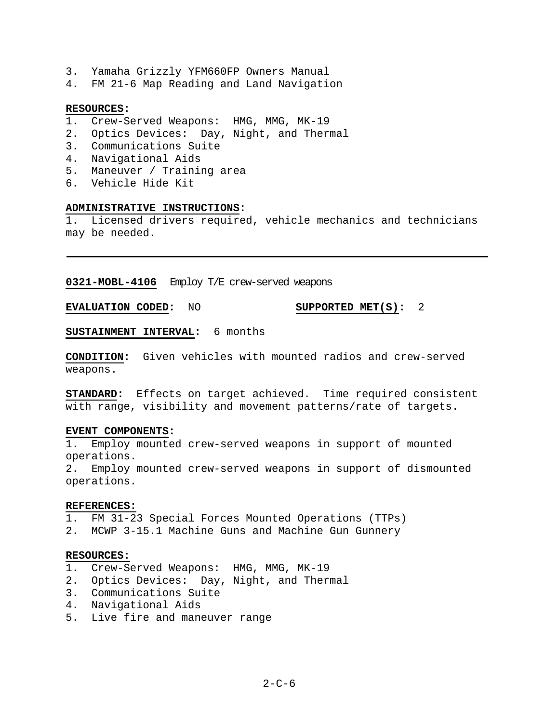- 3. Yamaha Grizzly YFM660FP Owners Manual
- 4. FM 21-6 Map Reading and Land Navigation

#### **RESOURCES:**

- 1. Crew-Served Weapons: HMG, MMG, MK-19
- 2. Optics Devices: Day, Night, and Thermal
- 3. Communications Suite
- 4. Navigational Aids
- 5. Maneuver / Training area
- 6. Vehicle Hide Kit

## **ADMINISTRATIVE INSTRUCTIONS:**

Licensed drivers required, vehicle mechanics and technicians may be needed.

**0321-MOBL-4106** Employ T/E crew-served weapons

**EVALUATION CODED:** NO **SUPPORTED MET(S):** 2

**SUSTAINMENT INTERVAL:** 6 months

**CONDITION:** Given vehicles with mounted radios and crew-served weapons.

**STANDARD:** Effects on target achieved. Time required consistent with range, visibility and movement patterns/rate of targets.

#### **EVENT COMPONENTS:**

1. Employ mounted crew-served weapons in support of mounted operations.

2. Employ mounted crew-served weapons in support of dismounted operations.

## **REFERENCES:**

1. FM 31-23 Special Forces Mounted Operations (TTPs)

2. MCWP 3-15.1 Machine Guns and Machine Gun Gunnery

### **RESOURCES:**

- 1. Crew-Served Weapons: HMG, MMG, MK-19
- 2. Optics Devices: Day, Night, and Thermal
- 3. Communications Suite
- 4. Navigational Aids
- 5. Live fire and maneuver range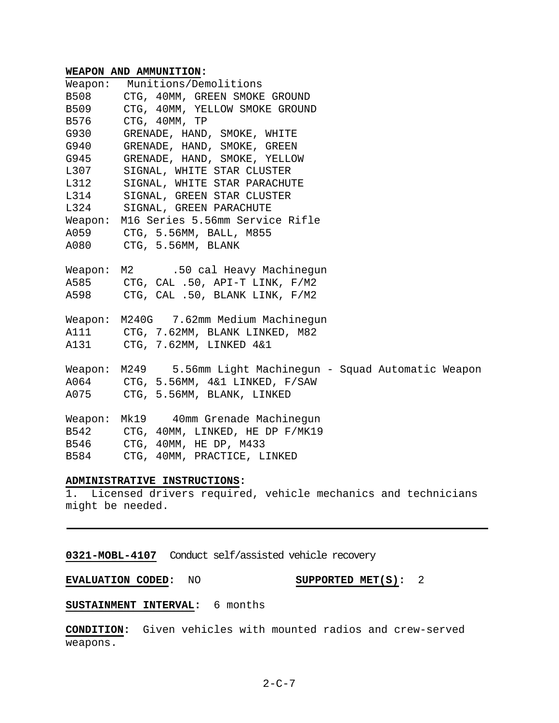## **WEAPON AND AMMUNITION:**

| Weapon:     | Munitions/Demolitions                                         |
|-------------|---------------------------------------------------------------|
| <b>B508</b> | CTG, 40MM, GREEN SMOKE GROUND                                 |
| B509        | CTG, 40MM, YELLOW SMOKE GROUND                                |
| B576        | CTG, 40MM, TP                                                 |
| G930        | GRENADE, HAND, SMOKE, WHITE                                   |
| G940        | GRENADE, HAND, SMOKE, GREEN                                   |
| G945        | GRENADE, HAND, SMOKE, YELLOW                                  |
| L307        | SIGNAL, WHITE STAR CLUSTER                                    |
| L312        | SIGNAL, WHITE STAR PARACHUTE                                  |
| L314        | SIGNAL, GREEN STAR CLUSTER                                    |
| L324        | SIGNAL, GREEN PARACHUTE                                       |
| Weapon:     | M16 Series 5.56mm Service Rifle                               |
|             | A059 CTG, 5.56MM, BALL, M855                                  |
|             | A080 CTG, 5.56MM, BLANK                                       |
|             |                                                               |
|             | Weapon: M2 .50 cal Heavy Machinegun                           |
|             | A585 CTG, CAL .50, API-T LINK, F/M2                           |
|             | A598 CTG, CAL .50, BLANK LINK, F/M2                           |
|             |                                                               |
|             | Weapon: M240G 7.62mm Medium Machinegun                        |
|             | A111 CTG, 7.62MM, BLANK LINKED, M82                           |
|             | A131 CTG, 7.62MM, LINKED 4&1                                  |
|             | Weapon: M249 5.56mm Light Machinegun - Squad Automatic Weapon |
|             | A064 CTG, 5.56MM, 4&1 LINKED, F/SAW                           |
|             | A075 CTG, 5.56MM, BLANK, LINKED                               |
|             |                                                               |
|             | Weapon: Mk19 40mm Grenade Machinegun                          |
|             | B542 CTG, 40MM, LINKED, HE DP F/MK19                          |
|             | B546 CTG, 40MM, HE DP, M433                                   |
| B584        | CTG, 40MM, PRACTICE, LINKED                                   |
|             |                                                               |

# **ADMINISTRATIVE INSTRUCTIONS:**

1. Licensed drivers required, vehicle mechanics and technicians might be needed.

**0321-MOBL-4107** Conduct self/assisted vehicle recovery

**EVALUATION CODED:** NO **SUPPORTED MET(S):** 2

# **SUSTAINMENT INTERVAL:** 6 months

**CONDITION:** Given vehicles with mounted radios and crew-served weapons.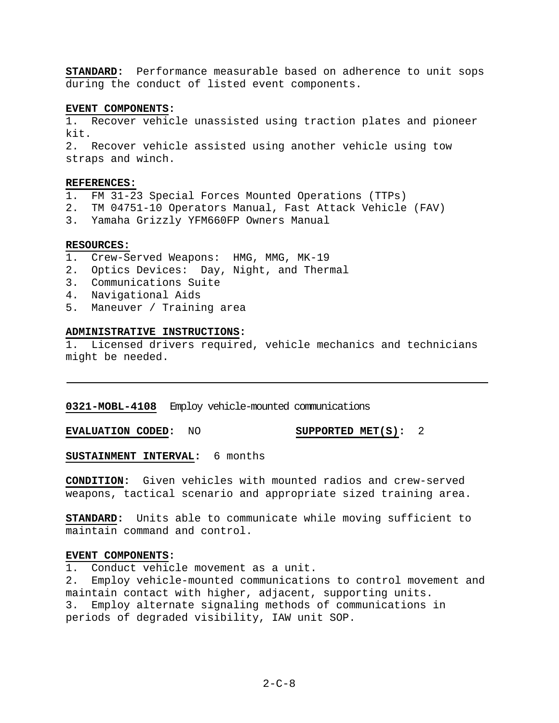**STANDARD:** Performance measurable based on adherence to unit sops during the conduct of listed event components.

## **EVENT COMPONENTS:**

1. Recover vehicle unassisted using traction plates and pioneer kit.

2. Recover vehicle assisted using another vehicle using tow straps and winch.

#### **REFERENCES:**

- 1. FM 31-23 Special Forces Mounted Operations (TTPs)
- 2. TM 04751-10 Operators Manual, Fast Attack Vehicle (FAV)
- 3. Yamaha Grizzly YFM660FP Owners Manual

#### **RESOURCES:**

- 1. Crew-Served Weapons: HMG, MMG, MK-19
- 2. Optics Devices: Day, Night, and Thermal
- 3. Communications Suite
- 4. Navigational Aids
- 5. Maneuver / Training area

#### **ADMINISTRATIVE INSTRUCTIONS:**

1. Licensed drivers required, vehicle mechanics and technicians might be needed.

**0321-MOBL-4108** Employ vehicle-mounted communications

**EVALUATION CODED:** NO **SUPPORTED MET(S):** 2

**SUSTAINMENT INTERVAL:** 6 months

**CONDITION:** Given vehicles with mounted radios and crew-served weapons, tactical scenario and appropriate sized training area.

**STANDARD:** Units able to communicate while moving sufficient to maintain command and control.

#### **EVENT COMPONENTS:**

1. Conduct vehicle movement as a unit.

2. Employ vehicle-mounted communications to control movement and maintain contact with higher, adjacent, supporting units. 3. Employ alternate signaling methods of communications in periods of degraded visibility, IAW unit SOP.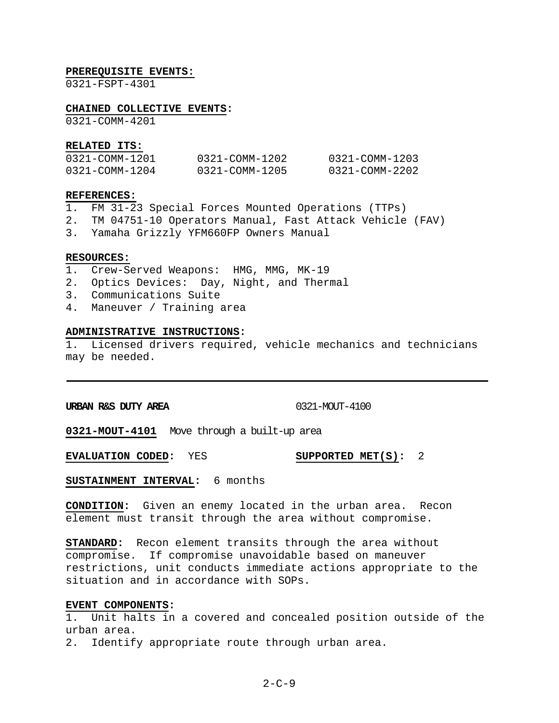#### **PREREQUISITE EVENTS:**

0321-FSPT-4301

#### **CHAINED COLLECTIVE EVENTS:**

0321-COMM-4201

#### **RELATED ITS:**

| 0321-COMM-1201 | 0321-COMM-1202 | 0321-COMM-1203 |
|----------------|----------------|----------------|
| 0321-COMM-1204 | 0321-COMM-1205 | 0321-COMM-2202 |

#### **REFERENCES:**

- 1. FM 31-23 Special Forces Mounted Operations (TTPs)
- 2. TM 04751-10 Operators Manual, Fast Attack Vehicle (FAV)
- 3. Yamaha Grizzly YFM660FP Owners Manual

#### **RESOURCES:**

- 1. Crew-Served Weapons: HMG, MMG, MK-19
- 2. Optics Devices: Day, Night, and Thermal
- 3. Communications Suite
- 4. Maneuver / Training area

#### **ADMINISTRATIVE INSTRUCTIONS:**

1. Licensed drivers required, vehicle mechanics and technicians may be needed.

**URBAN R&S DUTY AREA** 0321-MOUT-4100

**0321-MOUT-4101** Move through a built-up area

**EVALUATION CODED:** YES **SUPPORTED MET(S):** 2

**SUSTAINMENT INTERVAL:** 6 months

**CONDITION:** Given an enemy located in the urban area. Recon element must transit through the area without compromise.

**STANDARD:** Recon element transits through the area without compromise. If compromise unavoidable based on maneuver restrictions, unit conducts immediate actions appropriate to the situation and in accordance with SOPs.

#### **EVENT COMPONENTS:**

1. Unit halts in a covered and concealed position outside of the urban area.

2. Identify appropriate route through urban area.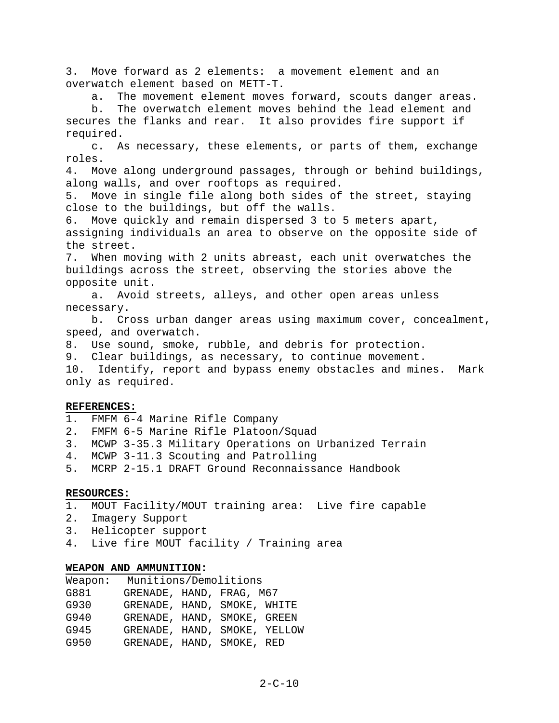3. Move forward as 2 elements: a movement element and an overwatch element based on METT-T.

a. The movement element moves forward, scouts danger areas.

 b. The overwatch element moves behind the lead element and secures the flanks and rear. It also provides fire support if required.

 c. As necessary, these elements, or parts of them, exchange roles.

4. Move along underground passages, through or behind buildings, along walls, and over rooftops as required.

5. Move in single file along both sides of the street, staying close to the buildings, but off the walls.

6. Move quickly and remain dispersed 3 to 5 meters apart, assigning individuals an area to observe on the opposite side of the street.

7. When moving with 2 units abreast, each unit overwatches the buildings across the street, observing the stories above the opposite unit.

 a. Avoid streets, alleys, and other open areas unless necessary.

 b. Cross urban danger areas using maximum cover, concealment, speed, and overwatch.

8. Use sound, smoke, rubble, and debris for protection.

9. Clear buildings, as necessary, to continue movement.

10. Identify, report and bypass enemy obstacles and mines. Mark only as required.

## **REFERENCES:**

- 1. FMFM 6-4 Marine Rifle Company
- 2. FMFM 6-5 Marine Rifle Platoon/Squad
- 3. MCWP 3-35.3 Military Operations on Urbanized Terrain
- 4. MCWP 3-11.3 Scouting and Patrolling
- 5. MCRP 2-15.1 DRAFT Ground Reconnaissance Handbook

## **RESOURCES:**

- 1. MOUT Facility/MOUT training area: Live fire capable
- 2. Imagery Support
- 3. Helicopter support
- 4. Live fire MOUT facility / Training area

## **WEAPON AND AMMUNITION:**

| Weapon: | Munitions/Demolitions        |  |  |  |
|---------|------------------------------|--|--|--|
| G881    | GRENADE, HAND, FRAG, M67     |  |  |  |
| G930    | GRENADE, HAND, SMOKE, WHITE  |  |  |  |
| G940    | GRENADE, HAND, SMOKE, GREEN  |  |  |  |
| G945    | GRENADE, HAND, SMOKE, YELLOW |  |  |  |
| G950    | GRENADE, HAND, SMOKE, RED    |  |  |  |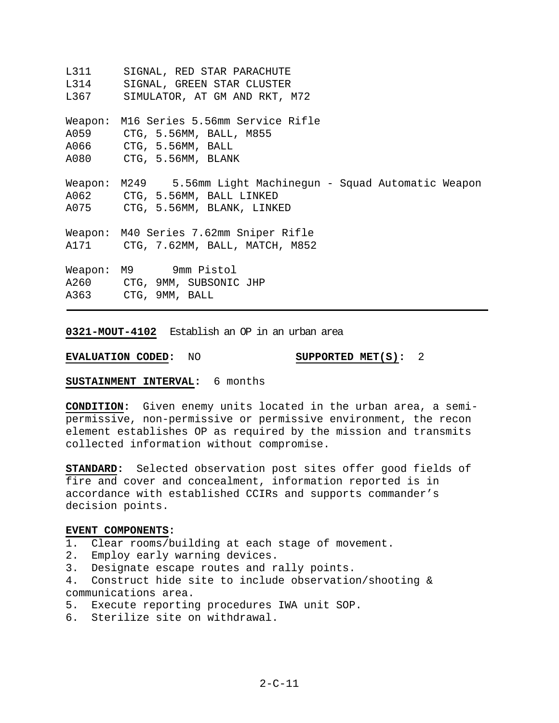L311 SIGNAL, RED STAR PARACHUTE L314 SIGNAL, GREEN STAR CLUSTER L367 SIMULATOR, AT GM AND RKT, M72 Weapon: M16 Series 5.56mm Service Rifle A059 CTG, 5.56MM, BALL, M855 A066 CTG, 5.56MM, BALL A080 CTG, 5.56MM, BLANK Weapon: M249 5.56mm Light Machinegun - Squad Automatic Weapon A062 CTG, 5.56MM, BALL LINKED A075 CTG, 5.56MM, BLANK, LINKED Weapon: M40 Series 7.62mm Sniper Rifle A171 CTG, 7.62MM, BALL, MATCH, M852 Weapon: M9 9mm Pistol A260 CTG, 9MM, SUBSONIC JHP A363 CTG, 9MM, BALL

**0321-MOUT-4102** Establish an OP in an urban area

**EVALUATION CODED:** NO **SUPPORTED MET(S):** 2

**SUSTAINMENT INTERVAL:** 6 months

**CONDITION:** Given enemy units located in the urban area, a semipermissive, non-permissive or permissive environment, the recon element establishes OP as required by the mission and transmits collected information without compromise.

**STANDARD:** Selected observation post sites offer good fields of fire and cover and concealment, information reported is in accordance with established CCIRs and supports commander's decision points.

## **EVENT COMPONENTS:**

1. Clear rooms/building at each stage of movement.

- 2. Employ early warning devices.
- 3. Designate escape routes and rally points.
- 4. Construct hide site to include observation/shooting & communications area.
- 5. Execute reporting procedures IWA unit SOP.
- 6. Sterilize site on withdrawal.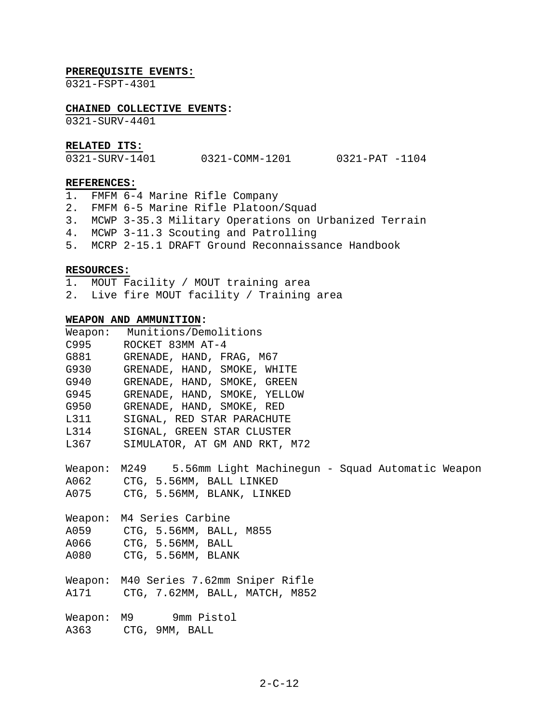#### **PREREQUISITE EVENTS:**

0321-FSPT-4301

## **CHAINED COLLECTIVE EVENTS:**

0321-SURV-4401

## **RELATED ITS:**

| 0321-SURV-1401 | 0321-COMM-1201 | 0321-PAT -1104 |  |
|----------------|----------------|----------------|--|
|                |                |                |  |

#### **REFERENCES:**

- 1. FMFM 6-4 Marine Rifle Company
- 2. FMFM 6-5 Marine Rifle Platoon/Squad
- 3. MCWP 3-35.3 Military Operations on Urbanized Terrain
- 4. MCWP 3-11.3 Scouting and Patrolling
- 5. MCRP 2-15.1 DRAFT Ground Reconnaissance Handbook

## **RESOURCES:**

- 1. MOUT Facility / MOUT training area
- 2. Live fire MOUT facility / Training area

#### **WEAPON AND AMMUNITION:**

|      | Weapon: Munitions/Demolitions    |
|------|----------------------------------|
|      | C995 ROCKET 83MM AT-4            |
|      | G881 GRENADE, HAND, FRAG, M67    |
|      | G930 GRENADE, HAND, SMOKE, WHITE |
| G940 | GRENADE, HAND, SMOKE, GREEN      |
| G945 | GRENADE, HAND, SMOKE, YELLOW     |
| G950 | GRENADE, HAND, SMOKE, RED        |
| L311 | SIGNAL, RED STAR PARACHUTE       |
| L314 | SIGNAL, GREEN STAR CLUSTER       |
| L367 | SIMULATOR, AT GM AND RKT, M72    |

Weapon: M249 5.56mm Light Machinegun - Squad Automatic Weapon A062 CTG, 5.56MM, BALL LINKED A075 CTG, 5.56MM, BLANK, LINKED

Weapon: M4 Series Carbine A059 CTG, 5.56MM, BALL, M855

A066 CTG, 5.56MM, BALL

A080 CTG, 5.56MM, BLANK

Weapon: M40 Series 7.62mm Sniper Rifle A171 CTG, 7.62MM, BALL, MATCH, M852

Weapon: M9 9mm Pistol A363 CTG, 9MM, BALL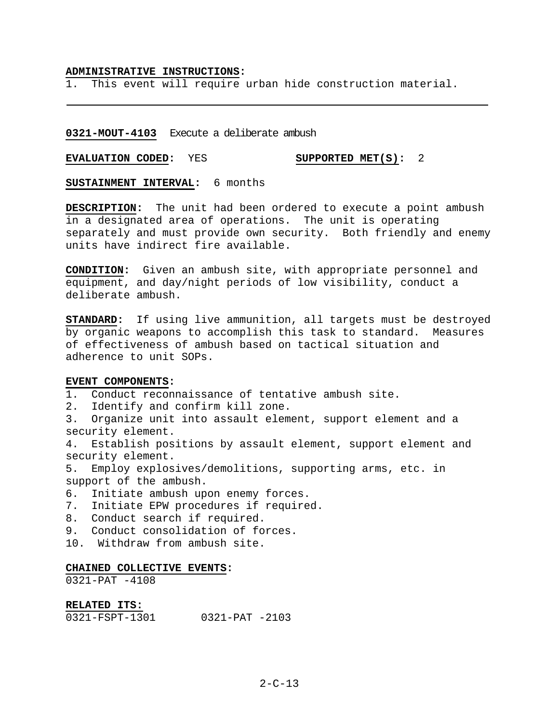#### **ADMINISTRATIVE INSTRUCTIONS:**

1. This event will require urban hide construction material.

## **0321-MOUT-4103** Execute a deliberate ambush

**EVALUATION CODED:** YES **SUPPORTED MET(S):** 2

**SUSTAINMENT INTERVAL:** 6 months

**DESCRIPTION:** The unit had been ordered to execute a point ambush in a designated area of operations. The unit is operating separately and must provide own security. Both friendly and enemy units have indirect fire available.

**CONDITION:** Given an ambush site, with appropriate personnel and equipment, and day/night periods of low visibility, conduct a deliberate ambush.

**STANDARD:** If using live ammunition, all targets must be destroyed by organic weapons to accomplish this task to standard. Measures of effectiveness of ambush based on tactical situation and adherence to unit SOPs.

## **EVENT COMPONENTS:**

1. Conduct reconnaissance of tentative ambush site.

2. Identify and confirm kill zone.

3. Organize unit into assault element, support element and a security element.

4. Establish positions by assault element, support element and security element.

5. Employ explosives/demolitions, supporting arms, etc. in support of the ambush.

6. Initiate ambush upon enemy forces.

- 7. Initiate EPW procedures if required.
- 8. Conduct search if required.
- 9. Conduct consolidation of forces.
- 10. Withdraw from ambush site.

## **CHAINED COLLECTIVE EVENTS:**

0321-PAT -4108

#### **RELATED ITS:**

| $0321 - PAT - 2103$<br>0321-FSPT-1301 |
|---------------------------------------|
|---------------------------------------|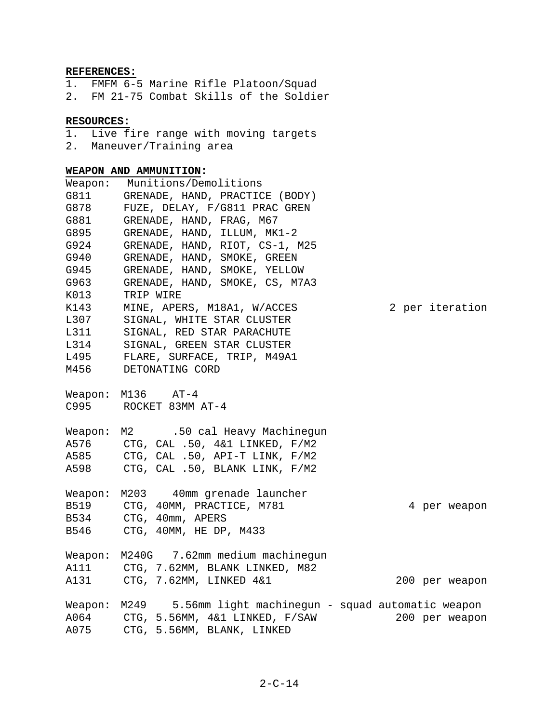# **REFERENCES:**

1. FMFM 6-5 Marine Rifle Platoon/Squad 2. FM 21-75 Combat Skills of the Soldier

## **RESOURCES:**

- 1. Live fire range with moving targets
- 2. Maneuver/Training area

# **WEAPON AND AMMUNITION:**

| Weapon:                 | Munitions/Demolitions                                                                                                                                   |
|-------------------------|---------------------------------------------------------------------------------------------------------------------------------------------------------|
| G811                    | GRENADE, HAND, PRACTICE (BODY)                                                                                                                          |
| G878                    | FUZE, DELAY, F/G811 PRAC GREN                                                                                                                           |
| G881                    | GRENADE, HAND, FRAG, M67                                                                                                                                |
| G895                    | GRENADE, HAND, ILLUM, MK1-2                                                                                                                             |
| G924                    | GRENADE, HAND, RIOT, CS-1, M25                                                                                                                          |
| G940                    | GRENADE, HAND, SMOKE, GREEN                                                                                                                             |
| G945                    | GRENADE, HAND, SMOKE, YELLOW                                                                                                                            |
| G963                    | GRENADE, HAND, SMOKE, CS, M7A3                                                                                                                          |
| K013                    | TRIP WIRE                                                                                                                                               |
| K143                    | 2 per iteration<br>MINE, APERS, M18A1, W/ACCES                                                                                                          |
| L307                    | SIGNAL, WHITE STAR CLUSTER                                                                                                                              |
| L311                    | SIGNAL, RED STAR PARACHUTE                                                                                                                              |
| L314                    | SIGNAL, GREEN STAR CLUSTER                                                                                                                              |
| L495                    | FLARE, SURFACE, TRIP, M49A1                                                                                                                             |
| M456                    | DETONATING CORD                                                                                                                                         |
|                         | Weapon: $M136$ $AT-4$<br>C995 ROCKET 83MM AT-4                                                                                                          |
| Weapon:<br>A598         | M2 .50 cal Heavy Machinegun<br>A576 CTG, CAL .50, 4&1 LINKED, F/M2<br>A585 CTG, CAL .50, API-T LINK, F/M2<br>CTG, CAL .50, BLANK LINK, F/M2             |
| Weapon:<br>B534<br>B546 | M203 40mm grenade launcher<br>B519 CTG, 40MM, PRACTICE, M781<br>4 per weapon<br>CTG, 40mm, APERS<br>CTG, 40MM, HE DP, M433                              |
|                         | Weapon: M240G 7.62mm medium machinegun<br>A111 CTG, 7.62MM, BLANK LINKED, M82<br>A131 CTG, 7.62MM, LINKED 4&1<br>200 per weapon                         |
| A075                    | 5.56mm light machinegun - squad automatic weapon<br>Weapon: M249<br>A064 CTG, 5.56MM, 4&1 LINKED, F/SAW<br>200 per weapon<br>CTG, 5.56MM, BLANK, LINKED |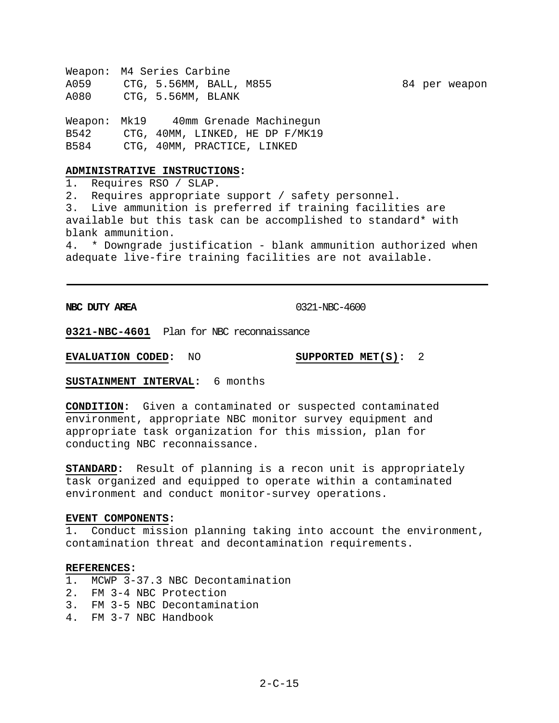Weapon: M4 Series Carbine A059 CTG, 5.56MM, BALL, M855 84 per weapon A080 CTG, 5.56MM, BLANK

Weapon: Mk19 40mm Grenade Machinegun B542 CTG, 40MM, LINKED, HE DP F/MK19 B584 CTG, 40MM, PRACTICE, LINKED

## **ADMINISTRATIVE INSTRUCTIONS:**

1. Requires RSO / SLAP.

2. Requires appropriate support / safety personnel.

3. Live ammunition is preferred if training facilities are available but this task can be accomplished to standard\* with blank ammunition.

4. \* Downgrade justification - blank ammunition authorized when adequate live-fire training facilities are not available.

**NBC DUTY AREA** 0321-NBC-4600

**0321-NBC-4601** Plan for NBC reconnaissance

**EVALUATION CODED:** NO **SUPPORTED MET(S):** 2

**SUSTAINMENT INTERVAL:** 6 months

**CONDITION:** Given a contaminated or suspected contaminated environment, appropriate NBC monitor survey equipment and appropriate task organization for this mission, plan for conducting NBC reconnaissance.

**STANDARD:** Result of planning is a recon unit is appropriately task organized and equipped to operate within a contaminated environment and conduct monitor-survey operations.

## **EVENT COMPONENTS:**

1. Conduct mission planning taking into account the environment, contamination threat and decontamination requirements.

# **REFERENCES:**

- 1. MCWP 3-37.3 NBC Decontamination
- 2. FM 3-4 NBC Protection
- 3. FM 3-5 NBC Decontamination
- 4. FM 3-7 NBC Handbook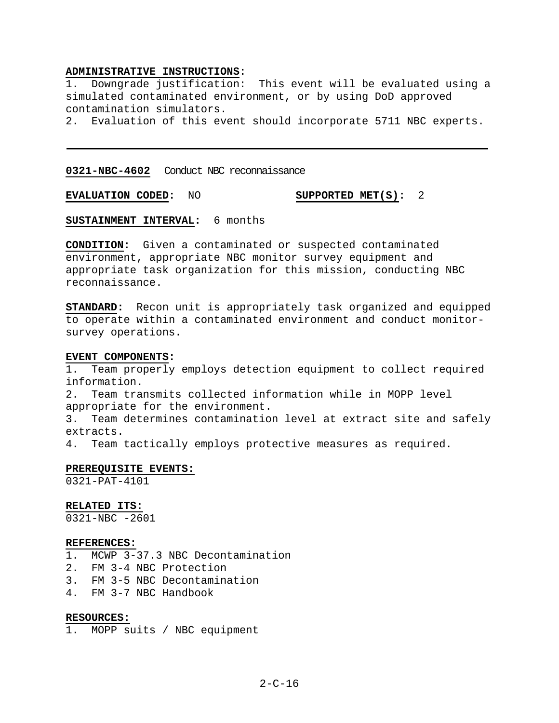## **ADMINISTRATIVE INSTRUCTIONS:**

1. Downgrade justification: This event will be evaluated using a simulated contaminated environment, or by using DoD approved contamination simulators.

2. Evaluation of this event should incorporate 5711 NBC experts.

**0321-NBC-4602** Conduct NBC reconnaissance

**EVALUATION CODED:** NO **SUPPORTED MET(S):** 2

**SUSTAINMENT INTERVAL:** 6 months

**CONDITION:** Given a contaminated or suspected contaminated environment, appropriate NBC monitor survey equipment and appropriate task organization for this mission, conducting NBC reconnaissance.

**STANDARD:** Recon unit is appropriately task organized and equipped to operate within a contaminated environment and conduct monitorsurvey operations.

#### **EVENT COMPONENTS:**

1. Team properly employs detection equipment to collect required information. 2. Team transmits collected information while in MOPP level appropriate for the environment. 3. Team determines contamination level at extract site and safely extracts. 4. Team tactically employs protective measures as required.

## **PREREQUISITE EVENTS:**

0321-PAT-4101

**RELATED ITS:**

0321-NBC -2601

#### **REFERENCES:**

1. MCWP 3-37.3 NBC Decontamination

- 2. FM 3-4 NBC Protection
- 3. FM 3-5 NBC Decontamination
- 4. FM 3-7 NBC Handbook

# **RESOURCES:**

1. MOPP suits / NBC equipment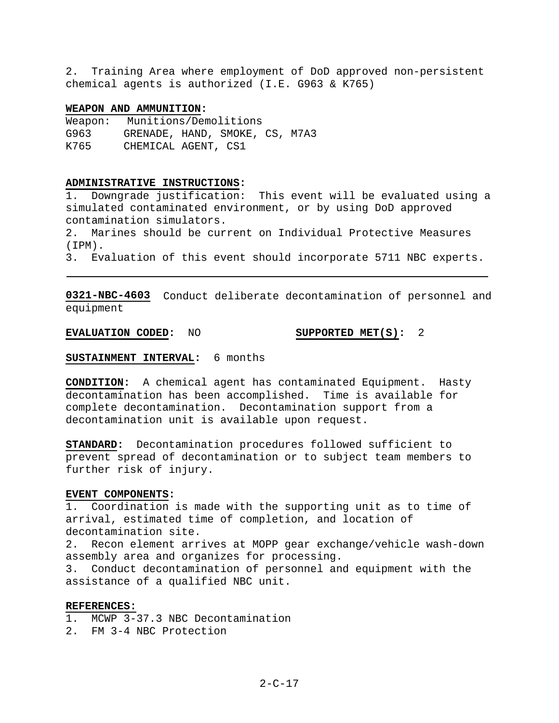2. Training Area where employment of DoD approved non-persistent chemical agents is authorized (I.E. G963 & K765)

### **WEAPON AND AMMUNITION:**

Weapon: Munitions/Demolitions G963 GRENADE, HAND, SMOKE, CS, M7A3 K765 CHEMICAL AGENT, CS1

#### **ADMINISTRATIVE INSTRUCTIONS:**

1. Downgrade justification: This event will be evaluated using a simulated contaminated environment, or by using DoD approved contamination simulators.

2. Marines should be current on Individual Protective Measures (IPM).

3. Evaluation of this event should incorporate 5711 NBC experts.

**0321-NBC-4603** Conduct deliberate decontamination of personnel and equipment

**EVALUATION CODED:** NO **SUPPORTED MET(S):** 2

# **SUSTAINMENT INTERVAL:** 6 months

**CONDITION:** A chemical agent has contaminated Equipment. Hasty decontamination has been accomplished. Time is available for complete decontamination. Decontamination support from a decontamination unit is available upon request.

**STANDARD:** Decontamination procedures followed sufficient to prevent spread of decontamination or to subject team members to further risk of injury.

#### **EVENT COMPONENTS:**

1. Coordination is made with the supporting unit as to time of arrival, estimated time of completion, and location of decontamination site.

2. Recon element arrives at MOPP gear exchange/vehicle wash-down assembly area and organizes for processing.

3. Conduct decontamination of personnel and equipment with the assistance of a qualified NBC unit.

## **REFERENCES:**

1. MCWP 3-37.3 NBC Decontamination

2. FM 3-4 NBC Protection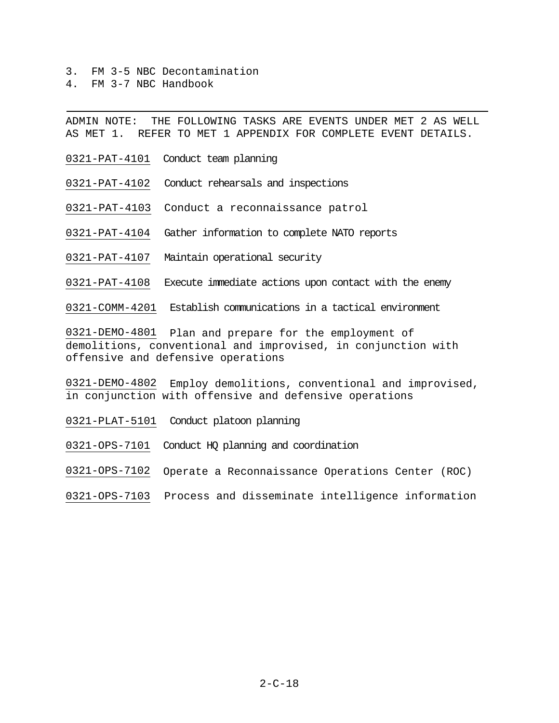- 3. FM 3-5 NBC Decontamination
- 4. FM 3-7 NBC Handbook

ADMIN NOTE: THE FOLLOWING TASKS ARE EVENTS UNDER MET 2 AS WELL AS MET 1. REFER TO MET 1 APPENDIX FOR COMPLETE EVENT DETAILS.

- 0321-PAT-4101 Conduct team planning
- 0321-PAT-4102 Conduct rehearsals and inspections
- 0321-PAT-4103 Conduct a reconnaissance patrol
- 0321-PAT-4104 Gather information to complete NATO reports
- 0321-PAT-4107 Maintain operational security
- 0321-PAT-4108 Execute immediate actions upon contact with the enemy

0321-COMM-4201 Establish communications in a tactical environment

0321-DEMO-4801 Plan and prepare for the employment of demolitions, conventional and improvised, in conjunction with offensive and defensive operations

0321-DEMO-4802 Employ demolitions, conventional and improvised, in conjunction with offensive and defensive operations

0321-PLAT-5101 Conduct platoon planning

0321-OPS-7101 Conduct HQ planning and coordination

0321-OPS-7102 Operate a Reconnaissance Operations Center (ROC)

0321-OPS-7103 Process and disseminate intelligence information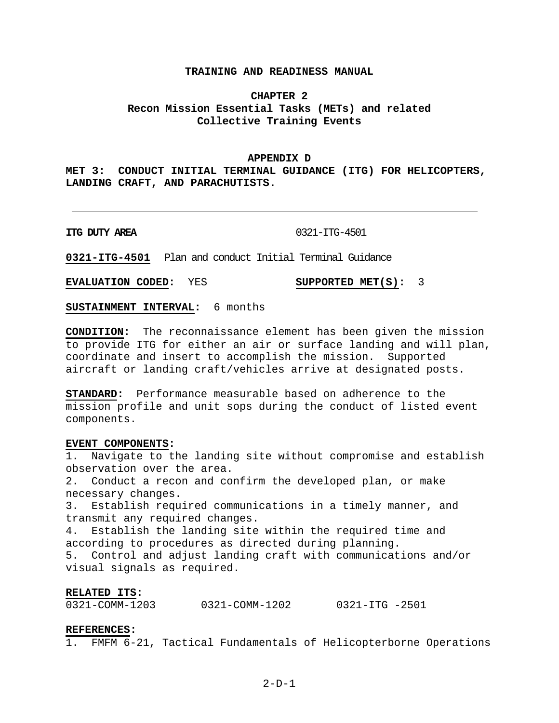## **TRAINING AND READINESS MANUAL**

# **CHAPTER 2 Recon Mission Essential Tasks (METs) and related Collective Training Events**

#### **APPENDIX D**

**MET 3: CONDUCT INITIAL TERMINAL GUIDANCE (ITG) FOR HELICOPTERS, LANDING CRAFT, AND PARACHUTISTS.** 

**ITG DUTY AREA** 0321-ITG-4501

**0321-ITG-4501** Plan and conduct Initial Terminal Guidance

**EVALUATION CODED:** YES **SUPPORTED MET(S):** 3

**SUSTAINMENT INTERVAL:** 6 months

**CONDITION:** The reconnaissance element has been given the mission to provide ITG for either an air or surface landing and will plan, coordinate and insert to accomplish the mission. Supported aircraft or landing craft/vehicles arrive at designated posts.

**STANDARD:** Performance measurable based on adherence to the mission profile and unit sops during the conduct of listed event components.

#### **EVENT COMPONENTS:**

1. Navigate to the landing site without compromise and establish observation over the area. 2. Conduct a recon and confirm the developed plan, or make necessary changes. 3. Establish required communications in a timely manner, and transmit any required changes. 4. Establish the landing site within the required time and according to procedures as directed during planning. 5. Control and adjust landing craft with communications and/or visual signals as required.

## **RELATED ITS:**

| 0321-COMM-1203<br>0321-COMM-1202 | $0321 - ITG - 2501$ |  |
|----------------------------------|---------------------|--|
|----------------------------------|---------------------|--|

#### **REFERENCES:**

1. FMFM 6-21, Tactical Fundamentals of Helicopterborne Operations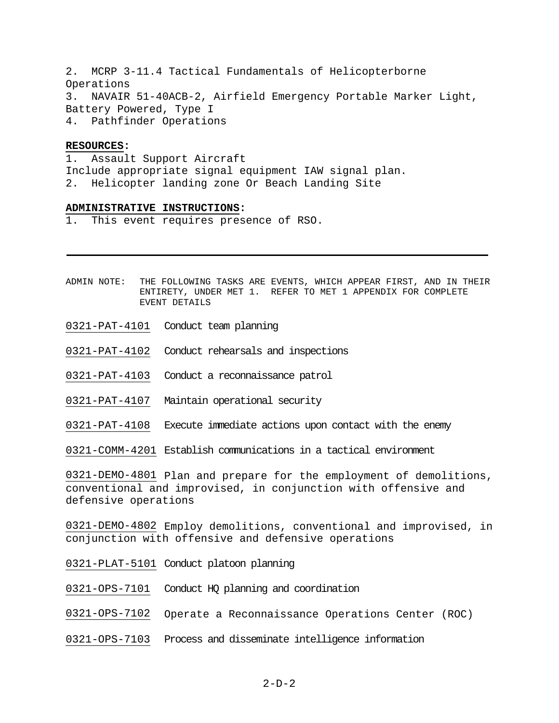2. MCRP 3-11.4 Tactical Fundamentals of Helicopterborne Operations 3. NAVAIR 51-40ACB-2, Airfield Emergency Portable Marker Light, Battery Powered, Type I 4. Pathfinder Operations

## **RESOURCES:**

1. Assault Support Aircraft Include appropriate signal equipment IAW signal plan. 2. Helicopter landing zone Or Beach Landing Site

#### **ADMINISTRATIVE INSTRUCTIONS:**

This event requires presence of RSO.

- ADMIN NOTE: THE FOLLOWING TASKS ARE EVENTS, WHICH APPEAR FIRST, AND IN THEIR ENTIRETY, UNDER MET 1. REFER TO MET 1 APPENDIX FOR COMPLETE EVENT DETAILS
- 0321-PAT-4101 Conduct team planning
- 0321-PAT-4102 Conduct rehearsals and inspections
- 0321-PAT-4103 Conduct a reconnaissance patrol
- 0321-PAT-4107 Maintain operational security
- 0321-PAT-4108 Execute immediate actions upon contact with the enemy
- 0321-COMM-4201 Establish communications in a tactical environment

0321-DEMO-4801 Plan and prepare for the employment of demolitions, conventional and improvised, in conjunction with offensive and defensive operations

0321-DEMO-4802 Employ demolitions, conventional and improvised, in conjunction with offensive and defensive operations

- 0321-PLAT-5101 Conduct platoon planning
- 0321-OPS-7101 Conduct HQ planning and coordination
- 0321-OPS-7102 Operate a Reconnaissance Operations Center (ROC)
- 0321-OPS-7103 Process and disseminate intelligence information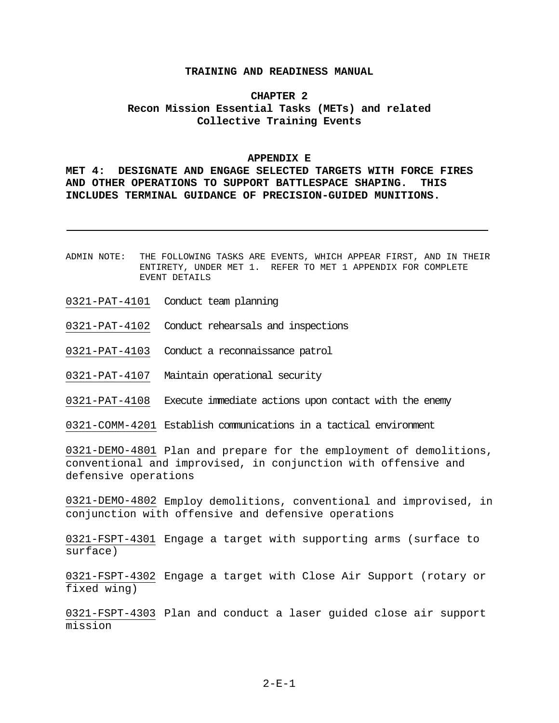## **TRAINING AND READINESS MANUAL**

# **CHAPTER 2 Recon Mission Essential Tasks (METs) and related Collective Training Events**

#### **APPENDIX E**

**MET 4: DESIGNATE AND ENGAGE SELECTED TARGETS WITH FORCE FIRES AND OTHER OPERATIONS TO SUPPORT BATTLESPACE SHAPING. THIS INCLUDES TERMINAL GUIDANCE OF PRECISION-GUIDED MUNITIONS.**

- ADMIN NOTE: THE FOLLOWING TASKS ARE EVENTS, WHICH APPEAR FIRST, AND IN THEIR ENTIRETY, UNDER MET 1. REFER TO MET 1 APPENDIX FOR COMPLETE EVENT DETAILS
- 0321-PAT-4101 Conduct team planning
- 0321-PAT-4102 Conduct rehearsals and inspections
- 0321-PAT-4103 Conduct a reconnaissance patrol
- 0321-PAT-4107 Maintain operational security
- 0321-PAT-4108 Execute immediate actions upon contact with the enemy
- 0321-COMM-4201 Establish communications in a tactical environment

0321-DEMO-4801 Plan and prepare for the employment of demolitions, conventional and improvised, in conjunction with offensive and defensive operations

0321-DEMO-4802 Employ demolitions, conventional and improvised, in conjunction with offensive and defensive operations

0321-FSPT-4301 Engage a target with supporting arms (surface to surface)

0321-FSPT-4302 Engage a target with Close Air Support (rotary or fixed wing)

0321-FSPT-4303 Plan and conduct a laser guided close air support mission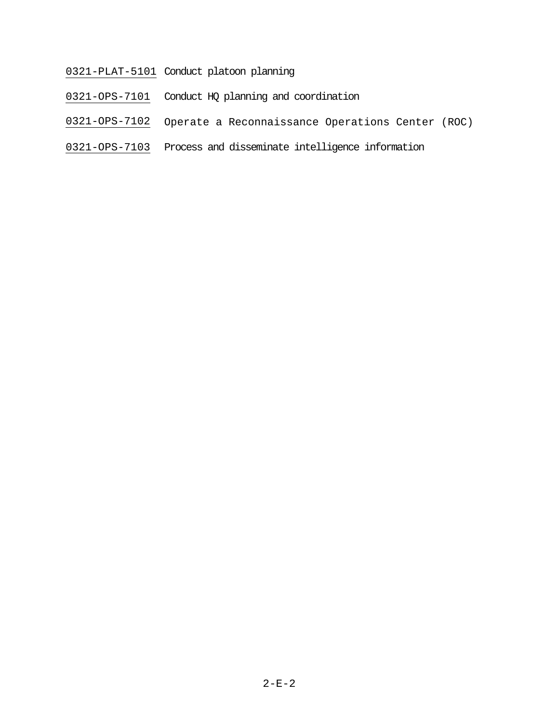# 0321-PLAT-5101 Conduct platoon planning

- 0321-OPS-7101 Conduct HQ planning and coordination
- 0321-OPS-7102 Operate a Reconnaissance Operations Center (ROC)
- 0321-OPS-7103 Process and disseminate intelligence information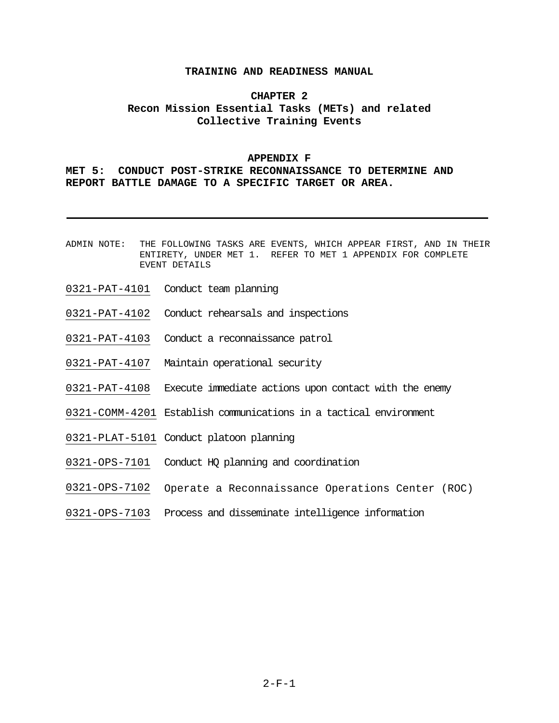# **CHAPTER 2 Recon Mission Essential Tasks (METs) and related Collective Training Events**

# **APPENDIX F**

# **MET 5: CONDUCT POST-STRIKE RECONNAISSANCE TO DETERMINE AND REPORT BATTLE DAMAGE TO A SPECIFIC TARGET OR AREA.**

- ADMIN NOTE: THE FOLLOWING TASKS ARE EVENTS, WHICH APPEAR FIRST, AND IN THEIR ENTIRETY, UNDER MET 1. REFER TO MET 1 APPENDIX FOR COMPLETE EVENT DETAILS
- 0321-PAT-4101 Conduct team planning
- 0321-PAT-4102 Conduct rehearsals and inspections
- 0321-PAT-4103 Conduct a reconnaissance patrol
- 0321-PAT-4107 Maintain operational security
- 0321-PAT-4108 Execute immediate actions upon contact with the enemy
- 0321-COMM-4201 Establish communications in a tactical environment
- 0321-PLAT-5101 Conduct platoon planning
- 0321-OPS-7101 Conduct HQ planning and coordination
- 0321-OPS-7102 Operate a Reconnaissance Operations Center (ROC)
- 0321-OPS-7103 Process and disseminate intelligence information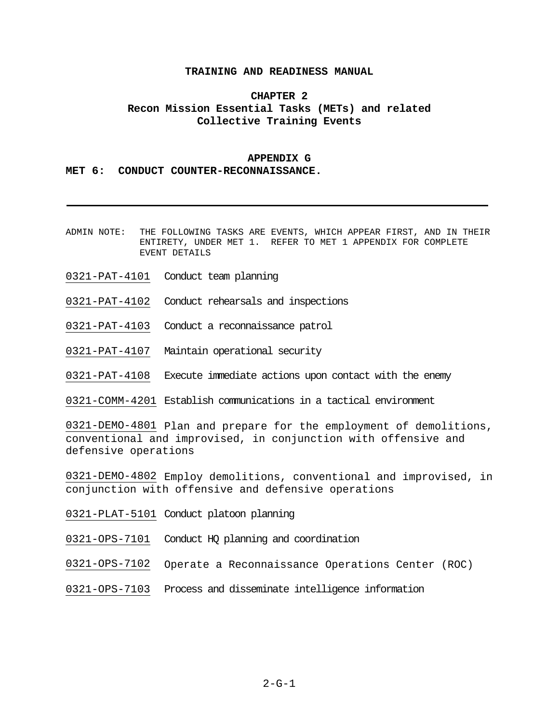# **CHAPTER 2 Recon Mission Essential Tasks (METs) and related Collective Training Events**

#### **APPENDIX G**

**MET 6: CONDUCT COUNTER-RECONNAISSANCE.** 

- ADMIN NOTE: THE FOLLOWING TASKS ARE EVENTS, WHICH APPEAR FIRST, AND IN THEIR ENTIRETY, UNDER MET 1. REFER TO MET 1 APPENDIX FOR COMPLETE EVENT DETAILS
- 0321-PAT-4101 Conduct team planning
- 0321-PAT-4102 Conduct rehearsals and inspections
- 0321-PAT-4103 Conduct a reconnaissance patrol
- 0321-PAT-4107 Maintain operational security
- 0321-PAT-4108 Execute immediate actions upon contact with the enemy
- 0321-COMM-4201 Establish communications in a tactical environment

0321-DEMO-4801 Plan and prepare for the employment of demolitions, conventional and improvised, in conjunction with offensive and defensive operations

0321-DEMO-4802 Employ demolitions, conventional and improvised, in conjunction with offensive and defensive operations

- 0321-PLAT-5101 Conduct platoon planning
- 0321-OPS-7101 Conduct HQ planning and coordination
- 0321-OPS-7102 Operate a Reconnaissance Operations Center (ROC)
- 0321-OPS-7103 Process and disseminate intelligence information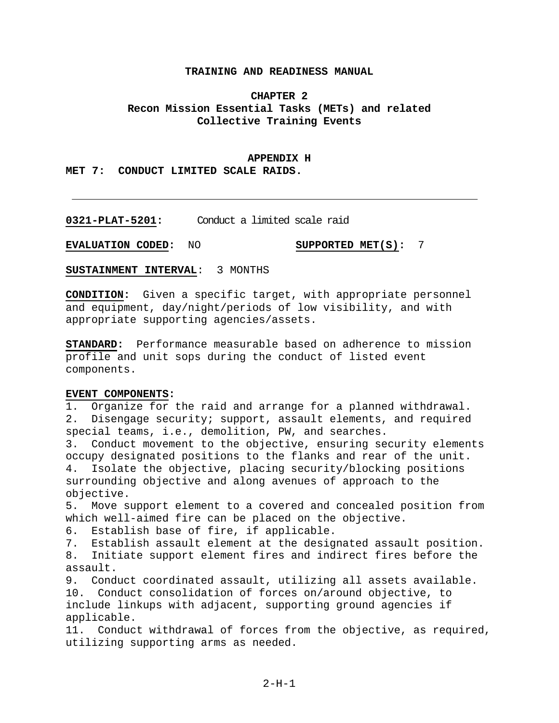# **CHAPTER 2 Recon Mission Essential Tasks (METs) and related Collective Training Events**

#### **APPENDIX H**

**MET 7: CONDUCT LIMITED SCALE RAIDS.**

**0321-PLAT-5201:** Conduct a limited scale raid

**EVALUATION CODED:** NO **SUPPORTED MET(S):** 7

**SUSTAINMENT INTERVAL**: 3 MONTHS

**CONDITION:** Given a specific target, with appropriate personnel and equipment, day/night/periods of low visibility, and with appropriate supporting agencies/assets.

**STANDARD:** Performance measurable based on adherence to mission profile and unit sops during the conduct of listed event components.

# **EVENT COMPONENTS:**

1. Organize for the raid and arrange for a planned withdrawal. 2. Disengage security; support, assault elements, and required special teams, i.e., demolition, PW, and searches.

3. Conduct movement to the objective, ensuring security elements occupy designated positions to the flanks and rear of the unit. 4. Isolate the objective, placing security/blocking positions surrounding objective and along avenues of approach to the objective.

5. Move support element to a covered and concealed position from which well-aimed fire can be placed on the objective.

6. Establish base of fire, if applicable.

7. Establish assault element at the designated assault position.

8. Initiate support element fires and indirect fires before the assault.

9. Conduct coordinated assault, utilizing all assets available.

10. Conduct consolidation of forces on/around objective, to include linkups with adjacent, supporting ground agencies if applicable.

11. Conduct withdrawal of forces from the objective, as required, utilizing supporting arms as needed.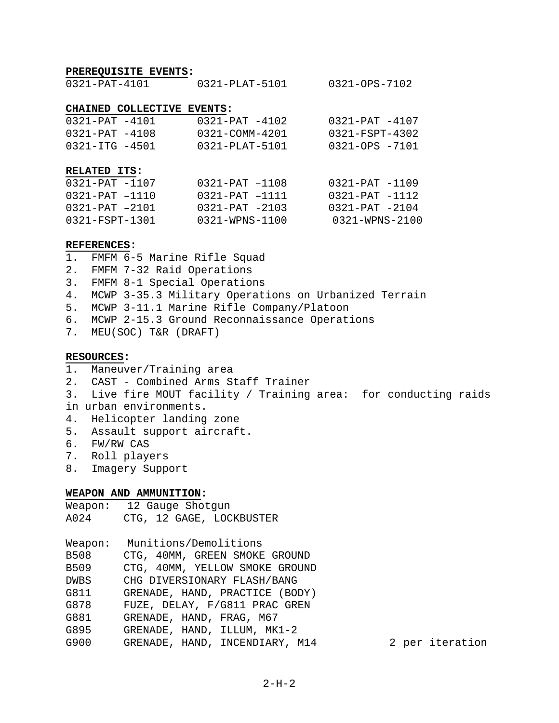#### **PREREQUISITE EVENTS:**

0321-PAT-4101 0321-PLAT-5101 0321-OPS-7102

#### **CHAINED COLLECTIVE EVENTS:**

| $0321 - PAT - 4101$                                                                  | $0321 - PAT - 4102$                                                            | 0321-PAT -4107                                                                 |
|--------------------------------------------------------------------------------------|--------------------------------------------------------------------------------|--------------------------------------------------------------------------------|
| $0321 - PAT - 4108$                                                                  | 0321-COMM-4201                                                                 | 0321-FSPT-4302                                                                 |
| 0321-ITG -4501                                                                       | 0321-PLAT-5101                                                                 | 0321-OPS -7101                                                                 |
| RELATED ITS:<br>0321-PAT -1107<br>0321-PAT -1110<br>0321-PAT -2101<br>0321-FSPT-1301 | $0321 - PAT - 1108$<br>0321-PAT -1111<br>$0321 - PAT - 2103$<br>0321-WPNS-1100 | $0321 - PAT - 1109$<br>0321-PAT -1112<br>$0321 - PAT - 2104$<br>0321-WPNS-2100 |

# **REFERENCES:**

1. FMFM 6-5 Marine Rifle Squad

- 2. FMFM 7-32 Raid Operations
- 3. FMFM 8-1 Special Operations
- 4. MCWP 3-35.3 Military Operations on Urbanized Terrain
- 5. MCWP 3-11.1 Marine Rifle Company/Platoon
- 6. MCWP 2-15.3 Ground Reconnaissance Operations
- 7. MEU(SOC) T&R (DRAFT)

# **RESOURCES:**

- 1. Maneuver/Training area
- 2. CAST Combined Arms Staff Trainer
- 3. Live fire MOUT facility / Training area: for conducting raids in urban environments.
- 4. Helicopter landing zone
- 5. Assault support aircraft.
- 6. FW/RW CAS
- 7. Roll players
- 8. Imagery Support

# **WEAPON AND AMMUNITION:**

| Weapon: |  | 12 Gauge Shotgun |                          |
|---------|--|------------------|--------------------------|
| A024    |  |                  | CTG, 12 GAGE, LOCKBUSTER |

|             | Weapon: Munitions/Demolitions  |  |  |  |  |  |
|-------------|--------------------------------|--|--|--|--|--|
| B508        | CTG, 40MM, GREEN SMOKE GROUND  |  |  |  |  |  |
| B509        | CTG, 40MM, YELLOW SMOKE GROUND |  |  |  |  |  |
| <b>DWBS</b> | CHG DIVERSIONARY FLASH/BANG    |  |  |  |  |  |
| G811        | GRENADE, HAND, PRACTICE (BODY) |  |  |  |  |  |
| G878        | FUZE, DELAY, F/G811 PRAC GREN  |  |  |  |  |  |
| G881        | GRENADE, HAND, FRAG, M67       |  |  |  |  |  |
| G895        | GRENADE, HAND, ILLUM, MK1-2    |  |  |  |  |  |
| G900        | GRENADE, HAND, INCENDIARY, M14 |  |  |  |  |  |

2 per iteration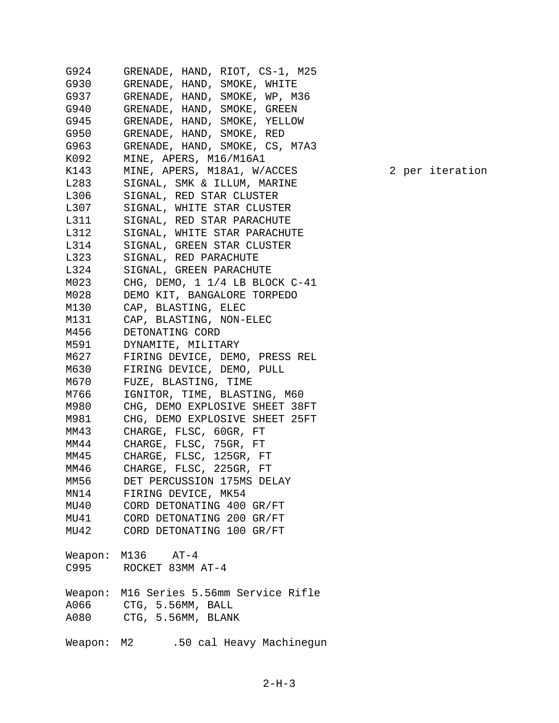G924 GRENADE, HAND, RIOT, CS-1, M25 G930 GRENADE, HAND, SMOKE, WHITE G937 GRENADE, HAND, SMOKE, WP, M36 G940 GRENADE, HAND, SMOKE, GREEN G945 GRENADE, HAND, SMOKE, YELLOW G950 GRENADE, HAND, SMOKE, RED G963 GRENADE, HAND, SMOKE, CS, M7A3 K092 MINE, APERS, M16/M16A1 K143 MINE, APERS, M18A1, W/ACCES 2 per iteration L283 SIGNAL, SMK & ILLUM, MARINE L306 SIGNAL, RED STAR CLUSTER L307 SIGNAL, WHITE STAR CLUSTER L311 SIGNAL, RED STAR PARACHUTE L312 SIGNAL, WHITE STAR PARACHUTE L314 SIGNAL, GREEN STAR CLUSTER L323 SIGNAL, RED PARACHUTE L324 SIGNAL, GREEN PARACHUTE M023 CHG, DEMO, 1 1/4 LB BLOCK C-41 M028 DEMO KIT, BANGALORE TORPEDO M130 CAP, BLASTING, ELEC M131 CAP, BLASTING, NON-ELEC M456 DETONATING CORD M591 DYNAMITE, MILITARY M627 FIRING DEVICE, DEMO, PRESS REL M630 FIRING DEVICE, DEMO, PULL M670 FUZE, BLASTING, TIME M766 IGNITOR, TIME, BLASTING, M60 M980 CHG, DEMO EXPLOSIVE SHEET 38FT M981 CHG, DEMO EXPLOSIVE SHEET 25FT MM43 CHARGE, FLSC, 60GR, FT MM44 CHARGE, FLSC, 75GR, FT MM45 CHARGE, FLSC, 125GR, FT MM46 CHARGE, FLSC, 225GR, FT MM56 DET PERCUSSION 175MS DELAY MN14 FIRING DEVICE, MK54 MU40 CORD DETONATING 400 GR/FT MU41 CORD DETONATING 200 GR/FT MU42 CORD DETONATING 100 GR/FT Weapon: M136 AT-4 C995 ROCKET 83MM AT-4 Weapon: M16 Series 5.56mm Service Rifle A066 CTG, 5.56MM, BALL A080 CTG, 5.56MM, BLANK Weapon: M2 .50 cal Heavy Machinegun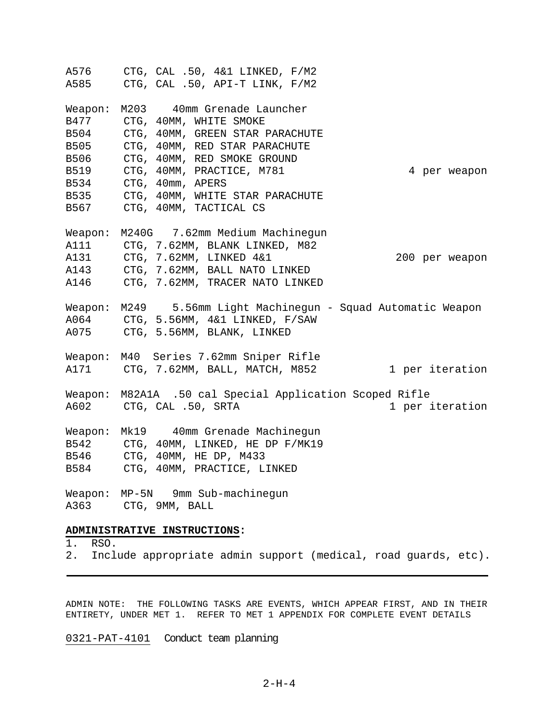A576 CTG, CAL .50, 4&1 LINKED, F/M2 A585 CTG, CAL .50, API-T LINK, F/M2 Weapon: M203 40mm Grenade Launcher B477 CTG, 40MM, WHITE SMOKE B504 CTG, 40MM, GREEN STAR PARACHUTE B505 CTG, 40MM, RED STAR PARACHUTE B506 CTG, 40MM, RED SMOKE GROUND B519 CTG, 40MM, PRACTICE, M781 4 per weapon B534 CTG, 40mm, APERS B535 CTG, 40MM, WHITE STAR PARACHUTE B567 CTG, 40MM, TACTICAL CS Weapon: M240G 7.62mm Medium Machinegun A111 CTG, 7.62MM, BLANK LINKED, M82 A131 CTG, 7.62MM, LINKED 4&1 200 per weapon A143 CTG, 7.62MM, BALL NATO LINKED A146 CTG, 7.62MM, TRACER NATO LINKED Weapon: M249 5.56mm Light Machinegun - Squad Automatic Weapon A064 CTG, 5.56MM, 4&1 LINKED, F/SAW A075 CTG, 5.56MM, BLANK, LINKED Weapon: M40 Series 7.62mm Sniper Rifle A171 CTG, 7.62MM, BALL, MATCH, M852 1 per iteration Weapon: M82A1A .50 cal Special Application Scoped Rifle A602 CTG, CAL .50, SRTA 1 per iteration Weapon: Mk19 40mm Grenade Machinegun B542 CTG, 40MM, LINKED, HE DP F/MK19 B546 CTG, 40MM, HE DP, M433 B584 CTG, 40MM, PRACTICE, LINKED Weapon: MP-5N 9mm Sub-machinegun A363 CTG, 9MM, BALL **ADMINISTRATIVE INSTRUCTIONS:**

# 1. RSO.

2. Include appropriate admin support (medical, road guards, etc).

ADMIN NOTE: THE FOLLOWING TASKS ARE EVENTS, WHICH APPEAR FIRST, AND IN THEIR ENTIRETY, UNDER MET 1. REFER TO MET 1 APPENDIX FOR COMPLETE EVENT DETAILS

0321-PAT-4101 Conduct team planning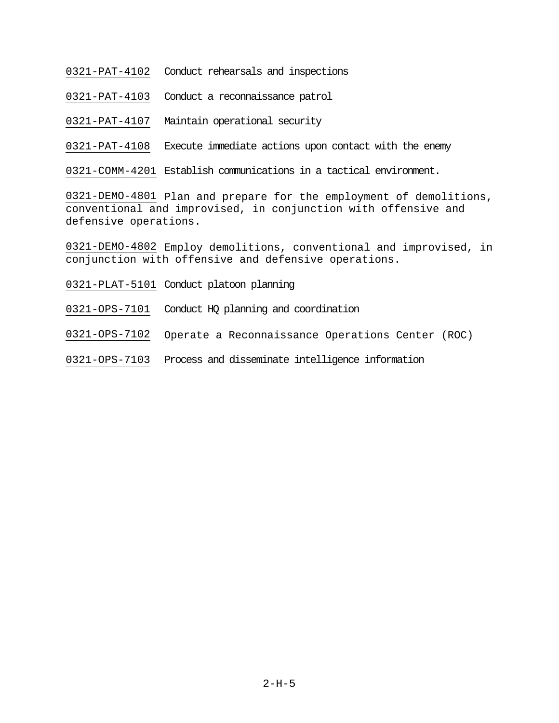- 0321-PAT-4102 Conduct rehearsals and inspections
- 0321-PAT-4103 Conduct a reconnaissance patrol
- 0321-PAT-4107 Maintain operational security

0321-PAT-4108 Execute immediate actions upon contact with the enemy

0321-COMM-4201 Establish communications in a tactical environment.

0321-DEMO-4801 Plan and prepare for the employment of demolitions, conventional and improvised, in conjunction with offensive and defensive operations.

0321-DEMO-4802 Employ demolitions, conventional and improvised, in conjunction with offensive and defensive operations.

- 0321-PLAT-5101 Conduct platoon planning
- 0321-OPS-7101 Conduct HQ planning and coordination

0321-OPS-7102 Operate a Reconnaissance Operations Center (ROC)

0321-OPS-7103 Process and disseminate intelligence information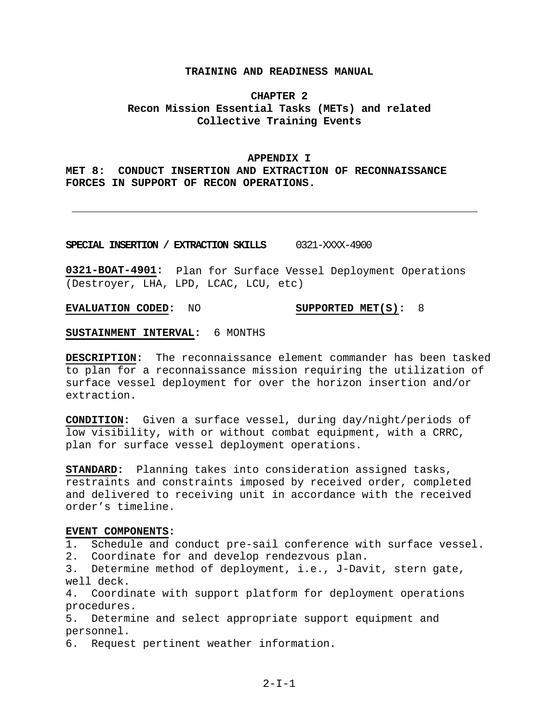# **CHAPTER 2 Recon Mission Essential Tasks (METs) and related Collective Training Events**

#### **APPENDIX I**

**MET 8: CONDUCT INSERTION AND EXTRACTION OF RECONNAISSANCE FORCES IN SUPPORT OF RECON OPERATIONS.**

**SPECIAL INSERTION / EXTRACTION SKILLS** 0321-XXXX-4900

**0321-BOAT-4901:** Plan for Surface Vessel Deployment Operations (Destroyer, LHA, LPD, LCAC, LCU, etc)

**EVALUATION CODED:** NO **SUPPORTED MET(S):** 8

**SUSTAINMENT INTERVAL:** 6 MONTHS

**DESCRIPTION:** The reconnaissance element commander has been tasked to plan for a reconnaissance mission requiring the utilization of surface vessel deployment for over the horizon insertion and/or extraction.

**CONDITION:** Given a surface vessel, during day/night/periods of low visibility, with or without combat equipment, with a CRRC, plan for surface vessel deployment operations.

**STANDARD:** Planning takes into consideration assigned tasks, restraints and constraints imposed by received order, completed and delivered to receiving unit in accordance with the received order's timeline.

#### **EVENT COMPONENTS:**

1. Schedule and conduct pre-sail conference with surface vessel.

2. Coordinate for and develop rendezvous plan.

3. Determine method of deployment, i.e., J-Davit, stern gate, well deck.

4. Coordinate with support platform for deployment operations procedures.

5. Determine and select appropriate support equipment and personnel.

6. Request pertinent weather information.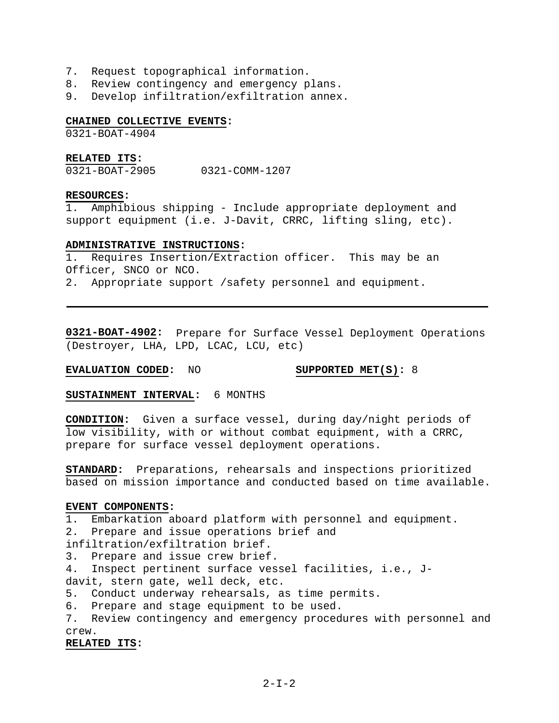- 7. Request topographical information.
- 8. Review contingency and emergency plans.
- 9. Develop infiltration/exfiltration annex.

# **CHAINED COLLECTIVE EVENTS:**

0321-BOAT-4904

# **RELATED ITS:**

0321-BOAT-2905 0321-COMM-1207

#### **RESOURCES:**

1. Amphibious shipping - Include appropriate deployment and support equipment (i.e. J-Davit, CRRC, lifting sling, etc).

## **ADMINISTRATIVE INSTRUCTIONS:**

1. Requires Insertion/Extraction officer. This may be an Officer, SNCO or NCO.

2. Appropriate support /safety personnel and equipment.

**0321-BOAT-4902:** Prepare for Surface Vessel Deployment Operations (Destroyer, LHA, LPD, LCAC, LCU, etc)

**EVALUATION CODED:** NO **SUPPORTED MET(S):** 8

**SUSTAINMENT INTERVAL:** 6 MONTHS

**CONDITION:** Given a surface vessel, during day/night periods of low visibility, with or without combat equipment, with a CRRC, prepare for surface vessel deployment operations.

**STANDARD:** Preparations, rehearsals and inspections prioritized based on mission importance and conducted based on time available.

#### **EVENT COMPONENTS:**

1. Embarkation aboard platform with personnel and equipment.

2. Prepare and issue operations brief and

infiltration/exfiltration brief.

3. Prepare and issue crew brief.

4. Inspect pertinent surface vessel facilities, i.e., Jdavit, stern gate, well deck, etc.

- 5. Conduct underway rehearsals, as time permits.
- 6. Prepare and stage equipment to be used.
- 7. Review contingency and emergency procedures with personnel and crew.

**RELATED ITS:**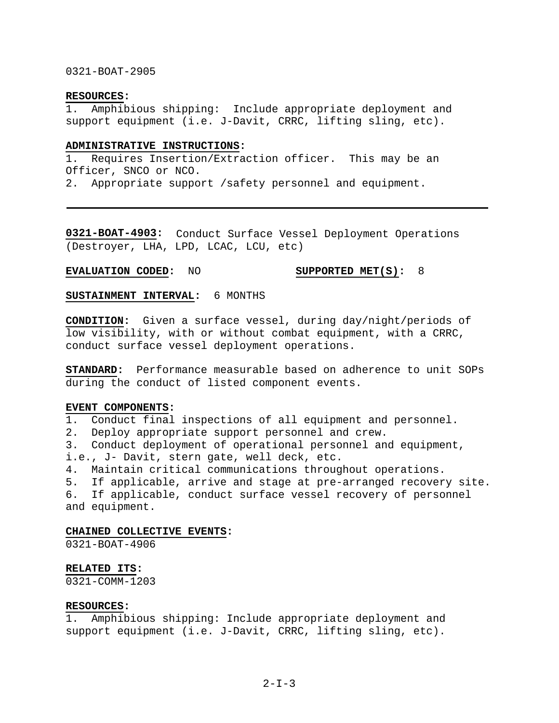# 0321-BOAT-2905

# **RESOURCES:**

1. Amphibious shipping: Include appropriate deployment and support equipment (i.e. J-Davit, CRRC, lifting sling, etc).

#### **ADMINISTRATIVE INSTRUCTIONS:**

1. Requires Insertion/Extraction officer. This may be an Officer, SNCO or NCO.

2. Appropriate support /safety personnel and equipment.

**0321-BOAT-4903:** Conduct Surface Vessel Deployment Operations (Destroyer, LHA, LPD, LCAC, LCU, etc)

**EVALUATION CODED:** NO **SUPPORTED MET(S):** 8

**SUSTAINMENT INTERVAL:** 6 MONTHS

**CONDITION:** Given a surface vessel, during day/night/periods of low visibility, with or without combat equipment, with a CRRC, conduct surface vessel deployment operations.

**STANDARD:** Performance measurable based on adherence to unit SOPs during the conduct of listed component events.

#### **EVENT COMPONENTS:**

1. Conduct final inspections of all equipment and personnel.

2. Deploy appropriate support personnel and crew.

3. Conduct deployment of operational personnel and equipment, i.e., J- Davit, stern gate, well deck, etc.

4. Maintain critical communications throughout operations.

5. If applicable, arrive and stage at pre-arranged recovery site. 6. If applicable, conduct surface vessel recovery of personnel and equipment.

#### **CHAINED COLLECTIVE EVENTS:**

0321-BOAT-4906

# **RELATED ITS:**

0321-COMM-1203

# **RESOURCES:**

1. Amphibious shipping: Include appropriate deployment and support equipment (i.e. J-Davit, CRRC, lifting sling, etc).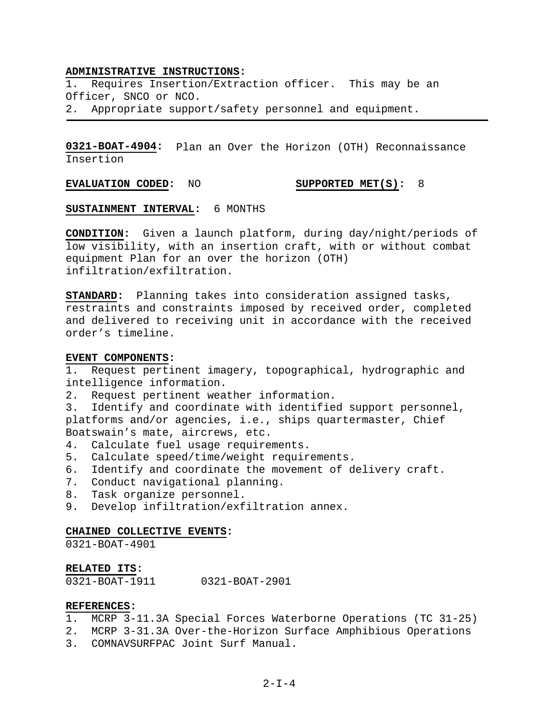#### **ADMINISTRATIVE INSTRUCTIONS:**

1. Requires Insertion/Extraction officer. This may be an Officer, SNCO or NCO. 2. Appropriate support/safety personnel and equipment.

**0321-BOAT-4904:** Plan an Over the Horizon (OTH) Reconnaissance Insertion

**EVALUATION CODED:** NO **SUPPORTED MET(S):** 8

**SUSTAINMENT INTERVAL:** 6 MONTHS

**CONDITION:** Given a launch platform, during day/night/periods of low visibility, with an insertion craft, with or without combat equipment Plan for an over the horizon (OTH) infiltration/exfiltration.

**STANDARD:** Planning takes into consideration assigned tasks, restraints and constraints imposed by received order, completed and delivered to receiving unit in accordance with the received order's timeline.

## **EVENT COMPONENTS:**

1. Request pertinent imagery, topographical, hydrographic and intelligence information.

2. Request pertinent weather information.

3. Identify and coordinate with identified support personnel, platforms and/or agencies, i.e., ships quartermaster, Chief Boatswain's mate, aircrews, etc.

- 4. Calculate fuel usage requirements.
- 5. Calculate speed/time/weight requirements.
- 6. Identify and coordinate the movement of delivery craft.
- 7. Conduct navigational planning.
- 8. Task organize personnel.
- 9. Develop infiltration/exfiltration annex.

#### **CHAINED COLLECTIVE EVENTS:**

0321-BOAT-4901

#### **RELATED ITS:**

0321-BOAT-1911 0321-BOAT-2901

## **REFERENCES:**

- 1. MCRP 3-11.3A Special Forces Waterborne Operations (TC 31-25)
- 2. MCRP 3-31.3A Over-the-Horizon Surface Amphibious Operations
- 3. COMNAVSURFPAC Joint Surf Manual.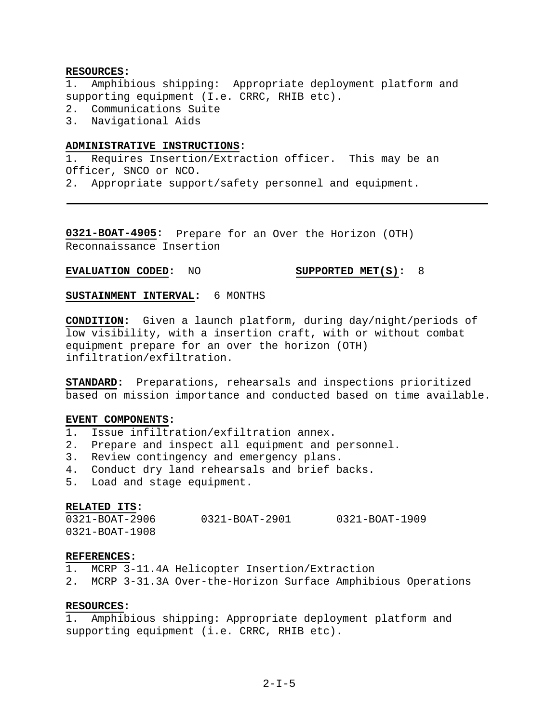#### **RESOURCES:**

1. Amphibious shipping: Appropriate deployment platform and supporting equipment (I.e. CRRC, RHIB etc).

- 2. Communications Suite
- 3. Navigational Aids

## **ADMINISTRATIVE INSTRUCTIONS:**

1. Requires Insertion/Extraction officer. This may be an Officer, SNCO or NCO.

2. Appropriate support/safety personnel and equipment.

**0321-BOAT-4905:** Prepare for an Over the Horizon (OTH) Reconnaissance Insertion

# **EVALUATION CODED:** NO **SUPPORTED MET(S):** 8

**SUSTAINMENT INTERVAL:** 6 MONTHS

**CONDITION:** Given a launch platform, during day/night/periods of low visibility, with a insertion craft, with or without combat equipment prepare for an over the horizon (OTH) infiltration/exfiltration.

**STANDARD:** Preparations, rehearsals and inspections prioritized based on mission importance and conducted based on time available.

#### **EVENT COMPONENTS:**

- 1. Issue infiltration/exfiltration annex.
- 2. Prepare and inspect all equipment and personnel.
- 3. Review contingency and emergency plans.
- 4. Conduct dry land rehearsals and brief backs.
- 5. Load and stage equipment.

# **RELATED ITS:**

0321-BOAT-2906 0321-BOAT-2901 0321-BOAT-1909 0321-BOAT-1908

#### **REFERENCES:**

- 1. MCRP 3-11.4A Helicopter Insertion/Extraction
- 2. MCRP 3-31.3A Over-the-Horizon Surface Amphibious Operations

# **RESOURCES:**

1. Amphibious shipping: Appropriate deployment platform and supporting equipment (i.e. CRRC, RHIB etc).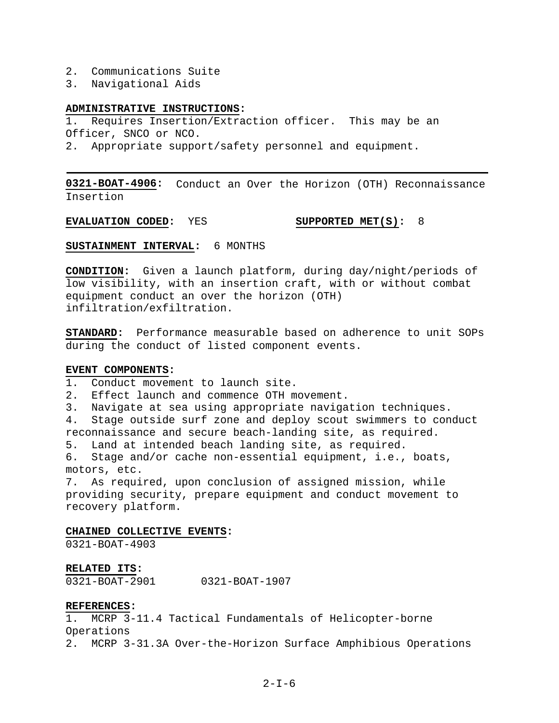- 2. Communications Suite
- 3. Navigational Aids

# **ADMINISTRATIVE INSTRUCTIONS:**

1. Requires Insertion/Extraction officer. This may be an Officer, SNCO or NCO.

2. Appropriate support/safety personnel and equipment.

**0321-BOAT-4906:** Conduct an Over the Horizon (OTH) Reconnaissance Insertion

**EVALUATION CODED:** YES **SUPPORTED MET(S):** 8

**SUSTAINMENT INTERVAL:** 6 MONTHS

**CONDITION:** Given a launch platform, during day/night/periods of low visibility, with an insertion craft, with or without combat equipment conduct an over the horizon (OTH) infiltration/exfiltration.

**STANDARD:** Performance measurable based on adherence to unit SOPs during the conduct of listed component events.

#### **EVENT COMPONENTS:**

1. Conduct movement to launch site.

2. Effect launch and commence OTH movement.

3. Navigate at sea using appropriate navigation techniques.

4. Stage outside surf zone and deploy scout swimmers to conduct reconnaissance and secure beach-landing site, as required.

5. Land at intended beach landing site, as required.

6. Stage and/or cache non-essential equipment, i.e., boats, motors, etc.

7. As required, upon conclusion of assigned mission, while providing security, prepare equipment and conduct movement to recovery platform.

#### **CHAINED COLLECTIVE EVENTS:**

0321-BOAT-4903

#### **RELATED ITS:**

0321-BOAT-2901 0321-BOAT-1907

#### **REFERENCES:**

1. MCRP 3-11.4 Tactical Fundamentals of Helicopter-borne Operations

2. MCRP 3-31.3A Over-the-Horizon Surface Amphibious Operations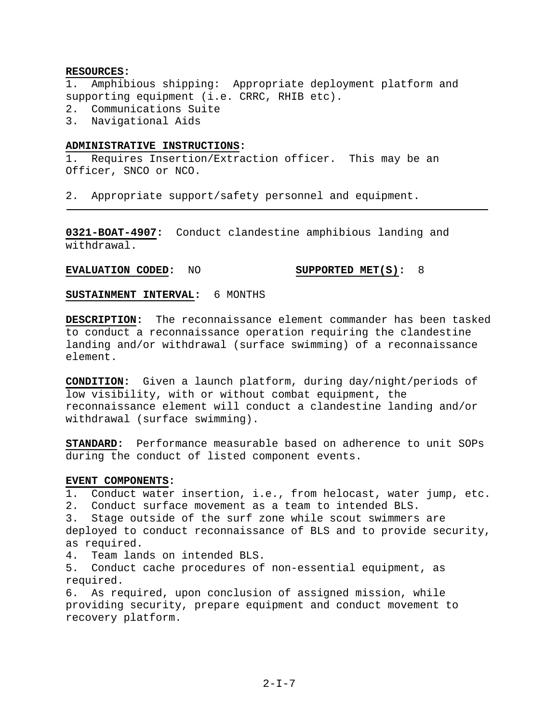# **RESOURCES:**

1. Amphibious shipping: Appropriate deployment platform and supporting equipment (i.e. CRRC, RHIB etc).

- 2. Communications Suite
- 3. Navigational Aids

# **ADMINISTRATIVE INSTRUCTIONS:**

1. Requires Insertion/Extraction officer. This may be an Officer, SNCO or NCO.

2. Appropriate support/safety personnel and equipment.

**0321-BOAT-4907:** Conduct clandestine amphibious landing and withdrawal.

# **EVALUATION CODED:** NO **SUPPORTED MET(S):** 8

**SUSTAINMENT INTERVAL:** 6 MONTHS

**DESCRIPTION:** The reconnaissance element commander has been tasked to conduct a reconnaissance operation requiring the clandestine landing and/or withdrawal (surface swimming) of a reconnaissance element.

**CONDITION:** Given a launch platform, during day/night/periods of low visibility, with or without combat equipment, the reconnaissance element will conduct a clandestine landing and/or withdrawal (surface swimming).

**STANDARD:** Performance measurable based on adherence to unit SOPs during the conduct of listed component events.

# **EVENT COMPONENTS:**

1. Conduct water insertion, i.e., from helocast, water jump, etc.

2. Conduct surface movement as a team to intended BLS.

3. Stage outside of the surf zone while scout swimmers are deployed to conduct reconnaissance of BLS and to provide security, as required.

4. Team lands on intended BLS.

5. Conduct cache procedures of non-essential equipment, as required.

6. As required, upon conclusion of assigned mission, while providing security, prepare equipment and conduct movement to recovery platform.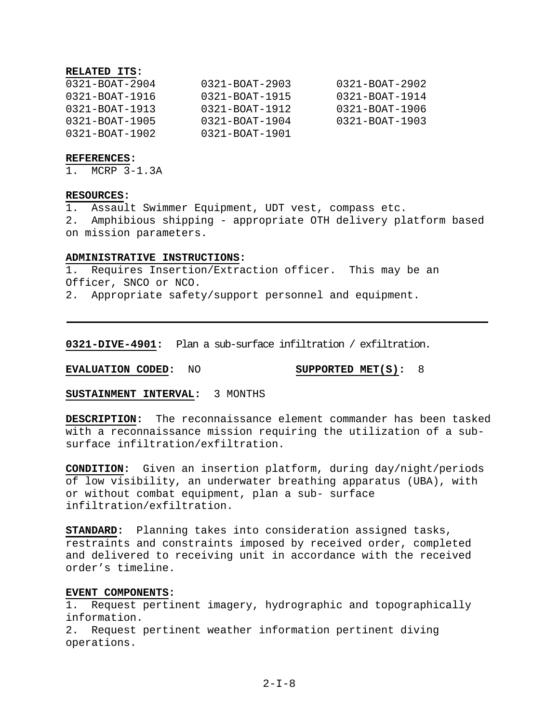# **RELATED ITS:**

| $0321 - B0AT - 2904$  | $0321 - B0AT - 2903$ | $0321 - B0AT - 2902$ |
|-----------------------|----------------------|----------------------|
| $0321 - B0A T - 1916$ | $0321 - B0AT - 1915$ | $0321 - B0AT - 1914$ |
| $0321 - B0AT - 1913$  | $0321 - B0AT - 1912$ | $0321 - B0AT - 1906$ |
| $0321 - B0AT - 1905$  | $0321 - B0AT - 1904$ | $0321 - B0AT - 1903$ |
| $0321 - B0A$ T-1902   | $0321 - B0AT - 1901$ |                      |

#### **REFERENCES:**

1. MCRP 3-1.3A

#### **RESOURCES:**

1. Assault Swimmer Equipment, UDT vest, compass etc. 2. Amphibious shipping - appropriate OTH delivery platform based on mission parameters.

#### **ADMINISTRATIVE INSTRUCTIONS:**

1. Requires Insertion/Extraction officer. This may be an Officer, SNCO or NCO.

2. Appropriate safety/support personnel and equipment.

**0321-DIVE-4901:** Plan a sub-surface infiltration / exfiltration.

**EVALUATION CODED:** NO **SUPPORTED MET(S):** 8

## **SUSTAINMENT INTERVAL:** 3 MONTHS

**DESCRIPTION:** The reconnaissance element commander has been tasked with a reconnaissance mission requiring the utilization of a subsurface infiltration/exfiltration.

**CONDITION:** Given an insertion platform, during day/night/periods of low visibility, an underwater breathing apparatus (UBA), with or without combat equipment, plan a sub- surface infiltration/exfiltration.

**STANDARD:** Planning takes into consideration assigned tasks, restraints and constraints imposed by received order, completed and delivered to receiving unit in accordance with the received order's timeline.

#### **EVENT COMPONENTS:**

1. Request pertinent imagery, hydrographic and topographically information.

2. Request pertinent weather information pertinent diving operations.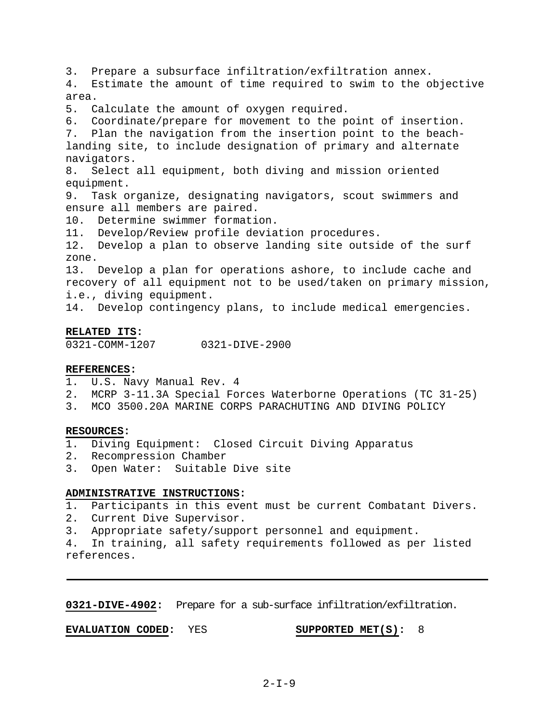3. Prepare a subsurface infiltration/exfiltration annex.

4. Estimate the amount of time required to swim to the objective area.

5. Calculate the amount of oxygen required.

6. Coordinate/prepare for movement to the point of insertion. 7. Plan the navigation from the insertion point to the beachlanding site, to include designation of primary and alternate navigators.

8. Select all equipment, both diving and mission oriented equipment.

9. Task organize, designating navigators, scout swimmers and ensure all members are paired.

10. Determine swimmer formation.

11. Develop/Review profile deviation procedures.

12. Develop a plan to observe landing site outside of the surf zone.

13. Develop a plan for operations ashore, to include cache and recovery of all equipment not to be used/taken on primary mission, i.e., diving equipment.

14. Develop contingency plans, to include medical emergencies.

# **RELATED ITS:**

0321-COMM-1207 0321-DIVE-2900

# **REFERENCES:**

- 1. U.S. Navy Manual Rev. 4
- 2. MCRP 3-11.3A Special Forces Waterborne Operations (TC 31-25)
- 3. MCO 3500.20A MARINE CORPS PARACHUTING AND DIVING POLICY

# **RESOURCES:**

- 1. Diving Equipment: Closed Circuit Diving Apparatus
- 2. Recompression Chamber
- 3. Open Water: Suitable Dive site

# **ADMINISTRATIVE INSTRUCTIONS:**

1. Participants in this event must be current Combatant Divers.

2. Current Dive Supervisor.

3. Appropriate safety/support personnel and equipment.

4. In training, all safety requirements followed as per listed references.

**0321-DIVE-4902:** Prepare for a sub-surface infiltration/exfiltration.

**EVALUATION CODED:** YES **SUPPORTED MET(S):** 8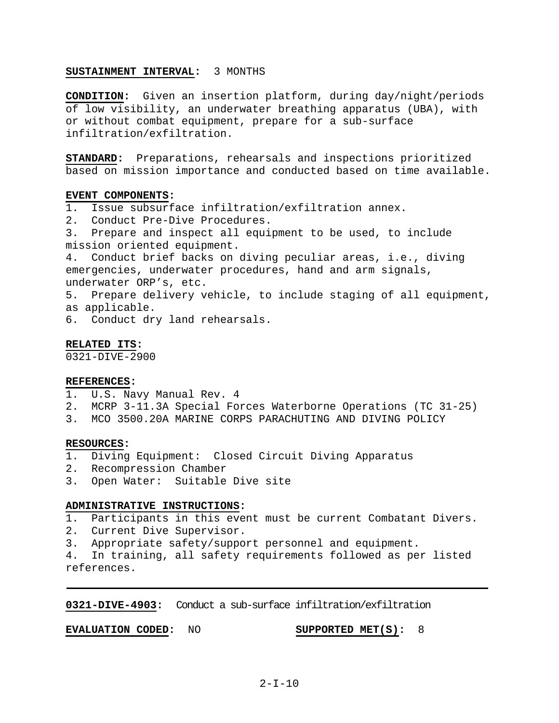## **SUSTAINMENT INTERVAL:** 3 MONTHS

**CONDITION:** Given an insertion platform, during day/night/periods of low visibility, an underwater breathing apparatus (UBA), with or without combat equipment, prepare for a sub-surface infiltration/exfiltration.

**STANDARD:** Preparations, rehearsals and inspections prioritized based on mission importance and conducted based on time available.

#### **EVENT COMPONENTS:**

- 1. Issue subsurface infiltration/exfiltration annex.
- 2. Conduct Pre-Dive Procedures.
- 3. Prepare and inspect all equipment to be used, to include mission oriented equipment.

4. Conduct brief backs on diving peculiar areas, i.e., diving emergencies, underwater procedures, hand and arm signals, underwater ORP's, etc.

- 5. Prepare delivery vehicle, to include staging of all equipment, as applicable.
- 6. Conduct dry land rehearsals.

#### **RELATED ITS:**

0321-DIVE-2900

# **REFERENCES:**

- 1. U.S. Navy Manual Rev. 4
- 2. MCRP 3-11.3A Special Forces Waterborne Operations (TC 31-25)
- 3. MCO 3500.20A MARINE CORPS PARACHUTING AND DIVING POLICY

#### **RESOURCES:**

- 1. Diving Equipment: Closed Circuit Diving Apparatus
- 2. Recompression Chamber
- 3. Open Water: Suitable Dive site

#### **ADMINISTRATIVE INSTRUCTIONS:**

- 1. Participants in this event must be current Combatant Divers.
- 2. Current Dive Supervisor.
- 3. Appropriate safety/support personnel and equipment.

4. In training, all safety requirements followed as per listed references.

**0321-DIVE-4903:** Conduct a sub-surface infiltration/exfiltration

**EVALUATION CODED:** NO **SUPPORTED MET(S):** 8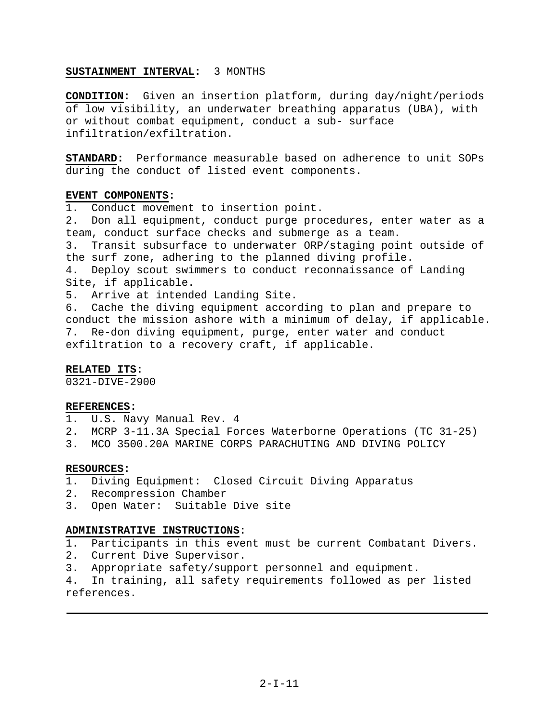## **SUSTAINMENT INTERVAL:** 3 MONTHS

**CONDITION:** Given an insertion platform, during day/night/periods of low visibility, an underwater breathing apparatus (UBA), with or without combat equipment, conduct a sub- surface infiltration/exfiltration.

**STANDARD:** Performance measurable based on adherence to unit SOPs during the conduct of listed event components.

#### **EVENT COMPONENTS:**

1. Conduct movement to insertion point. 2. Don all equipment, conduct purge procedures, enter water as a team, conduct surface checks and submerge as a team. 3. Transit subsurface to underwater ORP/staging point outside of the surf zone, adhering to the planned diving profile. 4. Deploy scout swimmers to conduct reconnaissance of Landing Site, if applicable. 5. Arrive at intended Landing Site. 6. Cache the diving equipment according to plan and prepare to conduct the mission ashore with a minimum of delay, if applicable. 7. Re-don diving equipment, purge, enter water and conduct

# exfiltration to a recovery craft, if applicable.

# **RELATED ITS:**

0321-DIVE-2900

# **REFERENCES:**

- 1. U.S. Navy Manual Rev. 4
- 2. MCRP 3-11.3A Special Forces Waterborne Operations (TC 31-25)
- 3. MCO 3500.20A MARINE CORPS PARACHUTING AND DIVING POLICY

#### **RESOURCES:**

- 1. Diving Equipment: Closed Circuit Diving Apparatus
- 2. Recompression Chamber
- 3. Open Water: Suitable Dive site

# **ADMINISTRATIVE INSTRUCTIONS:**

- 1. Participants in this event must be current Combatant Divers.
- 2. Current Dive Supervisor.
- 3. Appropriate safety/support personnel and equipment.

4. In training, all safety requirements followed as per listed references.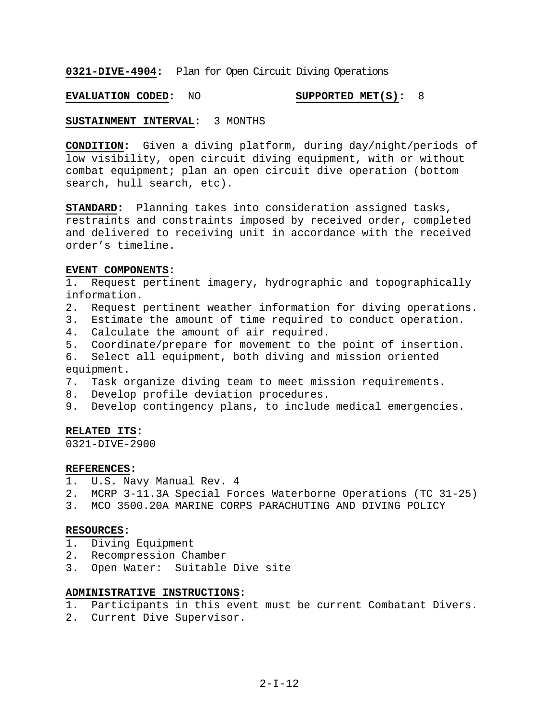**0321-DIVE-4904:** Plan for Open Circuit Diving Operations

**EVALUATION CODED:** NO **SUPPORTED MET(S):** 8

**SUSTAINMENT INTERVAL:** 3 MONTHS

**CONDITION:** Given a diving platform, during day/night/periods of low visibility, open circuit diving equipment, with or without combat equipment; plan an open circuit dive operation (bottom search, hull search, etc).

**STANDARD:** Planning takes into consideration assigned tasks, restraints and constraints imposed by received order, completed and delivered to receiving unit in accordance with the received order's timeline.

# **EVENT COMPONENTS:**

1. Request pertinent imagery, hydrographic and topographically information.

- 2. Request pertinent weather information for diving operations.
- 3. Estimate the amount of time required to conduct operation.
- 4. Calculate the amount of air required.
- 5. Coordinate/prepare for movement to the point of insertion.

6. Select all equipment, both diving and mission oriented equipment.

- 7. Task organize diving team to meet mission requirements.
- 8. Develop profile deviation procedures.
- 9. Develop contingency plans, to include medical emergencies.

#### **RELATED ITS:**

 $0321 - DIVE - 2900$ 

#### **REFERENCES:**

- 1. U.S. Navy Manual Rev. 4
- 2. MCRP 3-11.3A Special Forces Waterborne Operations (TC 31-25)
- 3. MCO 3500.20A MARINE CORPS PARACHUTING AND DIVING POLICY

#### **RESOURCES:**

- 1. Diving Equipment
- 2. Recompression Chamber
- 3. Open Water: Suitable Dive site

# **ADMINISTRATIVE INSTRUCTIONS:**

- 1. Participants in this event must be current Combatant Divers.
- 2. Current Dive Supervisor.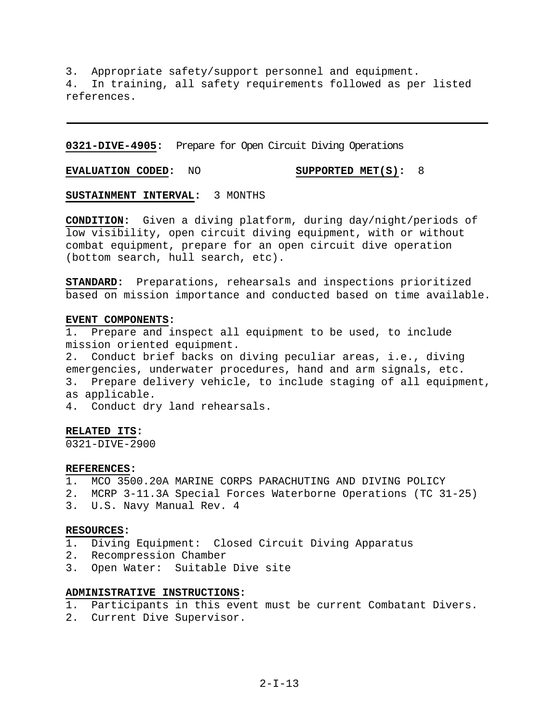3. Appropriate safety/support personnel and equipment. 4. In training, all safety requirements followed as per listed references.

**0321-DIVE-4905:** Prepare for Open Circuit Diving Operations

**EVALUATION CODED:** NO **SUPPORTED MET(S):** 8

**SUSTAINMENT INTERVAL:** 3 MONTHS

**CONDITION:** Given a diving platform, during day/night/periods of low visibility, open circuit diving equipment, with or without combat equipment, prepare for an open circuit dive operation (bottom search, hull search, etc).

**STANDARD:** Preparations, rehearsals and inspections prioritized based on mission importance and conducted based on time available.

#### **EVENT COMPONENTS:**

1. Prepare and inspect all equipment to be used, to include mission oriented equipment.

2. Conduct brief backs on diving peculiar areas, i.e., diving emergencies, underwater procedures, hand and arm signals, etc. 3. Prepare delivery vehicle, to include staging of all equipment, as applicable.

4. Conduct dry land rehearsals.

# **RELATED ITS:**

0321-DIVE-2900

#### **REFERENCES:**

- 1. MCO 3500.20A MARINE CORPS PARACHUTING AND DIVING POLICY
- 2. MCRP 3-11.3A Special Forces Waterborne Operations (TC 31-25)
- 3. U.S. Navy Manual Rev. 4

#### **RESOURCES:**

- 1. Diving Equipment: Closed Circuit Diving Apparatus
- 2. Recompression Chamber
- 3. Open Water: Suitable Dive site

# **ADMINISTRATIVE INSTRUCTIONS:**

- 1. Participants in this event must be current Combatant Divers.
- 2. Current Dive Supervisor.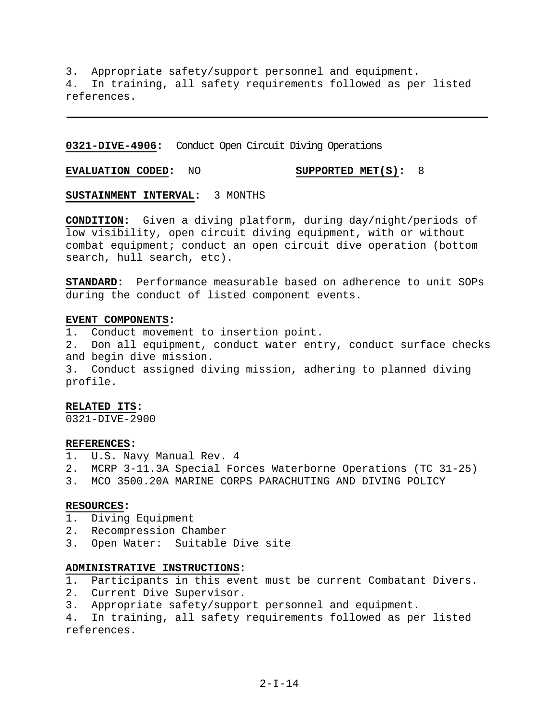3. Appropriate safety/support personnel and equipment. 4. In training, all safety requirements followed as per listed references.

**0321-DIVE-4906:** Conduct Open Circuit Diving Operations

**EVALUATION CODED:** NO **SUPPORTED MET(S):** 8

**SUSTAINMENT INTERVAL:** 3 MONTHS

**CONDITION:** Given a diving platform, during day/night/periods of low visibility, open circuit diving equipment, with or without combat equipment; conduct an open circuit dive operation (bottom search, hull search, etc).

**STANDARD:** Performance measurable based on adherence to unit SOPs during the conduct of listed component events.

#### **EVENT COMPONENTS:**

1. Conduct movement to insertion point.

2. Don all equipment, conduct water entry, conduct surface checks and begin dive mission.

3. Conduct assigned diving mission, adhering to planned diving profile.

#### **RELATED ITS:**

0321-DIVE-2900

#### **REFERENCES:**

- 1. U.S. Navy Manual Rev. 4
- 2. MCRP 3-11.3A Special Forces Waterborne Operations (TC 31-25)
- 3. MCO 3500.20A MARINE CORPS PARACHUTING AND DIVING POLICY

#### **RESOURCES:**

- 1. Diving Equipment
- 2. Recompression Chamber
- 3. Open Water: Suitable Dive site

#### **ADMINISTRATIVE INSTRUCTIONS:**

1. Participants in this event must be current Combatant Divers.

- 2. Current Dive Supervisor.
- 3. Appropriate safety/support personnel and equipment.

4. In training, all safety requirements followed as per listed references.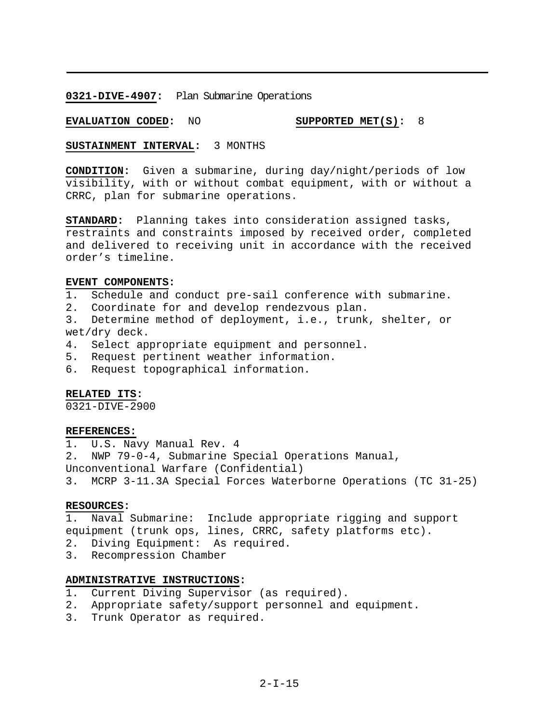**0321-DIVE-4907:** Plan Submarine Operations

**EVALUATION CODED:** NO **SUPPORTED MET(S):** 8

#### **SUSTAINMENT INTERVAL:** 3 MONTHS

**CONDITION:** Given a submarine, during day/night/periods of low visibility, with or without combat equipment, with or without a CRRC, plan for submarine operations.

**STANDARD:** Planning takes into consideration assigned tasks, restraints and constraints imposed by received order, completed and delivered to receiving unit in accordance with the received order's timeline.

# **EVENT COMPONENTS:**

- 1. Schedule and conduct pre-sail conference with submarine.
- 2. Coordinate for and develop rendezvous plan.

3. Determine method of deployment, i.e., trunk, shelter, or wet/dry deck.

- 4. Select appropriate equipment and personnel.
- 5. Request pertinent weather information.
- 6. Request topographical information.

# **RELATED ITS:**

0321-DIVE-2900

# **REFERENCES:**

1. U.S. Navy Manual Rev. 4

2. NWP 79-0-4, Submarine Special Operations Manual,

Unconventional Warfare (Confidential)

3. MCRP 3-11.3A Special Forces Waterborne Operations (TC 31-25)

## **RESOURCES:**

1. Naval Submarine: Include appropriate rigging and support equipment (trunk ops, lines, CRRC, safety platforms etc).

- 2. Diving Equipment: As required.
- 3. Recompression Chamber

#### **ADMINISTRATIVE INSTRUCTIONS:**

- 1. Current Diving Supervisor (as required).
- 2. Appropriate safety/support personnel and equipment.
- 3. Trunk Operator as required.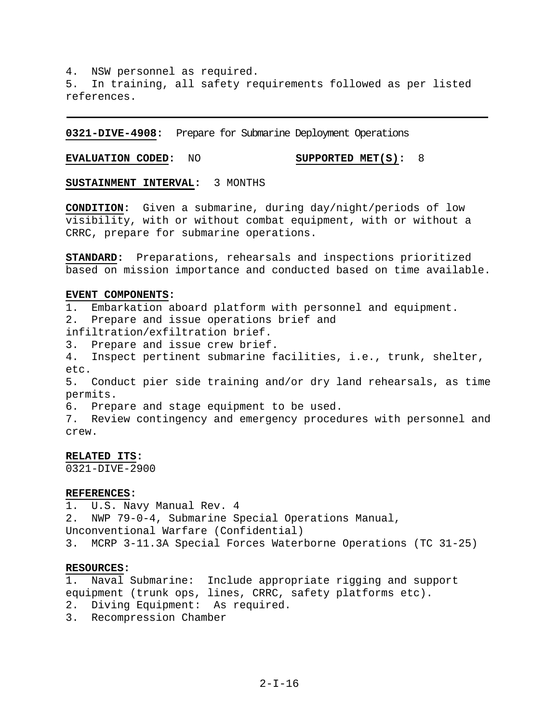4. NSW personnel as required. 5. In training, all safety requirements followed as per listed references.

**0321-DIVE-4908:** Prepare for Submarine Deployment Operations

**EVALUATION CODED:** NO **SUPPORTED MET(S):** 8

**SUSTAINMENT INTERVAL:** 3 MONTHS

**CONDITION:** Given a submarine, during day/night/periods of low visibility, with or without combat equipment, with or without a CRRC, prepare for submarine operations.

**STANDARD:** Preparations, rehearsals and inspections prioritized based on mission importance and conducted based on time available.

#### **EVENT COMPONENTS:**

1. Embarkation aboard platform with personnel and equipment. 2. Prepare and issue operations brief and infiltration/exfiltration brief. 3. Prepare and issue crew brief. 4. Inspect pertinent submarine facilities, i.e., trunk, shelter, etc. 5. Conduct pier side training and/or dry land rehearsals, as time permits. 6. Prepare and stage equipment to be used. 7. Review contingency and emergency procedures with personnel and crew.

# **RELATED ITS:**

0321-DIVE-2900

#### **REFERENCES:**

1. U.S. Navy Manual Rev. 4 2. NWP 79-0-4, Submarine Special Operations Manual, Unconventional Warfare (Confidential) 3. MCRP 3-11.3A Special Forces Waterborne Operations (TC 31-25)

# **RESOURCES:**

1. Naval Submarine: Include appropriate rigging and support equipment (trunk ops, lines, CRRC, safety platforms etc).

- 2. Diving Equipment: As required.
- 3. Recompression Chamber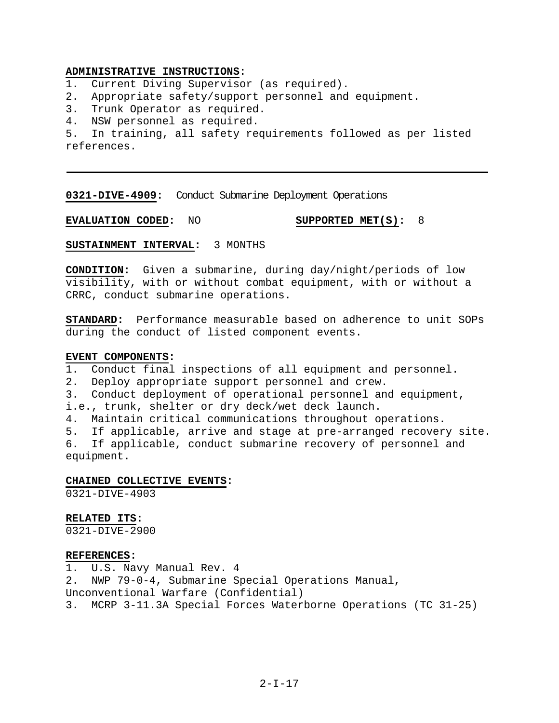# **ADMINISTRATIVE INSTRUCTIONS:**

- 1. Current Diving Supervisor (as required).
- 2. Appropriate safety/support personnel and equipment.
- 3. Trunk Operator as required.
- 4. NSW personnel as required.

5. In training, all safety requirements followed as per listed references.

**0321-DIVE-4909:** Conduct Submarine Deployment Operations

**EVALUATION CODED:** NO **SUPPORTED MET(S):** 8

**SUSTAINMENT INTERVAL:** 3 MONTHS

**CONDITION:** Given a submarine, during day/night/periods of low visibility, with or without combat equipment, with or without a CRRC, conduct submarine operations.

**STANDARD:** Performance measurable based on adherence to unit SOPs during the conduct of listed component events.

### **EVENT COMPONENTS:**

- 1. Conduct final inspections of all equipment and personnel.
- 2. Deploy appropriate support personnel and crew.
- 3. Conduct deployment of operational personnel and equipment,

i.e., trunk, shelter or dry deck/wet deck launch.

4. Maintain critical communications throughout operations.

5. If applicable, arrive and stage at pre-arranged recovery site. 6. If applicable, conduct submarine recovery of personnel and equipment.

# **CHAINED COLLECTIVE EVENTS:**

0321-DIVE-4903

**RELATED ITS:**

0321-DIVE-2900

#### **REFERENCES:**

1. U.S. Navy Manual Rev. 4

- 2. NWP 79-0-4, Submarine Special Operations Manual,
- Unconventional Warfare (Confidential)

3. MCRP 3-11.3A Special Forces Waterborne Operations (TC 31-25)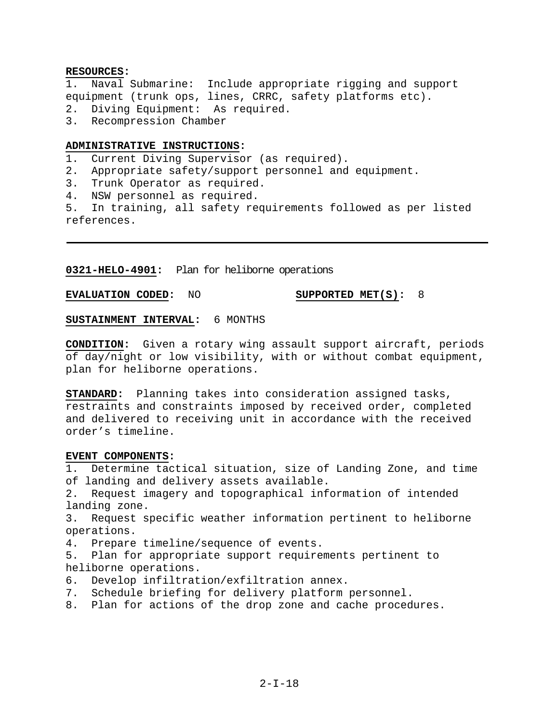# **RESOURCES:**

1. Naval Submarine: Include appropriate rigging and support equipment (trunk ops, lines, CRRC, safety platforms etc). 2. Diving Equipment: As required.

3. Recompression Chamber

# **ADMINISTRATIVE INSTRUCTIONS:**

1. Current Diving Supervisor (as required).

- 2. Appropriate safety/support personnel and equipment.
- 3. Trunk Operator as required.
- 4. NSW personnel as required.

5. In training, all safety requirements followed as per listed references.

**0321-HELO-4901:** Plan for heliborne operations

**EVALUATION CODED:** NO **SUPPORTED MET(S):** 8

**SUSTAINMENT INTERVAL:** 6 MONTHS

**CONDITION:** Given a rotary wing assault support aircraft, periods of day/night or low visibility, with or without combat equipment, plan for heliborne operations.

**STANDARD:** Planning takes into consideration assigned tasks, restraints and constraints imposed by received order, completed and delivered to receiving unit in accordance with the received order's timeline.

# **EVENT COMPONENTS:**

1. Determine tactical situation, size of Landing Zone, and time of landing and delivery assets available.

2. Request imagery and topographical information of intended landing zone.

3. Request specific weather information pertinent to heliborne operations.

4. Prepare timeline/sequence of events.

5. Plan for appropriate support requirements pertinent to heliborne operations.

- 6. Develop infiltration/exfiltration annex.
- 7. Schedule briefing for delivery platform personnel.
- 8. Plan for actions of the drop zone and cache procedures.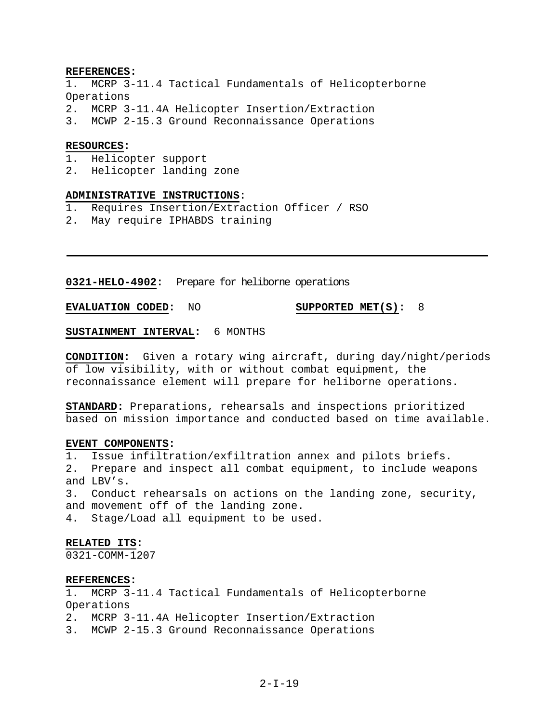#### **REFERENCES:**

- MCRP 3-11.4 Tactical Fundamentals of Helicopterborne Operations
- 2. MCRP 3-11.4A Helicopter Insertion/Extraction
- 3. MCWP 2-15.3 Ground Reconnaissance Operations

#### **RESOURCES:**

- 1. Helicopter support
- 2. Helicopter landing zone

# **ADMINISTRATIVE INSTRUCTIONS:**

- 1. Requires Insertion/Extraction Officer / RSO
- 2. May require IPHABDS training

**0321-HELO-4902:** Prepare for heliborne operations

**EVALUATION CODED:** NO **SUPPORTED MET(S):** 8

# **SUSTAINMENT INTERVAL:** 6 MONTHS

**CONDITION:** Given a rotary wing aircraft, during day/night/periods of low visibility, with or without combat equipment, the reconnaissance element will prepare for heliborne operations.

**STANDARD:** Preparations, rehearsals and inspections prioritized based on mission importance and conducted based on time available.

#### **EVENT COMPONENTS:**

- 1. Issue infiltration/exfiltration annex and pilots briefs.
- 2. Prepare and inspect all combat equipment, to include weapons and LBV's.

3. Conduct rehearsals on actions on the landing zone, security, and movement off of the landing zone.

4. Stage/Load all equipment to be used.

# **RELATED ITS:**

0321-COMM-1207

#### **REFERENCES:**

1. MCRP 3-11.4 Tactical Fundamentals of Helicopterborne Operations

- 2. MCRP 3-11.4A Helicopter Insertion/Extraction
- 3. MCWP 2-15.3 Ground Reconnaissance Operations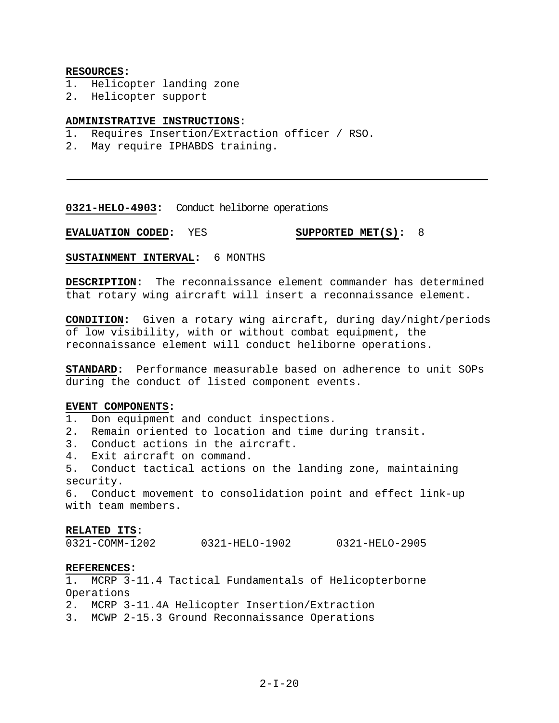#### **RESOURCES:**

- 1. Helicopter landing zone
- 2. Helicopter support

# **ADMINISTRATIVE INSTRUCTIONS:**

- 1. Requires Insertion/Extraction officer / RSO.
- 2. May require IPHABDS training.

#### **0321-HELO-4903:** Conduct heliborne operations

**EVALUATION CODED:** YES **SUPPORTED MET(S):** 8

**SUSTAINMENT INTERVAL:** 6 MONTHS

**DESCRIPTION:** The reconnaissance element commander has determined that rotary wing aircraft will insert a reconnaissance element.

**CONDITION:** Given a rotary wing aircraft, during day/night/periods of low visibility, with or without combat equipment, the reconnaissance element will conduct heliborne operations.

**STANDARD:** Performance measurable based on adherence to unit SOPs during the conduct of listed component events.

# **EVENT COMPONENTS:**

1. Don equipment and conduct inspections.

2. Remain oriented to location and time during transit.

3. Conduct actions in the aircraft.

4. Exit aircraft on command.

5. Conduct tactical actions on the landing zone, maintaining security.

6. Conduct movement to consolidation point and effect link-up with team members.

#### **RELATED ITS:**

0321-COMM-1202 0321-HELO-1902 0321-HELO-2905

# **REFERENCES:**

1. MCRP 3-11.4 Tactical Fundamentals of Helicopterborne Operations

2. MCRP 3-11.4A Helicopter Insertion/Extraction

3. MCWP 2-15.3 Ground Reconnaissance Operations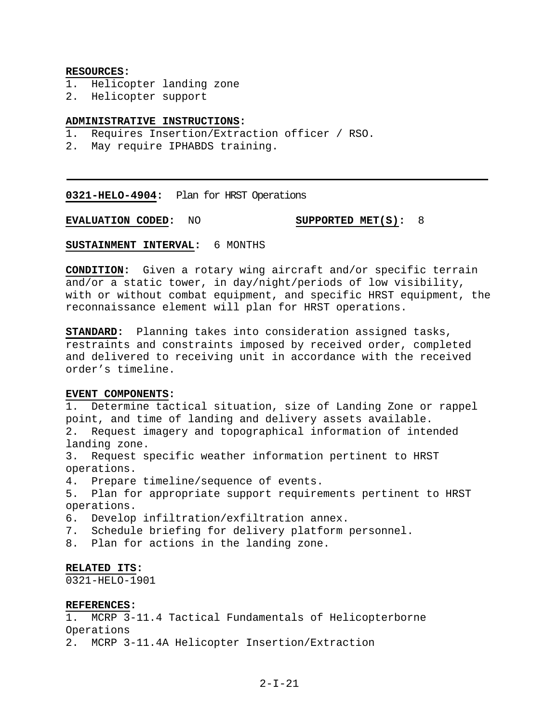#### **RESOURCES:**

- 1. Helicopter landing zone
- 2. Helicopter support

# **ADMINISTRATIVE INSTRUCTIONS:**

- 1. Requires Insertion/Extraction officer / RSO.
- 2. May require IPHABDS training.

**0321-HELO-4904:** Plan for HRST Operations

**EVALUATION CODED:** NO **SUPPORTED MET(S):** 8

**SUSTAINMENT INTERVAL:** 6 MONTHS

**CONDITION:** Given a rotary wing aircraft and/or specific terrain and/or a static tower, in day/night/periods of low visibility, with or without combat equipment, and specific HRST equipment, the reconnaissance element will plan for HRST operations.

**STANDARD:** Planning takes into consideration assigned tasks, restraints and constraints imposed by received order, completed and delivered to receiving unit in accordance with the received order's timeline.

# **EVENT COMPONENTS:**

1. Determine tactical situation, size of Landing Zone or rappel point, and time of landing and delivery assets available. 2. Request imagery and topographical information of intended landing zone.

3. Request specific weather information pertinent to HRST operations.

4. Prepare timeline/sequence of events.

5. Plan for appropriate support requirements pertinent to HRST operations.

- 6. Develop infiltration/exfiltration annex.
- 7. Schedule briefing for delivery platform personnel.
- 8. Plan for actions in the landing zone.

# **RELATED ITS:**

0321-HELO-1901

#### **REFERENCES:**

1. MCRP 3-11.4 Tactical Fundamentals of Helicopterborne Operations

2. MCRP 3-11.4A Helicopter Insertion/Extraction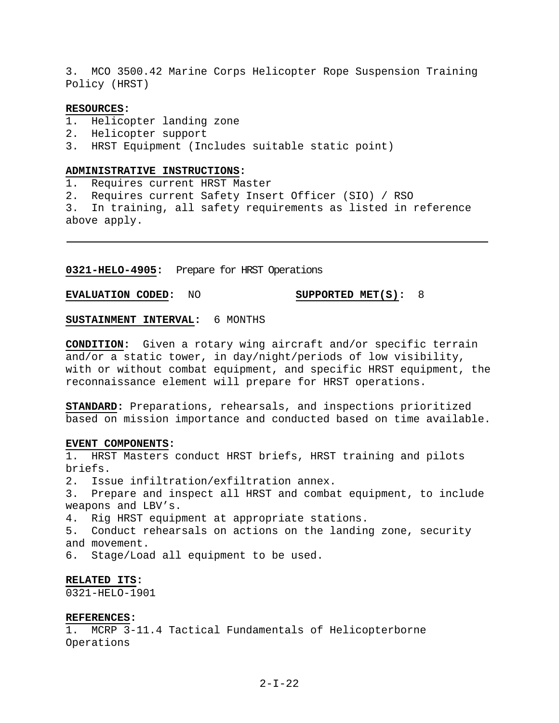3. MCO 3500.42 Marine Corps Helicopter Rope Suspension Training Policy (HRST)

#### **RESOURCES:**

- 1. Helicopter landing zone
- 2. Helicopter support
- 3. HRST Equipment (Includes suitable static point)

# **ADMINISTRATIVE INSTRUCTIONS:**

1. Requires current HRST Master

2. Requires current Safety Insert Officer (SIO) / RSO

3. In training, all safety requirements as listed in reference above apply.

**0321-HELO-4905:** Prepare for HRST Operations

**EVALUATION CODED:** NO **SUPPORTED MET(S):** 8

**SUSTAINMENT INTERVAL:** 6 MONTHS

**CONDITION:** Given a rotary wing aircraft and/or specific terrain and/or a static tower, in day/night/periods of low visibility, with or without combat equipment, and specific HRST equipment, the reconnaissance element will prepare for HRST operations.

**STANDARD:** Preparations, rehearsals, and inspections prioritized based on mission importance and conducted based on time available.

#### **EVENT COMPONENTS:**

1. HRST Masters conduct HRST briefs, HRST training and pilots briefs.

2. Issue infiltration/exfiltration annex.

3. Prepare and inspect all HRST and combat equipment, to include weapons and LBV's.

4. Rig HRST equipment at appropriate stations.

5. Conduct rehearsals on actions on the landing zone, security and movement.

6. Stage/Load all equipment to be used.

#### **RELATED ITS:**

0321-HELO-1901

# **REFERENCES:**

1. MCRP 3-11.4 Tactical Fundamentals of Helicopterborne Operations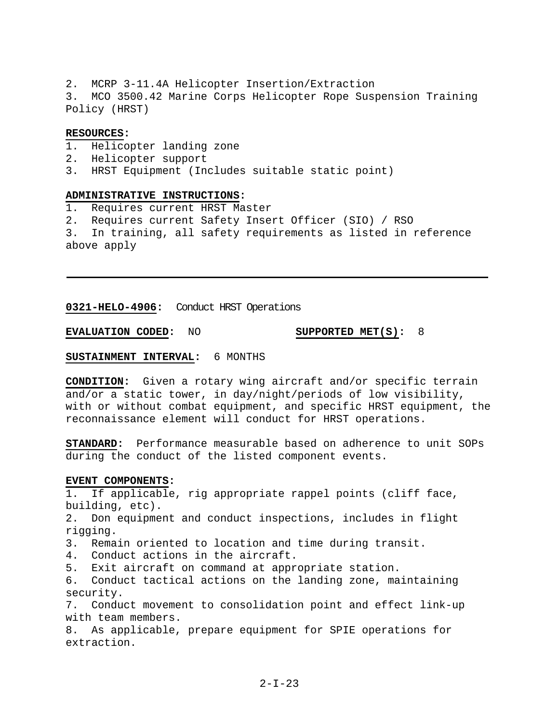2. MCRP 3-11.4A Helicopter Insertion/Extraction 3. MCO 3500.42 Marine Corps Helicopter Rope Suspension Training Policy (HRST)

## **RESOURCES:**

- 1. Helicopter landing zone
- 2. Helicopter support
- 3. HRST Equipment (Includes suitable static point)

# **ADMINISTRATIVE INSTRUCTIONS:**

- 1. Requires current HRST Master
- 2. Requires current Safety Insert Officer (SIO) / RSO

3. In training, all safety requirements as listed in reference above apply

**0321-HELO-4906:** Conduct HRST Operations

**EVALUATION CODED:** NO **SUPPORTED MET(S):** 8

# **SUSTAINMENT INTERVAL:** 6 MONTHS

**CONDITION:** Given a rotary wing aircraft and/or specific terrain and/or a static tower, in day/night/periods of low visibility, with or without combat equipment, and specific HRST equipment, the reconnaissance element will conduct for HRST operations.

**STANDARD:** Performance measurable based on adherence to unit SOPs during the conduct of the listed component events.

#### **EVENT COMPONENTS:**

1. If applicable, rig appropriate rappel points (cliff face, building, etc).

2. Don equipment and conduct inspections, includes in flight rigging.

3. Remain oriented to location and time during transit.

4. Conduct actions in the aircraft.

5. Exit aircraft on command at appropriate station.

6. Conduct tactical actions on the landing zone, maintaining security.

7. Conduct movement to consolidation point and effect link-up with team members.

8. As applicable, prepare equipment for SPIE operations for extraction.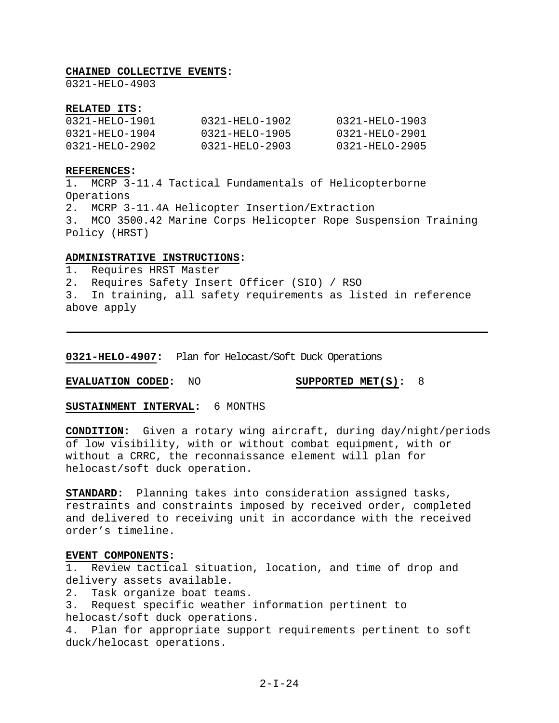## **CHAINED COLLECTIVE EVENTS:**

0321-HELO-4903

#### **RELATED ITS:**

| 0321-HELO-1901 | 0321-HELO-1902 | 0321-HELO-1903 |
|----------------|----------------|----------------|
| 0321-HELO-1904 | 0321-HELO-1905 | 0321-HELO-2901 |
| 0321-HELO-2902 | 0321-HELO-2903 | 0321-HEL0-2905 |

#### **REFERENCES:**

1. MCRP 3-11.4 Tactical Fundamentals of Helicopterborne Operations 2. MCRP 3-11.4A Helicopter Insertion/Extraction 3. MCO 3500.42 Marine Corps Helicopter Rope Suspension Training Policy (HRST)

# **ADMINISTRATIVE INSTRUCTIONS:**

1. Requires HRST Master

2. Requires Safety Insert Officer (SIO) / RSO

3. In training, all safety requirements as listed in reference above apply

**0321-HELO-4907:** Plan for Helocast/Soft Duck Operations

**EVALUATION CODED:** NO **SUPPORTED MET(S):** 8

**SUSTAINMENT INTERVAL:** 6 MONTHS

**CONDITION:** Given a rotary wing aircraft, during day/night/periods of low visibility, with or without combat equipment, with or without a CRRC, the reconnaissance element will plan for helocast/soft duck operation.

**STANDARD:** Planning takes into consideration assigned tasks, restraints and constraints imposed by received order, completed and delivered to receiving unit in accordance with the received order's timeline.

#### **EVENT COMPONENTS:**

1. Review tactical situation, location, and time of drop and delivery assets available.

2. Task organize boat teams.

3. Request specific weather information pertinent to helocast/soft duck operations.

4. Plan for appropriate support requirements pertinent to soft duck/helocast operations.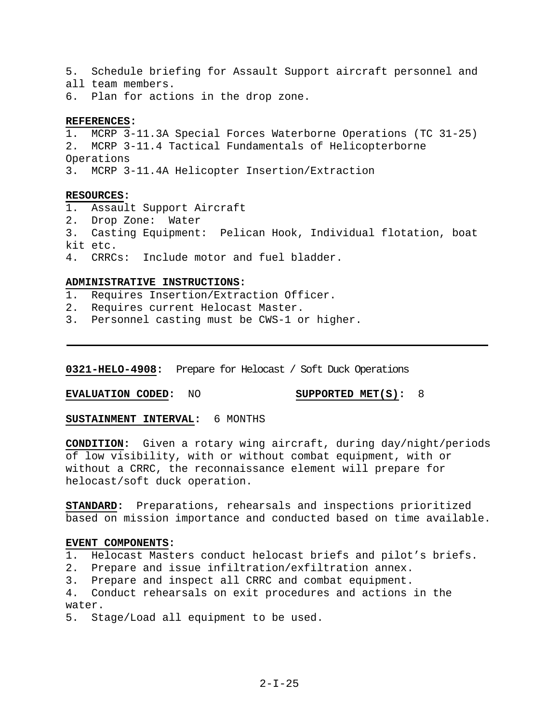5. Schedule briefing for Assault Support aircraft personnel and all team members.

6. Plan for actions in the drop zone.

# **REFERENCES:**

1. MCRP 3-11.3A Special Forces Waterborne Operations (TC 31-25) 2. MCRP 3-11.4 Tactical Fundamentals of Helicopterborne Operations 3. MCRP 3-11.4A Helicopter Insertion/Extraction

# **RESOURCES:**

- 1. Assault Support Aircraft
- 2. Drop Zone: Water
- 3. Casting Equipment: Pelican Hook, Individual flotation, boat kit etc.
- 4. CRRCs: Include motor and fuel bladder.

# **ADMINISTRATIVE INSTRUCTIONS:**

- 1. Requires Insertion/Extraction Officer.
- 2. Requires current Helocast Master.
- 3. Personnel casting must be CWS-1 or higher.

**0321-HELO-4908:** Prepare for Helocast / Soft Duck Operations

**EVALUATION CODED:** NO **SUPPORTED MET(S):** 8

**SUSTAINMENT INTERVAL:** 6 MONTHS

**CONDITION:** Given a rotary wing aircraft, during day/night/periods of low visibility, with or without combat equipment, with or without a CRRC, the reconnaissance element will prepare for helocast/soft duck operation.

**STANDARD:** Preparations, rehearsals and inspections prioritized based on mission importance and conducted based on time available.

# **EVENT COMPONENTS:**

- 1. Helocast Masters conduct helocast briefs and pilot's briefs.
- 2. Prepare and issue infiltration/exfiltration annex.
- 3. Prepare and inspect all CRRC and combat equipment.

4. Conduct rehearsals on exit procedures and actions in the water.

5. Stage/Load all equipment to be used.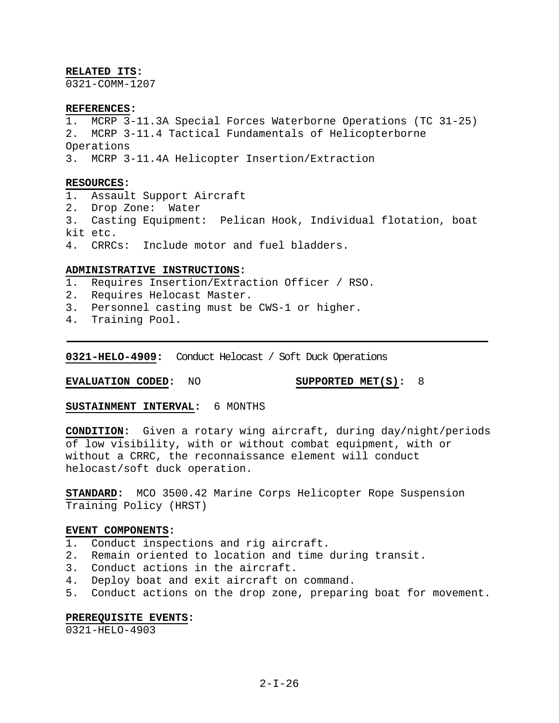#### **RELATED ITS:**

0321-COMM-1207

#### **REFERENCES:**

1. MCRP 3-11.3A Special Forces Waterborne Operations (TC 31-25) 2. MCRP 3-11.4 Tactical Fundamentals of Helicopterborne Operations 3. MCRP 3-11.4A Helicopter Insertion/Extraction

#### **RESOURCES:**

- 1. Assault Support Aircraft
- 2. Drop Zone: Water
- 3. Casting Equipment: Pelican Hook, Individual flotation, boat kit etc.
- 4. CRRCs: Include motor and fuel bladders.

## **ADMINISTRATIVE INSTRUCTIONS:**

- 1. Requires Insertion/Extraction Officer / RSO.
- 2. Requires Helocast Master.
- 3. Personnel casting must be CWS-1 or higher.
- 4. Training Pool.

**0321-HELO-4909:** Conduct Helocast / Soft Duck Operations

**EVALUATION CODED:** NO **SUPPORTED MET(S):** 8

**SUSTAINMENT INTERVAL:** 6 MONTHS

**CONDITION:** Given a rotary wing aircraft, during day/night/periods of low visibility, with or without combat equipment, with or without a CRRC, the reconnaissance element will conduct helocast/soft duck operation.

**STANDARD:** MCO 3500.42 Marine Corps Helicopter Rope Suspension Training Policy (HRST)

#### **EVENT COMPONENTS:**

- 1. Conduct inspections and rig aircraft.
- 2. Remain oriented to location and time during transit.
- 3. Conduct actions in the aircraft.
- 4. Deploy boat and exit aircraft on command.
- 5. Conduct actions on the drop zone, preparing boat for movement.

#### **PREREQUISITE EVENTS:**

0321-HELO-4903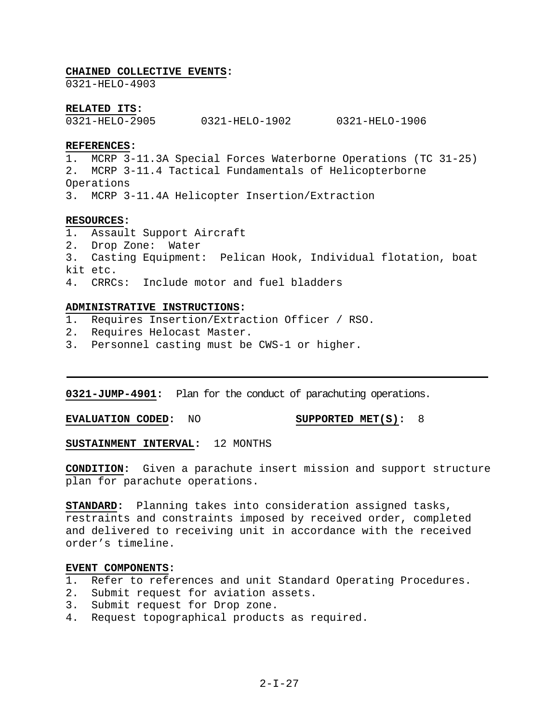#### **CHAINED COLLECTIVE EVENTS:**

0321-HELO-4903

#### **RELATED ITS:**

0321-HELO-2905 0321-HELO-1902 0321-HELO-1906

## **REFERENCES:**

1. MCRP 3-11.3A Special Forces Waterborne Operations (TC 31-25) 2. MCRP 3-11.4 Tactical Fundamentals of Helicopterborne Operations

3. MCRP 3-11.4A Helicopter Insertion/Extraction

### **RESOURCES:**

- 1. Assault Support Aircraft
- 2. Drop Zone: Water
- 3. Casting Equipment: Pelican Hook, Individual flotation, boat kit etc.
- 4. CRRCs: Include motor and fuel bladders

# **ADMINISTRATIVE INSTRUCTIONS:**

- 1. Requires Insertion/Extraction Officer / RSO.
- 2. Requires Helocast Master.
- 3. Personnel casting must be CWS-1 or higher.

**0321-JUMP-4901:** Plan for the conduct of parachuting operations.

**EVALUATION CODED:** NO **SUPPORTED MET(S):** 8

**SUSTAINMENT INTERVAL:** 12 MONTHS

**CONDITION:** Given a parachute insert mission and support structure plan for parachute operations.

**STANDARD:** Planning takes into consideration assigned tasks, restraints and constraints imposed by received order, completed and delivered to receiving unit in accordance with the received order's timeline.

# **EVENT COMPONENTS:**

- 1. Refer to references and unit Standard Operating Procedures.
- 2. Submit request for aviation assets.
- 3. Submit request for Drop zone.
- 4. Request topographical products as required.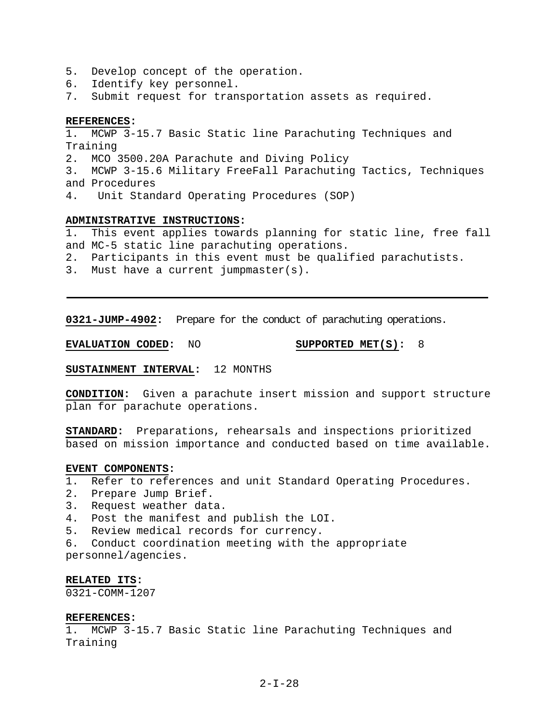- 5. Develop concept of the operation.
- 6. Identify key personnel.
- 7. Submit request for transportation assets as required.

#### **REFERENCES:**

1. MCWP 3-15.7 Basic Static line Parachuting Techniques and Training 2. MCO 3500.20A Parachute and Diving Policy 3. MCWP 3-15.6 Military FreeFall Parachuting Tactics, Techniques and Procedures 4. Unit Standard Operating Procedures (SOP)

# **ADMINISTRATIVE INSTRUCTIONS:**

1. This event applies towards planning for static line, free fall and MC-5 static line parachuting operations.

- 2. Participants in this event must be qualified parachutists.
- 3. Must have a current jumpmaster(s).

**0321-JUMP-4902:** Prepare for the conduct of parachuting operations.

**EVALUATION CODED:** NO **SUPPORTED MET(S):** 8

# **SUSTAINMENT INTERVAL:** 12 MONTHS

**CONDITION:** Given a parachute insert mission and support structure plan for parachute operations.

**STANDARD:** Preparations, rehearsals and inspections prioritized based on mission importance and conducted based on time available.

# **EVENT COMPONENTS:**

- 1. Refer to references and unit Standard Operating Procedures.
- 2. Prepare Jump Brief.
- 3. Request weather data.
- 4. Post the manifest and publish the LOI.
- 5. Review medical records for currency.
- 6. Conduct coordination meeting with the appropriate personnel/agencies.

#### **RELATED ITS:**

0321-COMM-1207

## **REFERENCES:**

1. MCWP 3-15.7 Basic Static line Parachuting Techniques and Training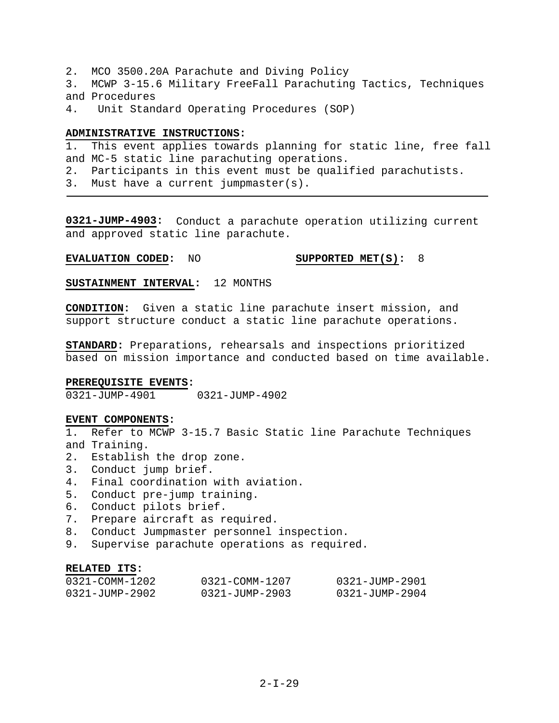- 2. MCO 3500.20A Parachute and Diving Policy
- 3. MCWP 3-15.6 Military FreeFall Parachuting Tactics, Techniques and Procedures
- 4. Unit Standard Operating Procedures (SOP)

#### **ADMINISTRATIVE INSTRUCTIONS:**

1. This event applies towards planning for static line, free fall and MC-5 static line parachuting operations.

- 2. Participants in this event must be qualified parachutists.
- 3. Must have a current jumpmaster(s).

**0321-JUMP-4903:** Conduct a parachute operation utilizing current and approved static line parachute.

### **EVALUATION CODED:** NO **SUPPORTED MET(S):** 8

**SUSTAINMENT INTERVAL:** 12 MONTHS

**CONDITION:** Given a static line parachute insert mission, and support structure conduct a static line parachute operations.

**STANDARD:** Preparations, rehearsals and inspections prioritized based on mission importance and conducted based on time available.

#### **PREREQUISITE EVENTS:**

0321-JUMP-4901 0321-JUMP-4902

#### **EVENT COMPONENTS:**

1. Refer to MCWP 3-15.7 Basic Static line Parachute Techniques and Training.

- 2. Establish the drop zone.
- 3. Conduct jump brief.
- 4. Final coordination with aviation.
- 5. Conduct pre-jump training.
- 6. Conduct pilots brief.
- 7. Prepare aircraft as required.
- 8. Conduct Jumpmaster personnel inspection.
- 9. Supervise parachute operations as required.

### **RELATED ITS:**

| 0321-COMM-1202 | 0321-COMM-1207 | 0321-JUMP-2901 |
|----------------|----------------|----------------|
| 0321-JUMP-2902 | 0321-JUMP-2903 | 0321-JUMP-2904 |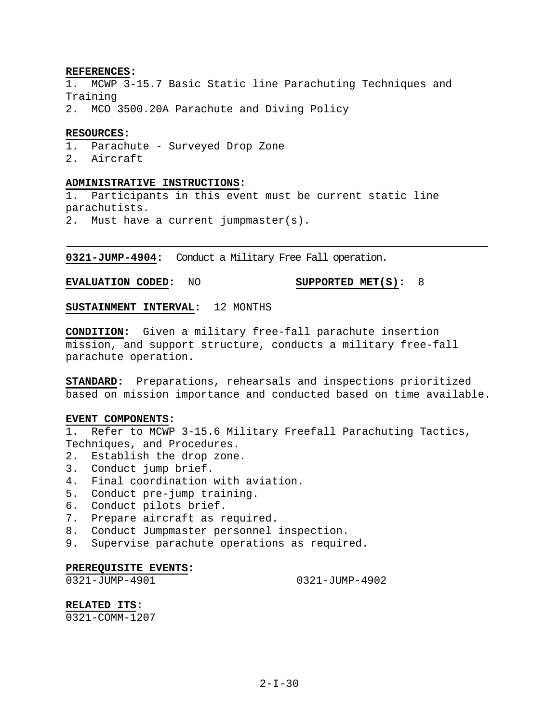#### **REFERENCES:**

1. MCWP 3-15.7 Basic Static line Parachuting Techniques and Training

2. MCO 3500.20A Parachute and Diving Policy

#### **RESOURCES:**

1. Parachute - Surveyed Drop Zone

2. Aircraft

#### **ADMINISTRATIVE INSTRUCTIONS:**

1. Participants in this event must be current static line parachutists. 2. Must have a current jumpmaster(s).

**0321-JUMP-4904:** Conduct a Military Free Fall operation.

**EVALUATION CODED:** NO **SUPPORTED MET(S):** 8

**SUSTAINMENT INTERVAL:** 12 MONTHS

**CONDITION:** Given a military free-fall parachute insertion mission, and support structure, conducts a military free-fall parachute operation.

**STANDARD:** Preparations, rehearsals and inspections prioritized based on mission importance and conducted based on time available.

#### **EVENT COMPONENTS:**

1. Refer to MCWP 3-15.6 Military Freefall Parachuting Tactics, Techniques, and Procedures.

- 2. Establish the drop zone.
- 3. Conduct jump brief.
- 4. Final coordination with aviation.
- 5. Conduct pre-jump training.
- 6. Conduct pilots brief.
- 7. Prepare aircraft as required.
- 8. Conduct Jumpmaster personnel inspection.
- 9. Supervise parachute operations as required.

### **PREREQUISITE EVENTS:**

0321-JUMP-4901 0321-JUMP-4902

**RELATED ITS:**

0321-COMM-1207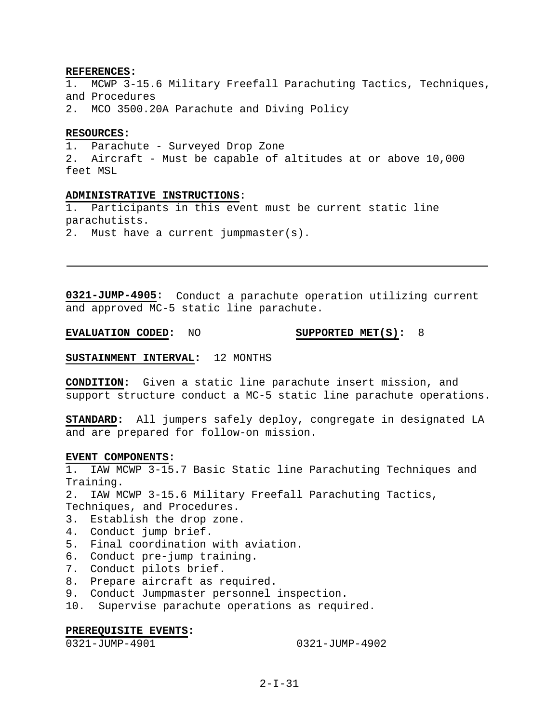#### **REFERENCES:**

1. MCWP 3-15.6 Military Freefall Parachuting Tactics, Techniques, and Procedures

2. MCO 3500.20A Parachute and Diving Policy

#### **RESOURCES:**

1. Parachute - Surveyed Drop Zone 2. Aircraft - Must be capable of altitudes at or above 10,000 feet MSL

### **ADMINISTRATIVE INSTRUCTIONS:**

1. Participants in this event must be current static line parachutists.

2. Must have a current jumpmaster(s).

**0321-JUMP-4905:** Conduct a parachute operation utilizing current and approved MC-5 static line parachute.

**EVALUATION CODED:** NO **SUPPORTED MET(S):** 8

### **SUSTAINMENT INTERVAL:** 12 MONTHS

**CONDITION:** Given a static line parachute insert mission, and support structure conduct a MC-5 static line parachute operations.

**STANDARD:** All jumpers safely deploy, congregate in designated LA and are prepared for follow-on mission.

#### **EVENT COMPONENTS:**

1. IAW MCWP 3-15.7 Basic Static line Parachuting Techniques and Training.

2. IAW MCWP 3-15.6 Military Freefall Parachuting Tactics, Techniques, and Procedures.

- 3. Establish the drop zone.
- 4. Conduct jump brief.
- 5. Final coordination with aviation.
- 6. Conduct pre-jump training.
- 7. Conduct pilots brief.
- 8. Prepare aircraft as required.
- 9. Conduct Jumpmaster personnel inspection.
- 10. Supervise parachute operations as required.

#### **PREREQUISITE EVENTS:**

0321-JUMP-4901 0321-JUMP-4902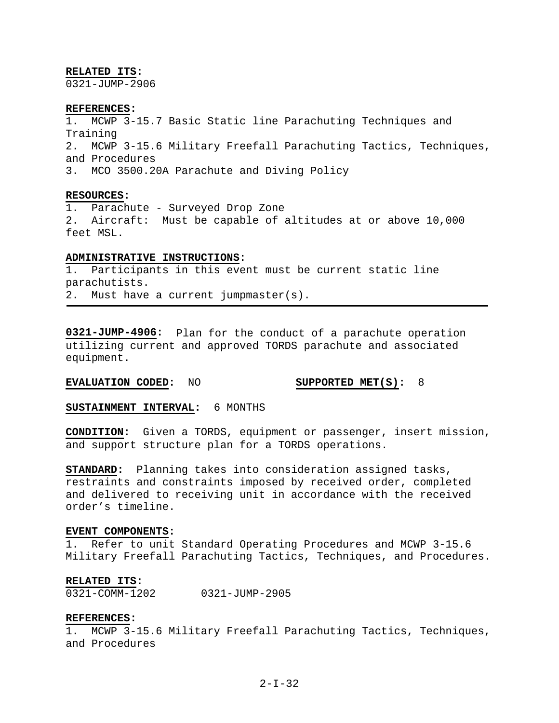#### **RELATED ITS:**

0321-JUMP-2906

#### **REFERENCES:**

1. MCWP 3-15.7 Basic Static line Parachuting Techniques and Training 2. MCWP 3-15.6 Military Freefall Parachuting Tactics, Techniques, and Procedures 3. MCO 3500.20A Parachute and Diving Policy

#### **RESOURCES:**

1. Parachute - Surveyed Drop Zone 2. Aircraft: Must be capable of altitudes at or above 10,000 feet MSL.

#### **ADMINISTRATIVE INSTRUCTIONS:**

1. Participants in this event must be current static line parachutists. 2. Must have a current jumpmaster(s).

**0321-JUMP-4906:** Plan for the conduct of a parachute operation utilizing current and approved TORDS parachute and associated equipment.

### **EVALUATION CODED:** NO **SUPPORTED MET(S):** 8

**SUSTAINMENT INTERVAL:** 6 MONTHS

**CONDITION:** Given a TORDS, equipment or passenger, insert mission, and support structure plan for a TORDS operations.

**STANDARD:** Planning takes into consideration assigned tasks, restraints and constraints imposed by received order, completed and delivered to receiving unit in accordance with the received order's timeline.

#### **EVENT COMPONENTS:**

1. Refer to unit Standard Operating Procedures and MCWP 3-15.6 Military Freefall Parachuting Tactics, Techniques, and Procedures.

#### **RELATED ITS:**

0321-COMM-1202 0321-JUMP-2905

#### **REFERENCES:**

1. MCWP 3-15.6 Military Freefall Parachuting Tactics, Techniques, and Procedures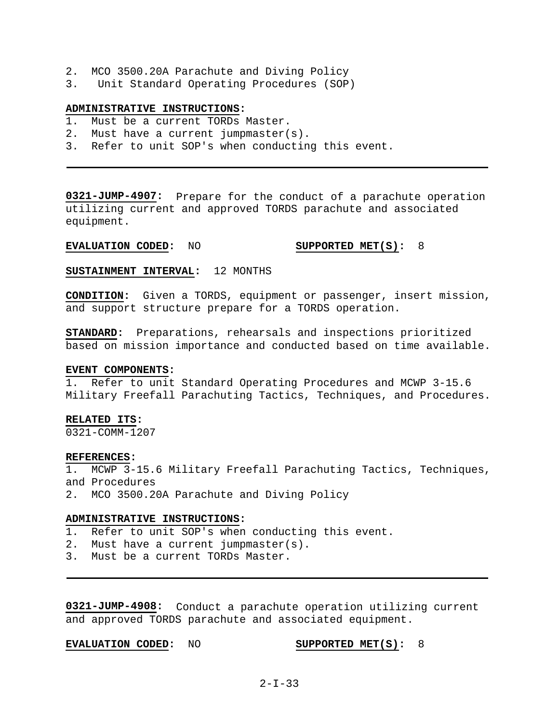- 2. MCO 3500.20A Parachute and Diving Policy
- 3. Unit Standard Operating Procedures (SOP)

### **ADMINISTRATIVE INSTRUCTIONS:**

- 1. Must be a current TORDs Master.
- 2. Must have a current jumpmaster(s).
- 3. Refer to unit SOP's when conducting this event.

**0321-JUMP-4907:** Prepare for the conduct of a parachute operation utilizing current and approved TORDS parachute and associated equipment.

### **EVALUATION CODED:** NO **SUPPORTED MET(S):** 8

### **SUSTAINMENT INTERVAL:** 12 MONTHS

**CONDITION:** Given a TORDS, equipment or passenger, insert mission, and support structure prepare for a TORDS operation.

**STANDARD:** Preparations, rehearsals and inspections prioritized based on mission importance and conducted based on time available.

#### **EVENT COMPONENTS:**

1. Refer to unit Standard Operating Procedures and MCWP 3-15.6 Military Freefall Parachuting Tactics, Techniques, and Procedures.

#### **RELATED ITS:**

0321-COMM-1207

#### **REFERENCES:**

1. MCWP 3-15.6 Military Freefall Parachuting Tactics, Techniques, and Procedures

2. MCO 3500.20A Parachute and Diving Policy

### **ADMINISTRATIVE INSTRUCTIONS:**

- 1. Refer to unit SOP's when conducting this event.
- 2. Must have a current jumpmaster(s).
- 3. Must be a current TORDs Master.

**0321-JUMP-4908:** Conduct a parachute operation utilizing current and approved TORDS parachute and associated equipment.

#### **EVALUATION CODED:** NO **SUPPORTED MET(S):** 8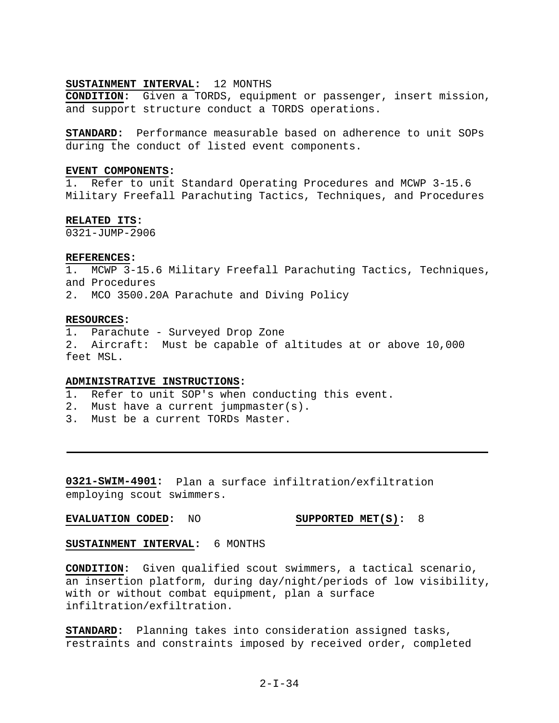### **SUSTAINMENT INTERVAL:** 12 MONTHS

**CONDITION:** Given a TORDS, equipment or passenger, insert mission, and support structure conduct a TORDS operations.

**STANDARD:** Performance measurable based on adherence to unit SOPs during the conduct of listed event components.

### **EVENT COMPONENTS:**

1. Refer to unit Standard Operating Procedures and MCWP 3-15.6 Military Freefall Parachuting Tactics, Techniques, and Procedures

### **RELATED ITS:**

 $0321 - JIIMP - 2906$ 

#### **REFERENCES:**

1. MCWP 3-15.6 Military Freefall Parachuting Tactics, Techniques, and Procedures 2. MCO 3500.20A Parachute and Diving Policy

#### **RESOURCES:**

1. Parachute - Surveyed Drop Zone 2. Aircraft: Must be capable of altitudes at or above 10,000 feet MSL.

### **ADMINISTRATIVE INSTRUCTIONS:**

- 1. Refer to unit SOP's when conducting this event.
- 2. Must have a current jumpmaster(s).
- 3. Must be a current TORDs Master.

**0321-SWIM-4901:** Plan a surface infiltration/exfiltration employing scout swimmers.

### **EVALUATION CODED:** NO **SUPPORTED MET(S):** 8

#### **SUSTAINMENT INTERVAL:** 6 MONTHS

**CONDITION:** Given qualified scout swimmers, a tactical scenario, an insertion platform, during day/night/periods of low visibility, with or without combat equipment, plan a surface infiltration/exfiltration.

**STANDARD:** Planning takes into consideration assigned tasks, restraints and constraints imposed by received order, completed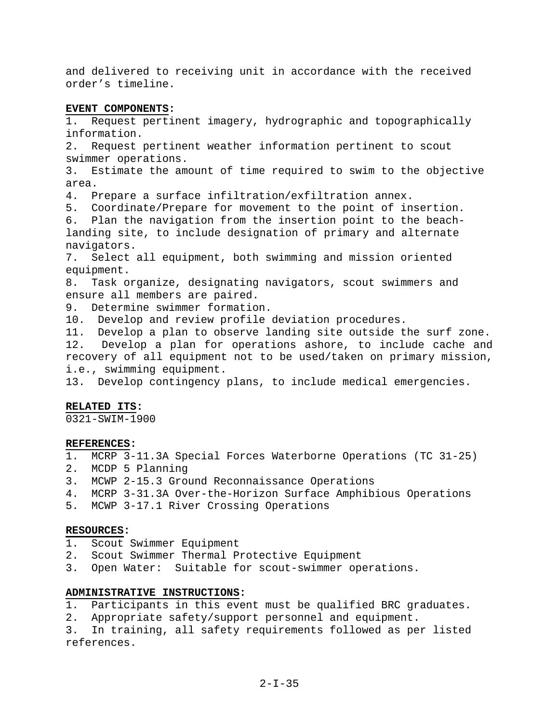and delivered to receiving unit in accordance with the received order's timeline.

### **EVENT COMPONENTS:**

1. Request pertinent imagery, hydrographic and topographically information.

2. Request pertinent weather information pertinent to scout swimmer operations.

3. Estimate the amount of time required to swim to the objective area.

4. Prepare a surface infiltration/exfiltration annex.

5. Coordinate/Prepare for movement to the point of insertion.

6. Plan the navigation from the insertion point to the beachlanding site, to include designation of primary and alternate navigators.

7. Select all equipment, both swimming and mission oriented equipment.

8. Task organize, designating navigators, scout swimmers and ensure all members are paired.

9. Determine swimmer formation.

10. Develop and review profile deviation procedures.

11. Develop a plan to observe landing site outside the surf zone. 12. Develop a plan for operations ashore, to include cache and recovery of all equipment not to be used/taken on primary mission, i.e., swimming equipment.

13. Develop contingency plans, to include medical emergencies.

### **RELATED ITS:**

0321-SWIM-1900

#### **REFERENCES:**

- 1. MCRP 3-11.3A Special Forces Waterborne Operations (TC 31-25)
- 2. MCDP 5 Planning
- 3. MCWP 2-15.3 Ground Reconnaissance Operations
- 4. MCRP 3-31.3A Over-the-Horizon Surface Amphibious Operations
- 5. MCWP 3-17.1 River Crossing Operations

#### **RESOURCES:**

- 1. Scout Swimmer Equipment
- 2. Scout Swimmer Thermal Protective Equipment
- 3. Open Water: Suitable for scout-swimmer operations.

### **ADMINISTRATIVE INSTRUCTIONS:**

- 1. Participants in this event must be qualified BRC graduates.
- 2. Appropriate safety/support personnel and equipment.

3. In training, all safety requirements followed as per listed references.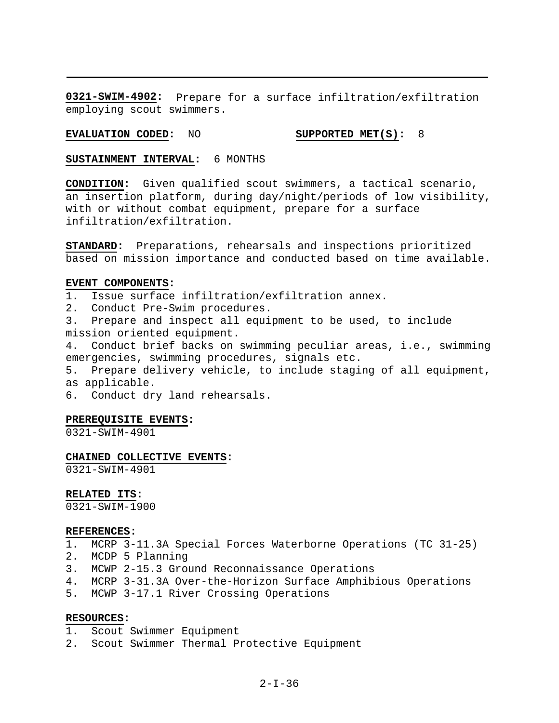**0321-SWIM-4902:** Prepare for a surface infiltration/exfiltration employing scout swimmers.

### **EVALUATION CODED:** NO **SUPPORTED MET(S):** 8

**SUSTAINMENT INTERVAL:** 6 MONTHS

**CONDITION:** Given qualified scout swimmers, a tactical scenario, an insertion platform, during day/night/periods of low visibility, with or without combat equipment, prepare for a surface infiltration/exfiltration.

**STANDARD:** Preparations, rehearsals and inspections prioritized based on mission importance and conducted based on time available.

#### **EVENT COMPONENTS:**

1. Issue surface infiltration/exfiltration annex.

2. Conduct Pre-Swim procedures.

3. Prepare and inspect all equipment to be used, to include mission oriented equipment.

4. Conduct brief backs on swimming peculiar areas, i.e., swimming emergencies, swimming procedures, signals etc.

5. Prepare delivery vehicle, to include staging of all equipment, as applicable.

6. Conduct dry land rehearsals.

#### **PREREQUISITE EVENTS:**

0321-SWIM-4901

### **CHAINED COLLECTIVE EVENTS:**

0321-SWIM-4901

**RELATED ITS:** 

0321-SWIM-1900

#### **REFERENCES:**

- 1. MCRP 3-11.3A Special Forces Waterborne Operations (TC 31-25)
- 2. MCDP 5 Planning
- 3. MCWP 2-15.3 Ground Reconnaissance Operations
- 4. MCRP 3-31.3A Over-the-Horizon Surface Amphibious Operations
- 5. MCWP 3-17.1 River Crossing Operations

### **RESOURCES:**

1. Scout Swimmer Equipment

2. Scout Swimmer Thermal Protective Equipment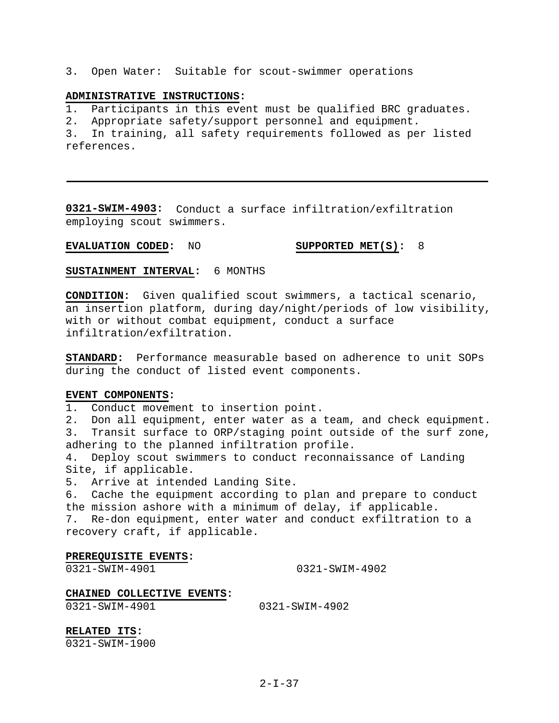3. Open Water: Suitable for scout-swimmer operations

#### **ADMINISTRATIVE INSTRUCTIONS:**

1. Participants in this event must be qualified BRC graduates.

2. Appropriate safety/support personnel and equipment.

3. In training, all safety requirements followed as per listed references.

**0321-SWIM-4903:** Conduct a surface infiltration/exfiltration employing scout swimmers.

### **EVALUATION CODED:** NO **SUPPORTED MET(S):** 8

**SUSTAINMENT INTERVAL:** 6 MONTHS

**CONDITION:** Given qualified scout swimmers, a tactical scenario, an insertion platform, during day/night/periods of low visibility, with or without combat equipment, conduct a surface infiltration/exfiltration.

**STANDARD:** Performance measurable based on adherence to unit SOPs during the conduct of listed event components.

#### **EVENT COMPONENTS:**

1. Conduct movement to insertion point.

2. Don all equipment, enter water as a team, and check equipment. 3. Transit surface to ORP/staging point outside of the surf zone, adhering to the planned infiltration profile.

4. Deploy scout swimmers to conduct reconnaissance of Landing Site, if applicable.

5. Arrive at intended Landing Site.

6. Cache the equipment according to plan and prepare to conduct the mission ashore with a minimum of delay, if applicable.

7. Re-don equipment, enter water and conduct exfiltration to a recovery craft, if applicable.

#### **PREREQUISITE EVENTS:**

0321-SWIM-4901 0321-SWIM-4902

### **CHAINED COLLECTIVE EVENTS:**

0321-SWIM-4901 0321-SWIM-4902

**RELATED ITS:** 0321-SWIM-1900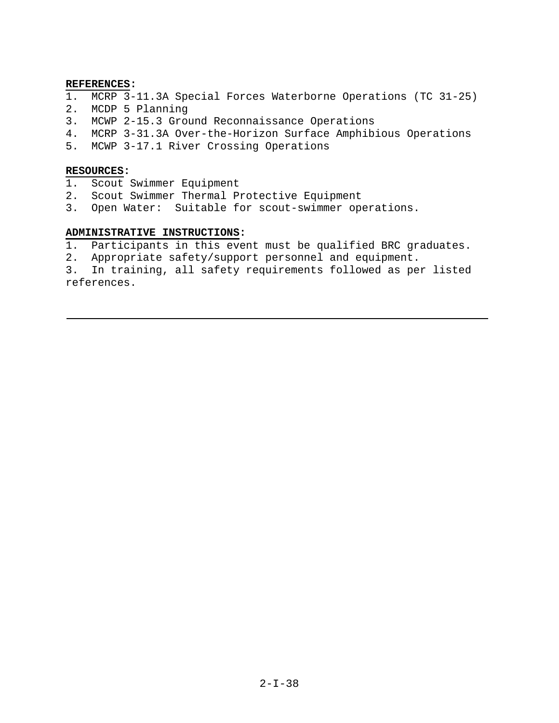### **REFERENCES:**

- 1. MCRP 3-11.3A Special Forces Waterborne Operations (TC 31-25)
- 2. MCDP 5 Planning
- 3. MCWP 2-15.3 Ground Reconnaissance Operations
- 4. MCRP 3-31.3A Over-the-Horizon Surface Amphibious Operations
- 5. MCWP 3-17.1 River Crossing Operations

### **RESOURCES:**

- 1. Scout Swimmer Equipment
- 2. Scout Swimmer Thermal Protective Equipment
- 3. Open Water: Suitable for scout-swimmer operations.

### **ADMINISTRATIVE INSTRUCTIONS:**

1. Participants in this event must be qualified BRC graduates.

2. Appropriate safety/support personnel and equipment.

3. In training, all safety requirements followed as per listed references.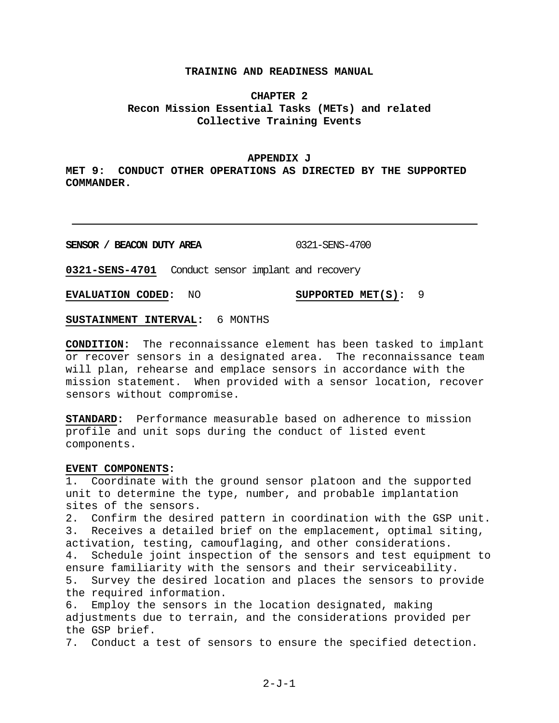### **TRAINING AND READINESS MANUAL**

### **CHAPTER 2 Recon Mission Essential Tasks (METs) and related Collective Training Events**

#### **APPENDIX J**

**MET 9: CONDUCT OTHER OPERATIONS AS DIRECTED BY THE SUPPORTED COMMANDER.** 

**SENSOR / BEACON DUTY AREA** 0321-SENS-4700

**0321-SENS-4701** Conduct sensor implant and recovery

**EVALUATION CODED:** NO **SUPPORTED MET(S):** 9

**SUSTAINMENT INTERVAL:** 6 MONTHS

**CONDITION:** The reconnaissance element has been tasked to implant or recover sensors in a designated area. The reconnaissance team will plan, rehearse and emplace sensors in accordance with the mission statement. When provided with a sensor location, recover sensors without compromise.

**STANDARD:** Performance measurable based on adherence to mission profile and unit sops during the conduct of listed event components.

#### **EVENT COMPONENTS:**

1. Coordinate with the ground sensor platoon and the supported unit to determine the type, number, and probable implantation sites of the sensors.

2. Confirm the desired pattern in coordination with the GSP unit. 3. Receives a detailed brief on the emplacement, optimal siting, activation, testing, camouflaging, and other considerations. 4. Schedule joint inspection of the sensors and test equipment to ensure familiarity with the sensors and their serviceability. 5. Survey the desired location and places the sensors to provide the required information.

6. Employ the sensors in the location designated, making adjustments due to terrain, and the considerations provided per the GSP brief.

7. Conduct a test of sensors to ensure the specified detection.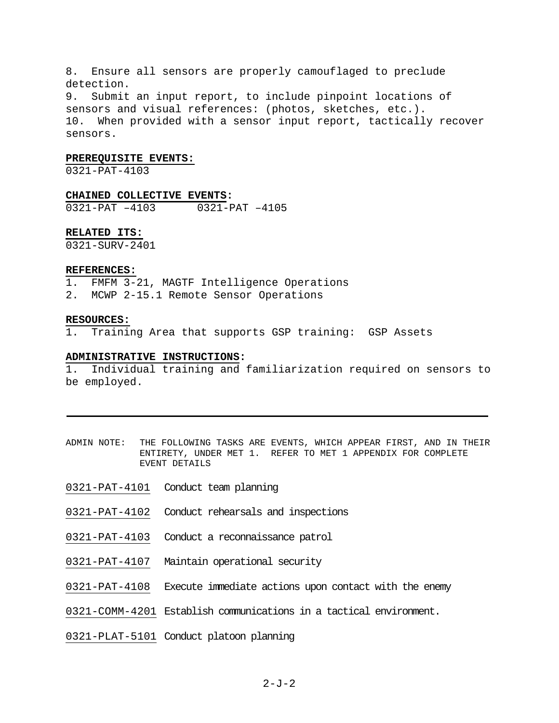8. Ensure all sensors are properly camouflaged to preclude detection.

9. Submit an input report, to include pinpoint locations of sensors and visual references: (photos, sketches, etc.). 10. When provided with a sensor input report, tactically recover sensors.

#### **PREREQUISITE EVENTS:**

0321-PAT-4103

## **CHAINED COLLECTIVE EVENTS:**

0321-PAT –4103 0321-PAT –4105

#### **RELATED ITS:**

0321-SURV-2401

#### **REFERENCES:**

- 1. FMFM 3-21, MAGTF Intelligence Operations
- 2. MCWP 2-15.1 Remote Sensor Operations

#### **RESOURCES:**

1. Training Area that supports GSP training: GSP Assets

### **ADMINISTRATIVE INSTRUCTIONS:**

1. Individual training and familiarization required on sensors to be employed.

- ADMIN NOTE: THE FOLLOWING TASKS ARE EVENTS, WHICH APPEAR FIRST, AND IN THEIR ENTIRETY, UNDER MET 1. REFER TO MET 1 APPENDIX FOR COMPLETE EVENT DETAILS
- 0321-PAT-4101 Conduct team planning
- 0321-PAT-4102 Conduct rehearsals and inspections
- 0321-PAT-4103 Conduct a reconnaissance patrol
- 0321-PAT-4107 Maintain operational security
- 0321-PAT-4108 Execute immediate actions upon contact with the enemy
- 0321-COMM-4201 Establish communications in a tactical environment.
- 0321-PLAT-5101 Conduct platoon planning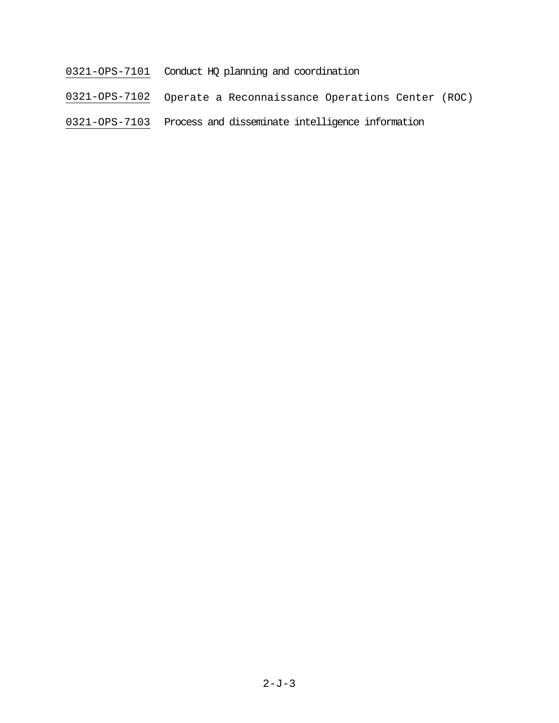- 0321-OPS-7101 Conduct HQ planning and coordination
- 0321-OPS-7102 Operate a Reconnaissance Operations Center (ROC)
- 0321-OPS-7103 Process and disseminate intelligence information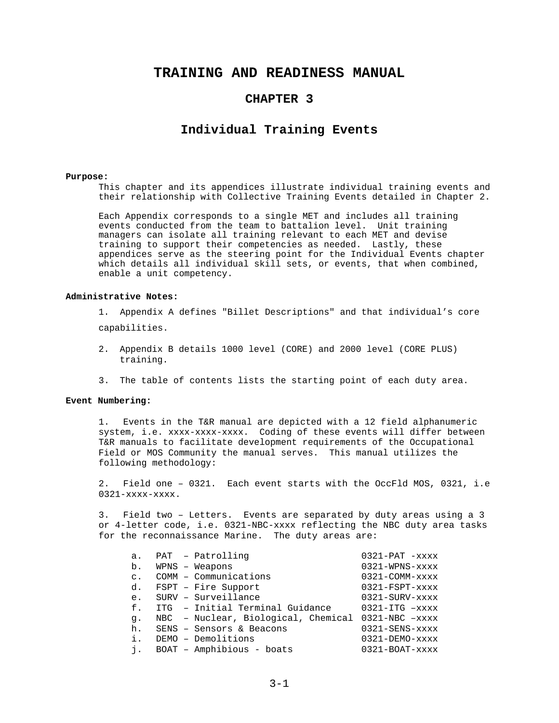### **TRAINING AND READINESS MANUAL**

### **CHAPTER 3**

### **Individual Training Events**

#### **Purpose:**

This chapter and its appendices illustrate individual training events and their relationship with Collective Training Events detailed in Chapter 2.

Each Appendix corresponds to a single MET and includes all training events conducted from the team to battalion level. Unit training managers can isolate all training relevant to each MET and devise training to support their competencies as needed. Lastly, these appendices serve as the steering point for the Individual Events chapter which details all individual skill sets, or events, that when combined, enable a unit competency.

#### **Administrative Notes:**

1. Appendix A defines "Billet Descriptions" and that individual's core capabilities.

2. Appendix B details 1000 level (CORE) and 2000 level (CORE PLUS) training.

3. The table of contents lists the starting point of each duty area.

#### **Event Numbering:**

1. Events in the T&R manual are depicted with a 12 field alphanumeric system, i.e. xxxx-xxxx-xxxx. Coding of these events will differ between T&R manuals to facilitate development requirements of the Occupational Field or MOS Community the manual serves. This manual utilizes the following methodology:

2. Field one – 0321. Each event starts with the OccFld MOS, 0321, i.e 0321-xxxx-xxxx.

3. Field two – Letters. Events are separated by duty areas using a 3 or 4-letter code, i.e. 0321-NBC-xxxx reflecting the NBC duty area tasks for the reconnaissance Marine. The duty areas are:

| a.             | PAT - Patrolling                                   | $0321-PAT$ -xxxx                 |
|----------------|----------------------------------------------------|----------------------------------|
| b.             | $WPNS - Weapons$                                   | $0321$ -WPNS- $xxx$              |
| $\mathsf{C}$ . | COMM - Communications                              | $0321 - \text{COMM}-\text{xxxx}$ |
| d.             | FSPT - Fire Support                                | $0321-FSPT$ - $xxxx$             |
| e.             | SURV - Surveillance                                | $0321 - SUBV-xxxx$               |
| f.             | ITG - Initial Terminal Guidance                    | $0321 - ITG$ $-xxxx$             |
| q.             | NBC - Nuclear, Biological, Chemical 0321-NBC -xxxx |                                  |
| h.             | SENS - Sensors & Beacons                           | 0321-SENS-xxxx                   |
| i.             | DEMO - Demolitions                                 | $0321 - DEMO - XXXX$             |
| i.             | BOAT - Amphibious - boats                          | $0321 - BOAT - XXXX$             |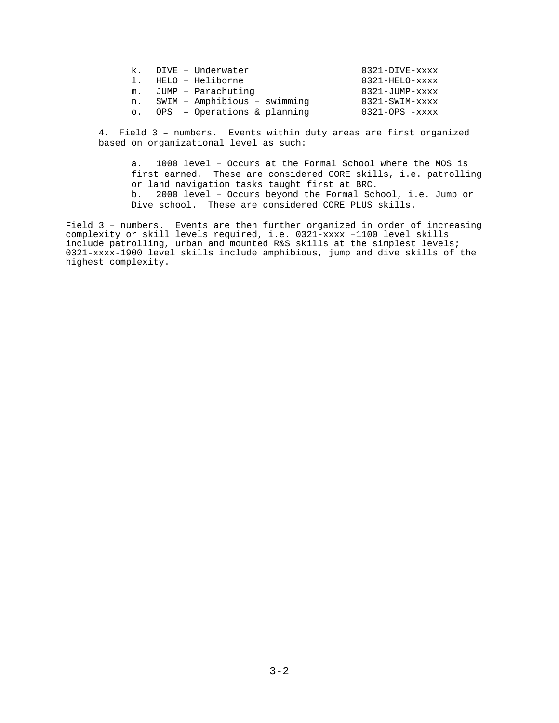| $\mathbf{k}$ . | DIVE - Underwater             | $0321 - DIVE - XXXX$ |
|----------------|-------------------------------|----------------------|
| $\mathbf{1}$   | HELO - Heliborne              | 0321-HELO-xxxx       |
| m <sub>1</sub> | JUMP - Parachuting            | $0321 - JUMP - XXXX$ |
| n.             | SWIM - Amphibious - swimming  | $0321 - SWIM-xxxx$   |
| $\circ$ .      | $OPS - Operations & planning$ | $0321 - OPS - XXXX$  |

4. Field 3 – numbers. Events within duty areas are first organized based on organizational level as such:

a. 1000 level – Occurs at the Formal School where the MOS is first earned. These are considered CORE skills, i.e. patrolling or land navigation tasks taught first at BRC. b. 2000 level – Occurs beyond the Formal School, i.e. Jump or Dive school. These are considered CORE PLUS skills.

Field 3 – numbers. Events are then further organized in order of increasing complexity or skill levels required, i.e. 0321-xxxx –1100 level skills include patrolling, urban and mounted R&S skills at the simplest levels; 0321-xxxx-1900 level skills include amphibious, jump and dive skills of the highest complexity.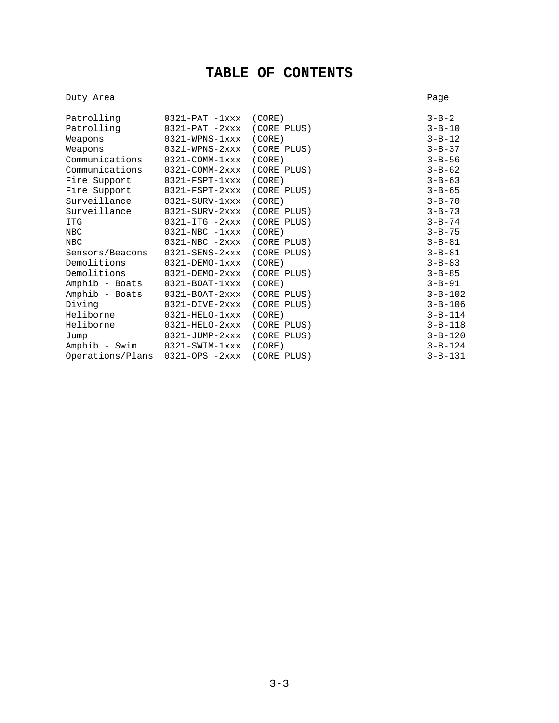# **TABLE OF CONTENTS**

| Duty Area        | Page                                |             |               |
|------------------|-------------------------------------|-------------|---------------|
|                  |                                     |             |               |
| Patrolling       | $0321-PAT -1xxx$                    | (CORE)      | $3 - B - 2$   |
| Patrolling       | $0321-PAT -2xxx$                    | (CORE PLUS) | $3 - B - 10$  |
| Weapons          | $0321 - WPNS - 1xxx$                | (CORE)      | $3 - B - 12$  |
| Weapons          | $0321 - WPNS - 2xxx$                | (CORE PLUS) | $3 - B - 37$  |
| Communications   | $0321 - \text{COMM} - 1 \text{xxx}$ | (CORE)      | $3 - B - 56$  |
| Communications   | $0321 - COMM - 2xxx$                | (CORE PLUS) | $3 - B - 62$  |
| Fire Support     | $0321 - FSPT - 1xxx$                | (CORE)      | $3 - B - 63$  |
| Fire Support     | $0321 - FSPT - 2xxx$                | (CORE PLUS) | $3 - B - 65$  |
| Surveillance     | $0321 - SUBV-1xxx$                  | (CORE)      | $3 - B - 70$  |
| Surveillance     | $0321 - SUBV - 2xxx$                | (CORE PLUS) | $3 - B - 73$  |
| <b>ITG</b>       | $0321 - ITG - 2xxx$                 | (CORE PLUS) | $3 - B - 74$  |
| <b>NBC</b>       | $0321 - NBC - 1xxx$                 | (CORE)      | $3 - B - 75$  |
| <b>NBC</b>       | $0321 - NBC - 2xxx$                 | (CORE PLUS) | $3 - B - 81$  |
| Sensors/Beacons  | $0321 -$ SENS- $2$ xxx              | (CORE PLUS) | $3 - B - 81$  |
| Demolitions      | $0321 - DEMO - 1xxx$                | (CORE)      | $3 - B - 83$  |
| Demolitions      | $0321 - DEMO - 2xxx$                | (CORE PLUS) | $3 - B - 85$  |
| Amphib - Boats   | $0321 - BOAT - 1xxx$                | (CORE)      | $3 - B - 91$  |
| Amphib - Boats   | $0321 - BOAT-2xxx$                  | (CORE PLUS) | $3 - B - 102$ |
| Diving           | $0321 - DIVE - 2xxx$                | (CORE PLUS) | $3 - B - 106$ |
| Heliborne        | $0321 - HELO - 1xxx$                | (CORE)      | $3 - B - 114$ |
| Heliborne        | $0321 - HELO - 2xxx$                | (CORE PLUS) | $3 - B - 118$ |
| Jump             | $0321 - JUMP - 2xxx$                | (CORE PLUS) | $3 - B - 120$ |
| Amphib - Swim    | $0321 - SWIM-1xxx$                  | (CORE)      | $3 - B - 124$ |
| Operations/Plans | $0321 - OPS - 2xxx$                 | (CORE PLUS) | $3 - B - 131$ |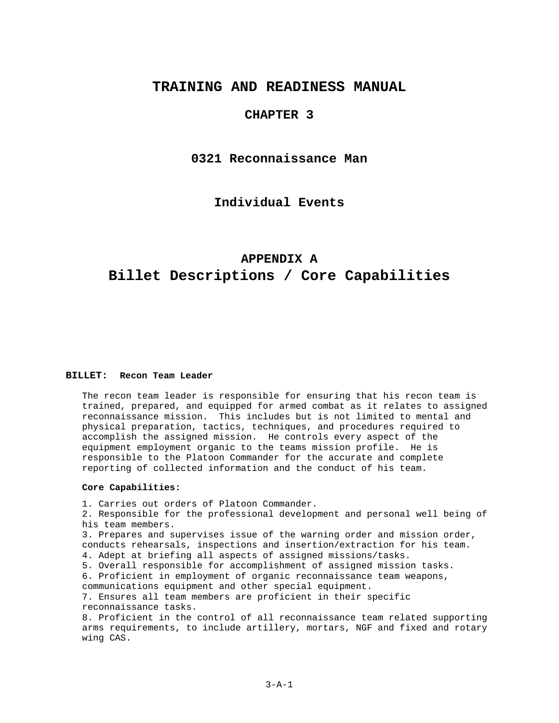### **TRAINING AND READINESS MANUAL**

### **CHAPTER 3**

### **0321 Reconnaissance Man**

**Individual Events**

# **APPENDIX A Billet Descriptions / Core Capabilities**

#### **BILLET: Recon Team Leader**

The recon team leader is responsible for ensuring that his recon team is trained, prepared, and equipped for armed combat as it relates to assigned reconnaissance mission. This includes but is not limited to mental and physical preparation, tactics, techniques, and procedures required to accomplish the assigned mission. He controls every aspect of the equipment employment organic to the teams mission profile. He is responsible to the Platoon Commander for the accurate and complete reporting of collected information and the conduct of his team.

### **Core Capabilities:**

1. Carries out orders of Platoon Commander. 2. Responsible for the professional development and personal well being of his team members. 3. Prepares and supervises issue of the warning order and mission order, conducts rehearsals, inspections and insertion/extraction for his team. 4. Adept at briefing all aspects of assigned missions/tasks. 5. Overall responsible for accomplishment of assigned mission tasks. 6. Proficient in employment of organic reconnaissance team weapons, communications equipment and other special equipment. 7. Ensures all team members are proficient in their specific reconnaissance tasks. 8. Proficient in the control of all reconnaissance team related supporting arms requirements, to include artillery, mortars, NGF and fixed and rotary wing CAS.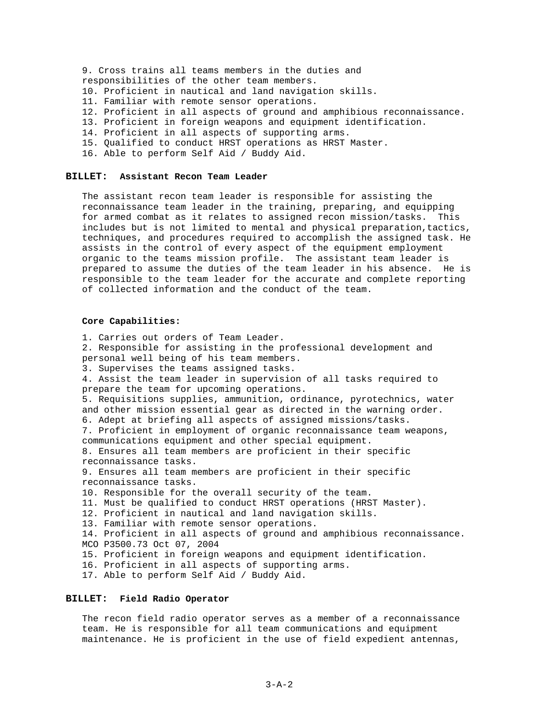9. Cross trains all teams members in the duties and responsibilities of the other team members. 10. Proficient in nautical and land navigation skills. 11. Familiar with remote sensor operations. 12. Proficient in all aspects of ground and amphibious reconnaissance. 13. Proficient in foreign weapons and equipment identification. 14. Proficient in all aspects of supporting arms. 15. Qualified to conduct HRST operations as HRST Master.

16. Able to perform Self Aid / Buddy Aid.

#### **BILLET: Assistant Recon Team Leader**

The assistant recon team leader is responsible for assisting the reconnaissance team leader in the training, preparing, and equipping for armed combat as it relates to assigned recon mission/tasks. This includes but is not limited to mental and physical preparation,tactics, techniques, and procedures required to accomplish the assigned task. He assists in the control of every aspect of the equipment employment organic to the teams mission profile. The assistant team leader is prepared to assume the duties of the team leader in his absence. He is responsible to the team leader for the accurate and complete reporting of collected information and the conduct of the team.

#### **Core Capabilities:**

1. Carries out orders of Team Leader. 2. Responsible for assisting in the professional development and personal well being of his team members. 3. Supervises the teams assigned tasks. 4. Assist the team leader in supervision of all tasks required to prepare the team for upcoming operations. 5. Requisitions supplies, ammunition, ordinance, pyrotechnics, water and other mission essential gear as directed in the warning order. 6. Adept at briefing all aspects of assigned missions/tasks. 7. Proficient in employment of organic reconnaissance team weapons, communications equipment and other special equipment. 8. Ensures all team members are proficient in their specific reconnaissance tasks. 9. Ensures all team members are proficient in their specific reconnaissance tasks. 10. Responsible for the overall security of the team. 11. Must be qualified to conduct HRST operations (HRST Master). 12. Proficient in nautical and land navigation skills. 13. Familiar with remote sensor operations. 14. Proficient in all aspects of ground and amphibious reconnaissance. MCO P3500.73 Oct 07, 2004 15. Proficient in foreign weapons and equipment identification. 16. Proficient in all aspects of supporting arms. 17. Able to perform Self Aid / Buddy Aid.

#### **BILLET: Field Radio Operator**

The recon field radio operator serves as a member of a reconnaissance team. He is responsible for all team communications and equipment maintenance. He is proficient in the use of field expedient antennas,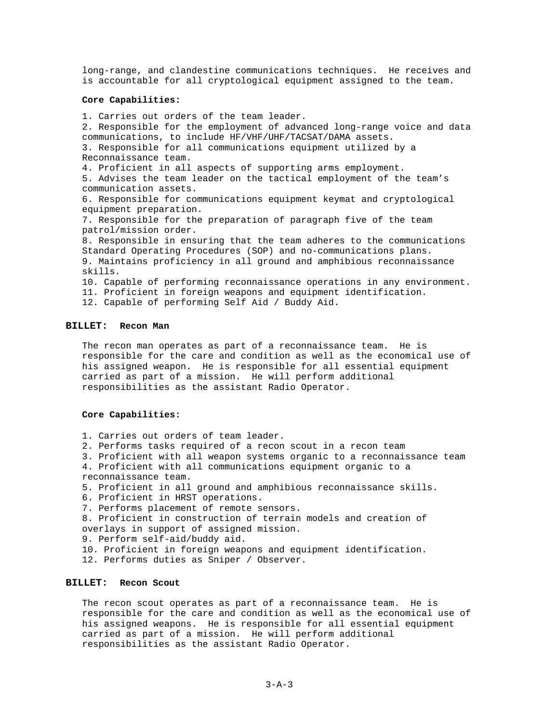long-range, and clandestine communications techniques. He receives and is accountable for all cryptological equipment assigned to the team.

#### **Core Capabilities:**

1. Carries out orders of the team leader. 2. Responsible for the employment of advanced long-range voice and data communications, to include HF/VHF/UHF/TACSAT/DAMA assets. 3. Responsible for all communications equipment utilized by a Reconnaissance team. 4. Proficient in all aspects of supporting arms employment. 5. Advises the team leader on the tactical employment of the team's communication assets. 6. Responsible for communications equipment keymat and cryptological equipment preparation. 7. Responsible for the preparation of paragraph five of the team patrol/mission order. 8. Responsible in ensuring that the team adheres to the communications Standard Operating Procedures (SOP) and no-communications plans. 9. Maintains proficiency in all ground and amphibious reconnaissance skills. 10. Capable of performing reconnaissance operations in any environment. 11. Proficient in foreign weapons and equipment identification. 12. Capable of performing Self Aid / Buddy Aid.

#### **BILLET: Recon Man**

The recon man operates as part of a reconnaissance team. He is responsible for the care and condition as well as the economical use of his assigned weapon. He is responsible for all essential equipment carried as part of a mission. He will perform additional responsibilities as the assistant Radio Operator.

#### **Core Capabilities:**

- 1. Carries out orders of team leader.
- 2. Performs tasks required of a recon scout in a recon team
- 3. Proficient with all weapon systems organic to a reconnaissance team
- 4. Proficient with all communications equipment organic to a reconnaissance team.
- 5. Proficient in all ground and amphibious reconnaissance skills.
- 6. Proficient in HRST operations.
- 7. Performs placement of remote sensors.
- 8. Proficient in construction of terrain models and creation of overlays in support of assigned mission.
- 9. Perform self-aid/buddy aid.
- 10. Proficient in foreign weapons and equipment identification.
- 12. Performs duties as Sniper / Observer.

#### **BILLET: Recon Scout**

The recon scout operates as part of a reconnaissance team. He is responsible for the care and condition as well as the economical use of his assigned weapons. He is responsible for all essential equipment carried as part of a mission. He will perform additional responsibilities as the assistant Radio Operator.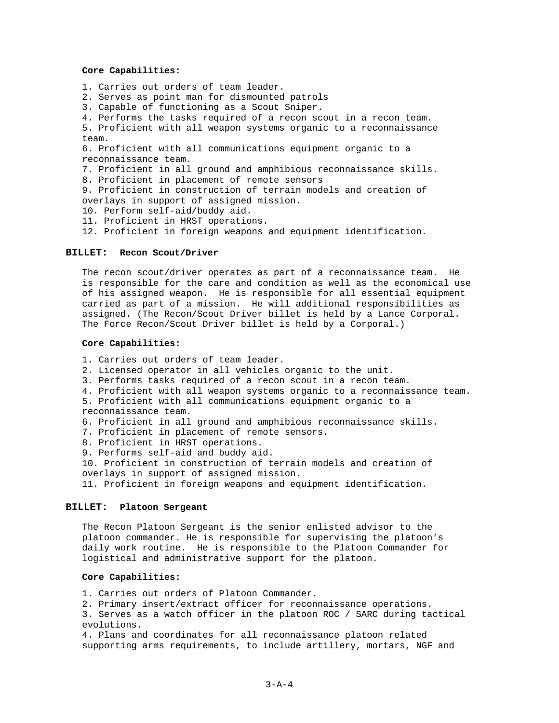#### **Core Capabilities:**

1. Carries out orders of team leader.

2. Serves as point man for dismounted patrols

3. Capable of functioning as a Scout Sniper.

4. Performs the tasks required of a recon scout in a recon team.

5. Proficient with all weapon systems organic to a reconnaissance team.

6. Proficient with all communications equipment organic to a reconnaissance team.

7. Proficient in all ground and amphibious reconnaissance skills.

8. Proficient in placement of remote sensors

9. Proficient in construction of terrain models and creation of overlays in support of assigned mission.

10. Perform self-aid/buddy aid.

11. Proficient in HRST operations.

12. Proficient in foreign weapons and equipment identification.

#### **BILLET: Recon Scout/Driver**

The recon scout/driver operates as part of a reconnaissance team. He is responsible for the care and condition as well as the economical use of his assigned weapon. He is responsible for all essential equipment carried as part of a mission. He will additional responsibilities as assigned. (The Recon/Scout Driver billet is held by a Lance Corporal. The Force Recon/Scout Driver billet is held by a Corporal.)

#### **Core Capabilities:**

1. Carries out orders of team leader.

- 2. Licensed operator in all vehicles organic to the unit.
- 3. Performs tasks required of a recon scout in a recon team.

4. Proficient with all weapon systems organic to a reconnaissance team.

5. Proficient with all communications equipment organic to a reconnaissance team.

6. Proficient in all ground and amphibious reconnaissance skills.

- 7. Proficient in placement of remote sensors.
- 8. Proficient in HRST operations.
- 9. Performs self-aid and buddy aid.

10. Proficient in construction of terrain models and creation of overlays in support of assigned mission.

11. Proficient in foreign weapons and equipment identification.

#### **BILLET: Platoon Sergeant**

The Recon Platoon Sergeant is the senior enlisted advisor to the platoon commander. He is responsible for supervising the platoon's daily work routine. He is responsible to the Platoon Commander for logistical and administrative support for the platoon.

#### **Core Capabilities:**

1. Carries out orders of Platoon Commander.

2. Primary insert/extract officer for reconnaissance operations.

3. Serves as a watch officer in the platoon ROC / SARC during tactical evolutions.

4. Plans and coordinates for all reconnaissance platoon related supporting arms requirements, to include artillery, mortars, NGF and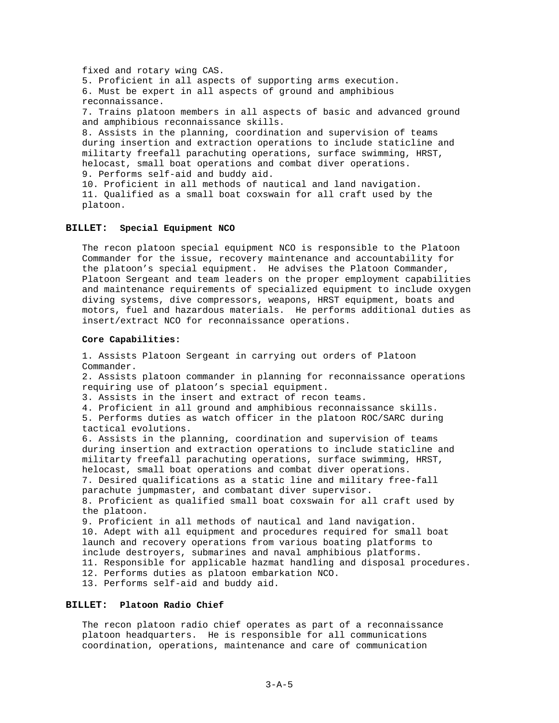fixed and rotary wing CAS. 5. Proficient in all aspects of supporting arms execution. 6. Must be expert in all aspects of ground and amphibious reconnaissance. 7. Trains platoon members in all aspects of basic and advanced ground and amphibious reconnaissance skills. 8. Assists in the planning, coordination and supervision of teams during insertion and extraction operations to include staticline and militarty freefall parachuting operations, surface swimming, HRST, helocast, small boat operations and combat diver operations. 9. Performs self-aid and buddy aid. 10. Proficient in all methods of nautical and land navigation. 11. Qualified as a small boat coxswain for all craft used by the platoon.

#### **BILLET: Special Equipment NCO**

The recon platoon special equipment NCO is responsible to the Platoon Commander for the issue, recovery maintenance and accountability for the platoon's special equipment. He advises the Platoon Commander, Platoon Sergeant and team leaders on the proper employment capabilities and maintenance requirements of specialized equipment to include oxygen diving systems, dive compressors, weapons, HRST equipment, boats and motors, fuel and hazardous materials. He performs additional duties as insert/extract NCO for reconnaissance operations.

#### **Core Capabilities:**

1. Assists Platoon Sergeant in carrying out orders of Platoon Commander. 2. Assists platoon commander in planning for reconnaissance operations requiring use of platoon's special equipment. 3. Assists in the insert and extract of recon teams. 4. Proficient in all ground and amphibious reconnaissance skills. 5. Performs duties as watch officer in the platoon ROC/SARC during tactical evolutions. 6. Assists in the planning, coordination and supervision of teams during insertion and extraction operations to include staticline and militarty freefall parachuting operations, surface swimming, HRST, helocast, small boat operations and combat diver operations. 7. Desired qualifications as a static line and military free-fall parachute jumpmaster, and combatant diver supervisor. 8. Proficient as qualified small boat coxswain for all craft used by the platoon. 9. Proficient in all methods of nautical and land navigation. 10. Adept with all equipment and procedures required for small boat launch and recovery operations from various boating platforms to include destroyers, submarines and naval amphibious platforms. 11. Responsible for applicable hazmat handling and disposal procedures. 12. Performs duties as platoon embarkation NCO. 13. Performs self-aid and buddy aid.

#### **BILLET: Platoon Radio Chief**

The recon platoon radio chief operates as part of a reconnaissance platoon headquarters. He is responsible for all communications coordination, operations, maintenance and care of communication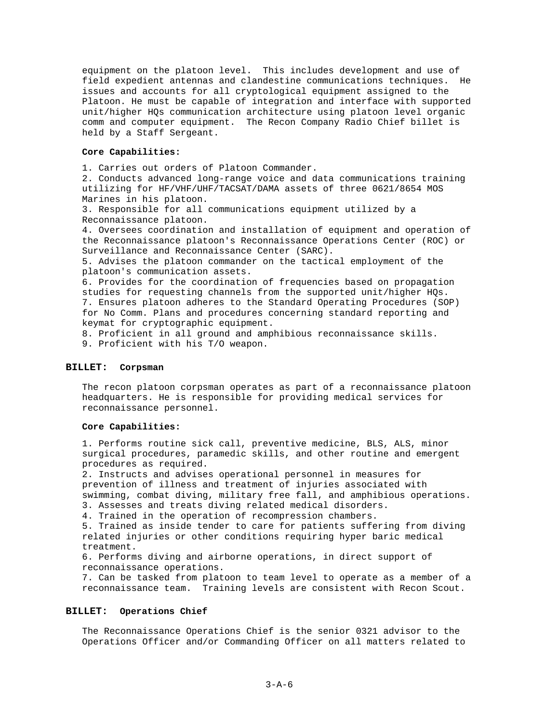equipment on the platoon level. This includes development and use of field expedient antennas and clandestine communications techniques. He issues and accounts for all cryptological equipment assigned to the Platoon. He must be capable of integration and interface with supported unit/higher HQs communication architecture using platoon level organic comm and computer equipment. The Recon Company Radio Chief billet is held by a Staff Sergeant.

#### **Core Capabilities:**

1. Carries out orders of Platoon Commander.

2. Conducts advanced long-range voice and data communications training utilizing for HF/VHF/UHF/TACSAT/DAMA assets of three 0621/8654 MOS Marines in his platoon.

3. Responsible for all communications equipment utilized by a Reconnaissance platoon.

4. Oversees coordination and installation of equipment and operation of the Reconnaissance platoon's Reconnaissance Operations Center (ROC) or Surveillance and Reconnaissance Center (SARC).

5. Advises the platoon commander on the tactical employment of the platoon's communication assets.

6. Provides for the coordination of frequencies based on propagation studies for requesting channels from the supported unit/higher HQs. 7. Ensures platoon adheres to the Standard Operating Procedures (SOP) for No Comm. Plans and procedures concerning standard reporting and keymat for cryptographic equipment.

8. Proficient in all ground and amphibious reconnaissance skills. 9. Proficient with his T/O weapon.

### **BILLET: Corpsman**

The recon platoon corpsman operates as part of a reconnaissance platoon headquarters. He is responsible for providing medical services for reconnaissance personnel.

#### **Core Capabilities:**

1. Performs routine sick call, preventive medicine, BLS, ALS, minor surgical procedures, paramedic skills, and other routine and emergent procedures as required.

2. Instructs and advises operational personnel in measures for prevention of illness and treatment of injuries associated with swimming, combat diving, military free fall, and amphibious operations. 3. Assesses and treats diving related medical disorders.

4. Trained in the operation of recompression chambers.

5. Trained as inside tender to care for patients suffering from diving related injuries or other conditions requiring hyper baric medical treatment.

6. Performs diving and airborne operations, in direct support of reconnaissance operations.

7. Can be tasked from platoon to team level to operate as a member of a reconnaissance team. Training levels are consistent with Recon Scout.

#### **BILLET: Operations Chief**

The Reconnaissance Operations Chief is the senior 0321 advisor to the Operations Officer and/or Commanding Officer on all matters related to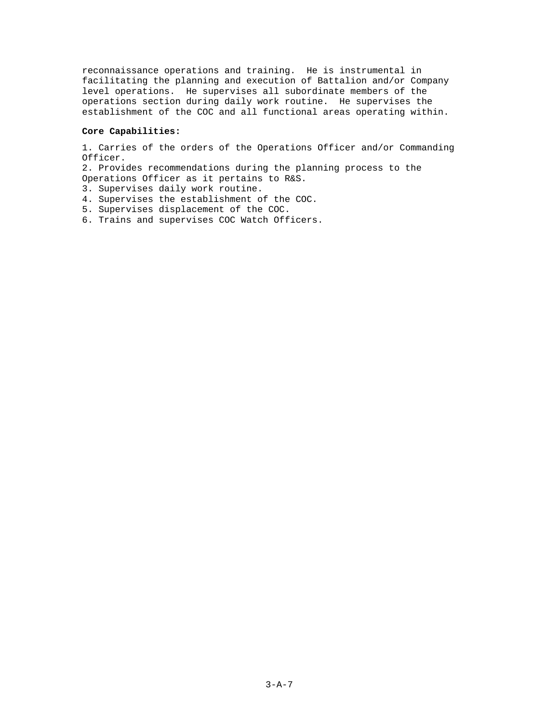reconnaissance operations and training. He is instrumental in facilitating the planning and execution of Battalion and/or Company level operations. He supervises all subordinate members of the operations section during daily work routine. He supervises the establishment of the COC and all functional areas operating within.

### **Core Capabilities:**

1. Carries of the orders of the Operations Officer and/or Commanding Officer.

2. Provides recommendations during the planning process to the Operations Officer as it pertains to R&S.

- 3. Supervises daily work routine.
- 4. Supervises the establishment of the COC.
- 5. Supervises displacement of the COC.
- 6. Trains and supervises COC Watch Officers.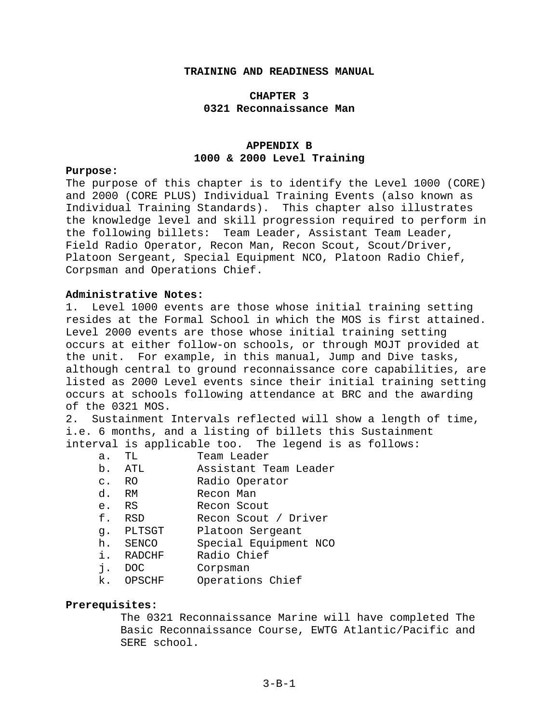### **TRAINING AND READINESS MANUAL**

### **CHAPTER 3 0321 Reconnaissance Man**

### **APPENDIX B 1000 & 2000 Level Training**

### **Purpose:**

The purpose of this chapter is to identify the Level 1000 (CORE) and 2000 (CORE PLUS) Individual Training Events (also known as Individual Training Standards). This chapter also illustrates the knowledge level and skill progression required to perform in the following billets: Team Leader, Assistant Team Leader, Field Radio Operator, Recon Man, Recon Scout, Scout/Driver, Platoon Sergeant, Special Equipment NCO, Platoon Radio Chief, Corpsman and Operations Chief.

### **Administrative Notes:**

1. Level 1000 events are those whose initial training setting resides at the Formal School in which the MOS is first attained. Level 2000 events are those whose initial training setting occurs at either follow-on schools, or through MOJT provided at the unit. For example, in this manual, Jump and Dive tasks, although central to ground reconnaissance core capabilities, are listed as 2000 Level events since their initial training setting occurs at schools following attendance at BRC and the awarding of the 0321 MOS.

2. Sustainment Intervals reflected will show a length of time, i.e. 6 months, and a listing of billets this Sustainment interval is applicable too. The legend is as follows:

- a. TL Team Leader
- b. ATL Assistant Team Leader
- c. RO Radio Operator
- d. RM Recon Man
- e. RS Recon Scout
- f. RSD Recon Scout / Driver
- g. PLTSGT Platoon Sergeant
- h. SENCO Special Equipment NCO
- i. RADCHF Radio Chief
- j. DOC Corpsman
- k. OPSCHF Operations Chief

### **Prerequisites:**

The 0321 Reconnaissance Marine will have completed The Basic Reconnaissance Course, EWTG Atlantic/Pacific and SERE school.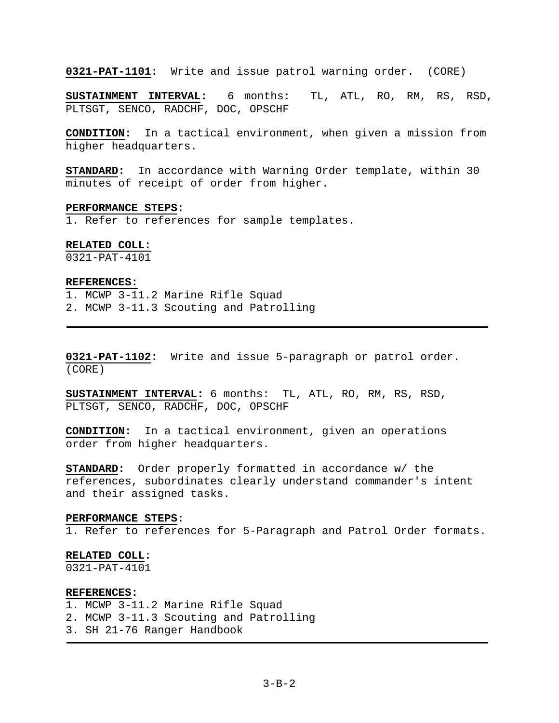**0321-PAT-1101:** Write and issue patrol warning order. (CORE)

**SUSTAINMENT INTERVAL:** 6 months: TL, ATL, RO, RM, RS, RSD, PLTSGT, SENCO, RADCHF, DOC, OPSCHF

**CONDITION:** In a tactical environment, when given a mission from higher headquarters.

**STANDARD:** In accordance with Warning Order template, within 30 minutes of receipt of order from higher.

#### **PERFORMANCE STEPS:**

1. Refer to references for sample templates.

#### **RELATED COLL:**

0321-PAT-4101

#### **REFERENCES:**

1. MCWP 3-11.2 Marine Rifle Squad 2. MCWP 3-11.3 Scouting and Patrolling

**0321-PAT-1102:** Write and issue 5-paragraph or patrol order. (CORE)

**SUSTAINMENT INTERVAL:** 6 months: TL, ATL, RO, RM, RS, RSD, PLTSGT, SENCO, RADCHF, DOC, OPSCHF

**CONDITION:** In a tactical environment, given an operations order from higher headquarters.

**STANDARD:** Order properly formatted in accordance w/ the references, subordinates clearly understand commander's intent and their assigned tasks.

#### **PERFORMANCE STEPS:**

1. Refer to references for 5-Paragraph and Patrol Order formats.

#### **RELATED COLL:**

0321-PAT-4101

#### **REFERENCES:**

1. MCWP 3-11.2 Marine Rifle Squad 2. MCWP 3-11.3 Scouting and Patrolling 3. SH 21-76 Ranger Handbook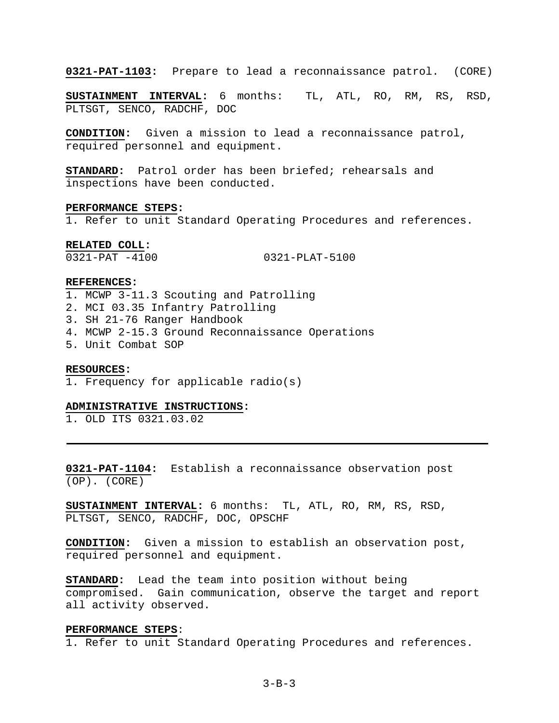**0321-PAT-1103:** Prepare to lead a reconnaissance patrol. (CORE)

**SUSTAINMENT INTERVAL:** 6 months: TL, ATL, RO, RM, RS, RSD, PLTSGT, SENCO, RADCHF, DOC

**CONDITION:** Given a mission to lead a reconnaissance patrol, required personnel and equipment.

**STANDARD:** Patrol order has been briefed; rehearsals and inspections have been conducted.

#### **PERFORMANCE STEPS:**

1. Refer to unit Standard Operating Procedures and references.

**RELATED COLL:** 

0321-PAT -4100 0321-PLAT-5100

### **REFERENCES:**

- 1. MCWP 3-11.3 Scouting and Patrolling
- 2. MCI 03.35 Infantry Patrolling
- 3. SH 21-76 Ranger Handbook
- 4. MCWP 2-15.3 Ground Reconnaissance Operations
- 5. Unit Combat SOP

#### **RESOURCES:**

1. Frequency for applicable radio(s)

### **ADMINISTRATIVE INSTRUCTIONS:**

1. OLD ITS 0321.03.02

**0321-PAT-1104:** Establish a reconnaissance observation post (OP). (CORE)

**SUSTAINMENT INTERVAL:** 6 months: TL, ATL, RO, RM, RS, RSD, PLTSGT, SENCO, RADCHF, DOC, OPSCHF

**CONDITION:** Given a mission to establish an observation post, required personnel and equipment.

**STANDARD:** Lead the team into position without being compromised. Gain communication, observe the target and report all activity observed.

#### **PERFORMANCE STEPS**:

1. Refer to unit Standard Operating Procedures and references.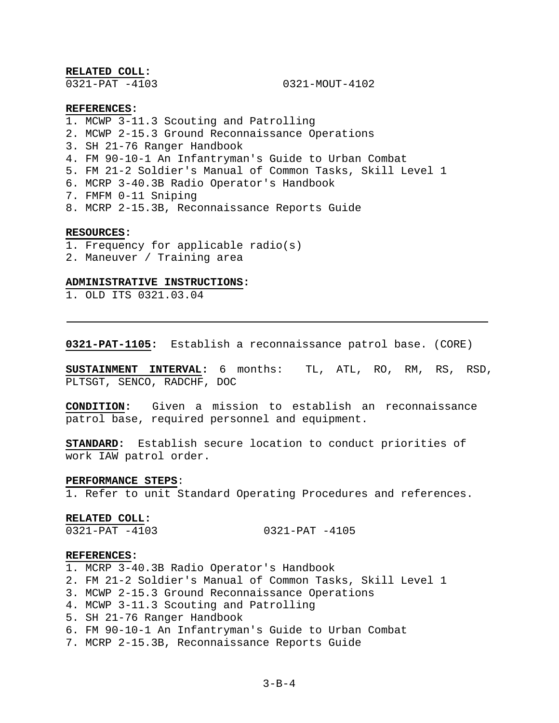**RELATED COLL:** 

0321-PAT -4103 0321-MOUT-4102

#### **REFERENCES:**

1. MCWP 3-11.3 Scouting and Patrolling

- 2. MCWP 2-15.3 Ground Reconnaissance Operations
- 3. SH 21-76 Ranger Handbook
- 4. FM 90-10-1 An Infantryman's Guide to Urban Combat
- 5. FM 21-2 Soldier's Manual of Common Tasks, Skill Level 1
- 6. MCRP 3-40.3B Radio Operator's Handbook
- 7. FMFM 0-11 Sniping
- 8. MCRP 2-15.3B, Reconnaissance Reports Guide

#### **RESOURCES:**

- 1. Frequency for applicable radio(s)
- 2. Maneuver / Training area

### **ADMINISTRATIVE INSTRUCTIONS:**

1. OLD ITS 0321.03.04

**0321-PAT-1105:** Establish a reconnaissance patrol base. (CORE)

**SUSTAINMENT INTERVAL:** 6 months: TL, ATL, RO, RM, RS, RSD, PLTSGT, SENCO, RADCHF, DOC

**CONDITION:** Given a mission to establish an reconnaissance patrol base, required personnel and equipment.

**STANDARD:** Establish secure location to conduct priorities of work IAW patrol order.

#### **PERFORMANCE STEPS**:

1. Refer to unit Standard Operating Procedures and references.

#### **RELATED COLL:**

0321-PAT -4103 0321-PAT -4105

#### **REFERENCES:**

- 1. MCRP 3-40.3B Radio Operator's Handbook
- 2. FM 21-2 Soldier's Manual of Common Tasks, Skill Level 1
- 3. MCWP 2-15.3 Ground Reconnaissance Operations
- 4. MCWP 3-11.3 Scouting and Patrolling
- 5. SH 21-76 Ranger Handbook
- 6. FM 90-10-1 An Infantryman's Guide to Urban Combat
- 7. MCRP 2-15.3B, Reconnaissance Reports Guide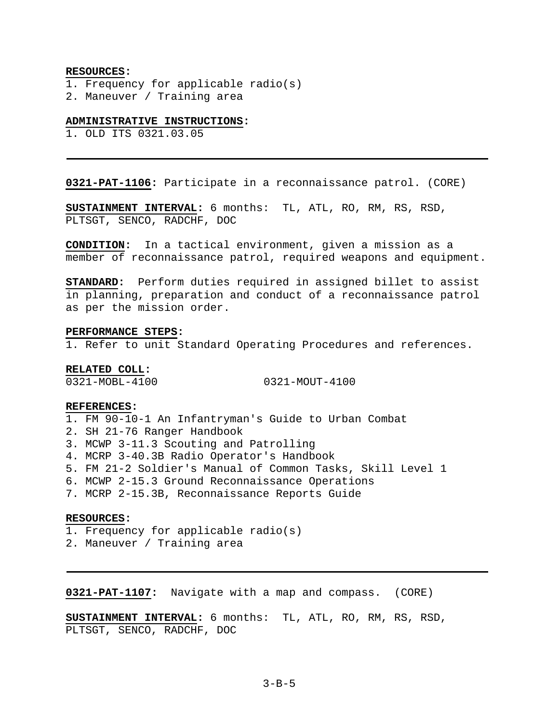#### **RESOURCES:**

- 1. Frequency for applicable radio(s)
- 2. Maneuver / Training area

### **ADMINISTRATIVE INSTRUCTIONS:**

1. OLD ITS 0321.03.05

**0321-PAT-1106:** Participate in a reconnaissance patrol. (CORE)

**SUSTAINMENT INTERVAL:** 6 months: TL, ATL, RO, RM, RS, RSD, PLTSGT, SENCO, RADCHF, DOC

**CONDITION:** In a tactical environment, given a mission as a member of reconnaissance patrol, required weapons and equipment.

**STANDARD:** Perform duties required in assigned billet to assist in planning, preparation and conduct of a reconnaissance patrol as per the mission order.

#### **PERFORMANCE STEPS:**

1. Refer to unit Standard Operating Procedures and references.

### **RELATED COLL:**

0321-MOBL-4100 0321-MOUT-4100

#### **REFERENCES:**

1. FM 90-10-1 An Infantryman's Guide to Urban Combat 2. SH 21-76 Ranger Handbook 3. MCWP 3-11.3 Scouting and Patrolling 4. MCRP 3-40.3B Radio Operator's Handbook 5. FM 21-2 Soldier's Manual of Common Tasks, Skill Level 1 6. MCWP 2-15.3 Ground Reconnaissance Operations 7. MCRP 2-15.3B, Reconnaissance Reports Guide

#### **RESOURCES:**

1. Frequency for applicable radio(s) 2. Maneuver / Training area

**0321-PAT-1107:** Navigate with a map and compass. (CORE)

**SUSTAINMENT INTERVAL:** 6 months: TL, ATL, RO, RM, RS, RSD, PLTSGT, SENCO, RADCHF, DOC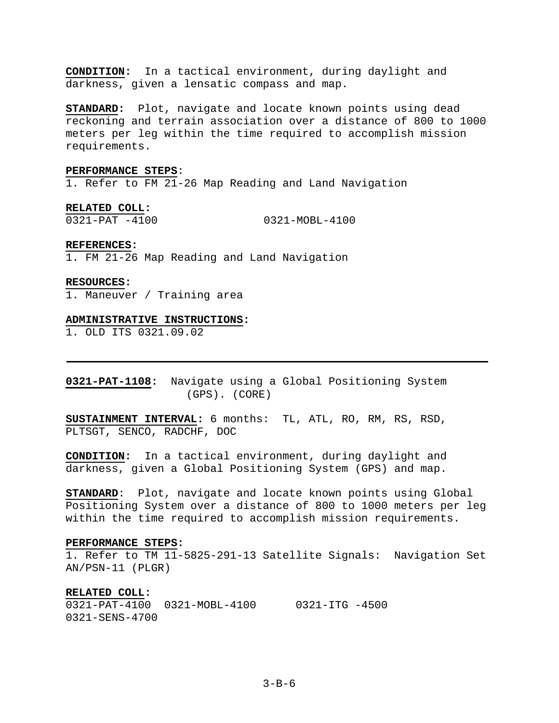**CONDITION:** In a tactical environment, during daylight and darkness, given a lensatic compass and map.

**STANDARD:** Plot, navigate and locate known points using dead reckoning and terrain association over a distance of 800 to 1000 meters per leg within the time required to accomplish mission requirements.

### **PERFORMANCE STEPS**:

1. Refer to FM 21-26 Map Reading and Land Navigation

**RELATED COLL:**  0321-PAT -4100 0321-MOBL-4100

#### **REFERENCES:**

1. FM 21-26 Map Reading and Land Navigation

#### **RESOURCES:**

1. Maneuver / Training area

#### **ADMINISTRATIVE INSTRUCTIONS:**

1. OLD ITS 0321.09.02

**0321-PAT-1108:** Navigate using a Global Positioning System (GPS). (CORE)

**SUSTAINMENT INTERVAL:** 6 months: TL, ATL, RO, RM, RS, RSD, PLTSGT, SENCO, RADCHF, DOC

**CONDITION:** In a tactical environment, during daylight and darkness, given a Global Positioning System (GPS) and map.

**STANDARD**: Plot, navigate and locate known points using Global Positioning System over a distance of 800 to 1000 meters per leg within the time required to accomplish mission requirements.

#### **PERFORMANCE STEPS:**

1. Refer to TM 11-5825-291-13 Satellite Signals: Navigation Set AN/PSN-11 (PLGR)

#### **RELATED COLL:**

0321-PAT-4100 0321-MOBL-4100 0321-ITG -4500 0321-SENS-4700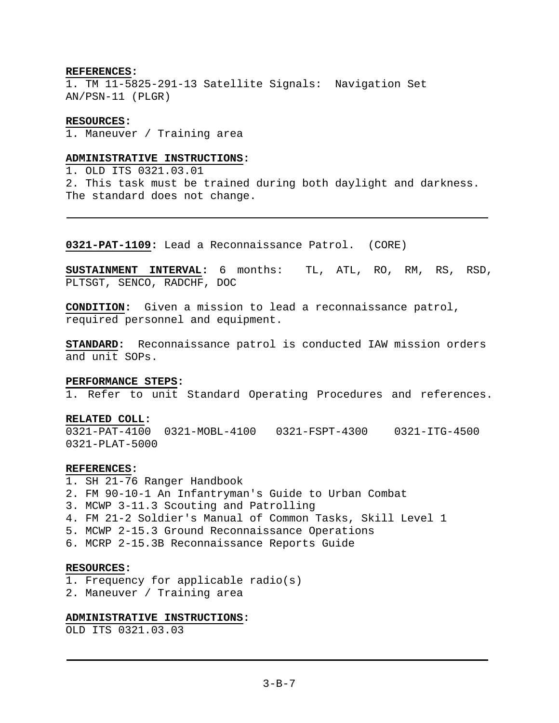### **REFERENCES:**

1. TM 11-5825-291-13 Satellite Signals: Navigation Set AN/PSN-11 (PLGR)

#### **RESOURCES:**

1. Maneuver / Training area

#### **ADMINISTRATIVE INSTRUCTIONS:**

1. OLD ITS 0321.03.01 2. This task must be trained during both daylight and darkness. The standard does not change.

**0321-PAT-1109:** Lead a Reconnaissance Patrol. (CORE)

**SUSTAINMENT INTERVAL:** 6 months: TL, ATL, RO, RM, RS, RSD, PLTSGT, SENCO, RADCHF, DOC

**CONDITION:** Given a mission to lead a reconnaissance patrol, required personnel and equipment.

**STANDARD:** Reconnaissance patrol is conducted IAW mission orders and unit SOPs.

#### **PERFORMANCE STEPS:**

1. Refer to unit Standard Operating Procedures and references.

#### **RELATED COLL:**

0321-PAT-4100 0321-MOBL-4100 0321-FSPT-4300 0321-ITG-4500 0321-PLAT-5000

#### **REFERENCES:**

1. SH 21-76 Ranger Handbook 2. FM 90-10-1 An Infantryman's Guide to Urban Combat 3. MCWP 3-11.3 Scouting and Patrolling 4. FM 21-2 Soldier's Manual of Common Tasks, Skill Level 1 5. MCWP 2-15.3 Ground Reconnaissance Operations 6. MCRP 2-15.3B Reconnaissance Reports Guide

### **RESOURCES:**

1. Frequency for applicable radio(s)

2. Maneuver / Training area

### **ADMINISTRATIVE INSTRUCTIONS:**

OLD ITS 0321.03.03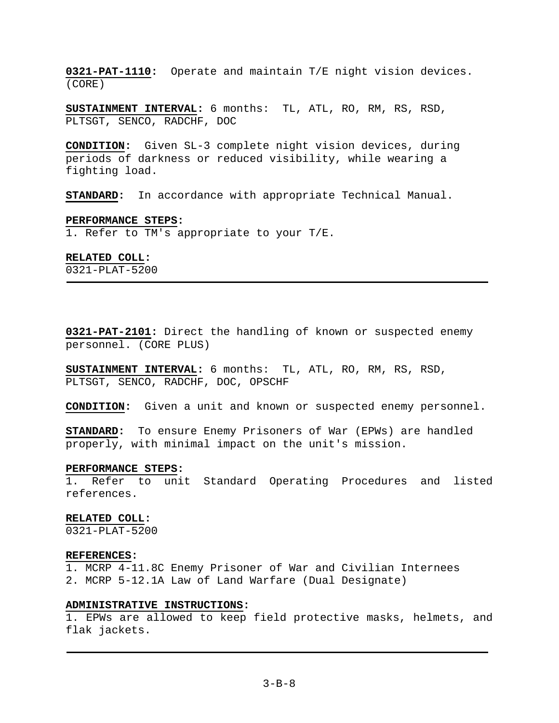**0321-PAT-1110:** Operate and maintain T/E night vision devices. (CORE)

**SUSTAINMENT INTERVAL:** 6 months: TL, ATL, RO, RM, RS, RSD, PLTSGT, SENCO, RADCHF, DOC

**CONDITION:** Given SL-3 complete night vision devices, during periods of darkness or reduced visibility, while wearing a fighting load.

**STANDARD:** In accordance with appropriate Technical Manual.

#### **PERFORMANCE STEPS:**

1. Refer to TM's appropriate to your T/E.

#### **RELATED COLL:**

0321-PLAT-5200

**0321-PAT-2101:** Direct the handling of known or suspected enemy personnel. (CORE PLUS)

**SUSTAINMENT INTERVAL:** 6 months: TL, ATL, RO, RM, RS, RSD, PLTSGT, SENCO, RADCHF, DOC, OPSCHF

**CONDITION:** Given a unit and known or suspected enemy personnel.

**STANDARD:** To ensure Enemy Prisoners of War (EPWs) are handled properly, with minimal impact on the unit's mission.

#### **PERFORMANCE STEPS:**

1. Refer to unit Standard Operating Procedures and listed references.

#### **RELATED COLL:**

0321-PLAT-5200

#### **REFERENCES:**

1. MCRP 4-11.8C Enemy Prisoner of War and Civilian Internees 2. MCRP 5-12.1A Law of Land Warfare (Dual Designate)

### **ADMINISTRATIVE INSTRUCTIONS:**

1. EPWs are allowed to keep field protective masks, helmets, and flak jackets.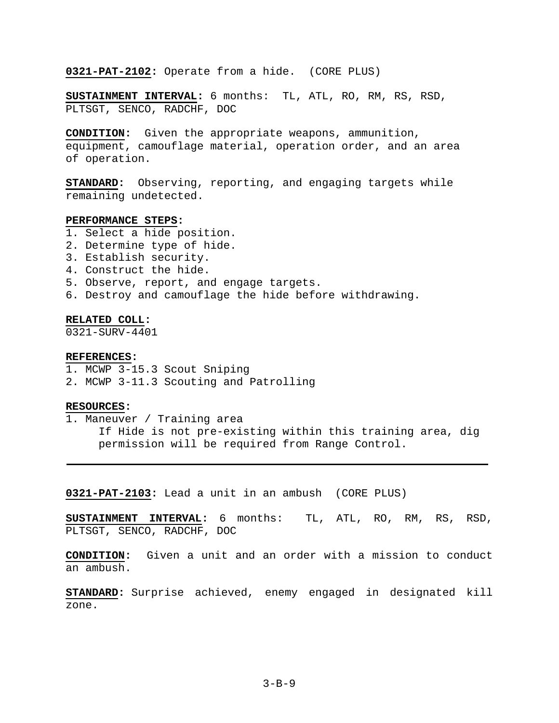**0321-PAT-2102:** Operate from a hide. (CORE PLUS)

**SUSTAINMENT INTERVAL:** 6 months: TL, ATL, RO, RM, RS, RSD, PLTSGT, SENCO, RADCHF, DOC

**CONDITION:** Given the appropriate weapons, ammunition, equipment, camouflage material, operation order, and an area of operation.

**STANDARD:** Observing, reporting, and engaging targets while remaining undetected.

#### **PERFORMANCE STEPS:**

- 1. Select a hide position.
- 2. Determine type of hide.
- 3. Establish security.
- 4. Construct the hide.
- 5. Observe, report, and engage targets.
- 6. Destroy and camouflage the hide before withdrawing.

#### **RELATED COLL:**

0321-SURV-4401

### **REFERENCES:**

- 1. MCWP 3-15.3 Scout Sniping
- 2. MCWP 3-11.3 Scouting and Patrolling

### **RESOURCES:**

1. Maneuver / Training area If Hide is not pre-existing within this training area, dig permission will be required from Range Control.

**0321-PAT-2103:** Lead a unit in an ambush (CORE PLUS)

**SUSTAINMENT INTERVAL:** 6 months: TL, ATL, RO, RM, RS, RSD, PLTSGT, SENCO, RADCHF, DOC

**CONDITION:** Given a unit and an order with a mission to conduct an ambush.

**STANDARD:** Surprise achieved, enemy engaged in designated kill zone.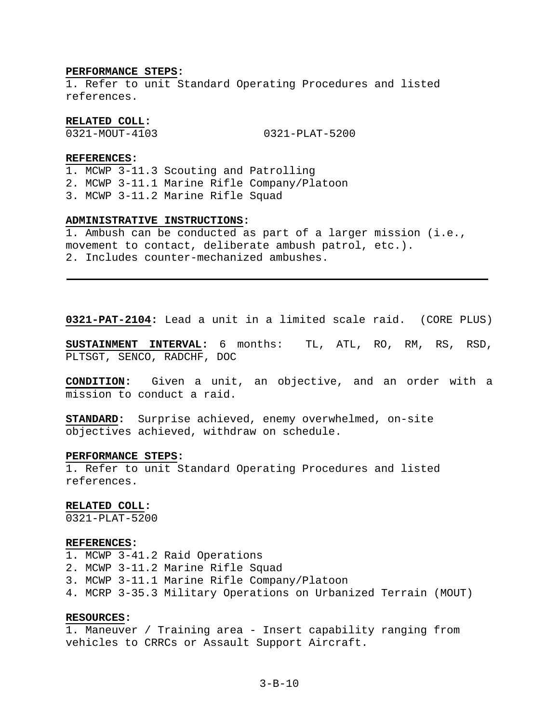#### **PERFORMANCE STEPS:**

1. Refer to unit Standard Operating Procedures and listed references.

**RELATED COLL:** 

0321-MOUT-4103 0321-PLAT-5200

#### **REFERENCES:**

1. MCWP 3-11.3 Scouting and Patrolling 2. MCWP 3-11.1 Marine Rifle Company/Platoon 3. MCWP 3-11.2 Marine Rifle Squad

### **ADMINISTRATIVE INSTRUCTIONS:**

1. Ambush can be conducted as part of a larger mission (i.e., movement to contact, deliberate ambush patrol, etc.). 2. Includes counter-mechanized ambushes.

**0321-PAT-2104:** Lead a unit in a limited scale raid. (CORE PLUS)

**SUSTAINMENT INTERVAL:** 6 months: TL, ATL, RO, RM, RS, RSD, PLTSGT, SENCO, RADCHF, DOC

**CONDITION:** Given a unit, an objective, and an order with a mission to conduct a raid.

**STANDARD:** Surprise achieved, enemy overwhelmed, on-site objectives achieved, withdraw on schedule.

#### **PERFORMANCE STEPS:**

1. Refer to unit Standard Operating Procedures and listed references.

#### **RELATED COLL:**

0321-PLAT-5200

#### **REFERENCES:**

1. MCWP 3-41.2 Raid Operations

- 2. MCWP 3-11.2 Marine Rifle Squad
- 3. MCWP 3-11.1 Marine Rifle Company/Platoon
- 4. MCRP 3-35.3 Military Operations on Urbanized Terrain (MOUT)

### **RESOURCES:**

1. Maneuver / Training area - Insert capability ranging from vehicles to CRRCs or Assault Support Aircraft.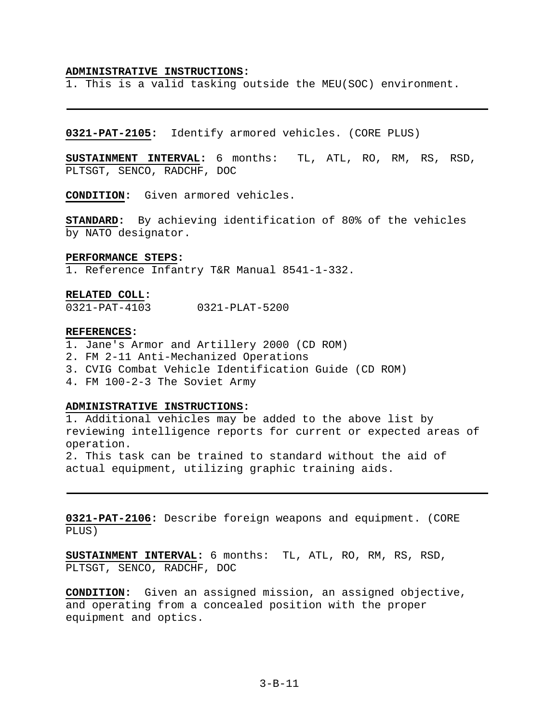#### **ADMINISTRATIVE INSTRUCTIONS:**

1. This is a valid tasking outside the MEU(SOC) environment.

**0321-PAT-2105:** Identify armored vehicles. (CORE PLUS)

**SUSTAINMENT INTERVAL:** 6 months: TL, ATL, RO, RM, RS, RSD, PLTSGT, SENCO, RADCHF, DOC

**CONDITION:** Given armored vehicles.

**STANDARD:** By achieving identification of 80% of the vehicles by NATO designator.

#### **PERFORMANCE STEPS:**

1. Reference Infantry T&R Manual 8541-1-332.

#### **RELATED COLL:**

0321-PAT-4103 0321-PLAT-5200

#### **REFERENCES:**

1. Jane's Armor and Artillery 2000 (CD ROM) 2. FM 2-11 Anti-Mechanized Operations 3. CVIG Combat Vehicle Identification Guide (CD ROM) 4. FM 100-2-3 The Soviet Army

### **ADMINISTRATIVE INSTRUCTIONS:**

1. Additional vehicles may be added to the above list by reviewing intelligence reports for current or expected areas of operation.

2. This task can be trained to standard without the aid of actual equipment, utilizing graphic training aids.

**0321-PAT-2106:** Describe foreign weapons and equipment. (CORE PLUS)

**SUSTAINMENT INTERVAL:** 6 months: TL, ATL, RO, RM, RS, RSD, PLTSGT, SENCO, RADCHF, DOC

**CONDITION:** Given an assigned mission, an assigned objective, and operating from a concealed position with the proper equipment and optics.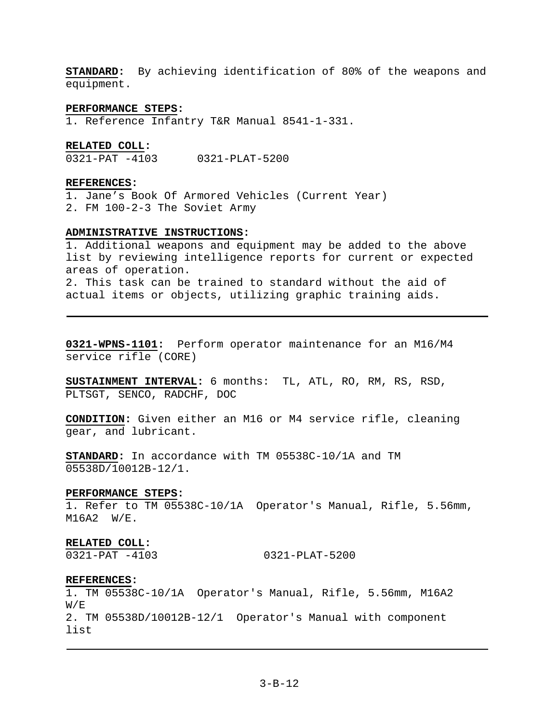**STANDARD:** By achieving identification of 80% of the weapons and equipment.

#### **PERFORMANCE STEPS:**

1. Reference Infantry T&R Manual 8541-1-331.

### **RELATED COLL:**

0321-PAT -4103 0321-PLAT-5200

### **REFERENCES:**

1. Jane's Book Of Armored Vehicles (Current Year) 2. FM 100-2-3 The Soviet Army

#### **ADMINISTRATIVE INSTRUCTIONS:**

1. Additional weapons and equipment may be added to the above list by reviewing intelligence reports for current or expected areas of operation. 2. This task can be trained to standard without the aid of actual items or objects, utilizing graphic training aids.

**0321-WPNS-1101:** Perform operator maintenance for an M16/M4 service rifle (CORE)

**SUSTAINMENT INTERVAL:** 6 months: TL, ATL, RO, RM, RS, RSD, PLTSGT, SENCO, RADCHF, DOC

**CONDITION:** Given either an M16 or M4 service rifle, cleaning gear, and lubricant.

**STANDARD:** In accordance with TM 05538C-10/1A and TM 05538D/10012B-12/1.

#### **PERFORMANCE STEPS:**

1. Refer to TM 05538C-10/1A Operator's Manual, Rifle, 5.56mm, M16A2 W/E.

#### **RELATED COLL:**

0321-PAT -4103 0321-PLAT-5200

#### **REFERENCES:**

1. TM 05538C-10/1A Operator's Manual, Rifle, 5.56mm, M16A2  $W/F$ 2. TM 05538D/10012B-12/1 Operator's Manual with component list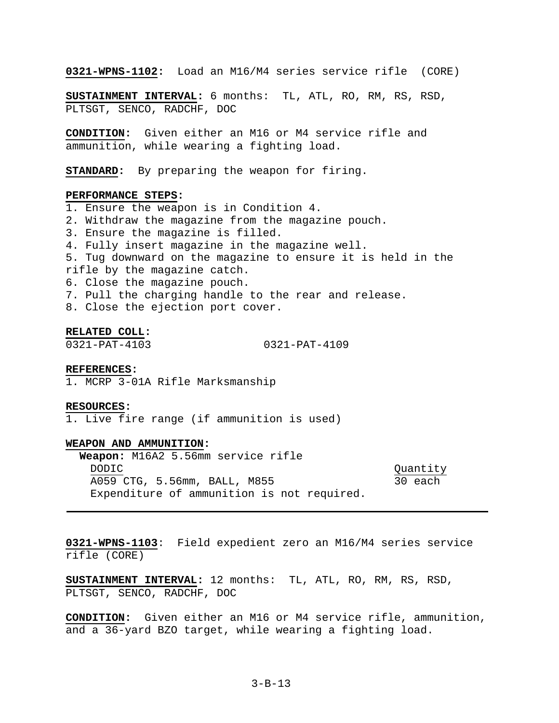**0321-WPNS-1102:** Load an M16/M4 series service rifle (CORE)

**SUSTAINMENT INTERVAL:** 6 months: TL, ATL, RO, RM, RS, RSD, PLTSGT, SENCO, RADCHF, DOC

**CONDITION:** Given either an M16 or M4 service rifle and ammunition, while wearing a fighting load.

**STANDARD:** By preparing the weapon for firing.

#### **PERFORMANCE STEPS:**

1. Ensure the weapon is in Condition 4. 2. Withdraw the magazine from the magazine pouch. 3. Ensure the magazine is filled. 4. Fully insert magazine in the magazine well. 5. Tug downward on the magazine to ensure it is held in the rifle by the magazine catch. 6. Close the magazine pouch. 7. Pull the charging handle to the rear and release. 8. Close the ejection port cover.

#### **RELATED COLL:**

0321-PAT-4103 0321-PAT-4109

#### **REFERENCES:**

1. MCRP 3-01A Rifle Marksmanship

#### **RESOURCES:**

1. Live fire range (if ammunition is used)

#### **WEAPON AND AMMUNITION:**

**Weapon:** M16A2 5.56mm service rifle DODIC Quantity A059 CTG, 5.56mm, BALL, M855 30 each Expenditure of ammunition is not required.

**0321-WPNS-1103**: Field expedient zero an M16/M4 series service rifle (CORE)

**SUSTAINMENT INTERVAL:** 12 months: TL, ATL, RO, RM, RS, RSD, PLTSGT, SENCO, RADCHF, DOC

**CONDITION:** Given either an M16 or M4 service rifle, ammunition, and a 36-yard BZO target, while wearing a fighting load.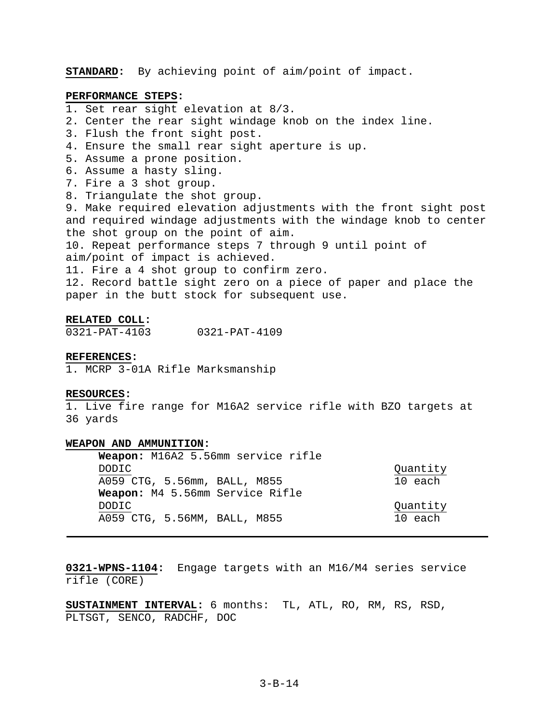**STANDARD:** By achieving point of aim/point of impact.

### **PERFORMANCE STEPS:**

- 1. Set rear sight elevation at 8/3.
- 2. Center the rear sight windage knob on the index line.
- 3. Flush the front sight post.
- 4. Ensure the small rear sight aperture is up.
- 5. Assume a prone position.
- 6. Assume a hasty sling.
- 7. Fire a 3 shot group.
- 8. Triangulate the shot group.

9. Make required elevation adjustments with the front sight post and required windage adjustments with the windage knob to center the shot group on the point of aim.

10. Repeat performance steps 7 through 9 until point of aim/point of impact is achieved.

11. Fire a 4 shot group to confirm zero.

12. Record battle sight zero on a piece of paper and place the paper in the butt stock for subsequent use.

#### **RELATED COLL:**

0321-PAT-4103 0321-PAT-4109

### **REFERENCES:**

1. MCRP 3-01A Rifle Marksmanship

#### **RESOURCES:**

1. Live fire range for M16A2 service rifle with BZO targets at 36 yards

# **WEAPON AND AMMUNITION:**

**Weapon:** M16A2 5.56mm service rifle DODIC Quantity A059 CTG, 5.56mm, BALL, M855 10 each **Weapon:** M4 5.56mm Service Rifle DODIC Quantity A059 CTG, 5.56MM, BALL, M855 10 each

**0321-WPNS-1104:** Engage targets with an M16/M4 series service rifle (CORE)

**SUSTAINMENT INTERVAL:** 6 months: TL, ATL, RO, RM, RS, RSD, PLTSGT, SENCO, RADCHF, DOC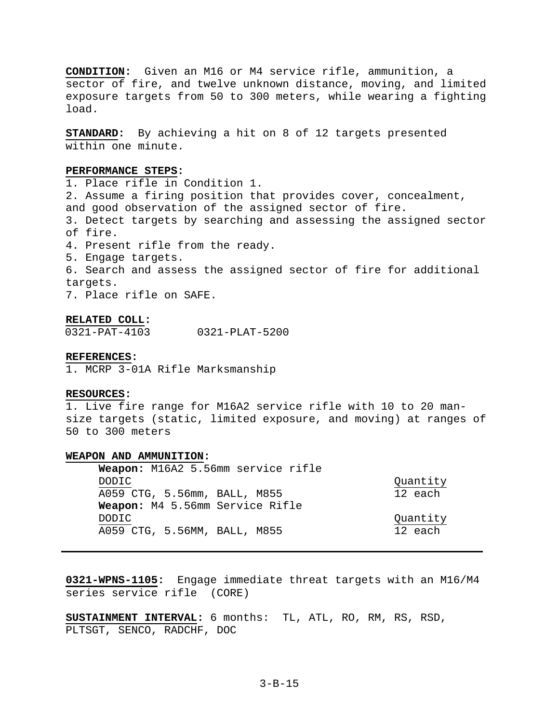**CONDITION:** Given an M16 or M4 service rifle, ammunition, a sector of fire, and twelve unknown distance, moving, and limited exposure targets from 50 to 300 meters, while wearing a fighting load.

**STANDARD:** By achieving a hit on 8 of 12 targets presented within one minute.

## **PERFORMANCE STEPS:**

1. Place rifle in Condition 1. 2. Assume a firing position that provides cover, concealment, and good observation of the assigned sector of fire. 3. Detect targets by searching and assessing the assigned sector of fire. 4. Present rifle from the ready. 5. Engage targets. 6. Search and assess the assigned sector of fire for additional targets. 7. Place rifle on SAFE.

### **RELATED COLL:**

0321-PAT-4103 0321-PLAT-5200

### **REFERENCES:**

1. MCRP 3-01A Rifle Marksmanship

## **RESOURCES:**

1. Live fire range for M16A2 service rifle with 10 to 20 mansize targets (static, limited exposure, and moving) at ranges of 50 to 300 meters

## **WEAPON AND AMMUNITION:**

| Weapon: M16A2 5.56mm service rifle |          |
|------------------------------------|----------|
| DODIC.                             | Quantity |
| A059 CTG, 5.56mm, BALL, M855       | 12 each  |
| Weapon: M4 5.56mm Service Rifle    |          |
| DODIC                              | Quantity |
| A059 CTG, 5.56MM, BALL, M855       | 12 each  |

**0321-WPNS-1105:** Engage immediate threat targets with an M16/M4 series service rifle (CORE)

**SUSTAINMENT INTERVAL:** 6 months: TL, ATL, RO, RM, RS, RSD, PLTSGT, SENCO, RADCHF, DOC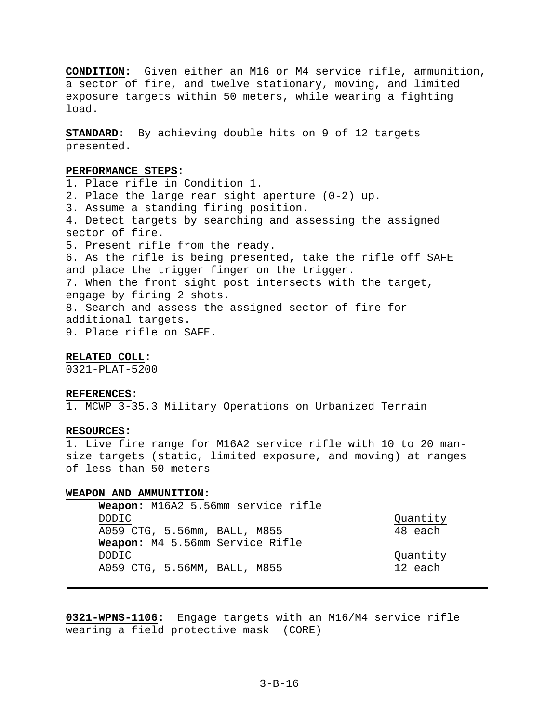**CONDITION:** Given either an M16 or M4 service rifle, ammunition, a sector of fire, and twelve stationary, moving, and limited exposure targets within 50 meters, while wearing a fighting load.

**STANDARD:** By achieving double hits on 9 of 12 targets presented.

## **PERFORMANCE STEPS:**

1. Place rifle in Condition 1. 2. Place the large rear sight aperture (0-2) up. 3. Assume a standing firing position. 4. Detect targets by searching and assessing the assigned sector of fire. 5. Present rifle from the ready. 6. As the rifle is being presented, take the rifle off SAFE and place the trigger finger on the trigger. 7. When the front sight post intersects with the target, engage by firing 2 shots. 8. Search and assess the assigned sector of fire for additional targets. 9. Place rifle on SAFE.

## **RELATED COLL:**

0321-PLAT-5200

#### **REFERENCES:**

1. MCWP 3-35.3 Military Operations on Urbanized Terrain

## **RESOURCES:**

1. Live fire range for M16A2 service rifle with 10 to 20 mansize targets (static, limited exposure, and moving) at ranges of less than 50 meters

#### **WEAPON AND AMMUNITION:**

| Weapon: M16A2 5.56mm service rifle |          |
|------------------------------------|----------|
| <b>DODIC</b>                       | Quantity |
| A059 CTG, 5.56mm, BALL, M855       | 48 each  |
| Weapon: M4 5.56mm Service Rifle    |          |
| <b>DODIC</b>                       | Quantity |
| A059 CTG, 5.56MM, BALL, M855       | 12 each  |

**0321-WPNS-1106:** Engage targets with an M16/M4 service rifle wearing a field protective mask (CORE)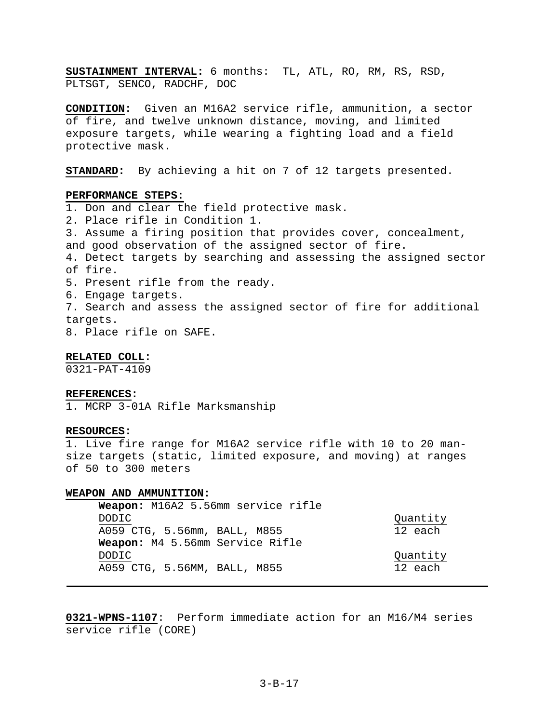**SUSTAINMENT INTERVAL:** 6 months: TL, ATL, RO, RM, RS, RSD, PLTSGT, SENCO, RADCHF, DOC

**CONDITION:** Given an M16A2 service rifle, ammunition, a sector of fire, and twelve unknown distance, moving, and limited exposure targets, while wearing a fighting load and a field protective mask.

**STANDARD:** By achieving a hit on 7 of 12 targets presented.

## **PERFORMANCE STEPS:**

1. Don and clear the field protective mask. 2. Place rifle in Condition 1. 3. Assume a firing position that provides cover, concealment, and good observation of the assigned sector of fire. 4. Detect targets by searching and assessing the assigned sector of fire. 5. Present rifle from the ready. 6. Engage targets. 7. Search and assess the assigned sector of fire for additional targets.

8. Place rifle on SAFE.

### **RELATED COLL:**

0321-PAT-4109

#### **REFERENCES:**

1. MCRP 3-01A Rifle Marksmanship

## **RESOURCES:**

1. Live fire range for M16A2 service rifle with 10 to 20 mansize targets (static, limited exposure, and moving) at ranges of 50 to 300 meters

#### **WEAPON AND AMMUNITION:**

| Weapon: M16A2 5.56mm service rifle |          |
|------------------------------------|----------|
| DODIC                              | Quantity |
| A059 CTG, 5.56mm, BALL, M855       | 12 each  |
| Weapon: M4 5.56mm Service Rifle    |          |
| DODIC                              | Quantity |
| A059 CTG, 5.56MM, BALL, M855       | 12 each  |

**0321-WPNS-1107**: Perform immediate action for an M16/M4 series service rifle (CORE)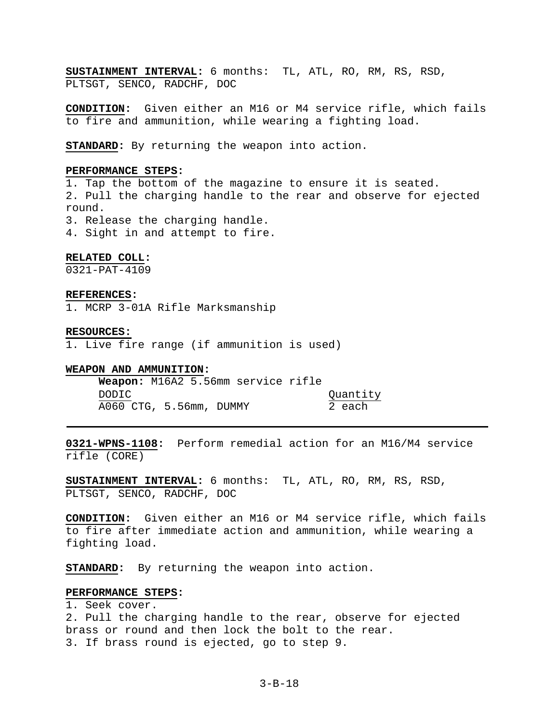**SUSTAINMENT INTERVAL:** 6 months: TL, ATL, RO, RM, RS, RSD, PLTSGT, SENCO, RADCHF, DOC

**CONDITION:** Given either an M16 or M4 service rifle, which fails to fire and ammunition, while wearing a fighting load.

**STANDARD:** By returning the weapon into action.

## **PERFORMANCE STEPS:**

1. Tap the bottom of the magazine to ensure it is seated. 2. Pull the charging handle to the rear and observe for ejected round. 3. Release the charging handle.

4. Sight in and attempt to fire.

### **RELATED COLL:**

0321-PAT-4109

#### **REFERENCES:**

1. MCRP 3-01A Rifle Marksmanship

### **RESOURCES:**

1. Live fire range (if ammunition is used)

#### **WEAPON AND AMMUNITION:**

**Weapon:** M16A2 5.56mm service rifle DODIC Quantity A060 CTG, 5.56mm, DUMMY 2 each

**0321-WPNS-1108:** Perform remedial action for an M16/M4 service rifle (CORE)

**SUSTAINMENT INTERVAL:** 6 months: TL, ATL, RO, RM, RS, RSD, PLTSGT, SENCO, RADCHF, DOC

**CONDITION:** Given either an M16 or M4 service rifle, which fails to fire after immediate action and ammunition, while wearing a fighting load.

**STANDARD:** By returning the weapon into action.

## **PERFORMANCE STEPS:**

1. Seek cover.

2. Pull the charging handle to the rear, observe for ejected brass or round and then lock the bolt to the rear. 3. If brass round is ejected, go to step 9.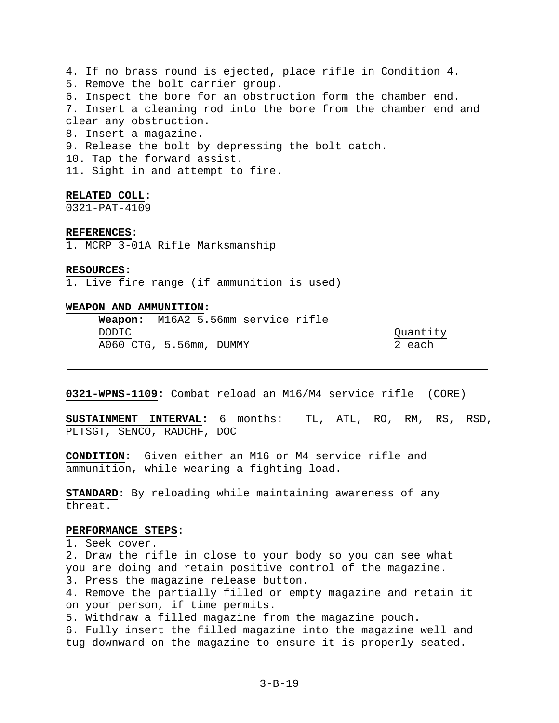4. If no brass round is ejected, place rifle in Condition 4. 5. Remove the bolt carrier group. 6. Inspect the bore for an obstruction form the chamber end. 7. Insert a cleaning rod into the bore from the chamber end and clear any obstruction. 8. Insert a magazine. 9. Release the bolt by depressing the bolt catch. 10. Tap the forward assist. 11. Sight in and attempt to fire. **RELATED COLL:** 

0321-PAT-4109

**REFERENCES:** 

1. MCRP 3-01A Rifle Marksmanship

**RESOURCES:** 

1. Live fire range (if ammunition is used)

## **WEAPON AND AMMUNITION:**

 **Weapon:** M16A2 5.56mm service rifle DODIC CONSUMING CONSUMING CONSUMING CONSUMING CONSUMING CONSUMING CONSUMING CONSUMING CONSUMING CONSUMING CONSUMING CONSUMING CONSUMING CONSUMING CONSUMING CONSUMING CONSUMING CONSUMING CONSUMING CONSUMING CONSUMING CONSUM A060 CTG, 5.56mm, DUMMY 2 each

**0321-WPNS-1109:** Combat reload an M16/M4 service rifle (CORE)

**SUSTAINMENT INTERVAL:** 6 months: TL, ATL, RO, RM, RS, RSD, PLTSGT, SENCO, RADCHF, DOC

**CONDITION:** Given either an M16 or M4 service rifle and ammunition, while wearing a fighting load.

**STANDARD:** By reloading while maintaining awareness of any threat.

## **PERFORMANCE STEPS:**

1. Seek cover.

2. Draw the rifle in close to your body so you can see what you are doing and retain positive control of the magazine.

3. Press the magazine release button.

4. Remove the partially filled or empty magazine and retain it on your person, if time permits.

5. Withdraw a filled magazine from the magazine pouch.

6. Fully insert the filled magazine into the magazine well and tug downward on the magazine to ensure it is properly seated.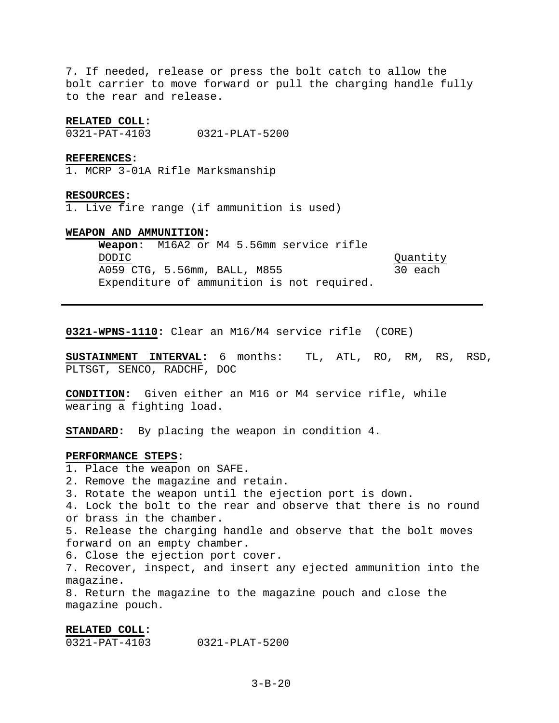7. If needed, release or press the bolt catch to allow the bolt carrier to move forward or pull the charging handle fully to the rear and release.

### **RELATED COLL:**

0321-PAT-4103 0321-PLAT-5200

#### **REFERENCES:**

1. MCRP 3-01A Rifle Marksmanship

#### **RESOURCES:**

1. Live fire range (if ammunition is used)

#### **WEAPON AND AMMUNITION:**

**Weapon**: M16A2 or M4 5.56mm service rifle DODIC Quantity A059 CTG, 5.56mm, BALL, M855 30 each Expenditure of ammunition is not required.

**0321-WPNS-1110:** Clear an M16/M4 service rifle (CORE)

**SUSTAINMENT INTERVAL:** 6 months: TL, ATL, RO, RM, RS, RSD, PLTSGT, SENCO, RADCHF, DOC

**CONDITION:** Given either an M16 or M4 service rifle, while wearing a fighting load.

**STANDARD:** By placing the weapon in condition 4.

## **PERFORMANCE STEPS:**

1. Place the weapon on SAFE.

2. Remove the magazine and retain.

3. Rotate the weapon until the ejection port is down.

4. Lock the bolt to the rear and observe that there is no round or brass in the chamber.

5. Release the charging handle and observe that the bolt moves forward on an empty chamber.

6. Close the ejection port cover.

7. Recover, inspect, and insert any ejected ammunition into the magazine.

8. Return the magazine to the magazine pouch and close the magazine pouch.

#### **RELATED COLL:**

0321-PAT-4103 0321-PLAT-5200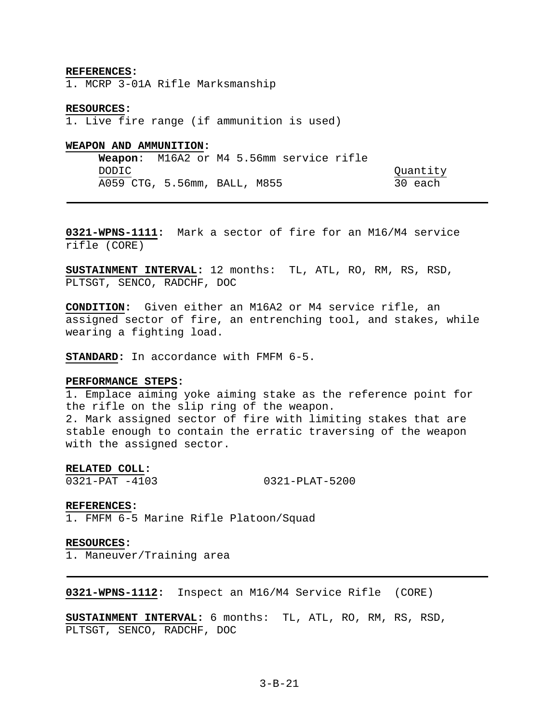#### **REFERENCES:**

1. MCRP 3-01A Rifle Marksmanship

#### **RESOURCES:**

1. Live fire range (if ammunition is used)

### **WEAPON AND AMMUNITION:**

**Weapon**: M16A2 or M4 5.56mm service rifle DODIC Quantity A059 CTG, 5.56mm, BALL, M855 30 each

**0321-WPNS-1111:** Mark a sector of fire for an M16/M4 service rifle (CORE)

**SUSTAINMENT INTERVAL:** 12 months: TL, ATL, RO, RM, RS, RSD, PLTSGT, SENCO, RADCHF, DOC

**CONDITION:** Given either an M16A2 or M4 service rifle, an assigned sector of fire, an entrenching tool, and stakes, while wearing a fighting load.

**STANDARD:** In accordance with FMFM 6-5.

## **PERFORMANCE STEPS:**

1. Emplace aiming yoke aiming stake as the reference point for the rifle on the slip ring of the weapon. 2. Mark assigned sector of fire with limiting stakes that are stable enough to contain the erratic traversing of the weapon with the assigned sector.

## **RELATED COLL:**

0321-PAT -4103 0321-PLAT-5200

#### **REFERENCES:**

1. FMFM 6-5 Marine Rifle Platoon/Squad

#### **RESOURCES:**

1. Maneuver/Training area

**0321-WPNS-1112:** Inspect an M16/M4 Service Rifle (CORE)

**SUSTAINMENT INTERVAL:** 6 months: TL, ATL, RO, RM, RS, RSD, PLTSGT, SENCO, RADCHF, DOC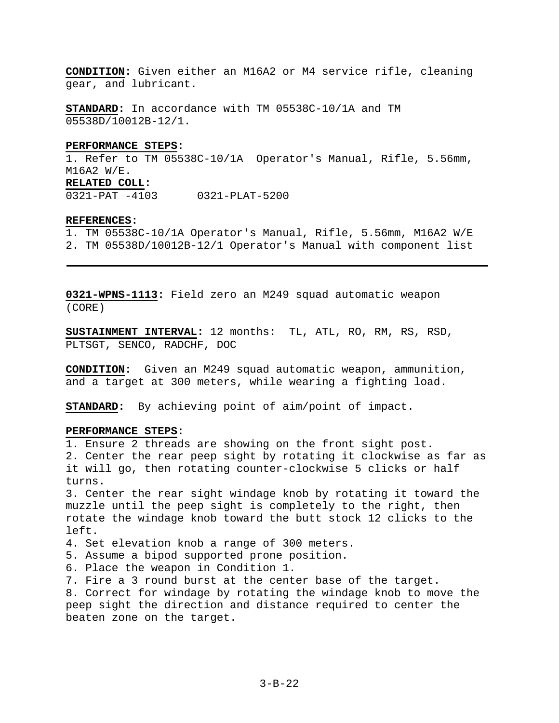**CONDITION:** Given either an M16A2 or M4 service rifle, cleaning gear, and lubricant.

**STANDARD:** In accordance with TM 05538C-10/1A and TM 05538D/10012B-12/1.

## **PERFORMANCE STEPS:**

1. Refer to TM 05538C-10/1A Operator's Manual, Rifle, 5.56mm, M16A2 W/E. **RELATED COLL:** 

0321-PAT -4103 0321-PLAT-5200

### **REFERENCES:**

1. TM 05538C-10/1A Operator's Manual, Rifle, 5.56mm, M16A2 W/E 2. TM 05538D/10012B-12/1 Operator's Manual with component list

**0321-WPNS-1113:** Field zero an M249 squad automatic weapon (CORE)

**SUSTAINMENT INTERVAL:** 12 months: TL, ATL, RO, RM, RS, RSD, PLTSGT, SENCO, RADCHF, DOC

**CONDITION:** Given an M249 squad automatic weapon, ammunition, and a target at 300 meters, while wearing a fighting load.

**STANDARD:** By achieving point of aim/point of impact.

## **PERFORMANCE STEPS:**

1. Ensure 2 threads are showing on the front sight post. 2. Center the rear peep sight by rotating it clockwise as far as it will go, then rotating counter-clockwise 5 clicks or half turns.

3. Center the rear sight windage knob by rotating it toward the muzzle until the peep sight is completely to the right, then rotate the windage knob toward the butt stock 12 clicks to the left.

4. Set elevation knob a range of 300 meters.

5. Assume a bipod supported prone position.

6. Place the weapon in Condition 1.

7. Fire a 3 round burst at the center base of the target.

8. Correct for windage by rotating the windage knob to move the peep sight the direction and distance required to center the beaten zone on the target.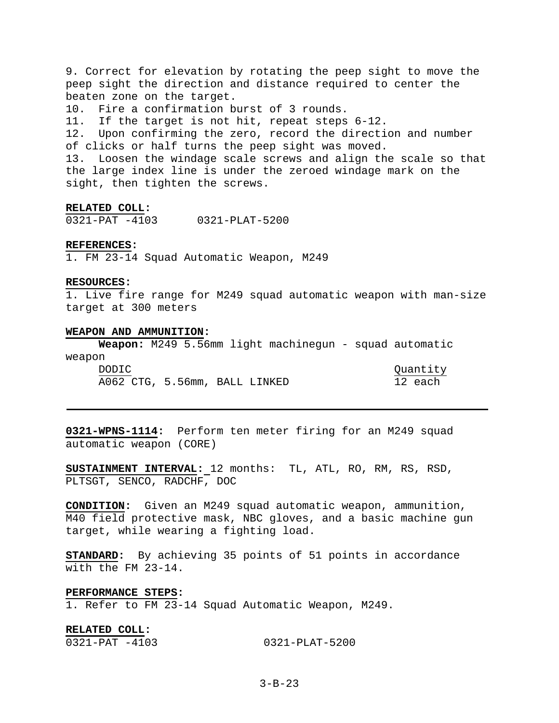9. Correct for elevation by rotating the peep sight to move the peep sight the direction and distance required to center the beaten zone on the target. 10. Fire a confirmation burst of 3 rounds. 11. If the target is not hit, repeat steps 6-12. 12. Upon confirming the zero, record the direction and number of clicks or half turns the peep sight was moved. 13. Loosen the windage scale screws and align the scale so that the large index line is under the zeroed windage mark on the sight, then tighten the screws.

#### **RELATED COLL:**

0321-PAT -4103 0321-PLAT-5200

## **REFERENCES:**

1. FM 23-14 Squad Automatic Weapon, M249

#### **RESOURCES:**

1. Live fire range for M249 squad automatic weapon with man-size target at 300 meters

#### **WEAPON AND AMMUNITION:**

**Weapon:** M249 5.56mm light machinegun - squad automatic weapon

| $W \subset \alpha \sim \alpha + 1$ |                               |  |          |
|------------------------------------|-------------------------------|--|----------|
| DODIC.                             |                               |  | Quantity |
|                                    | A062 CTG, 5.56mm, BALL LINKED |  | 12 each  |

**0321-WPNS-1114:** Perform ten meter firing for an M249 squad automatic weapon (CORE)

**SUSTAINMENT INTERVAL:** 12 months: TL, ATL, RO, RM, RS, RSD, PLTSGT, SENCO, RADCHF, DOC

**CONDITION:** Given an M249 squad automatic weapon, ammunition, M40 field protective mask, NBC gloves, and a basic machine gun target, while wearing a fighting load.

**STANDARD:** By achieving 35 points of 51 points in accordance with the FM 23-14.

## **PERFORMANCE STEPS:**

1. Refer to FM 23-14 Squad Automatic Weapon, M249.

## **RELATED COLL:**  0321-PAT -4103 0321-PLAT-5200

## 3-B-23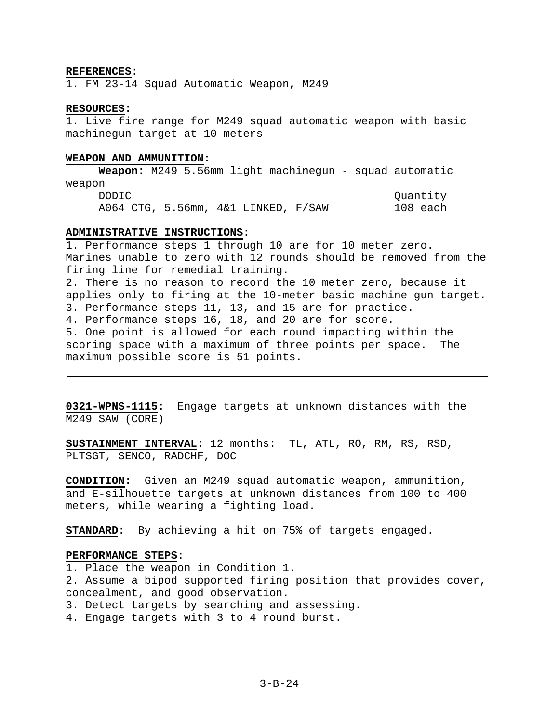#### **REFERENCES:**

1. FM 23-14 Squad Automatic Weapon, M249

#### **RESOURCES:**

1. Live fire range for M249 squad automatic weapon with basic machinegun target at 10 meters

#### **WEAPON AND AMMUNITION:**

**Weapon:** M249 5.56mm light machinegun - squad automatic weapon DODIC Quantity

A064 CTG, 5.56mm, 4&1 LINKED, F/SAW 108 each

## **ADMINISTRATIVE INSTRUCTIONS:**

1. Performance steps 1 through 10 are for 10 meter zero. Marines unable to zero with 12 rounds should be removed from the firing line for remedial training. 2. There is no reason to record the 10 meter zero, because it applies only to firing at the 10-meter basic machine gun target. 3. Performance steps 11, 13, and 15 are for practice. 4. Performance steps 16, 18, and 20 are for score. 5. One point is allowed for each round impacting within the scoring space with a maximum of three points per space. The maximum possible score is 51 points.

**0321-WPNS-1115:** Engage targets at unknown distances with the M249 SAW (CORE)

**SUSTAINMENT INTERVAL:** 12 months: TL, ATL, RO, RM, RS, RSD, PLTSGT, SENCO, RADCHF, DOC

**CONDITION:** Given an M249 squad automatic weapon, ammunition, and E-silhouette targets at unknown distances from 100 to 400 meters, while wearing a fighting load.

**STANDARD:** By achieving a hit on 75% of targets engaged.

#### **PERFORMANCE STEPS:**

- 1. Place the weapon in Condition 1.
- 2. Assume a bipod supported firing position that provides cover, concealment, and good observation.
- 3. Detect targets by searching and assessing.
- 4. Engage targets with 3 to 4 round burst.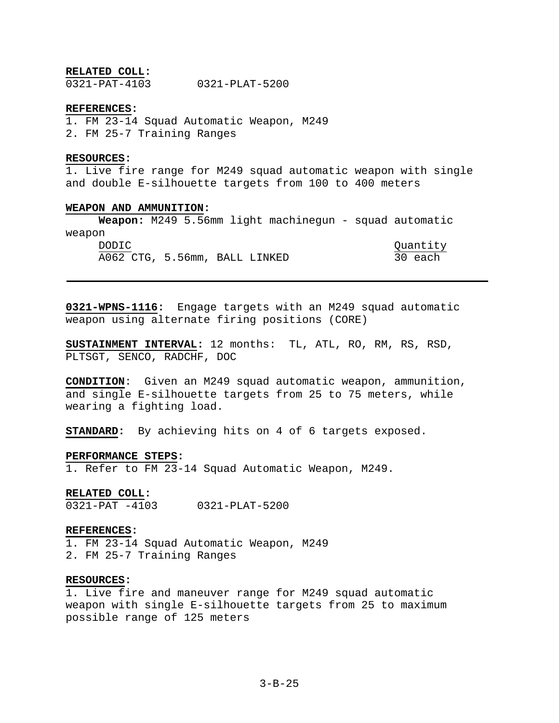## **RELATED COLL:**

0321-PAT-4103 0321-PLAT-5200

#### **REFERENCES:**

1. FM 23-14 Squad Automatic Weapon, M249 2. FM 25-7 Training Ranges

### **RESOURCES:**

1. Live fire range for M249 squad automatic weapon with single and double E-silhouette targets from 100 to 400 meters

## **WEAPON AND AMMUNITION:**

**Weapon:** M249 5.56mm light machinegun - squad automatic weapon

| DODIC.                        |  |  | Quantity |
|-------------------------------|--|--|----------|
| A062 CTG, 5.56mm, BALL LINKED |  |  | 30 each  |

**0321-WPNS-1116:** Engage targets with an M249 squad automatic weapon using alternate firing positions (CORE)

**SUSTAINMENT INTERVAL:** 12 months: TL, ATL, RO, RM, RS, RSD, PLTSGT, SENCO, RADCHF, DOC

**CONDITION**: Given an M249 squad automatic weapon, ammunition, and single E-silhouette targets from 25 to 75 meters, while wearing a fighting load.

**STANDARD:** By achieving hits on 4 of 6 targets exposed.

## **PERFORMANCE STEPS:**

1. Refer to FM 23-14 Squad Automatic Weapon, M249.

#### **RELATED COLL:**

0321-PAT -4103 0321-PLAT-5200

#### **REFERENCES:**

1. FM 23-14 Squad Automatic Weapon, M249 2. FM 25-7 Training Ranges

## **RESOURCES:**

1. Live fire and maneuver range for M249 squad automatic weapon with single E-silhouette targets from 25 to maximum possible range of 125 meters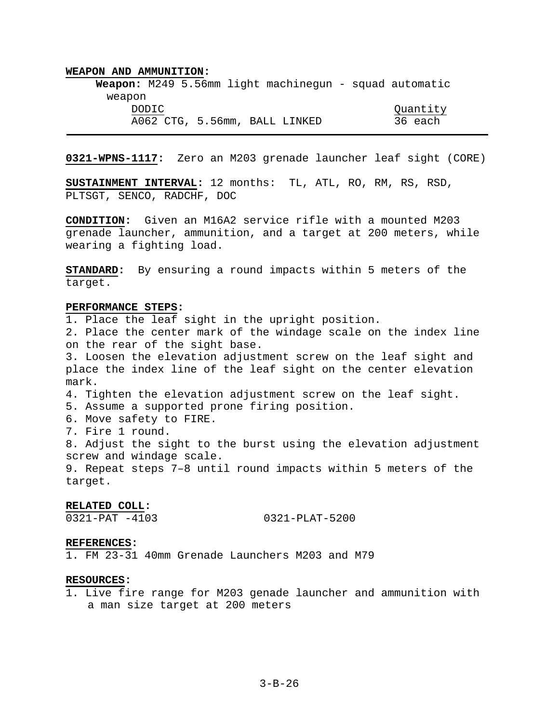**Weapon:** M249 5.56mm light machinegun - squad automatic weapon DODIC Quantity A062 CTG, 5.56mm, BALL LINKED 36 each

**0321-WPNS-1117:** Zero an M203 grenade launcher leaf sight (CORE)

**SUSTAINMENT INTERVAL:** 12 months: TL, ATL, RO, RM, RS, RSD, PLTSGT, SENCO, RADCHF, DOC

**CONDITION:** Given an M16A2 service rifle with a mounted M203 grenade launcher, ammunition, and a target at 200 meters, while wearing a fighting load.

**STANDARD:** By ensuring a round impacts within 5 meters of the target.

#### **PERFORMANCE STEPS:**

1. Place the leaf sight in the upright position. 2. Place the center mark of the windage scale on the index line on the rear of the sight base. 3. Loosen the elevation adjustment screw on the leaf sight and place the index line of the leaf sight on the center elevation mark. 4. Tighten the elevation adjustment screw on the leaf sight. 5. Assume a supported prone firing position. 6. Move safety to FIRE. 7. Fire 1 round. 8. Adjust the sight to the burst using the elevation adjustment screw and windage scale. 9. Repeat steps 7–8 until round impacts within 5 meters of the target.

### **RELATED COLL:**

0321-PAT -4103 0321-PLAT-5200

### **REFERENCES:**

1. FM 23-31 40mm Grenade Launchers M203 and M79

## **RESOURCES:**

1. Live fire range for M203 genade launcher and ammunition with a man size target at 200 meters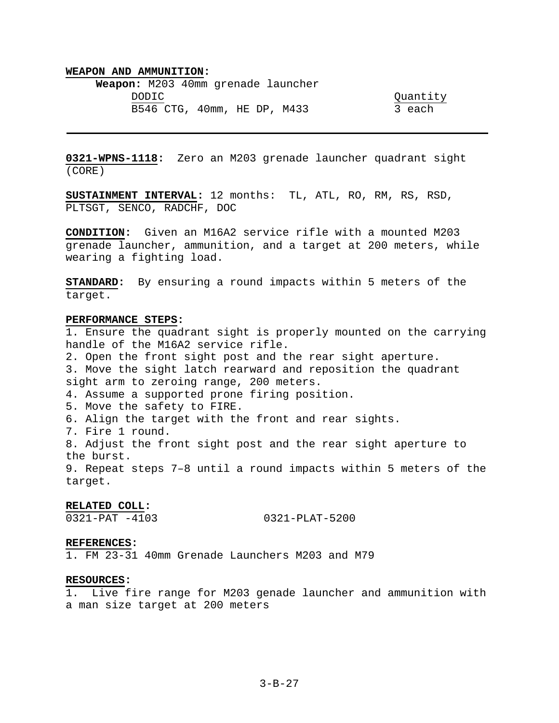**Weapon:** M203 40mm grenade launcher DODIC Quantity B546 CTG, 40mm, HE DP, M433 3 each

**0321-WPNS-1118:** Zero an M203 grenade launcher quadrant sight (CORE)

**SUSTAINMENT INTERVAL:** 12 months: TL, ATL, RO, RM, RS, RSD, PLTSGT, SENCO, RADCHF, DOC

**CONDITION:** Given an M16A2 service rifle with a mounted M203 grenade launcher, ammunition, and a target at 200 meters, while wearing a fighting load.

**STANDARD:** By ensuring a round impacts within 5 meters of the target.

#### **PERFORMANCE STEPS:**

1. Ensure the quadrant sight is properly mounted on the carrying handle of the M16A2 service rifle. 2. Open the front sight post and the rear sight aperture. 3. Move the sight latch rearward and reposition the quadrant sight arm to zeroing range, 200 meters. 4. Assume a supported prone firing position. 5. Move the safety to FIRE. 6. Align the target with the front and rear sights. 7. Fire 1 round. 8. Adjust the front sight post and the rear sight aperture to the burst. 9. Repeat steps 7–8 until a round impacts within 5 meters of the

target.

# **RELATED COLL:**

0321-PAT -4103 0321-PLAT-5200

#### **REFERENCES:**

1. FM 23-31 40mm Grenade Launchers M203 and M79

## **RESOURCES:**

1. Live fire range for M203 genade launcher and ammunition with a man size target at 200 meters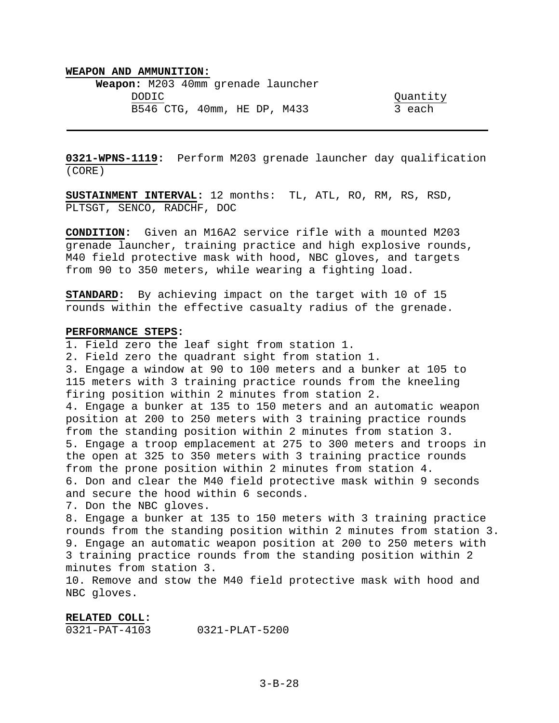**Weapon:** M203 40mm grenade launcher DODIC Quantity B546 CTG, 40mm, HE DP, M433 3 each

**0321-WPNS-1119:** Perform M203 grenade launcher day qualification (CORE)

**SUSTAINMENT INTERVAL:** 12 months: TL, ATL, RO, RM, RS, RSD, PLTSGT, SENCO, RADCHF, DOC

**CONDITION:** Given an M16A2 service rifle with a mounted M203 grenade launcher, training practice and high explosive rounds, M40 field protective mask with hood, NBC gloves, and targets from 90 to 350 meters, while wearing a fighting load.

**STANDARD:** By achieving impact on the target with 10 of 15 rounds within the effective casualty radius of the grenade.

## **PERFORMANCE STEPS:**

1. Field zero the leaf sight from station 1. 2. Field zero the quadrant sight from station 1. 3. Engage a window at 90 to 100 meters and a bunker at 105 to 115 meters with 3 training practice rounds from the kneeling firing position within 2 minutes from station 2. 4. Engage a bunker at 135 to 150 meters and an automatic weapon position at 200 to 250 meters with 3 training practice rounds from the standing position within 2 minutes from station 3. 5. Engage a troop emplacement at 275 to 300 meters and troops in the open at 325 to 350 meters with 3 training practice rounds from the prone position within 2 minutes from station 4. 6. Don and clear the M40 field protective mask within 9 seconds and secure the hood within 6 seconds.

7. Don the NBC gloves.

8. Engage a bunker at 135 to 150 meters with 3 training practice rounds from the standing position within 2 minutes from station 3. 9. Engage an automatic weapon position at 200 to 250 meters with 3 training practice rounds from the standing position within 2 minutes from station 3.

10. Remove and stow the M40 field protective mask with hood and NBC gloves.

## **RELATED COLL:**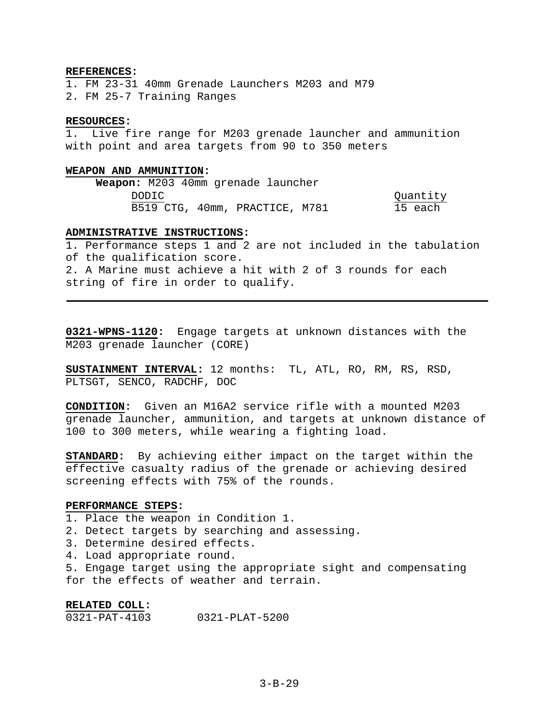### **REFERENCES:**

1. FM 23-31 40mm Grenade Launchers M203 and M79 2. FM 25-7 Training Ranges

## **RESOURCES:**

1. Live fire range for M203 grenade launcher and ammunition with point and area targets from 90 to 350 meters

## **WEAPON AND AMMUNITION:**

**Weapon:** M203 40mm grenade launcher DODIC Quantity B519 CTG, 40mm, PRACTICE, M781 15 each

## **ADMINISTRATIVE INSTRUCTIONS:**

1. Performance steps 1 and 2 are not included in the tabulation of the qualification score. 2. A Marine must achieve a hit with 2 of 3 rounds for each string of fire in order to qualify.

**0321-WPNS-1120:** Engage targets at unknown distances with the M203 grenade launcher (CORE)

**SUSTAINMENT INTERVAL:** 12 months: TL, ATL, RO, RM, RS, RSD, PLTSGT, SENCO, RADCHF, DOC

**CONDITION:** Given an M16A2 service rifle with a mounted M203 grenade launcher, ammunition, and targets at unknown distance of 100 to 300 meters, while wearing a fighting load.

**STANDARD:** By achieving either impact on the target within the effective casualty radius of the grenade or achieving desired screening effects with 75% of the rounds.

### **PERFORMANCE STEPS:**

1. Place the weapon in Condition 1.

- 2. Detect targets by searching and assessing.
- 3. Determine desired effects.
- 4. Load appropriate round.
- 5. Engage target using the appropriate sight and compensating for the effects of weather and terrain.

## **RELATED COLL:**

0321-PAT-4103 0321-PLAT-5200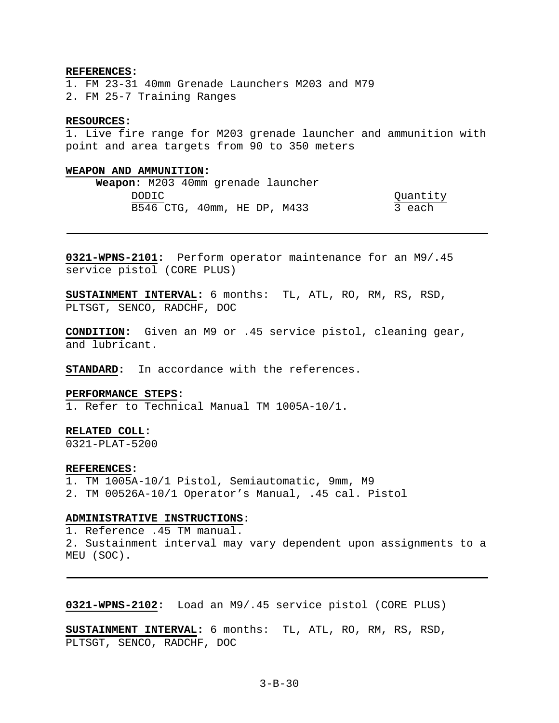### **REFERENCES:**

1. FM 23-31 40mm Grenade Launchers M203 and M79 2. FM 25-7 Training Ranges

## **RESOURCES:**

1. Live fire range for M203 grenade launcher and ammunition with point and area targets from 90 to 350 meters

### **WEAPON AND AMMUNITION:**

| <b>Weapon:</b> M203 40mm grenade launcher |        |                             |  |          |
|-------------------------------------------|--------|-----------------------------|--|----------|
|                                           | DODIC. |                             |  | Quantity |
|                                           |        | B546 CTG, 40mm, HE DP, M433 |  | 3 each   |

**0321-WPNS-2101:** Perform operator maintenance for an M9/.45 service pistol (CORE PLUS)

**SUSTAINMENT INTERVAL:** 6 months: TL, ATL, RO, RM, RS, RSD, PLTSGT, SENCO, RADCHF, DOC

**CONDITION:** Given an M9 or .45 service pistol, cleaning gear, and lubricant.

**STANDARD:** In accordance with the references.

#### **PERFORMANCE STEPS:**

1. Refer to Technical Manual TM 1005A-10/1.

## **RELATED COLL:**

0321-PLAT-5200

#### **REFERENCES:**

1. TM 1005A-10/1 Pistol, Semiautomatic, 9mm, M9 2. TM 00526A-10/1 Operator's Manual, .45 cal. Pistol

### **ADMINISTRATIVE INSTRUCTIONS:**

1. Reference .45 TM manual. 2. Sustainment interval may vary dependent upon assignments to a MEU (SOC).

**0321-WPNS-2102:** Load an M9/.45 service pistol (CORE PLUS)

**SUSTAINMENT INTERVAL:** 6 months: TL, ATL, RO, RM, RS, RSD, PLTSGT, SENCO, RADCHF, DOC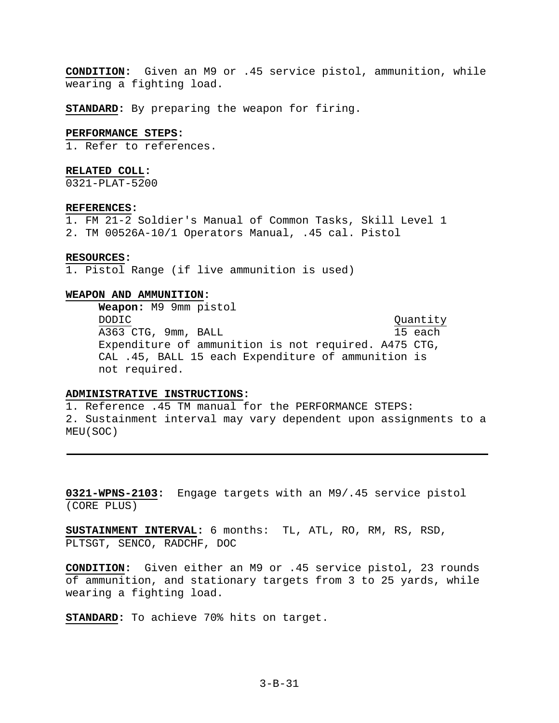**CONDITION:** Given an M9 or .45 service pistol, ammunition, while wearing a fighting load.

**STANDARD:** By preparing the weapon for firing.

#### **PERFORMANCE STEPS:**

1. Refer to references.

### **RELATED COLL:**

0321-PLAT-5200

### **REFERENCES:**

1. FM 21-2 Soldier's Manual of Common Tasks, Skill Level 1 2. TM 00526A-10/1 Operators Manual, .45 cal. Pistol

### **RESOURCES:**

1. Pistol Range (if live ammunition is used)

## **WEAPON AND AMMUNITION:**

**Weapon:** M9 9mm pistol DODIC Quantity A363 CTG, 9mm, BALL 15 each Expenditure of ammunition is not required. A475 CTG, CAL .45, BALL 15 each Expenditure of ammunition is not required.

# **ADMINISTRATIVE INSTRUCTIONS:**

1. Reference .45 TM manual for the PERFORMANCE STEPS: 2. Sustainment interval may vary dependent upon assignments to a MEU(SOC)

**0321-WPNS-2103:** Engage targets with an M9/.45 service pistol (CORE PLUS)

**SUSTAINMENT INTERVAL:** 6 months: TL, ATL, RO, RM, RS, RSD, PLTSGT, SENCO, RADCHF, DOC

**CONDITION:** Given either an M9 or .45 service pistol, 23 rounds of ammunition, and stationary targets from 3 to 25 yards, while wearing a fighting load.

**STANDARD:** To achieve 70% hits on target.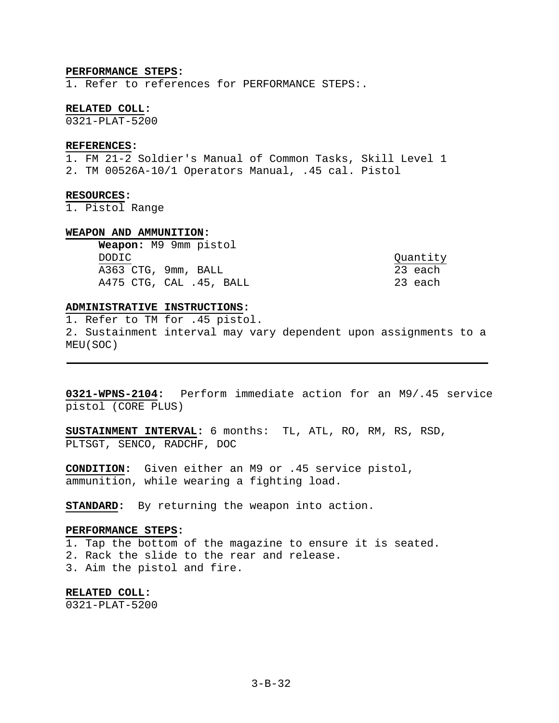### **PERFORMANCE STEPS:**

1. Refer to references for PERFORMANCE STEPS:.

#### **RELATED COLL:**

0321-PLAT-5200

### **REFERENCES:**

1. FM 21-2 Soldier's Manual of Common Tasks, Skill Level 1 2. TM 00526A-10/1 Operators Manual, .45 cal. Pistol

### **RESOURCES:**

1. Pistol Range

#### **WEAPON AND AMMUNITION:**

**Weapon:** M9 9mm pistol DODIC Quantity A363 CTG, 9mm, BALL 23 each A475 CTG, CAL .45, BALL 23 each

## **ADMINISTRATIVE INSTRUCTIONS:**

1. Refer to TM for .45 pistol. 2. Sustainment interval may vary dependent upon assignments to a MEU(SOC)

**0321-WPNS-2104:** Perform immediate action for an M9/.45 service pistol (CORE PLUS)

**SUSTAINMENT INTERVAL:** 6 months: TL, ATL, RO, RM, RS, RSD, PLTSGT, SENCO, RADCHF, DOC

**CONDITION:** Given either an M9 or .45 service pistol, ammunition, while wearing a fighting load.

**STANDARD:** By returning the weapon into action.

#### **PERFORMANCE STEPS:**

1. Tap the bottom of the magazine to ensure it is seated. 2. Rack the slide to the rear and release. 3. Aim the pistol and fire.

**RELATED COLL:**  0321-PLAT-5200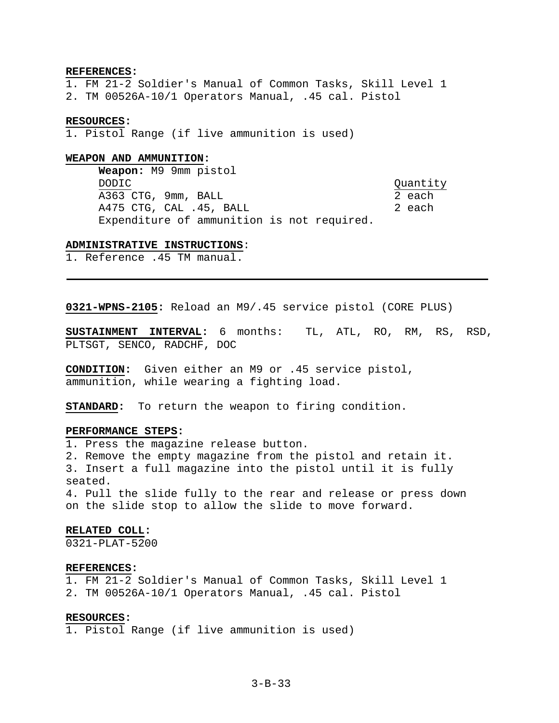### **REFERENCES:**

1. FM 21-2 Soldier's Manual of Common Tasks, Skill Level 1 2. TM 00526A-10/1 Operators Manual, .45 cal. Pistol

#### **RESOURCES:**

1. Pistol Range (if live ammunition is used)

#### **WEAPON AND AMMUNITION:**

**Weapon:** M9 9mm pistol DODIC Quantity A363 CTG, 9mm, BALL 2 each A475 CTG, CAL .45, BALL 2 each Expenditure of ammunition is not required.

### **ADMINISTRATIVE INSTRUCTIONS**:

1. Reference .45 TM manual.

**0321-WPNS-2105:** Reload an M9/.45 service pistol (CORE PLUS)

**SUSTAINMENT INTERVAL:** 6 months: TL, ATL, RO, RM, RS, RSD, PLTSGT, SENCO, RADCHF, DOC

**CONDITION:** Given either an M9 or .45 service pistol, ammunition, while wearing a fighting load.

**STANDARD:** To return the weapon to firing condition.

## **PERFORMANCE STEPS:**

1. Press the magazine release button.

2. Remove the empty magazine from the pistol and retain it.

3. Insert a full magazine into the pistol until it is fully seated.

4. Pull the slide fully to the rear and release or press down on the slide stop to allow the slide to move forward.

#### **RELATED COLL:**

0321-PLAT-5200

## **REFERENCES:**

1. FM 21-2 Soldier's Manual of Common Tasks, Skill Level 1 2. TM 00526A-10/1 Operators Manual, .45 cal. Pistol

## **RESOURCES:**

1. Pistol Range (if live ammunition is used)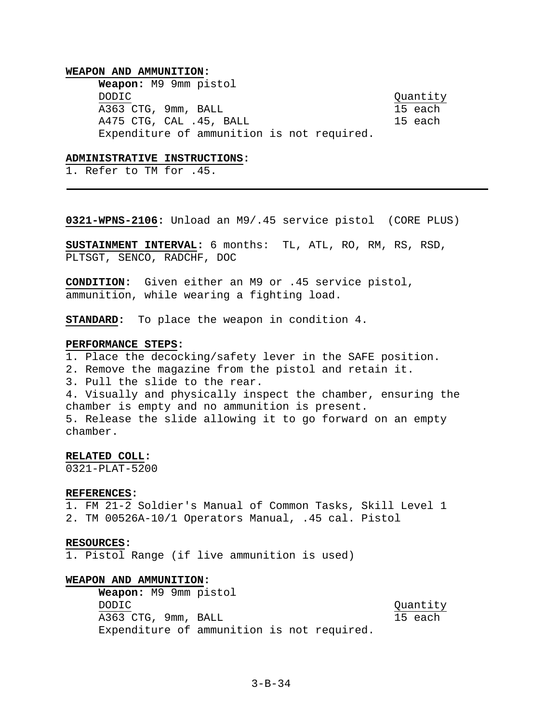**Weapon:** M9 9mm pistol DODIC Quantity Quantity A363 CTG, 9mm, BALL 15 each A475 CTG, CAL .45, BALL 15 each Expenditure of ammunition is not required.

## **ADMINISTRATIVE INSTRUCTIONS:**

1. Refer to TM for .45.

**0321-WPNS-2106:** Unload an M9/.45 service pistol (CORE PLUS)

**SUSTAINMENT INTERVAL:** 6 months: TL, ATL, RO, RM, RS, RSD, PLTSGT, SENCO, RADCHF, DOC

**CONDITION:** Given either an M9 or .45 service pistol, ammunition, while wearing a fighting load.

**STANDARD:** To place the weapon in condition 4.

#### **PERFORMANCE STEPS:**

1. Place the decocking/safety lever in the SAFE position. 2. Remove the magazine from the pistol and retain it. 3. Pull the slide to the rear. 4. Visually and physically inspect the chamber, ensuring the chamber is empty and no ammunition is present. 5. Release the slide allowing it to go forward on an empty chamber.

### **RELATED COLL:**

0321-PLAT-5200

#### **REFERENCES:**

1. FM 21-2 Soldier's Manual of Common Tasks, Skill Level 1 2. TM 00526A-10/1 Operators Manual, .45 cal. Pistol

### **RESOURCES:**

1. Pistol Range (if live ammunition is used)

### **WEAPON AND AMMUNITION:**

**Weapon:** M9 9mm pistol DODIC Quantity A363 CTG, 9mm, BALL 15 each Expenditure of ammunition is not required.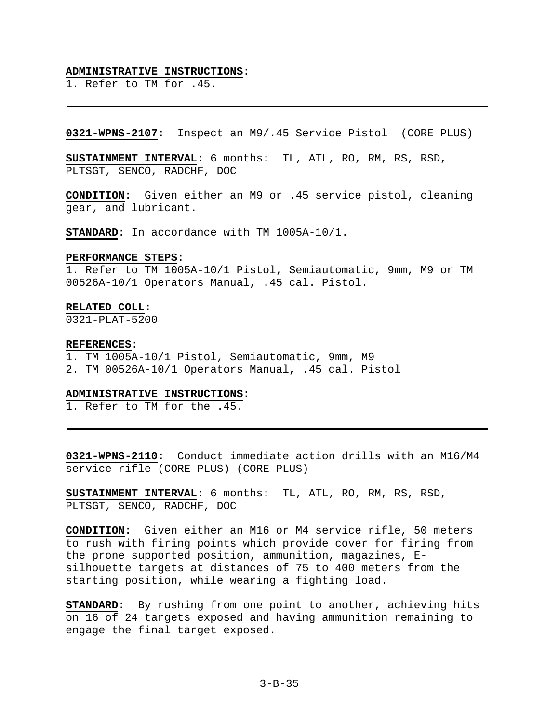### **ADMINISTRATIVE INSTRUCTIONS:**

1. Refer to TM for .45.

**0321-WPNS-2107:** Inspect an M9/.45 Service Pistol (CORE PLUS)

**SUSTAINMENT INTERVAL:** 6 months: TL, ATL, RO, RM, RS, RSD, PLTSGT, SENCO, RADCHF, DOC

**CONDITION:** Given either an M9 or .45 service pistol, cleaning gear, and lubricant.

**STANDARD:** In accordance with TM 1005A-10/1.

#### **PERFORMANCE STEPS:**

1. Refer to TM 1005A-10/1 Pistol, Semiautomatic, 9mm, M9 or TM 00526A-10/1 Operators Manual, .45 cal. Pistol.

#### **RELATED COLL:**

0321-PLAT-5200

#### **REFERENCES:**

1. TM 1005A-10/1 Pistol, Semiautomatic, 9mm, M9 2. TM 00526A-10/1 Operators Manual, .45 cal. Pistol

## **ADMINISTRATIVE INSTRUCTIONS:**

1. Refer to TM for the .45.

**0321-WPNS-2110:** Conduct immediate action drills with an M16/M4 service rifle (CORE PLUS) (CORE PLUS)

**SUSTAINMENT INTERVAL:** 6 months: TL, ATL, RO, RM, RS, RSD, PLTSGT, SENCO, RADCHF, DOC

**CONDITION:** Given either an M16 or M4 service rifle, 50 meters to rush with firing points which provide cover for firing from the prone supported position, ammunition, magazines, Esilhouette targets at distances of 75 to 400 meters from the starting position, while wearing a fighting load.

**STANDARD:** By rushing from one point to another, achieving hits on 16 of 24 targets exposed and having ammunition remaining to engage the final target exposed.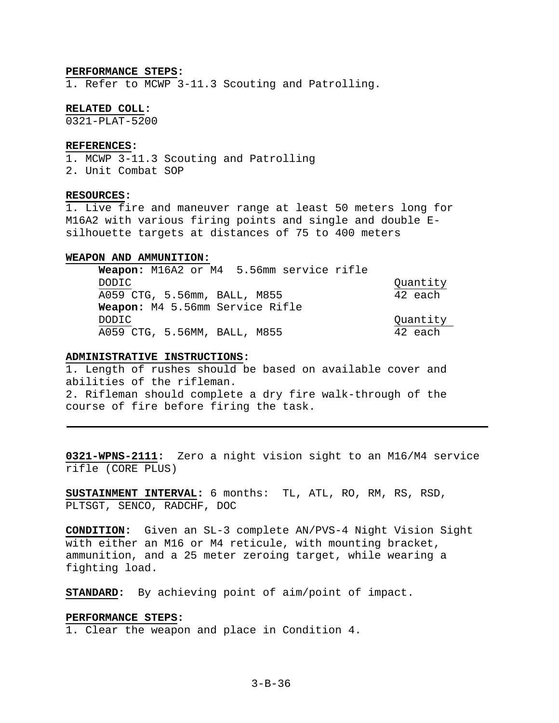### **PERFORMANCE STEPS:**

1. Refer to MCWP 3-11.3 Scouting and Patrolling.

#### **RELATED COLL:**

0321-PLAT-5200

#### **REFERENCES:**

1. MCWP 3-11.3 Scouting and Patrolling 2. Unit Combat SOP

## **RESOURCES:**

1. Live fire and maneuver range at least 50 meters long for M16A2 with various firing points and single and double Esilhouette targets at distances of 75 to 400 meters

### **WEAPON AND AMMUNITION:**

| Weapon: M16A2 or M4 5.56mm service rifle |          |
|------------------------------------------|----------|
| DODIC.                                   | Quantity |
| A059 CTG, 5.56mm, BALL, M855             | 42 each  |
| Weapon: M4 5.56mm Service Rifle          |          |
| DODIC.                                   | Quantity |
| A059 CTG, 5.56MM, BALL, M855             | 42 each  |

## **ADMINISTRATIVE INSTRUCTIONS:**

1. Length of rushes should be based on available cover and abilities of the rifleman. 2. Rifleman should complete a dry fire walk-through of the course of fire before firing the task.

**0321-WPNS-2111:** Zero a night vision sight to an M16/M4 service rifle (CORE PLUS)

**SUSTAINMENT INTERVAL:** 6 months: TL, ATL, RO, RM, RS, RSD, PLTSGT, SENCO, RADCHF, DOC

**CONDITION:** Given an SL-3 complete AN/PVS-4 Night Vision Sight with either an M16 or M4 reticule, with mounting bracket, ammunition, and a 25 meter zeroing target, while wearing a fighting load.

**STANDARD:** By achieving point of aim/point of impact.

### **PERFORMANCE STEPS:**

1. Clear the weapon and place in Condition 4.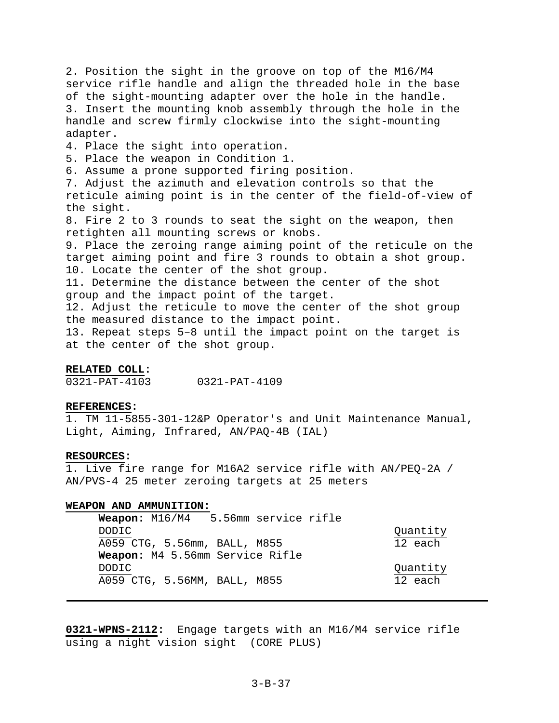2. Position the sight in the groove on top of the M16/M4 service rifle handle and align the threaded hole in the base of the sight-mounting adapter over the hole in the handle. 3. Insert the mounting knob assembly through the hole in the handle and screw firmly clockwise into the sight-mounting adapter. 4. Place the sight into operation. 5. Place the weapon in Condition 1. 6. Assume a prone supported firing position. 7. Adjust the azimuth and elevation controls so that the reticule aiming point is in the center of the field-of-view of the sight. 8. Fire 2 to 3 rounds to seat the sight on the weapon, then retighten all mounting screws or knobs. 9. Place the zeroing range aiming point of the reticule on the target aiming point and fire 3 rounds to obtain a shot group. 10. Locate the center of the shot group. 11. Determine the distance between the center of the shot group and the impact point of the target. 12. Adjust the reticule to move the center of the shot group the measured distance to the impact point. 13. Repeat steps 5–8 until the impact point on the target is at the center of the shot group.

## **RELATED COLL:**

0321-PAT-4103 0321-PAT-4109

#### **REFERENCES:**

1. TM 11-5855-301-12&P Operator's and Unit Maintenance Manual, Light, Aiming, Infrared, AN/PAQ-4B (IAL)

## **RESOURCES:**

1. Live fire range for M16A2 service rifle with AN/PEQ-2A / AN/PVS-4 25 meter zeroing targets at 25 meters

### **WEAPON AND AMMUNITION:**

| 5.56mm service rifle<br>Weapon: $M16/M4$ |          |
|------------------------------------------|----------|
| DODIC.                                   | Quantity |
| A059 CTG, 5.56mm, BALL, M855             | 12 each  |
| Weapon: M4 5.56mm Service Rifle          |          |
| DODIC.                                   | Quantity |
| A059 CTG, 5.56MM, BALL, M855             | 12 each  |
|                                          |          |

**0321-WPNS-2112:** Engage targets with an M16/M4 service rifle using a night vision sight (CORE PLUS)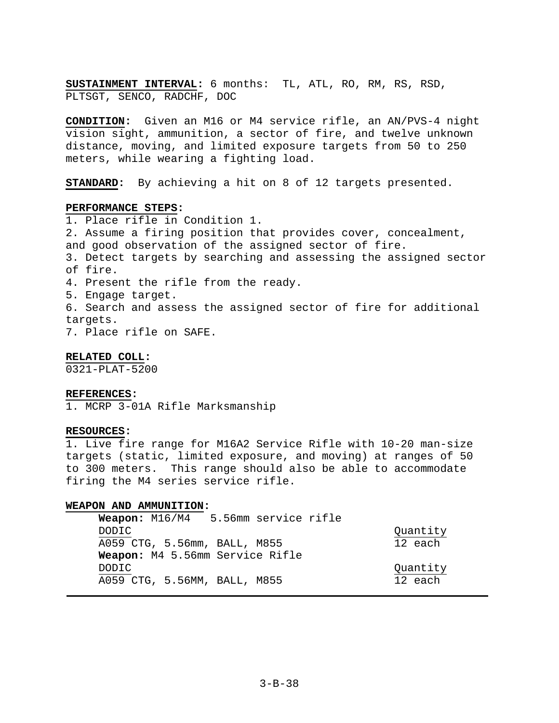**SUSTAINMENT INTERVAL:** 6 months: TL, ATL, RO, RM, RS, RSD, PLTSGT, SENCO, RADCHF, DOC

**CONDITION:** Given an M16 or M4 service rifle, an AN/PVS-4 night vision sight, ammunition, a sector of fire, and twelve unknown distance, moving, and limited exposure targets from 50 to 250 meters, while wearing a fighting load.

**STANDARD:** By achieving a hit on 8 of 12 targets presented.

## **PERFORMANCE STEPS:**

1. Place rifle in Condition 1. 2. Assume a firing position that provides cover, concealment, and good observation of the assigned sector of fire. 3. Detect targets by searching and assessing the assigned sector of fire. 4. Present the rifle from the ready. 5. Engage target. 6. Search and assess the assigned sector of fire for additional targets.

7. Place rifle on SAFE.

## **RELATED COLL:**

0321-PLAT-5200

#### **REFERENCES:**

1. MCRP 3-01A Rifle Marksmanship

## **RESOURCES:**

1. Live fire range for M16A2 Service Rifle with 10-20 man-size targets (static, limited exposure, and moving) at ranges of 50 to 300 meters. This range should also be able to accommodate firing the M4 series service rifle.

### **WEAPON AND AMMUNITION:**

| Weapon: M16/M4 5.56mm service rifle |          |
|-------------------------------------|----------|
|                                     | Quantity |
| A059 CTG, 5.56mm, BALL, M855        | 12 each  |
| Weapon: M4 5.56mm Service Rifle     |          |
|                                     | Quantity |
| A059 CTG, 5.56MM, BALL, M855        | 12 each  |
|                                     |          |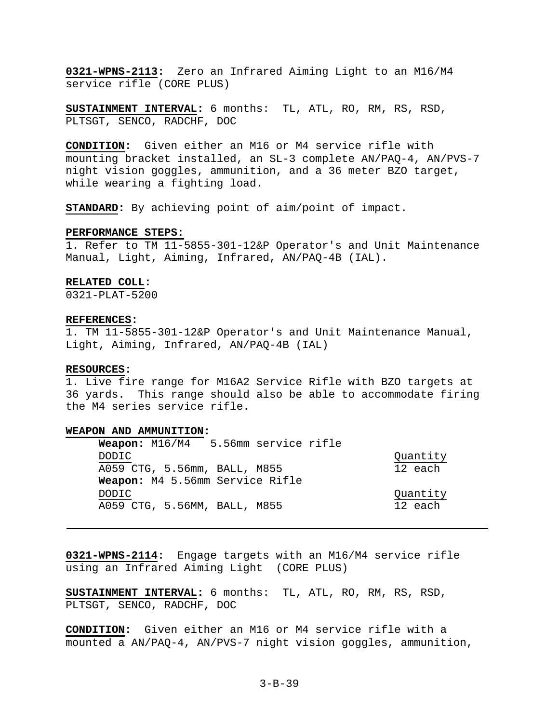**0321-WPNS-2113:** Zero an Infrared Aiming Light to an M16/M4 service rifle (CORE PLUS)

**SUSTAINMENT INTERVAL:** 6 months: TL, ATL, RO, RM, RS, RSD, PLTSGT, SENCO, RADCHF, DOC

**CONDITION:** Given either an M16 or M4 service rifle with mounting bracket installed, an SL-3 complete AN/PAQ-4, AN/PVS-7 night vision goggles, ammunition, and a 36 meter BZO target, while wearing a fighting load.

**STANDARD:** By achieving point of aim/point of impact.

#### **PERFORMANCE STEPS:**

1. Refer to TM 11-5855-301-12&P Operator's and Unit Maintenance Manual, Light, Aiming, Infrared, AN/PAQ-4B (IAL).

## **RELATED COLL:**

0321-PLAT-5200

#### **REFERENCES:**

1. TM 11-5855-301-12&P Operator's and Unit Maintenance Manual, Light, Aiming, Infrared, AN/PAQ-4B (IAL)

#### **RESOURCES:**

1. Live fire range for M16A2 Service Rifle with BZO targets at 36 yards. This range should also be able to accommodate firing the M4 series service rifle.

### **WEAPON AND AMMUNITION:**

| Weapon: $M16/M4$                | 5.56mm service rifle |          |
|---------------------------------|----------------------|----------|
| DODIC.                          |                      | Quantity |
| A059 CTG, 5.56mm, BALL, M855    |                      | 12 each  |
| Weapon: M4 5.56mm Service Rifle |                      |          |
| DODIC.                          |                      | Quantity |
| A059 CTG, 5.56MM, BALL, M855    |                      | 12 each  |

**0321-WPNS-2114:** Engage targets with an M16/M4 service rifle using an Infrared Aiming Light (CORE PLUS)

**SUSTAINMENT INTERVAL:** 6 months: TL, ATL, RO, RM, RS, RSD, PLTSGT, SENCO, RADCHF, DOC

**CONDITION:** Given either an M16 or M4 service rifle with a mounted a AN/PAQ-4, AN/PVS-7 night vision goggles, ammunition,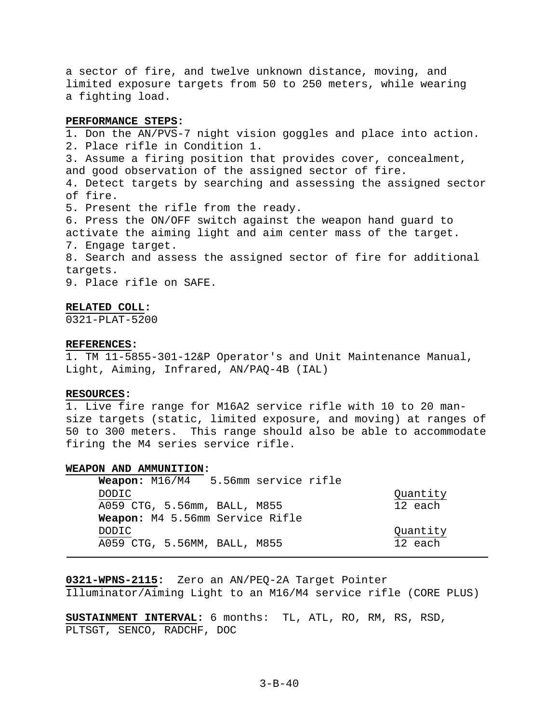a sector of fire, and twelve unknown distance, moving, and limited exposure targets from 50 to 250 meters, while wearing a fighting load.

### **PERFORMANCE STEPS:**

1. Don the AN/PVS-7 night vision goggles and place into action. 2. Place rifle in Condition 1. 3. Assume a firing position that provides cover, concealment, and good observation of the assigned sector of fire. 4. Detect targets by searching and assessing the assigned sector of fire. 5. Present the rifle from the ready. 6. Press the ON/OFF switch against the weapon hand guard to activate the aiming light and aim center mass of the target. 7. Engage target. 8. Search and assess the assigned sector of fire for additional targets. 9. Place rifle on SAFE.

#### **RELATED COLL:**

0321-PLAT-5200

#### **REFERENCES:**

1. TM 11-5855-301-12&P Operator's and Unit Maintenance Manual, Light, Aiming, Infrared, AN/PAQ-4B (IAL)

### **RESOURCES:**

1. Live fire range for M16A2 service rifle with 10 to 20 mansize targets (static, limited exposure, and moving) at ranges of 50 to 300 meters. This range should also be able to accommodate firing the M4 series service rifle.

### **WEAPON AND AMMUNITION:**

| Weapon: M16/M4 5.56mm service rifle |          |
|-------------------------------------|----------|
| <b>DODIC</b>                        | Quantity |
| A059 CTG, 5.56mm, BALL, M855        | 12 each  |
| Weapon: M4 5.56mm Service Rifle     |          |
| DODIC                               | Quantity |
| A059 CTG, 5.56MM, BALL, M855        | 12 each  |
|                                     |          |

**0321-WPNS-2115:** Zero an AN/PEQ-2A Target Pointer

Illuminator/Aiming Light to an M16/M4 service rifle (CORE PLUS)

**SUSTAINMENT INTERVAL:** 6 months: TL, ATL, RO, RM, RS, RSD, PLTSGT, SENCO, RADCHF, DOC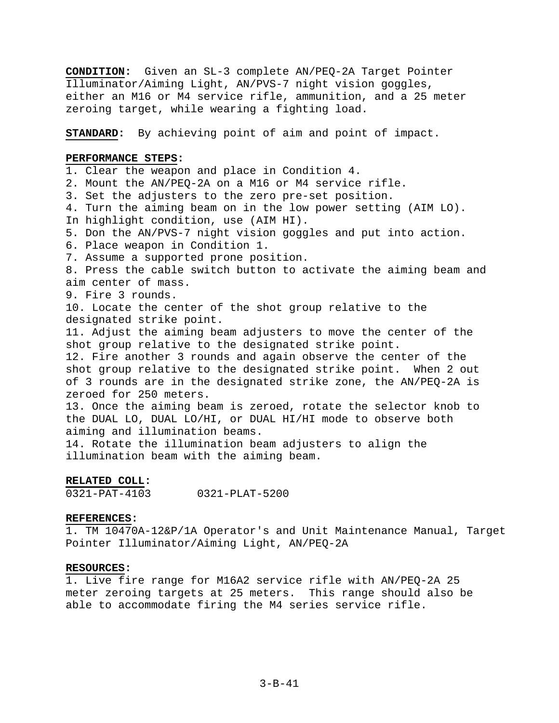**CONDITION:** Given an SL-3 complete AN/PEQ-2A Target Pointer Illuminator/Aiming Light, AN/PVS-7 night vision goggles, either an M16 or M4 service rifle, ammunition, and a 25 meter zeroing target, while wearing a fighting load.

**STANDARD:** By achieving point of aim and point of impact.

## **PERFORMANCE STEPS:**

1. Clear the weapon and place in Condition 4. 2. Mount the AN/PEQ-2A on a M16 or M4 service rifle. 3. Set the adjusters to the zero pre-set position. 4. Turn the aiming beam on in the low power setting (AIM LO). In highlight condition, use (AIM HI). 5. Don the AN/PVS-7 night vision goggles and put into action. 6. Place weapon in Condition 1. 7. Assume a supported prone position. 8. Press the cable switch button to activate the aiming beam and aim center of mass. 9. Fire 3 rounds. 10. Locate the center of the shot group relative to the designated strike point. 11. Adjust the aiming beam adjusters to move the center of the shot group relative to the designated strike point. 12. Fire another 3 rounds and again observe the center of the shot group relative to the designated strike point. When 2 out of 3 rounds are in the designated strike zone, the AN/PEQ-2A is zeroed for 250 meters. 13. Once the aiming beam is zeroed, rotate the selector knob to the DUAL LO, DUAL LO/HI, or DUAL HI/HI mode to observe both aiming and illumination beams. 14. Rotate the illumination beam adjusters to align the

illumination beam with the aiming beam.

## **RELATED COLL:**

0321-PAT-4103 0321-PLAT-5200

## **REFERENCES:**

1. TM 10470A-12&P/1A Operator's and Unit Maintenance Manual, Target Pointer Illuminator/Aiming Light, AN/PEQ-2A

# **RESOURCES:**

1. Live fire range for M16A2 service rifle with AN/PEQ-2A 25 meter zeroing targets at 25 meters. This range should also be able to accommodate firing the M4 series service rifle.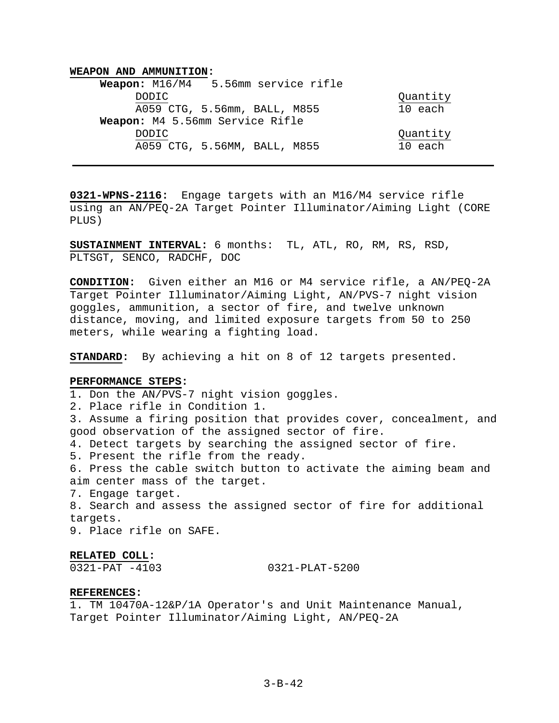| 5.56mm service rifle<br>Weapon: $M16/M4$ |          |
|------------------------------------------|----------|
| DODIC.                                   | Quantity |
| A059 CTG, 5.56mm, BALL, M855             | 10 each  |
| Weapon: M4 5.56mm Service Rifle          |          |
| DODIC.                                   | Quantity |
| A059 CTG, 5.56MM, BALL, M855             | 10 each  |

**0321-WPNS-2116:** Engage targets with an M16/M4 service rifle using an AN/PEQ-2A Target Pointer Illuminator/Aiming Light (CORE PLUS)

**SUSTAINMENT INTERVAL:** 6 months: TL, ATL, RO, RM, RS, RSD, PLTSGT, SENCO, RADCHF, DOC

**CONDITION:** Given either an M16 or M4 service rifle, a AN/PEQ-2A Target Pointer Illuminator/Aiming Light, AN/PVS-7 night vision goggles, ammunition, a sector of fire, and twelve unknown distance, moving, and limited exposure targets from 50 to 250 meters, while wearing a fighting load.

**STANDARD:** By achieving a hit on 8 of 12 targets presented.

## **PERFORMANCE STEPS:**

1. Don the AN/PVS-7 night vision goggles.

2. Place rifle in Condition 1.

3. Assume a firing position that provides cover, concealment, and good observation of the assigned sector of fire.

4. Detect targets by searching the assigned sector of fire.

5. Present the rifle from the ready.

6. Press the cable switch button to activate the aiming beam and aim center mass of the target.

7. Engage target.

8. Search and assess the assigned sector of fire for additional targets.

9. Place rifle on SAFE.

### **RELATED COLL:**

0321-PAT -4103 0321-PLAT-5200

### **REFERENCES:**

1. TM 10470A-12&P/1A Operator's and Unit Maintenance Manual, Target Pointer Illuminator/Aiming Light, AN/PEQ-2A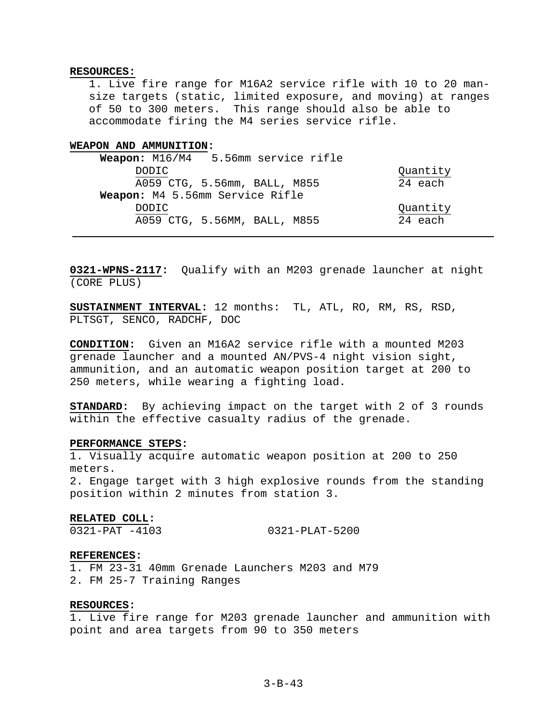### **RESOURCES:**

1. Live fire range for M16A2 service rifle with 10 to 20 mansize targets (static, limited exposure, and moving) at ranges of 50 to 300 meters. This range should also be able to accommodate firing the M4 series service rifle.

### **WEAPON AND AMMUNITION:**

| 5.56mm service rifle<br>Weapon: $M16/M4$ |          |
|------------------------------------------|----------|
| DODIC.                                   | Quantity |
| A059 CTG, 5.56mm, BALL, M855             | 24 each  |
| Weapon: M4 5.56mm Service Rifle          |          |
| DODIC.                                   | Quantity |
| A059 CTG, 5.56MM, BALL, M855             | 24 each  |

**0321-WPNS-2117:** Qualify with an M203 grenade launcher at night (CORE PLUS)

**SUSTAINMENT INTERVAL:** 12 months: TL, ATL, RO, RM, RS, RSD, PLTSGT, SENCO, RADCHF, DOC

**CONDITION:** Given an M16A2 service rifle with a mounted M203 grenade launcher and a mounted AN/PVS-4 night vision sight, ammunition, and an automatic weapon position target at 200 to 250 meters, while wearing a fighting load.

**STANDARD:** By achieving impact on the target with 2 of 3 rounds within the effective casualty radius of the grenade.

#### **PERFORMANCE STEPS:**

1. Visually acquire automatic weapon position at 200 to 250 meters.

2. Engage target with 3 high explosive rounds from the standing position within 2 minutes from station 3.

#### **RELATED COLL:**

0321-PAT -4103 0321-PLAT-5200

#### **REFERENCES:**

1. FM 23-31 40mm Grenade Launchers M203 and M79 2. FM 25-7 Training Ranges

## **RESOURCES:**

1. Live fire range for M203 grenade launcher and ammunition with point and area targets from 90 to 350 meters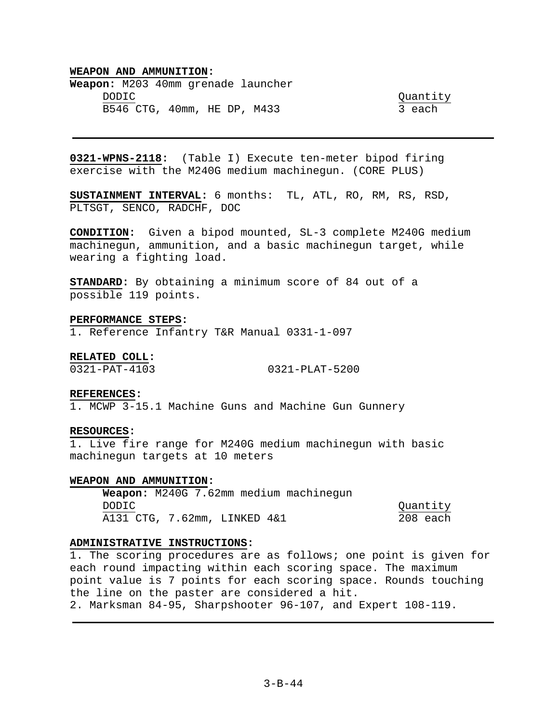**Weapon:** M203 40mm grenade launcher DODIC Quantity B546 CTG, 40mm, HE DP, M433 3 each

**0321-WPNS-2118:** (Table I) Execute ten-meter bipod firing exercise with the M240G medium machinegun. (CORE PLUS)

**SUSTAINMENT INTERVAL:** 6 months: TL, ATL, RO, RM, RS, RSD, PLTSGT, SENCO, RADCHF, DOC

**CONDITION:** Given a bipod mounted, SL-3 complete M240G medium machinegun, ammunition, and a basic machinegun target, while wearing a fighting load.

**STANDARD:** By obtaining a minimum score of 84 out of a possible 119 points.

#### **PERFORMANCE STEPS:**

1. Reference Infantry T&R Manual 0331-1-097

**RELATED COLL:** 

0321-PAT-4103 0321-PLAT-5200

#### **REFERENCES:**

1. MCWP 3-15.1 Machine Guns and Machine Gun Gunnery

## **RESOURCES:**

1. Live fire range for M240G medium machinegun with basic machinegun targets at 10 meters

## **WEAPON AND AMMUNITION:**

**Weapon:** M240G 7.62mm medium machinegun DODIC Quantity A131 CTG, 7.62mm, LINKED 4&1 208 each

## **ADMINISTRATIVE INSTRUCTIONS:**

1. The scoring procedures are as follows; one point is given for each round impacting within each scoring space. The maximum point value is 7 points for each scoring space. Rounds touching the line on the paster are considered a hit. 2. Marksman 84-95, Sharpshooter 96-107, and Expert 108-119.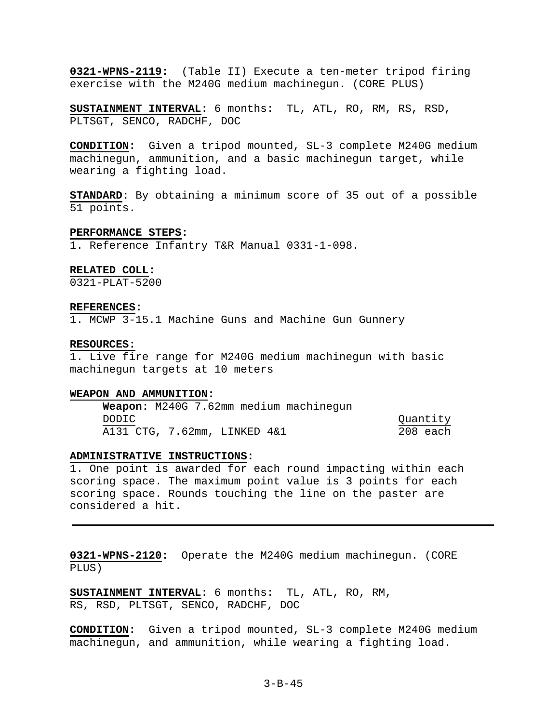**0321-WPNS-2119:** (Table II) Execute a ten-meter tripod firing exercise with the M240G medium machinegun. (CORE PLUS)

**SUSTAINMENT INTERVAL:** 6 months: TL, ATL, RO, RM, RS, RSD, PLTSGT, SENCO, RADCHF, DOC

**CONDITION:** Given a tripod mounted, SL-3 complete M240G medium machinegun, ammunition, and a basic machinegun target, while wearing a fighting load.

**STANDARD:** By obtaining a minimum score of 35 out of a possible 51 points.

#### **PERFORMANCE STEPS:**

1. Reference Infantry T&R Manual 0331-1-098.

## **RELATED COLL:**

0321-PLAT-5200

#### **REFERENCES:**

1. MCWP 3-15.1 Machine Guns and Machine Gun Gunnery

#### **RESOURCES:**

1. Live fire range for M240G medium machinegun with basic machinegun targets at 10 meters

#### **WEAPON AND AMMUNITION:**

**Weapon:** M240G 7.62mm medium machinegun DODIC Quantity A131 CTG, 7.62mm, LINKED 4&1 208 each

## **ADMINISTRATIVE INSTRUCTIONS:**

1. One point is awarded for each round impacting within each scoring space. The maximum point value is 3 points for each scoring space. Rounds touching the line on the paster are considered a hit.

**0321-WPNS-2120:** Operate the M240G medium machinegun. (CORE PLUS)

**SUSTAINMENT INTERVAL:** 6 months: TL, ATL, RO, RM, RS, RSD, PLTSGT, SENCO, RADCHF, DOC

**CONDITION:** Given a tripod mounted, SL-3 complete M240G medium machinegun, and ammunition, while wearing a fighting load.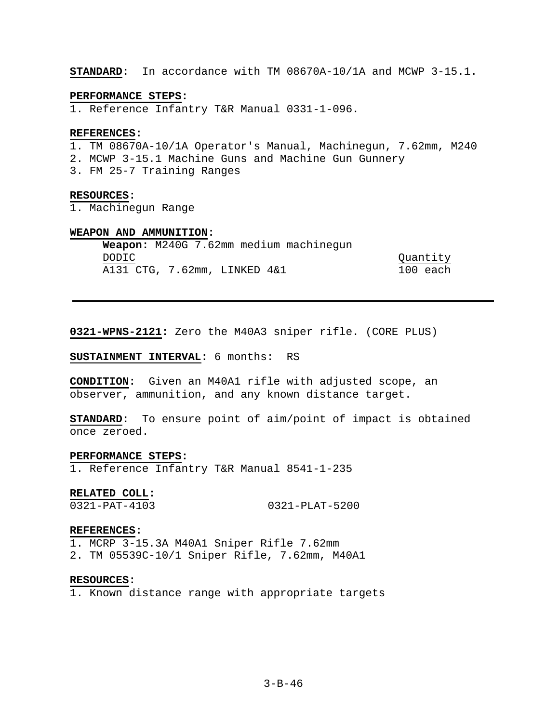**STANDARD:** In accordance with TM 08670A-10/1A and MCWP 3-15.1.

### **PERFORMANCE STEPS:**

1. Reference Infantry T&R Manual 0331-1-096.

#### **REFERENCES:**

- 1. TM 08670A-10/1A Operator's Manual, Machinegun, 7.62mm, M240
- 2. MCWP 3-15.1 Machine Guns and Machine Gun Gunnery
- 3. FM 25-7 Training Ranges

#### **RESOURCES:**

1. Machinegun Range

# **WEAPON AND AMMUNITION:**

|       | Weapon: M240G 7.62mm medium machinegun |          |
|-------|----------------------------------------|----------|
| DODIC |                                        | Quantity |
|       | A131 CTG, 7.62mm, LINKED 4&1           | 100 each |

**0321-WPNS-2121:** Zero the M40A3 sniper rifle. (CORE PLUS)

# **SUSTAINMENT INTERVAL:** 6 months: RS

**CONDITION:** Given an M40A1 rifle with adjusted scope, an observer, ammunition, and any known distance target.

**STANDARD:** To ensure point of aim/point of impact is obtained once zeroed.

### **PERFORMANCE STEPS:**

1. Reference Infantry T&R Manual 8541-1-235

#### **RELATED COLL:**

0321-PAT-4103 0321-PLAT-5200

#### **REFERENCES:**

- 1. MCRP 3-15.3A M40A1 Sniper Rifle 7.62mm
- 2. TM 05539C-10/1 Sniper Rifle, 7.62mm, M40A1

#### **RESOURCES:**

1. Known distance range with appropriate targets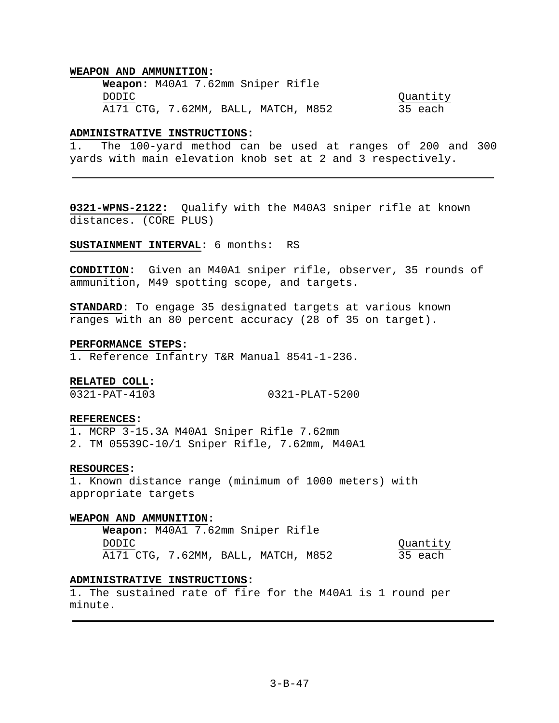**Weapon:** M40A1 7.62mm Sniper Rifle DODIC Quantity A171 CTG, 7.62MM, BALL, MATCH, M852 35 each

### **ADMINISTRATIVE INSTRUCTIONS:**

1. The 100-yard method can be used at ranges of 200 and 300 yards with main elevation knob set at 2 and 3 respectively.

**0321-WPNS-2122:** Qualify with the M40A3 sniper rifle at known distances. (CORE PLUS)

### **SUSTAINMENT INTERVAL:** 6 months: RS

**CONDITION:** Given an M40A1 sniper rifle, observer, 35 rounds of ammunition, M49 spotting scope, and targets.

**STANDARD:** To engage 35 designated targets at various known ranges with an 80 percent accuracy (28 of 35 on target).

#### **PERFORMANCE STEPS:**

1. Reference Infantry T&R Manual 8541-1-236.

## **RELATED COLL:**

0321-PAT-4103 0321-PLAT-5200

## **REFERENCES:**

1. MCRP 3-15.3A M40A1 Sniper Rifle 7.62mm 2. TM 05539C-10/1 Sniper Rifle, 7.62mm, M40A1

### **RESOURCES:**

1. Known distance range (minimum of 1000 meters) with appropriate targets

#### **WEAPON AND AMMUNITION:**

**Weapon:** M40A1 7.62mm Sniper Rifle DODIC Quantity A171 CTG, 7.62MM, BALL, MATCH, M852 35 each

### **ADMINISTRATIVE INSTRUCTIONS:**

1. The sustained rate of fire for the M40A1 is 1 round per minute.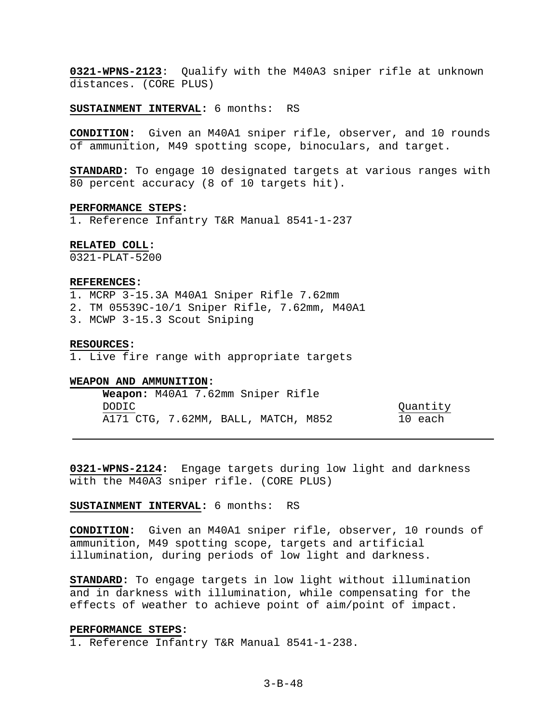**0321-WPNS-2123**: Qualify with the M40A3 sniper rifle at unknown distances. (CORE PLUS)

**SUSTAINMENT INTERVAL:** 6 months: RS

**CONDITION:** Given an M40A1 sniper rifle, observer, and 10 rounds of ammunition, M49 spotting scope, binoculars, and target.

**STANDARD:** To engage 10 designated targets at various ranges with 80 percent accuracy (8 of 10 targets hit).

#### **PERFORMANCE STEPS:**

1. Reference Infantry T&R Manual 8541-1-237

### **RELATED COLL:**

0321-PLAT-5200

## **REFERENCES:**

- 1. MCRP 3-15.3A M40A1 Sniper Rifle 7.62mm
- 2. TM 05539C-10/1 Sniper Rifle, 7.62mm, M40A1
- 3. MCWP 3-15.3 Scout Sniping

#### **RESOURCES:**

1. Live fire range with appropriate targets

## **WEAPON AND AMMUNITION:**

|       | <b>Weapon:</b> M40A1 7.62mm Sniper Rifle |  |          |
|-------|------------------------------------------|--|----------|
| DODIC |                                          |  | Quantity |
|       | A171 CTG, 7.62MM, BALL, MATCH, M852      |  | 10 each  |

**0321-WPNS-2124:** Engage targets during low light and darkness with the M40A3 sniper rifle. (CORE PLUS)

## **SUSTAINMENT INTERVAL:** 6 months: RS

**CONDITION:** Given an M40A1 sniper rifle, observer, 10 rounds of ammunition, M49 spotting scope, targets and artificial illumination, during periods of low light and darkness.

**STANDARD:** To engage targets in low light without illumination and in darkness with illumination, while compensating for the effects of weather to achieve point of aim/point of impact.

#### **PERFORMANCE STEPS:**

1. Reference Infantry T&R Manual 8541-1-238.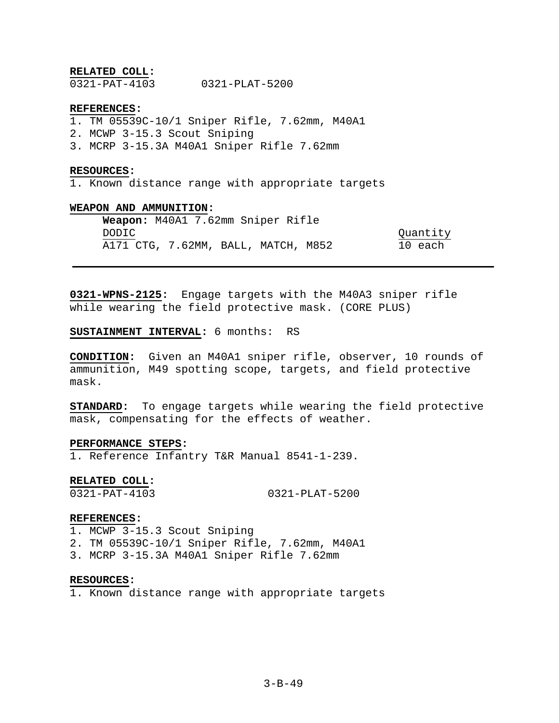### **RELATED COLL:**

0321-PAT-4103 0321-PLAT-5200

### **REFERENCES:**

- 1. TM 05539C-10/1 Sniper Rifle, 7.62mm, M40A1
- 2. MCWP 3-15.3 Scout Sniping
- 3. MCRP 3-15.3A M40A1 Sniper Rifle 7.62mm

#### **RESOURCES:**

1. Known distance range with appropriate targets

## **WEAPON AND AMMUNITION:**

**Weapon:** M40A1 7.62mm Sniper Rifle DODIC Quantity A171 CTG, 7.62MM, BALL, MATCH, M852 10 each

**0321-WPNS-2125:** Engage targets with the M40A3 sniper rifle while wearing the field protective mask. (CORE PLUS)

## **SUSTAINMENT INTERVAL:** 6 months: RS

**CONDITION:** Given an M40A1 sniper rifle, observer, 10 rounds of ammunition, M49 spotting scope, targets, and field protective mask.

**STANDARD:** To engage targets while wearing the field protective mask, compensating for the effects of weather.

### **PERFORMANCE STEPS:**

1. Reference Infantry T&R Manual 8541-1-239.

## **RELATED COLL:**

0321-PAT-4103 0321-PLAT-5200

#### **REFERENCES:**

- 1. MCWP 3-15.3 Scout Sniping
- 2. TM 05539C-10/1 Sniper Rifle, 7.62mm, M40A1
- 3. MCRP 3-15.3A M40A1 Sniper Rifle 7.62mm

#### **RESOURCES:**

1. Known distance range with appropriate targets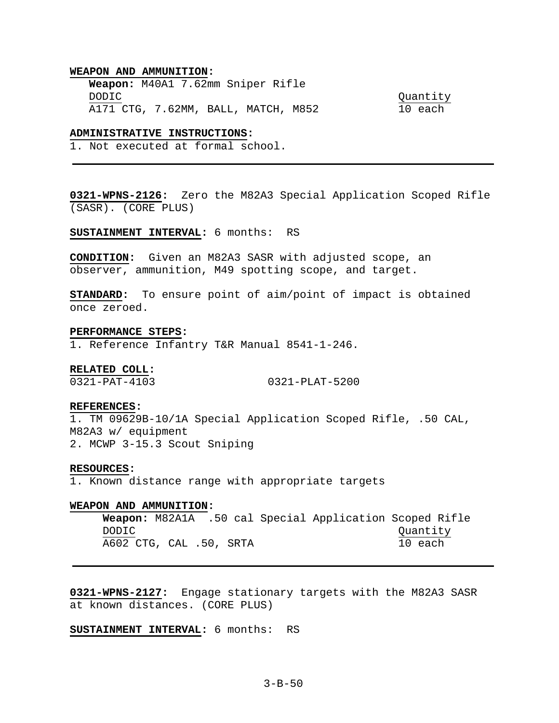#### **WEAPON AND AMMUNITION:**

**Weapon:** M40A1 7.62mm Sniper Rifle DODIC Quantity A171 CTG, 7.62MM, BALL, MATCH, M852 10 each

### **ADMINISTRATIVE INSTRUCTIONS:**

1. Not executed at formal school.

**0321-WPNS-2126:** Zero the M82A3 Special Application Scoped Rifle (SASR). (CORE PLUS)

**SUSTAINMENT INTERVAL:** 6 months: RS

**CONDITION:** Given an M82A3 SASR with adjusted scope, an observer, ammunition, M49 spotting scope, and target.

**STANDARD:** To ensure point of aim/point of impact is obtained once zeroed.

#### **PERFORMANCE STEPS:**

1. Reference Infantry T&R Manual 8541-1-246.

### **RELATED COLL:**

0321-PAT-4103 0321-PLAT-5200

#### **REFERENCES:**

1. TM 09629B-10/1A Special Application Scoped Rifle, .50 CAL, M82A3 w/ equipment 2. MCWP 3-15.3 Scout Sniping

#### **RESOURCES:**

1. Known distance range with appropriate targets

### **WEAPON AND AMMUNITION:**

**Weapon:** M82A1A .50 cal Special Application Scoped Rifle DODIC Quantity A602 CTG, CAL .50, SRTA 10 each

**0321-WPNS-2127:** Engage stationary targets with the M82A3 SASR at known distances. (CORE PLUS)

**SUSTAINMENT INTERVAL:** 6 months: RS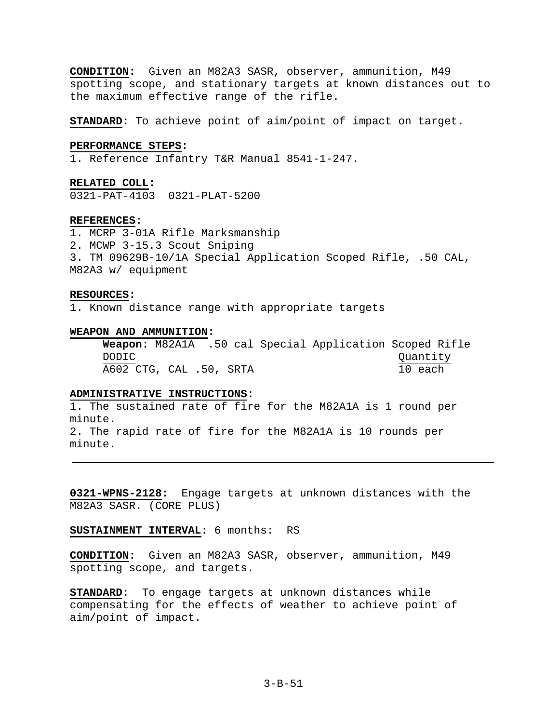**CONDITION:** Given an M82A3 SASR, observer, ammunition, M49 spotting scope, and stationary targets at known distances out to the maximum effective range of the rifle.

**STANDARD:** To achieve point of aim/point of impact on target.

### **PERFORMANCE STEPS:**

1. Reference Infantry T&R Manual 8541-1-247.

**RELATED COLL:** 

0321-PAT-4103 0321-PLAT-5200

### **REFERENCES:**

1. MCRP 3-01A Rifle Marksmanship 2. MCWP 3-15.3 Scout Sniping 3. TM 09629B-10/1A Special Application Scoped Rifle, .50 CAL, M82A3 w/ equipment

#### **RESOURCES:**

1. Known distance range with appropriate targets

#### **WEAPON AND AMMUNITION:**

**Weapon:** M82A1A .50 cal Special Application Scoped Rifle DODIC Quantity A602 CTG, CAL .50, SRTA 10 each

# **ADMINISTRATIVE INSTRUCTIONS:**

1. The sustained rate of fire for the M82A1A is 1 round per minute. 2. The rapid rate of fire for the M82A1A is 10 rounds per minute.

**0321-WPNS-2128:** Engage targets at unknown distances with the M82A3 SASR. (CORE PLUS)

**SUSTAINMENT INTERVAL:** 6 months: RS

**CONDITION:** Given an M82A3 SASR, observer, ammunition, M49 spotting scope, and targets.

**STANDARD:** To engage targets at unknown distances while compensating for the effects of weather to achieve point of aim/point of impact.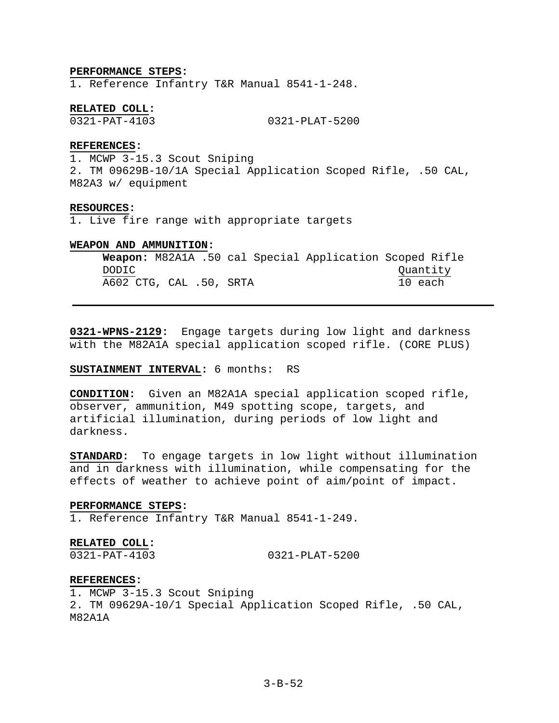#### **PERFORMANCE STEPS:**

1. Reference Infantry T&R Manual 8541-1-248.

### **RELATED COLL:**

0321-PAT-4103 0321-PLAT-5200

# **REFERENCES:**

1. MCWP 3-15.3 Scout Sniping 2. TM 09629B-10/1A Special Application Scoped Rifle, .50 CAL, M82A3 w/ equipment

#### **RESOURCES:**

1. Live fire range with appropriate targets

### **WEAPON AND AMMUNITION:**

**Weapon:** M82A1A .50 cal Special Application Scoped Rifle DODIC Quantity A602 CTG, CAL .50, SRTA 10 each

**0321-WPNS-2129:** Engage targets during low light and darkness with the M82A1A special application scoped rifle. (CORE PLUS)

## **SUSTAINMENT INTERVAL:** 6 months: RS

**CONDITION:** Given an M82A1A special application scoped rifle, observer, ammunition, M49 spotting scope, targets, and artificial illumination, during periods of low light and darkness.

**STANDARD:** To engage targets in low light without illumination and in darkness with illumination, while compensating for the effects of weather to achieve point of aim/point of impact.

### **PERFORMANCE STEPS:**

1. Reference Infantry T&R Manual 8541-1-249.

### **RELATED COLL:**

0321-PAT-4103 0321-PLAT-5200

#### **REFERENCES:**

1. MCWP 3-15.3 Scout Sniping 2. TM 09629A-10/1 Special Application Scoped Rifle, .50 CAL, M82A1A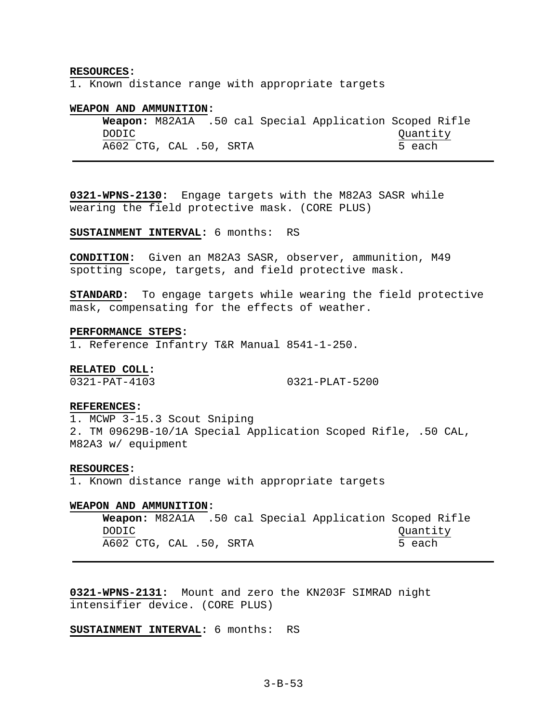### **RESOURCES:**

1. Known distance range with appropriate targets

## **WEAPON AND AMMUNITION:**

**Weapon:** M82A1A .50 cal Special Application Scoped Rifle DODIC Quantity A602 CTG, CAL .50, SRTA 5 each

**0321-WPNS-2130:** Engage targets with the M82A3 SASR while wearing the field protective mask. (CORE PLUS)

**SUSTAINMENT INTERVAL:** 6 months: RS

**CONDITION:** Given an M82A3 SASR, observer, ammunition, M49 spotting scope, targets, and field protective mask.

**STANDARD:** To engage targets while wearing the field protective mask, compensating for the effects of weather.

#### **PERFORMANCE STEPS:**

1. Reference Infantry T&R Manual 8541-1-250.

#### **RELATED COLL:**

0321-PAT-4103 0321-PLAT-5200

#### **REFERENCES:**

1. MCWP 3-15.3 Scout Sniping 2. TM 09629B-10/1A Special Application Scoped Rifle, .50 CAL, M82A3 w/ equipment

#### **RESOURCES:**

1. Known distance range with appropriate targets

### **WEAPON AND AMMUNITION:**

**Weapon:** M82A1A .50 cal Special Application Scoped Rifle DODIC Quantity A602 CTG, CAL .50, SRTA 5 each

**0321-WPNS-2131:** Mount and zero the KN203F SIMRAD night intensifier device. (CORE PLUS)

**SUSTAINMENT INTERVAL:** 6 months: RS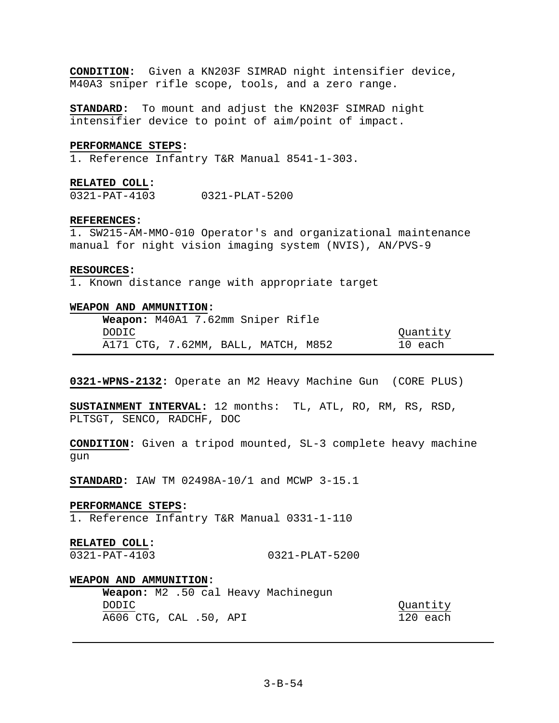**CONDITION:** Given a KN203F SIMRAD night intensifier device, M40A3 sniper rifle scope, tools, and a zero range.

**STANDARD:** To mount and adjust the KN203F SIMRAD night intensifier device to point of aim/point of impact.

### **PERFORMANCE STEPS:**

1. Reference Infantry T&R Manual 8541-1-303.

#### **RELATED COLL:**

0321-PAT-4103 0321-PLAT-5200

# **REFERENCES:**

1. SW215-AM-MMO-010 Operator's and organizational maintenance manual for night vision imaging system (NVIS), AN/PVS-9

# **RESOURCES:**

1. Known distance range with appropriate target

## **WEAPON AND AMMUNITION:**

|       | Weapon: M40A1 7.62mm Sniper Rifle   |          |
|-------|-------------------------------------|----------|
| DODIC |                                     | Quantity |
|       | A171 CTG, 7.62MM, BALL, MATCH, M852 | 10 each  |

**0321-WPNS-2132:** Operate an M2 Heavy Machine Gun (CORE PLUS)

**SUSTAINMENT INTERVAL:** 12 months: TL, ATL, RO, RM, RS, RSD, PLTSGT, SENCO, RADCHF, DOC

**CONDITION:** Given a tripod mounted, SL-3 complete heavy machine gun

**STANDARD:** IAW TM 02498A-10/1 and MCWP 3-15.1

### **PERFORMANCE STEPS:**

1. Reference Infantry T&R Manual 0331-1-110

### **RELATED COLL:**

0321-PAT-4103 0321-PLAT-5200

### **WEAPON AND AMMUNITION:**

**Weapon:** M2 .50 cal Heavy Machinegun DODIC Quantity A606 CTG, CAL .50, API 120 each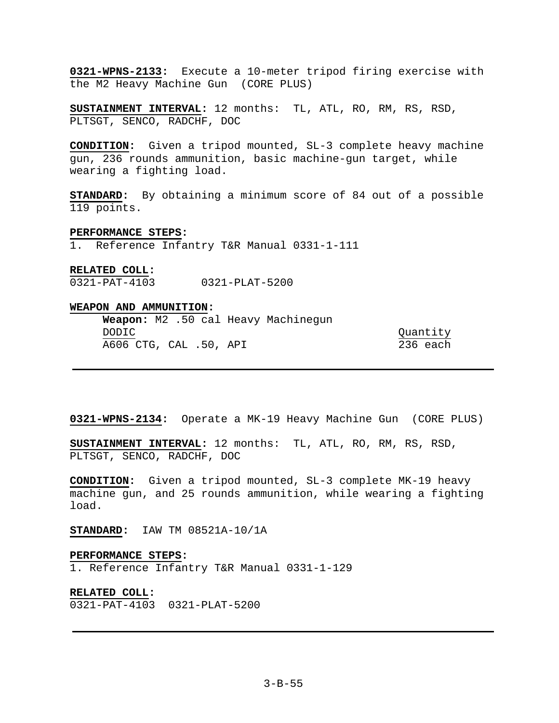**0321-WPNS-2133:** Execute a 10-meter tripod firing exercise with the M2 Heavy Machine Gun (CORE PLUS)

**SUSTAINMENT INTERVAL:** 12 months: TL, ATL, RO, RM, RS, RSD, PLTSGT, SENCO, RADCHF, DOC

**CONDITION:** Given a tripod mounted, SL-3 complete heavy machine gun, 236 rounds ammunition, basic machine-gun target, while wearing a fighting load.

**STANDARD:** By obtaining a minimum score of 84 out of a possible 119 points.

#### **PERFORMANCE STEPS:**

1. Reference Infantry T&R Manual 0331-1-111

# **RELATED COLL:**

0321-PAT-4103 0321-PLAT-5200

# **WEAPON AND AMMUNITION:**

|                        |  |  | <b>Weapon:</b> M2 .50 cal Heavy Machinegun |          |  |
|------------------------|--|--|--------------------------------------------|----------|--|
| DODIC                  |  |  |                                            | Ouantity |  |
| A606 CTG, CAL .50, API |  |  |                                            | 236 each |  |

**0321-WPNS-2134:** Operate a MK-19 Heavy Machine Gun (CORE PLUS)

**SUSTAINMENT INTERVAL:** 12 months: TL, ATL, RO, RM, RS, RSD, PLTSGT, SENCO, RADCHF, DOC

**CONDITION:** Given a tripod mounted, SL-3 complete MK-19 heavy machine gun, and 25 rounds ammunition, while wearing a fighting load.

**STANDARD:** IAW TM 08521A-10/1A

#### **PERFORMANCE STEPS:**

1. Reference Infantry T&R Manual 0331-1-129

**RELATED COLL:**  0321-PAT-4103 0321-PLAT-5200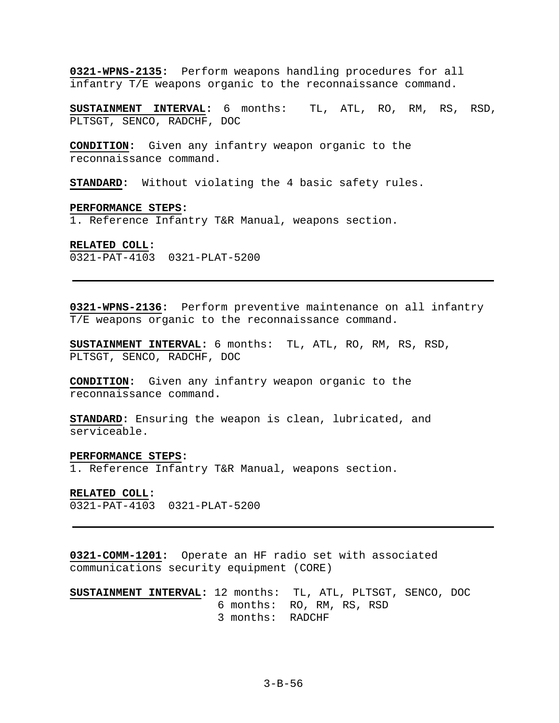**0321-WPNS-2135:** Perform weapons handling procedures for all infantry T/E weapons organic to the reconnaissance command.

**SUSTAINMENT INTERVAL:** 6 months: TL, ATL, RO, RM, RS, RSD, PLTSGT, SENCO, RADCHF, DOC

**CONDITION:** Given any infantry weapon organic to the reconnaissance command.

**STANDARD:** Without violating the 4 basic safety rules.

### **PERFORMANCE STEPS:**

1. Reference Infantry T&R Manual, weapons section.

#### **RELATED COLL:**

0321-PAT-4103 0321-PLAT-5200

**0321-WPNS-2136:** Perform preventive maintenance on all infantry T/E weapons organic to the reconnaissance command.

**SUSTAINMENT INTERVAL:** 6 months: TL, ATL, RO, RM, RS, RSD, PLTSGT, SENCO, RADCHF, DOC

**CONDITION:** Given any infantry weapon organic to the reconnaissance command**.** 

**STANDARD:** Ensuring the weapon is clean, lubricated, and serviceable.

### **PERFORMANCE STEPS:**

1. Reference Infantry T&R Manual, weapons section.

#### **RELATED COLL:**

0321-PAT-4103 0321-PLAT-5200

**0321-COMM-1201:** Operate an HF radio set with associated communications security equipment (CORE)

**SUSTAINMENT INTERVAL:** 12 months: TL, ATL, PLTSGT, SENCO, DOC 6 months: RO, RM, RS, RSD 3 months: RADCHF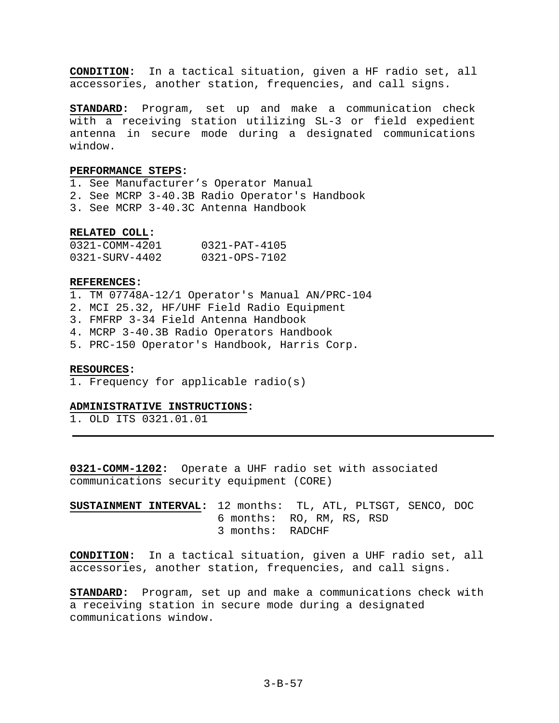**CONDITION:** In a tactical situation, given a HF radio set, all accessories, another station, frequencies, and call signs.

**STANDARD:** Program, set up and make a communication check with a receiving station utilizing SL-3 or field expedient antenna in secure mode during a designated communications window.

# **PERFORMANCE STEPS:**

1. See Manufacturer's Operator Manual 2. See MCRP 3-40.3B Radio Operator's Handbook 3. See MCRP 3-40.3C Antenna Handbook

#### **RELATED COLL:**

| 0321-COMM-4201              | $0321 - PAT - 4105$ |
|-----------------------------|---------------------|
| $0321 - \text{SIFV} - 4402$ | $0321 - OPS - 7102$ |

### **REFERENCES:**

1. TM 07748A-12/1 Operator's Manual AN/PRC-104

- 2. MCI 25.32, HF/UHF Field Radio Equipment
- 3. FMFRP 3-34 Field Antenna Handbook
- 4. MCRP 3-40.3B Radio Operators Handbook
- 5. PRC-150 Operator's Handbook, Harris Corp.

#### **RESOURCES:**

1. Frequency for applicable radio(s)

# **ADMINISTRATIVE INSTRUCTIONS:**

1. OLD ITS 0321.01.01

**0321-COMM-1202:** Operate a UHF radio set with associated communications security equipment (CORE)

**SUSTAINMENT INTERVAL:** 12 months: TL, ATL, PLTSGT, SENCO, DOC 6 months: RO, RM, RS, RSD 3 months: RADCHF

**CONDITION:** In a tactical situation, given a UHF radio set, all accessories, another station, frequencies, and call signs.

**STANDARD:** Program, set up and make a communications check with a receiving station in secure mode during a designated communications window.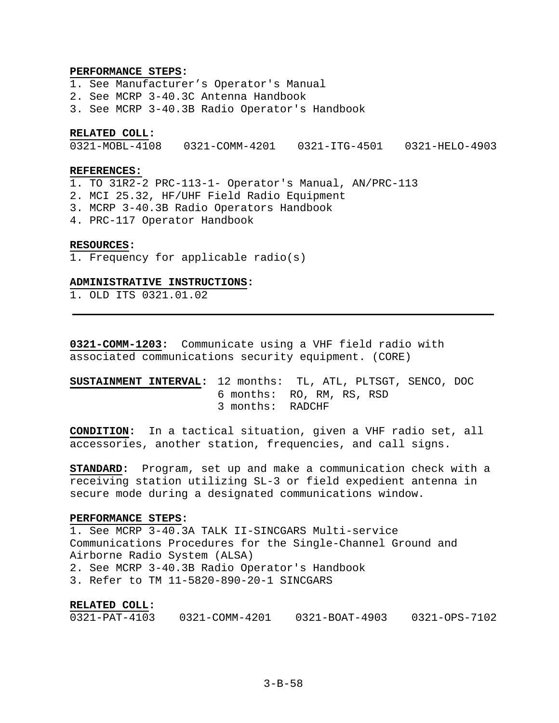### **PERFORMANCE STEPS:**

1. See Manufacturer's Operator's Manual 2. See MCRP 3-40.3C Antenna Handbook 3. See MCRP 3-40.3B Radio Operator's Handbook

## **RELATED COLL:**

0321-MOBL-4108 0321-COMM-4201 0321-ITG-4501 0321-HELO-4903

### **REFERENCES:**

1. TO 31R2-2 PRC-113-1- Operator's Manual, AN/PRC-113

- 2. MCI 25.32, HF/UHF Field Radio Equipment
- 3. MCRP 3-40.3B Radio Operators Handbook
- 4. PRC-117 Operator Handbook

### **RESOURCES:**

1. Frequency for applicable radio(s)

### **ADMINISTRATIVE INSTRUCTIONS:**

1. OLD ITS 0321.01.02

**0321-COMM-1203:** Communicate using a VHF field radio with associated communications security equipment. (CORE)

# **SUSTAINMENT INTERVAL:** 12 months: TL, ATL, PLTSGT, SENCO, DOC 6 months: RO, RM, RS, RSD 3 months: RADCHF

**CONDITION:** In a tactical situation, given a VHF radio set, all accessories, another station, frequencies, and call signs.

**STANDARD:** Program, set up and make a communication check with a receiving station utilizing SL-3 or field expedient antenna in secure mode during a designated communications window.

### **PERFORMANCE STEPS:**

1. See MCRP 3-40.3A TALK II-SINCGARS Multi-service Communications Procedures for the Single-Channel Ground and Airborne Radio System (ALSA) 2. See MCRP 3-40.3B Radio Operator's Handbook 3. Refer to TM 11-5820-890-20-1 SINCGARS

### **RELATED COLL:**

| $0321 - PAT - 4103$ | 0321-COMM-4201 | 0321-BOAT-4903 | 0321-OPS-7102 |
|---------------------|----------------|----------------|---------------|
|                     |                |                |               |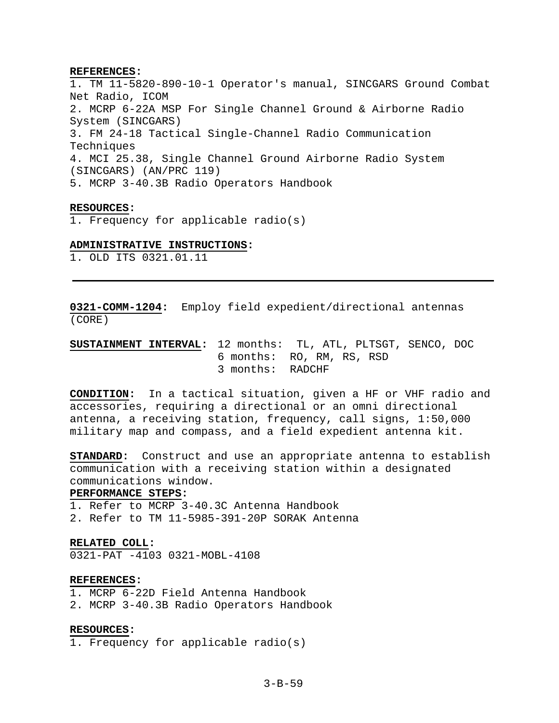### **REFERENCES:**

1. TM 11-5820-890-10-1 Operator's manual, SINCGARS Ground Combat Net Radio, ICOM 2. MCRP 6-22A MSP For Single Channel Ground & Airborne Radio System (SINCGARS) 3. FM 24-18 Tactical Single-Channel Radio Communication Techniques 4. MCI 25.38, Single Channel Ground Airborne Radio System (SINCGARS) (AN/PRC 119) 5. MCRP 3-40.3B Radio Operators Handbook

### **RESOURCES:**

1. Frequency for applicable radio(s)

### **ADMINISTRATIVE INSTRUCTIONS:**

1. OLD ITS 0321.01.11

**0321-COMM-1204:** Employ field expedient/directional antennas (CORE)

# **SUSTAINMENT INTERVAL:** 12 months: TL, ATL, PLTSGT, SENCO, DOC 6 months: RO, RM, RS, RSD 3 months: RADCHF

**CONDITION:** In a tactical situation, given a HF or VHF radio and accessories, requiring a directional or an omni directional antenna, a receiving station, frequency, call signs, 1:50,000 military map and compass, and a field expedient antenna kit.

**STANDARD:** Construct and use an appropriate antenna to establish communication with a receiving station within a designated communications window.

# **PERFORMANCE STEPS:**

1. Refer to MCRP 3-40.3C Antenna Handbook

2. Refer to TM 11-5985-391-20P SORAK Antenna

# **RELATED COLL:**

0321-PAT -4103 0321-MOBL-4108

### **REFERENCES:**

- 1. MCRP 6-22D Field Antenna Handbook
- 2. MCRP 3-40.3B Radio Operators Handbook

#### **RESOURCES:**

1. Frequency for applicable radio(s)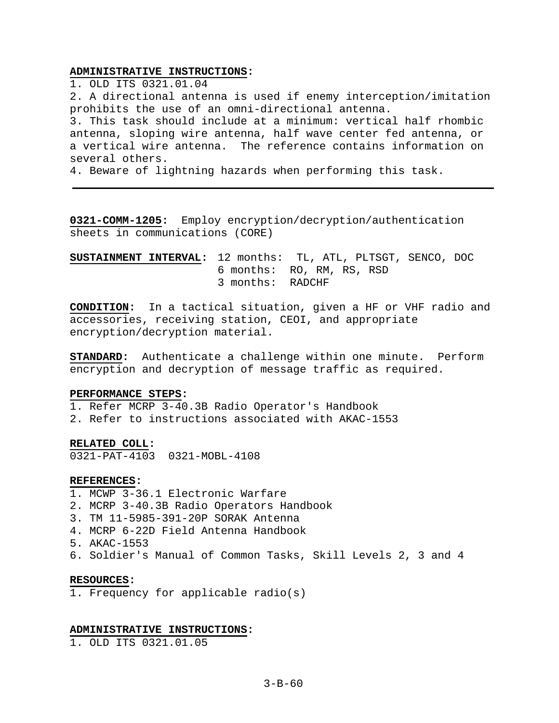# **ADMINISTRATIVE INSTRUCTIONS:**

1. OLD ITS 0321.01.04 2. A directional antenna is used if enemy interception/imitation prohibits the use of an omni-directional antenna. 3. This task should include at a minimum: vertical half rhombic antenna, sloping wire antenna, half wave center fed antenna, or a vertical wire antenna. The reference contains information on several others.

4. Beware of lightning hazards when performing this task.

**0321-COMM-1205:** Employ encryption/decryption/authentication sheets in communications (CORE)

**SUSTAINMENT INTERVAL:** 12 months: TL, ATL, PLTSGT, SENCO, DOC 6 months: RO, RM, RS, RSD 3 months: RADCHF

**CONDITION:** In a tactical situation, given a HF or VHF radio and accessories, receiving station, CEOI, and appropriate encryption/decryption material.

**STANDARD:** Authenticate a challenge within one minute. Perform encryption and decryption of message traffic as required.

# **PERFORMANCE STEPS:**

1. Refer MCRP 3-40.3B Radio Operator's Handbook

2. Refer to instructions associated with AKAC-1553

### **RELATED COLL:**

0321-PAT-4103 0321-MOBL-4108

#### **REFERENCES:**

- 1. MCWP 3-36.1 Electronic Warfare
- 2. MCRP 3-40.3B Radio Operators Handbook
- 3. TM 11-5985-391-20P SORAK Antenna
- 4. MCRP 6-22D Field Antenna Handbook
- 5. AKAC-1553
- 6. Soldier's Manual of Common Tasks, Skill Levels 2, 3 and 4

#### **RESOURCES:**

1. Frequency for applicable radio(s)

## **ADMINISTRATIVE INSTRUCTIONS:**

1. OLD ITS 0321.01.05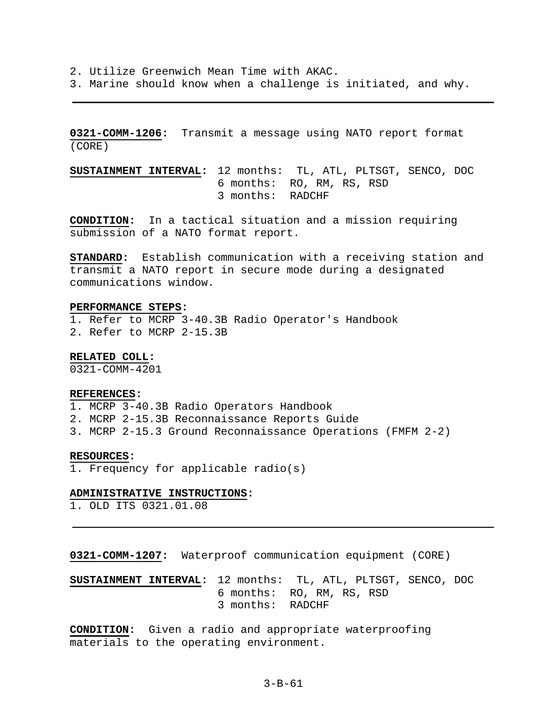2. Utilize Greenwich Mean Time with AKAC.

3. Marine should know when a challenge is initiated, and why.

**0321-COMM-1206:** Transmit a message using NATO report format (CORE)

**SUSTAINMENT INTERVAL:** 12 months: TL, ATL, PLTSGT, SENCO, DOC 6 months: RO, RM, RS, RSD 3 months: RADCHF

**CONDITION:** In a tactical situation and a mission requiring submission of a NATO format report.

**STANDARD:** Establish communication with a receiving station and transmit a NATO report in secure mode during a designated communications window.

### **PERFORMANCE STEPS:**

1. Refer to MCRP 3-40.3B Radio Operator's Handbook 2. Refer to MCRP 2-15.3B

**RELATED COLL:** 

0321-COMM-4201

#### **REFERENCES:**

- 1. MCRP 3-40.3B Radio Operators Handbook
- 2. MCRP 2-15.3B Reconnaissance Reports Guide
- 3. MCRP 2-15.3 Ground Reconnaissance Operations (FMFM 2-2)

### **RESOURCES:**

1. Frequency for applicable radio(s)

#### **ADMINISTRATIVE INSTRUCTIONS:**

1. OLD ITS 0321.01.08

**0321-COMM-1207:** Waterproof communication equipment (CORE)

**SUSTAINMENT INTERVAL:** 12 months: TL, ATL, PLTSGT, SENCO, DOC 6 months: RO, RM, RS, RSD 3 months: RADCHF

**CONDITION:** Given a radio and appropriate waterproofing materials to the operating environment.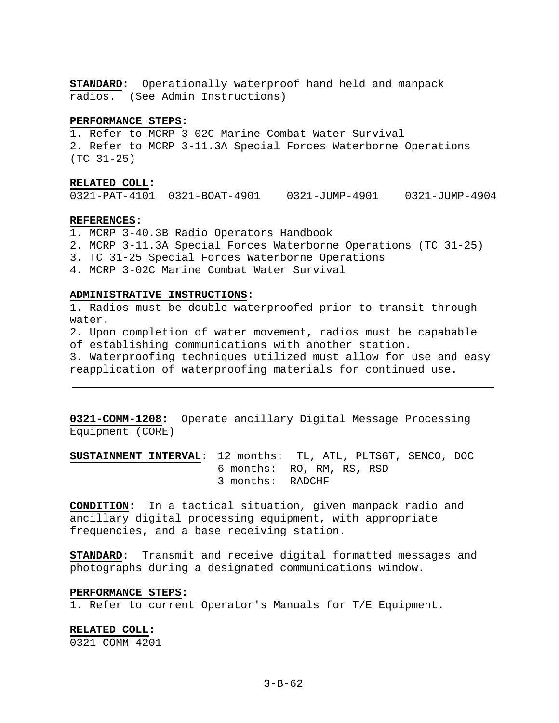**STANDARD:** Operationally waterproof hand held and manpack radios. (See Admin Instructions)

### **PERFORMANCE STEPS:**

1. Refer to MCRP 3-02C Marine Combat Water Survival 2. Refer to MCRP 3-11.3A Special Forces Waterborne Operations (TC 31-25)

### **RELATED COLL:**

0321-PAT-4101 0321-BOAT-4901 0321-JUMP-4901 0321-JUMP-4904

### **REFERENCES:**

1. MCRP 3-40.3B Radio Operators Handbook

2. MCRP 3-11.3A Special Forces Waterborne Operations (TC 31-25)

3. TC 31-25 Special Forces Waterborne Operations

4. MCRP 3-02C Marine Combat Water Survival

### **ADMINISTRATIVE INSTRUCTIONS:**

1. Radios must be double waterproofed prior to transit through water.

2. Upon completion of water movement, radios must be capabable of establishing communications with another station.

3. Waterproofing techniques utilized must allow for use and easy reapplication of waterproofing materials for continued use.

**0321-COMM-1208:** Operate ancillary Digital Message Processing Equipment (CORE)

**SUSTAINMENT INTERVAL:** 12 months: TL, ATL, PLTSGT, SENCO, DOC 6 months: RO, RM, RS, RSD 3 months: RADCHF

**CONDITION:** In a tactical situation, given manpack radio and ancillary digital processing equipment, with appropriate frequencies, and a base receiving station.

**STANDARD:** Transmit and receive digital formatted messages and photographs during a designated communications window.

### **PERFORMANCE STEPS:**

1. Refer to current Operator's Manuals for T/E Equipment.

**RELATED COLL:**  0321-COMM-4201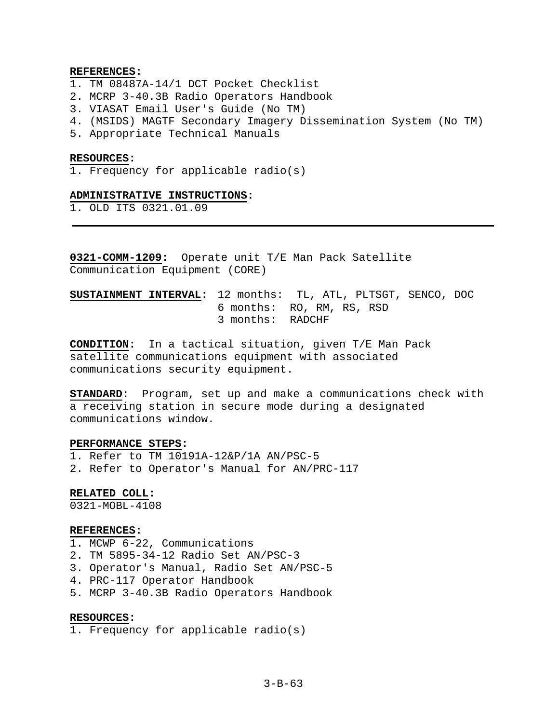### **REFERENCES:**

- 1. TM 08487A-14/1 DCT Pocket Checklist
- 2. MCRP 3-40.3B Radio Operators Handbook
- 3. VIASAT Email User's Guide (No TM)
- 4. (MSIDS) MAGTF Secondary Imagery Dissemination System (No TM)
- 5. Appropriate Technical Manuals

#### **RESOURCES:**

1. Frequency for applicable radio(s)

# **ADMINISTRATIVE INSTRUCTIONS:**

1. OLD ITS 0321.01.09

**0321-COMM-1209:** Operate unit T/E Man Pack Satellite Communication Equipment (CORE)

# **SUSTAINMENT INTERVAL:** 12 months: TL, ATL, PLTSGT, SENCO, DOC 6 months: RO, RM, RS, RSD 3 months: RADCHF

**CONDITION:** In a tactical situation, given T/E Man Pack satellite communications equipment with associated communications security equipment.

**STANDARD:** Program, set up and make a communications check with a receiving station in secure mode during a designated communications window.

### **PERFORMANCE STEPS:**

1. Refer to TM 10191A-12&P/1A AN/PSC-5

2. Refer to Operator's Manual for AN/PRC-117

## **RELATED COLL:**

0321-MOBL-4108

### **REFERENCES:**

- 1. MCWP 6-22, Communications
- 2. TM 5895-34-12 Radio Set AN/PSC-3
- 3. Operator's Manual, Radio Set AN/PSC-5
- 4. PRC-117 Operator Handbook
- 5. MCRP 3-40.3B Radio Operators Handbook

## **RESOURCES:**

1. Frequency for applicable radio(s)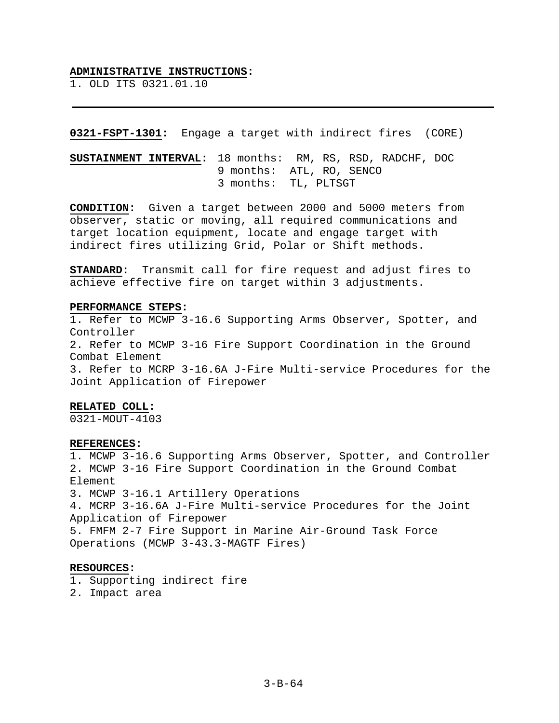#### **ADMINISTRATIVE INSTRUCTIONS:**

1. OLD ITS 0321.01.10

### **0321-FSPT-1301:** Engage a target with indirect fires (CORE)

**SUSTAINMENT INTERVAL:** 18 months: RM, RS, RSD, RADCHF, DOC 9 months: ATL, RO, SENCO 3 months: TL, PLTSGT

**CONDITION:** Given a target between 2000 and 5000 meters from observer, static or moving, all required communications and target location equipment, locate and engage target with indirect fires utilizing Grid, Polar or Shift methods.

**STANDARD:** Transmit call for fire request and adjust fires to achieve effective fire on target within 3 adjustments.

#### **PERFORMANCE STEPS:**

1. Refer to MCWP 3-16.6 Supporting Arms Observer, Spotter, and Controller 2. Refer to MCWP 3-16 Fire Support Coordination in the Ground Combat Element 3. Refer to MCRP 3-16.6A J-Fire Multi-service Procedures for the Joint Application of Firepower

### **RELATED COLL:**

0321-MOUT-4103

### **REFERENCES:**

1. MCWP 3-16.6 Supporting Arms Observer, Spotter, and Controller 2. MCWP 3-16 Fire Support Coordination in the Ground Combat Element 3. MCWP 3-16.1 Artillery Operations 4. MCRP 3-16.6A J-Fire Multi-service Procedures for the Joint Application of Firepower 5. FMFM 2-7 Fire Support in Marine Air-Ground Task Force Operations (MCWP 3-43.3-MAGTF Fires)

# **RESOURCES:**

1. Supporting indirect fire

2. Impact area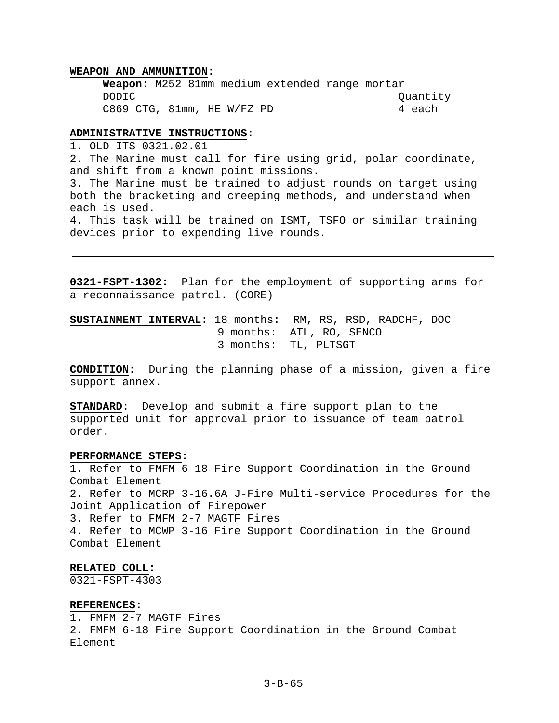### **WEAPON AND AMMUNITION:**

**Weapon:** M252 81mm medium extended range mortar DODIC Quantity C869 CTG, 81mm, HE W/FZ PD 4 each

# **ADMINISTRATIVE INSTRUCTIONS:**

1. OLD ITS 0321.02.01

2. The Marine must call for fire using grid, polar coordinate, and shift from a known point missions.

3. The Marine must be trained to adjust rounds on target using both the bracketing and creeping methods, and understand when each is used.

4. This task will be trained on ISMT, TSFO or similar training devices prior to expending live rounds.

**0321-FSPT-1302:** Plan for the employment of supporting arms for a reconnaissance patrol. (CORE)

**SUSTAINMENT INTERVAL:** 18 months: RM, RS, RSD, RADCHF, DOC 9 months: ATL, RO, SENCO 3 months: TL, PLTSGT

**CONDITION:** During the planning phase of a mission, given a fire support annex.

**STANDARD:** Develop and submit a fire support plan to the supported unit for approval prior to issuance of team patrol order.

### **PERFORMANCE STEPS:**

1. Refer to FMFM 6-18 Fire Support Coordination in the Ground Combat Element 2. Refer to MCRP 3-16.6A J-Fire Multi-service Procedures for the Joint Application of Firepower 3. Refer to FMFM 2-7 MAGTF Fires 4. Refer to MCWP 3-16 Fire Support Coordination in the Ground Combat Element

# **RELATED COLL:**

0321-FSPT-4303

# **REFERENCES:**

1. FMFM 2-7 MAGTF Fires 2. FMFM 6-18 Fire Support Coordination in the Ground Combat Element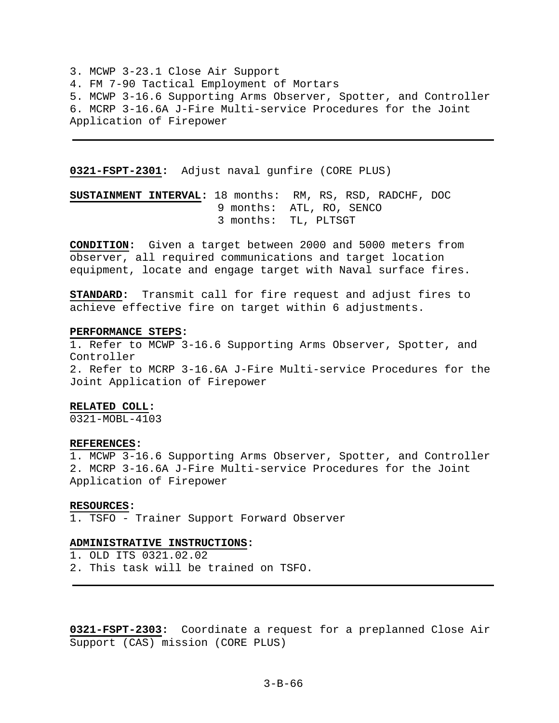3. MCWP 3-23.1 Close Air Support 4. FM 7-90 Tactical Employment of Mortars 5. MCWP 3-16.6 Supporting Arms Observer, Spotter, and Controller 6. MCRP 3-16.6A J-Fire Multi-service Procedures for the Joint Application of Firepower

**0321-FSPT-2301:** Adjust naval gunfire (CORE PLUS)

**SUSTAINMENT INTERVAL:** 18 months: RM, RS, RSD, RADCHF, DOC 9 months: ATL, RO, SENCO 3 months: TL, PLTSGT

**CONDITION:** Given a target between 2000 and 5000 meters from observer, all required communications and target location equipment, locate and engage target with Naval surface fires.

**STANDARD:** Transmit call for fire request and adjust fires to achieve effective fire on target within 6 adjustments.

#### **PERFORMANCE STEPS:**

1. Refer to MCWP 3-16.6 Supporting Arms Observer, Spotter, and Controller 2. Refer to MCRP 3-16.6A J-Fire Multi-service Procedures for the Joint Application of Firepower

### **RELATED COLL:**

0321-MOBL-4103

#### **REFERENCES:**

1. MCWP 3-16.6 Supporting Arms Observer, Spotter, and Controller 2. MCRP 3-16.6A J-Fire Multi-service Procedures for the Joint Application of Firepower

#### **RESOURCES:**

1. TSFO - Trainer Support Forward Observer

# **ADMINISTRATIVE INSTRUCTIONS:**

1. OLD ITS 0321.02.02

2. This task will be trained on TSFO.

**0321-FSPT-2303:** Coordinate a request for a preplanned Close Air Support (CAS) mission (CORE PLUS)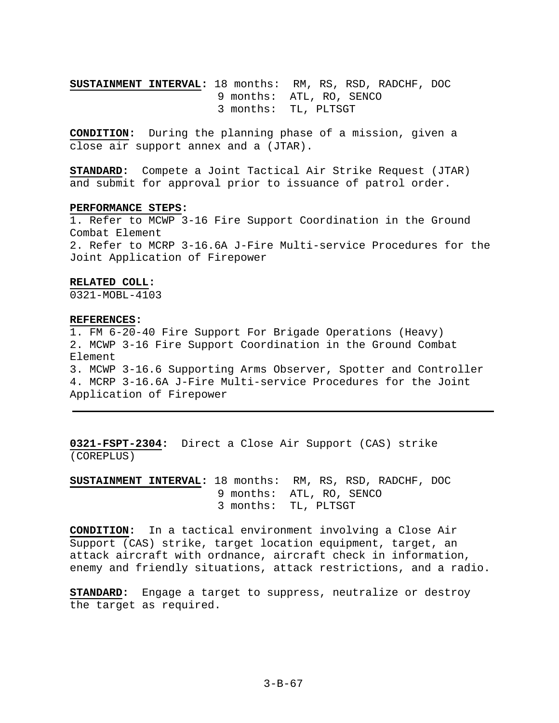**SUSTAINMENT INTERVAL:** 18 months: RM, RS, RSD, RADCHF, DOC 9 months: ATL, RO, SENCO 3 months: TL, PLTSGT

**CONDITION:** During the planning phase of a mission, given a close air support annex and a (JTAR).

**STANDARD:** Compete a Joint Tactical Air Strike Request (JTAR) and submit for approval prior to issuance of patrol order.

#### **PERFORMANCE STEPS:**

1. Refer to MCWP 3-16 Fire Support Coordination in the Ground Combat Element 2. Refer to MCRP 3-16.6A J-Fire Multi-service Procedures for the Joint Application of Firepower

### **RELATED COLL:**

0321-MOBL-4103

#### **REFERENCES:**

1. FM 6-20-40 Fire Support For Brigade Operations (Heavy) 2. MCWP 3-16 Fire Support Coordination in the Ground Combat Element 3. MCWP 3-16.6 Supporting Arms Observer, Spotter and Controller 4. MCRP 3-16.6A J-Fire Multi-service Procedures for the Joint Application of Firepower

**0321-FSPT-2304:** Direct a Close Air Support (CAS) strike (COREPLUS)

**SUSTAINMENT INTERVAL:** 18 months: RM, RS, RSD, RADCHF, DOC 9 months: ATL, RO, SENCO 3 months: TL, PLTSGT

**CONDITION:** In a tactical environment involving a Close Air Support (CAS) strike, target location equipment, target, an attack aircraft with ordnance, aircraft check in information, enemy and friendly situations, attack restrictions, and a radio.

**STANDARD:** Engage a target to suppress, neutralize or destroy the target as required.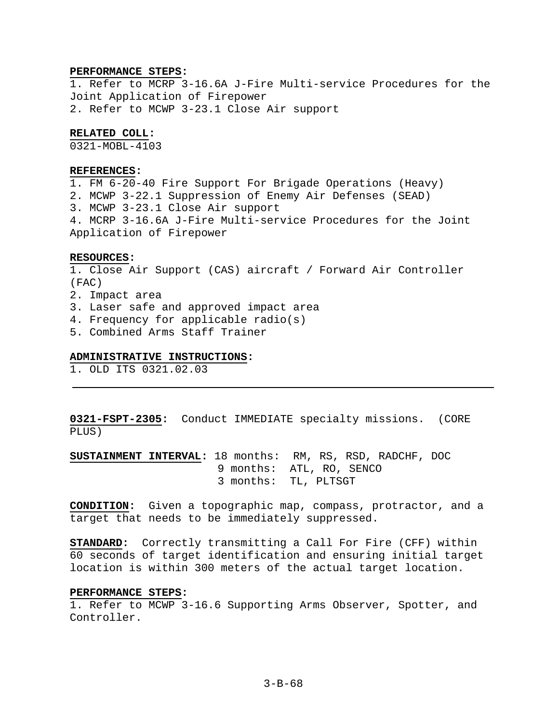### **PERFORMANCE STEPS:**

1. Refer to MCRP 3-16.6A J-Fire Multi-service Procedures for the Joint Application of Firepower 2. Refer to MCWP 3-23.1 Close Air support

# **RELATED COLL:**

0321-MOBL-4103

### **REFERENCES:**

1. FM 6-20-40 Fire Support For Brigade Operations (Heavy) 2. MCWP 3-22.1 Suppression of Enemy Air Defenses (SEAD) 3. MCWP 3-23.1 Close Air support 4. MCRP 3-16.6A J-Fire Multi-service Procedures for the Joint Application of Firepower

### **RESOURCES:**

1. Close Air Support (CAS) aircraft / Forward Air Controller (FAC) 2. Impact area 3. Laser safe and approved impact area 4. Frequency for applicable radio(s)

5. Combined Arms Staff Trainer

#### **ADMINISTRATIVE INSTRUCTIONS:**

1. OLD ITS 0321.02.03

**0321-FSPT-2305:** Conduct IMMEDIATE specialty missions. (CORE PLUS)

**SUSTAINMENT INTERVAL:** 18 months: RM, RS, RSD, RADCHF, DOC 9 months: ATL, RO, SENCO 3 months: TL, PLTSGT

**CONDITION:** Given a topographic map, compass, protractor, and a target that needs to be immediately suppressed.

**STANDARD:** Correctly transmitting a Call For Fire (CFF) within 60 seconds of target identification and ensuring initial target location is within 300 meters of the actual target location.

### **PERFORMANCE STEPS:**

1. Refer to MCWP 3-16.6 Supporting Arms Observer, Spotter, and Controller.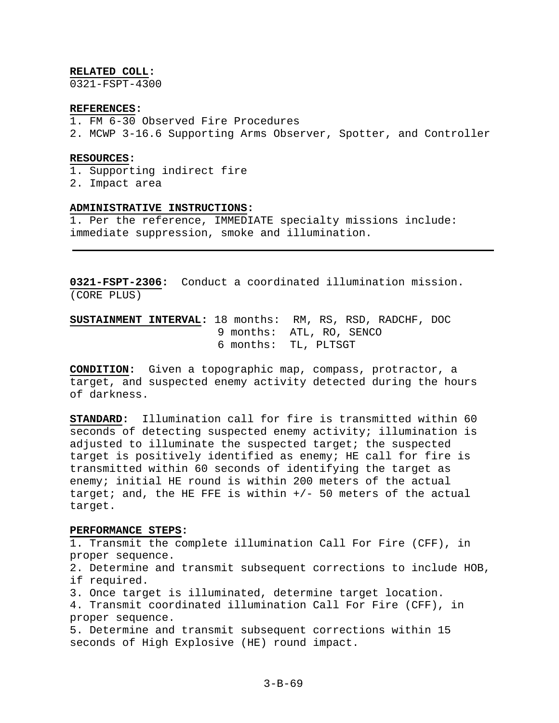### **RELATED COLL:**

0321-FSPT-4300

# **REFERENCES:**

- 1. FM 6-30 Observed Fire Procedures
- 2. MCWP 3-16.6 Supporting Arms Observer, Spotter, and Controller

### **RESOURCES:**

- 1. Supporting indirect fire
- 2. Impact area

### **ADMINISTRATIVE INSTRUCTIONS:**

1. Per the reference, IMMEDIATE specialty missions include: immediate suppression, smoke and illumination.

**0321-FSPT-2306:** Conduct a coordinated illumination mission. (CORE PLUS)

**SUSTAINMENT INTERVAL:** 18 months: RM, RS, RSD, RADCHF, DOC 9 months: ATL, RO, SENCO 6 months: TL, PLTSGT

**CONDITION:** Given a topographic map, compass, protractor, a target, and suspected enemy activity detected during the hours of darkness.

**STANDARD:** Illumination call for fire is transmitted within 60 seconds of detecting suspected enemy activity; illumination is adjusted to illuminate the suspected target; the suspected target is positively identified as enemy; HE call for fire is transmitted within 60 seconds of identifying the target as enemy; initial HE round is within 200 meters of the actual target; and, the HE FFE is within  $+/-$  50 meters of the actual target.

### **PERFORMANCE STEPS:**

1. Transmit the complete illumination Call For Fire (CFF), in proper sequence.

2. Determine and transmit subsequent corrections to include HOB, if required.

3. Once target is illuminated, determine target location.

4. Transmit coordinated illumination Call For Fire (CFF), in proper sequence.

5. Determine and transmit subsequent corrections within 15 seconds of High Explosive (HE) round impact.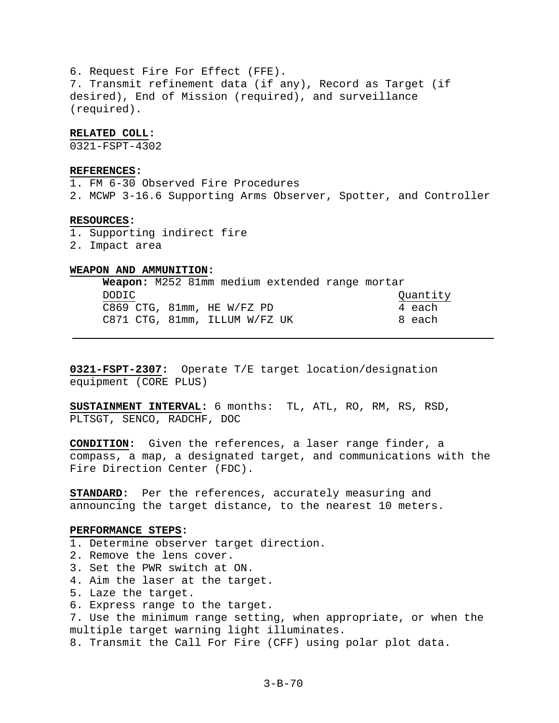6. Request Fire For Effect (FFE). 7. Transmit refinement data (if any), Record as Target (if desired), End of Mission (required), and surveillance (required).

# **RELATED COLL:**

0321-FSPT-4302

# **REFERENCES:**

1. FM 6-30 Observed Fire Procedures

2. MCWP 3-16.6 Supporting Arms Observer, Spotter, and Controller

# **RESOURCES:**

- 1. Supporting indirect fire
- 2. Impact area

# **WEAPON AND AMMUNITION:**

| <b>Weapon:</b> M252 81mm medium extended range mortar |          |
|-------------------------------------------------------|----------|
| DODIC.                                                | Quantity |
| C869 CTG, 81mm, HE W/FZ PD                            | 4 each   |
| C871 CTG, 81mm, ILLUM W/FZ UK                         | 8 each   |

**0321-FSPT-2307:** Operate T/E target location/designation equipment (CORE PLUS)

**SUSTAINMENT INTERVAL:** 6 months: TL, ATL, RO, RM, RS, RSD, PLTSGT, SENCO, RADCHF, DOC

**CONDITION:** Given the references, a laser range finder, a compass, a map, a designated target, and communications with the Fire Direction Center (FDC).

**STANDARD:** Per the references, accurately measuring and announcing the target distance, to the nearest 10 meters.

# **PERFORMANCE STEPS:**

- 1. Determine observer target direction.
- 2. Remove the lens cover.
- 3. Set the PWR switch at ON.
- 4. Aim the laser at the target.
- 5. Laze the target.
- 6. Express range to the target.

7. Use the minimum range setting, when appropriate, or when the multiple target warning light illuminates.

8. Transmit the Call For Fire (CFF) using polar plot data.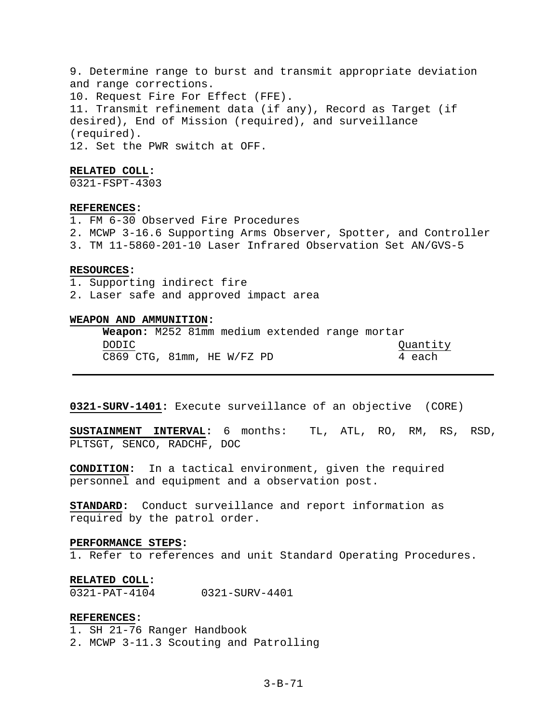9. Determine range to burst and transmit appropriate deviation and range corrections. 10. Request Fire For Effect (FFE). 11. Transmit refinement data (if any), Record as Target (if desired), End of Mission (required), and surveillance (required). 12. Set the PWR switch at OFF.

### **RELATED COLL:**

0321-FSPT-4303

# **REFERENCES:**

1. FM 6-30 Observed Fire Procedures

- 2. MCWP 3-16.6 Supporting Arms Observer, Spotter, and Controller
- 3. TM 11-5860-201-10 Laser Infrared Observation Set AN/GVS-5

# **RESOURCES:**

- 1. Supporting indirect fire
- 2. Laser safe and approved impact area

### **WEAPON AND AMMUNITION:**

|       | <b>Weapon:</b> M252 81mm medium extended range mortar |  |          |
|-------|-------------------------------------------------------|--|----------|
| DODIC |                                                       |  | Quantity |
|       | C869 CTG, 81mm, HE W/FZ PD                            |  | 4 each   |

# **0321-SURV-1401:** Execute surveillance of an objective (CORE)

**SUSTAINMENT INTERVAL:** 6 months: TL, ATL, RO, RM, RS, RSD, PLTSGT, SENCO, RADCHF, DOC

**CONDITION:** In a tactical environment, given the required personnel and equipment and a observation post.

**STANDARD:** Conduct surveillance and report information as required by the patrol order.

### **PERFORMANCE STEPS:**

1. Refer to references and unit Standard Operating Procedures.

#### **RELATED COLL:**

0321-PAT-4104 0321-SURV-4401

## **REFERENCES:**

1. SH 21-76 Ranger Handbook 2. MCWP 3-11.3 Scouting and Patrolling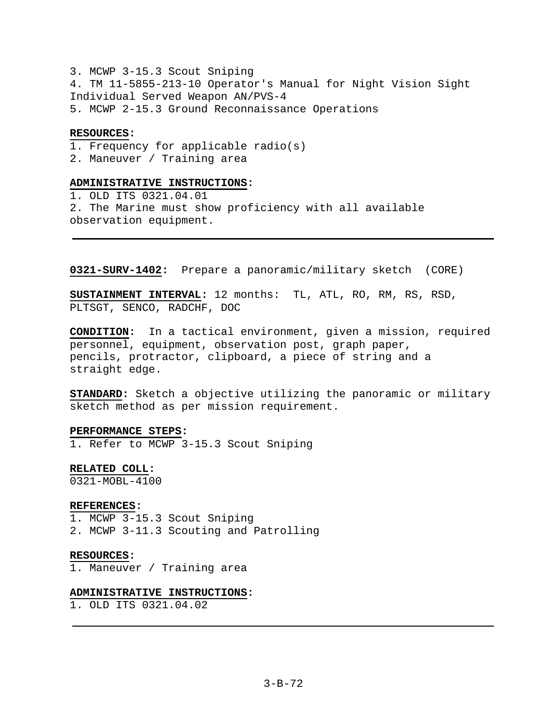3. MCWP 3-15.3 Scout Sniping 4. TM 11-5855-213-10 Operator's Manual for Night Vision Sight Individual Served Weapon AN/PVS-4 5. MCWP 2-15.3 Ground Reconnaissance Operations

### **RESOURCES:**

1. Frequency for applicable radio(s)

2. Maneuver / Training area

# **ADMINISTRATIVE INSTRUCTIONS:**

1. OLD ITS 0321.04.01 2. The Marine must show proficiency with all available observation equipment.

**0321-SURV-1402:** Prepare a panoramic/military sketch (CORE)

**SUSTAINMENT INTERVAL:** 12 months: TL, ATL, RO, RM, RS, RSD, PLTSGT, SENCO, RADCHF, DOC

**CONDITION:** In a tactical environment, given a mission, required personnel, equipment, observation post, graph paper, pencils, protractor, clipboard, a piece of string and a straight edge.

**STANDARD:** Sketch a objective utilizing the panoramic or military sketch method as per mission requirement.

**PERFORMANCE STEPS:**  1. Refer to MCWP 3-15.3 Scout Sniping

**RELATED COLL:** 

0321-MOBL-4100

### **REFERENCES:**

1. MCWP 3-15.3 Scout Sniping 2. MCWP 3-11.3 Scouting and Patrolling

### **RESOURCES:**

1. Maneuver / Training area

### **ADMINISTRATIVE INSTRUCTIONS:**

1. OLD ITS 0321.04.02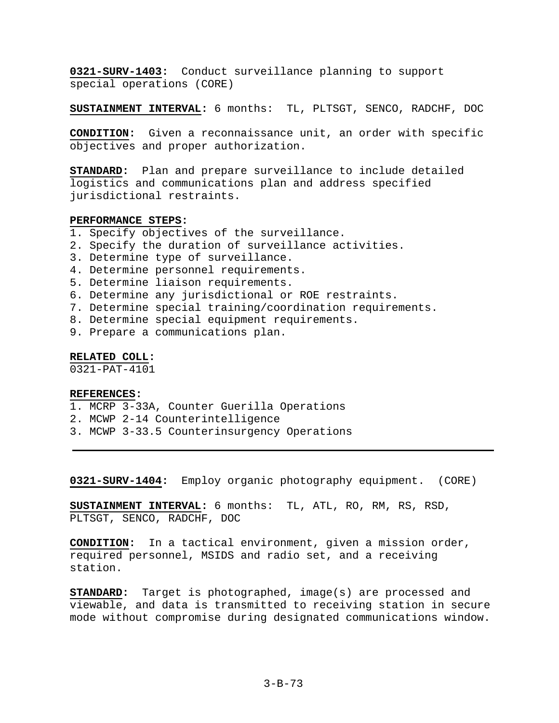**0321-SURV-1403:** Conduct surveillance planning to support special operations (CORE)

**SUSTAINMENT INTERVAL:** 6 months: TL, PLTSGT, SENCO, RADCHF, DOC

**CONDITION:** Given a reconnaissance unit, an order with specific objectives and proper authorization.

**STANDARD:** Plan and prepare surveillance to include detailed logistics and communications plan and address specified jurisdictional restraints.

# **PERFORMANCE STEPS:**

- 1. Specify objectives of the surveillance.
- 2. Specify the duration of surveillance activities.
- 3. Determine type of surveillance.
- 4. Determine personnel requirements.
- 5. Determine liaison requirements.
- 6. Determine any jurisdictional or ROE restraints.
- 7. Determine special training/coordination requirements.
- 8. Determine special equipment requirements.
- 9. Prepare a communications plan.

**RELATED COLL:** 

0321-PAT-4101

# **REFERENCES:**

- 1. MCRP 3-33A, Counter Guerilla Operations
- 2. MCWP 2-14 Counterintelligence
- 3. MCWP 3-33.5 Counterinsurgency Operations

**0321-SURV-1404:** Employ organic photography equipment. (CORE)

**SUSTAINMENT INTERVAL:** 6 months: TL, ATL, RO, RM, RS, RSD, PLTSGT, SENCO, RADCHF, DOC

**CONDITION:** In a tactical environment, given a mission order, required personnel, MSIDS and radio set, and a receiving station.

**STANDARD:** Target is photographed, image(s) are processed and viewable, and data is transmitted to receiving station in secure mode without compromise during designated communications window.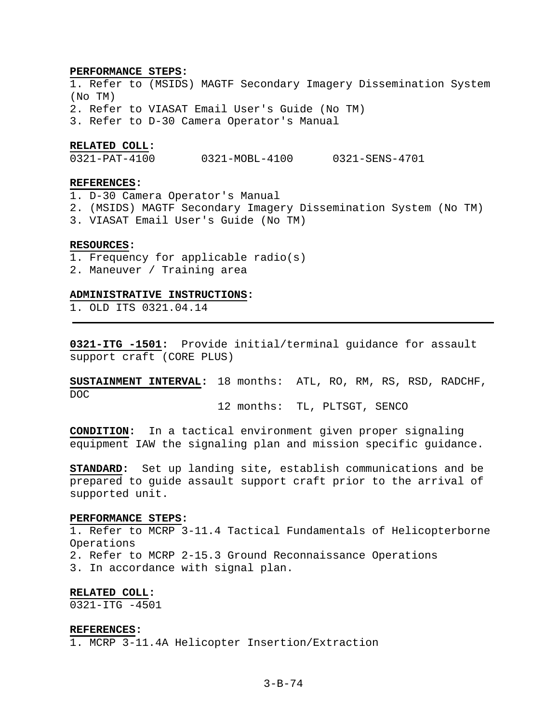#### **PERFORMANCE STEPS:**

1. Refer to (MSIDS) MAGTF Secondary Imagery Dissemination System (No TM) 2. Refer to VIASAT Email User's Guide (No TM) 3. Refer to D-30 Camera Operator's Manual

## **RELATED COLL:**

0321-PAT-4100 0321-MOBL-4100 0321-SENS-4701

# **REFERENCES:**

1. D-30 Camera Operator's Manual 2. (MSIDS) MAGTF Secondary Imagery Dissemination System (No TM) 3. VIASAT Email User's Guide (No TM)

### **RESOURCES:**

- 1. Frequency for applicable radio(s)
- 2. Maneuver / Training area

### **ADMINISTRATIVE INSTRUCTIONS:**

1. OLD ITS 0321.04.14

**0321-ITG -1501:** Provide initial/terminal guidance for assault support craft (CORE PLUS)

**SUSTAINMENT INTERVAL:** 18 months: ATL, RO, RM, RS, RSD, RADCHF, DOC

12 months: TL, PLTSGT, SENCO

**CONDITION:** In a tactical environment given proper signaling equipment IAW the signaling plan and mission specific guidance.

**STANDARD:** Set up landing site, establish communications and be prepared to guide assault support craft prior to the arrival of supported unit.

#### **PERFORMANCE STEPS:**

1. Refer to MCRP 3-11.4 Tactical Fundamentals of Helicopterborne Operations 2. Refer to MCRP 2-15.3 Ground Reconnaissance Operations 3. In accordance with signal plan.

# **RELATED COLL:**

 $0321 - TTG - 4501$ 

#### **REFERENCES:**

1. MCRP 3-11.4A Helicopter Insertion/Extraction

# 3-B-74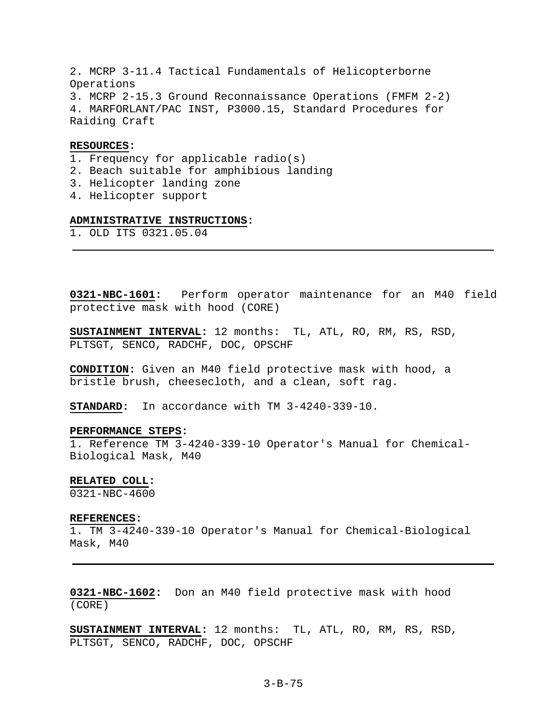2. MCRP 3-11.4 Tactical Fundamentals of Helicopterborne Operations 3. MCRP 2-15.3 Ground Reconnaissance Operations (FMFM 2-2) 4. MARFORLANT/PAC INST, P3000.15, Standard Procedures for Raiding Craft

# **RESOURCES:**

- 1. Frequency for applicable radio(s)
- 2. Beach suitable for amphibious landing
- 3. Helicopter landing zone
- 4. Helicopter support

# **ADMINISTRATIVE INSTRUCTIONS:**

1. OLD ITS 0321.05.04

**0321-NBC-1601:** Perform operator maintenance for an M40 field protective mask with hood (CORE)

**SUSTAINMENT INTERVAL:** 12 months: TL, ATL, RO, RM, RS, RSD, PLTSGT, SENCO, RADCHF, DOC, OPSCHF

**CONDITION:** Given an M40 field protective mask with hood, a bristle brush, cheesecloth, and a clean, soft rag.

**STANDARD:** In accordance with TM 3-4240-339-10.

# **PERFORMANCE STEPS:**

1. Reference TM 3-4240-339-10 Operator's Manual for Chemical-Biological Mask, M40

### **RELATED COLL:**

0321-NBC-4600

#### **REFERENCES:**

1. TM 3-4240-339-10 Operator's Manual for Chemical-Biological Mask, M40

**0321-NBC-1602:** Don an M40 field protective mask with hood (CORE)

**SUSTAINMENT INTERVAL:** 12 months: TL, ATL, RO, RM, RS, RSD, PLTSGT, SENCO, RADCHF, DOC, OPSCHF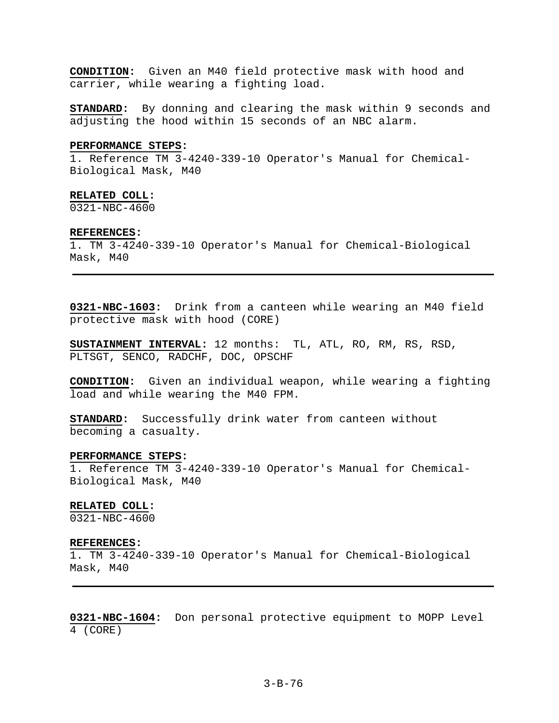**CONDITION:** Given an M40 field protective mask with hood and carrier, while wearing a fighting load.

**STANDARD:** By donning and clearing the mask within 9 seconds and adjusting the hood within 15 seconds of an NBC alarm.

### **PERFORMANCE STEPS:**

1. Reference TM 3-4240-339-10 Operator's Manual for Chemical-Biological Mask, M40

### **RELATED COLL:**

0321-NBC-4600

#### **REFERENCES:**

1. TM 3-4240-339-10 Operator's Manual for Chemical-Biological Mask, M40

**0321-NBC-1603:** Drink from a canteen while wearing an M40 field protective mask with hood (CORE)

**SUSTAINMENT INTERVAL:** 12 months: TL, ATL, RO, RM, RS, RSD, PLTSGT, SENCO, RADCHF, DOC, OPSCHF

**CONDITION:** Given an individual weapon, while wearing a fighting load and while wearing the M40 FPM.

**STANDARD:** Successfully drink water from canteen without becoming a casualty.

### **PERFORMANCE STEPS:**

1. Reference TM 3-4240-339-10 Operator's Manual for Chemical-Biological Mask, M40

#### **RELATED COLL:**

0321-NBC-4600

#### **REFERENCES:**

1. TM 3-4240-339-10 Operator's Manual for Chemical-Biological Mask, M40

**0321-NBC-1604:** Don personal protective equipment to MOPP Level 4 (CORE)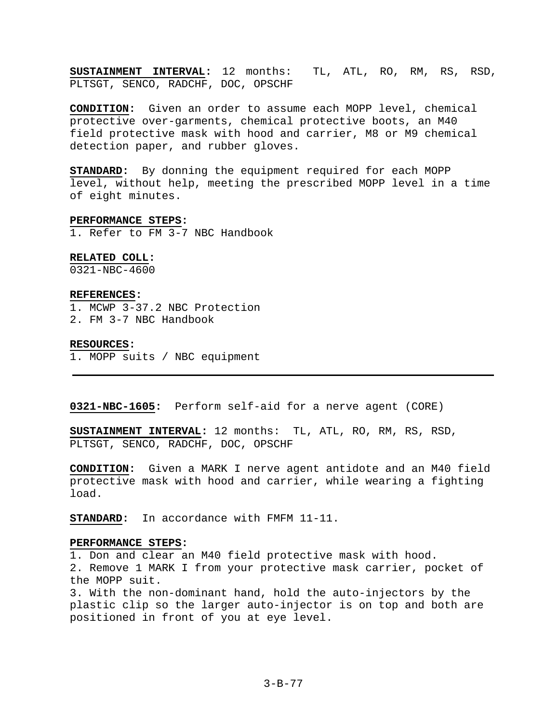**SUSTAINMENT INTERVAL:** 12 months: TL, ATL, RO, RM, RS, RSD, PLTSGT, SENCO, RADCHF, DOC, OPSCHF

**CONDITION:** Given an order to assume each MOPP level, chemical protective over-garments, chemical protective boots, an M40 field protective mask with hood and carrier, M8 or M9 chemical detection paper, and rubber gloves.

**STANDARD:** By donning the equipment required for each MOPP level, without help, meeting the prescribed MOPP level in a time of eight minutes.

### **PERFORMANCE STEPS:**

1. Refer to FM 3-7 NBC Handbook

### **RELATED COLL:**

0321-NBC-4600

### **REFERENCES:**

1. MCWP 3-37.2 NBC Protection

2. FM 3-7 NBC Handbook

### **RESOURCES:**

1. MOPP suits / NBC equipment

**0321-NBC-1605:** Perform self-aid for a nerve agent (CORE)

**SUSTAINMENT INTERVAL:** 12 months: TL, ATL, RO, RM, RS, RSD, PLTSGT, SENCO, RADCHF, DOC, OPSCHF

**CONDITION:** Given a MARK I nerve agent antidote and an M40 field protective mask with hood and carrier, while wearing a fighting load.

**STANDARD:** In accordance with FMFM 11-11.

# **PERFORMANCE STEPS:**

1. Don and clear an M40 field protective mask with hood. 2. Remove 1 MARK I from your protective mask carrier, pocket of the MOPP suit.

3. With the non-dominant hand, hold the auto-injectors by the plastic clip so the larger auto-injector is on top and both are positioned in front of you at eye level.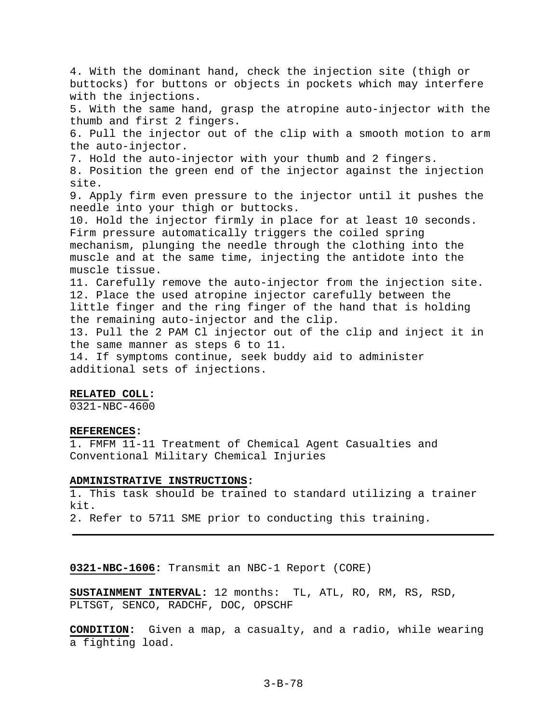4. With the dominant hand, check the injection site (thigh or buttocks) for buttons or objects in pockets which may interfere with the injections. 5. With the same hand, grasp the atropine auto-injector with the thumb and first 2 fingers. 6. Pull the injector out of the clip with a smooth motion to arm the auto-injector. 7. Hold the auto-injector with your thumb and 2 fingers. 8. Position the green end of the injector against the injection site. 9. Apply firm even pressure to the injector until it pushes the needle into your thigh or buttocks. 10. Hold the injector firmly in place for at least 10 seconds. Firm pressure automatically triggers the coiled spring mechanism, plunging the needle through the clothing into the muscle and at the same time, injecting the antidote into the muscle tissue. 11. Carefully remove the auto-injector from the injection site. 12. Place the used atropine injector carefully between the little finger and the ring finger of the hand that is holding the remaining auto-injector and the clip. 13. Pull the 2 PAM Cl injector out of the clip and inject it in the same manner as steps 6 to 11. 14. If symptoms continue, seek buddy aid to administer additional sets of injections.

### **RELATED COLL:**

0321-NBC-4600

# **REFERENCES:**

1. FMFM 11-11 Treatment of Chemical Agent Casualties and Conventional Military Chemical Injuries

# **ADMINISTRATIVE INSTRUCTIONS:**

1. This task should be trained to standard utilizing a trainer kit. 2. Refer to 5711 SME prior to conducting this training.

**0321-NBC-1606:** Transmit an NBC-1 Report (CORE)

**SUSTAINMENT INTERVAL:** 12 months: TL, ATL, RO, RM, RS, RSD, PLTSGT, SENCO, RADCHF, DOC, OPSCHF

**CONDITION:** Given a map, a casualty, and a radio, while wearing a fighting load.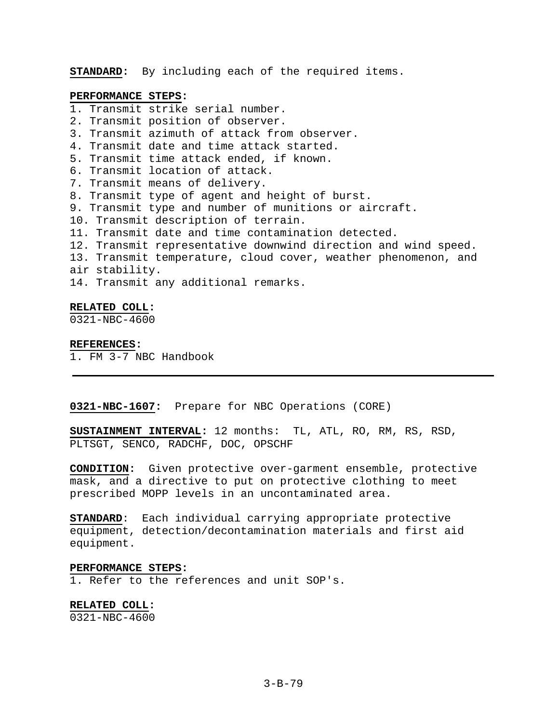**STANDARD:** By including each of the required items.

### **PERFORMANCE STEPS:**

- 1. Transmit strike serial number.
- 2. Transmit position of observer.
- 3. Transmit azimuth of attack from observer.
- 4. Transmit date and time attack started.
- 5. Transmit time attack ended, if known.
- 6. Transmit location of attack.
- 7. Transmit means of delivery.
- 8. Transmit type of agent and height of burst.
- 9. Transmit type and number of munitions or aircraft.
- 10. Transmit description of terrain.
- 11. Transmit date and time contamination detected.
- 12. Transmit representative downwind direction and wind speed.
- 13. Transmit temperature, cloud cover, weather phenomenon, and
- air stability.
- 14. Transmit any additional remarks.

### **RELATED COLL:**

0321-NBC-4600

### **REFERENCES:**

1. FM 3-7 NBC Handbook

# **0321-NBC-1607:** Prepare for NBC Operations (CORE)

**SUSTAINMENT INTERVAL:** 12 months: TL, ATL, RO, RM, RS, RSD, PLTSGT, SENCO, RADCHF, DOC, OPSCHF

**CONDITION:** Given protective over-garment ensemble, protective mask, and a directive to put on protective clothing to meet prescribed MOPP levels in an uncontaminated area.

**STANDARD**: Each individual carrying appropriate protective equipment, detection/decontamination materials and first aid equipment.

### **PERFORMANCE STEPS:**

1. Refer to the references and unit SOP's.

# **RELATED COLL:**

0321-NBC-4600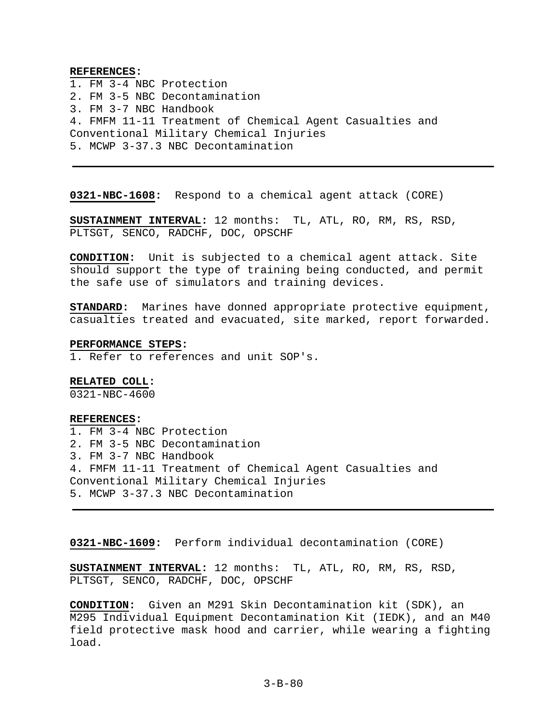### **REFERENCES:**

1. FM 3-4 NBC Protection 2. FM 3-5 NBC Decontamination 3. FM 3-7 NBC Handbook 4. FMFM 11-11 Treatment of Chemical Agent Casualties and Conventional Military Chemical Injuries 5. MCWP 3-37.3 NBC Decontamination

**0321-NBC-1608:** Respond to a chemical agent attack (CORE)

**SUSTAINMENT INTERVAL:** 12 months: TL, ATL, RO, RM, RS, RSD, PLTSGT, SENCO, RADCHF, DOC, OPSCHF

**CONDITION:** Unit is subjected to a chemical agent attack. Site should support the type of training being conducted, and permit the safe use of simulators and training devices.

**STANDARD:** Marines have donned appropriate protective equipment, casualties treated and evacuated, site marked, report forwarded.

#### **PERFORMANCE STEPS:**

1. Refer to references and unit SOP's.

# **RELATED COLL:**

0321-NBC-4600

### **REFERENCES:**

1. FM 3-4 NBC Protection 2. FM 3-5 NBC Decontamination 3. FM 3-7 NBC Handbook 4. FMFM 11-11 Treatment of Chemical Agent Casualties and Conventional Military Chemical Injuries 5. MCWP 3-37.3 NBC Decontamination

**0321-NBC-1609:** Perform individual decontamination (CORE)

**SUSTAINMENT INTERVAL:** 12 months: TL, ATL, RO, RM, RS, RSD, PLTSGT, SENCO, RADCHF, DOC, OPSCHF

**CONDITION:** Given an M291 Skin Decontamination kit (SDK), an M295 Individual Equipment Decontamination Kit (IEDK), and an M40 field protective mask hood and carrier, while wearing a fighting load.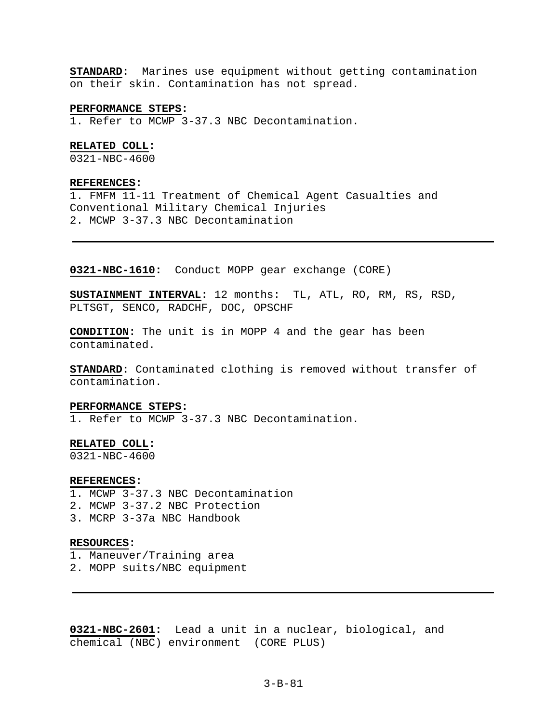**STANDARD:** Marines use equipment without getting contamination on their skin. Contamination has not spread.

#### **PERFORMANCE STEPS:**

1. Refer to MCWP 3-37.3 NBC Decontamination.

# **RELATED COLL:**

0321-NBC-4600

### **REFERENCES:**

1. FMFM 11-11 Treatment of Chemical Agent Casualties and Conventional Military Chemical Injuries 2. MCWP 3-37.3 NBC Decontamination

# **0321-NBC-1610:** Conduct MOPP gear exchange (CORE)

**SUSTAINMENT INTERVAL:** 12 months: TL, ATL, RO, RM, RS, RSD, PLTSGT, SENCO, RADCHF, DOC, OPSCHF

**CONDITION:** The unit is in MOPP 4 and the gear has been contaminated.

**STANDARD:** Contaminated clothing is removed without transfer of contamination.

# **PERFORMANCE STEPS:**

1. Refer to MCWP 3-37.3 NBC Decontamination.

#### **RELATED COLL:**

0321-NBC-4600

#### **REFERENCES:**

- 1. MCWP 3-37.3 NBC Decontamination
- 2. MCWP 3-37.2 NBC Protection
- 3. MCRP 3-37a NBC Handbook

# **RESOURCES:**

- 1. Maneuver/Training area
- 2. MOPP suits/NBC equipment

**0321-NBC-2601:** Lead a unit in a nuclear, biological, and chemical (NBC) environment (CORE PLUS)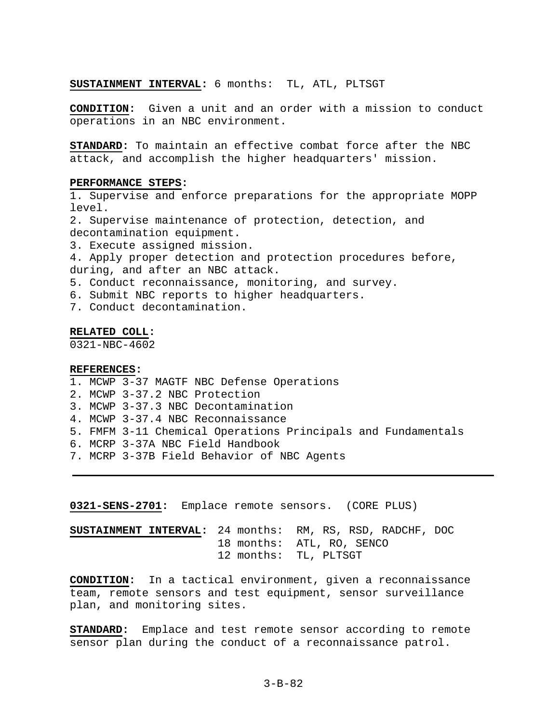### **SUSTAINMENT INTERVAL:** 6 months: TL, ATL, PLTSGT

**CONDITION:** Given a unit and an order with a mission to conduct operations in an NBC environment.

**STANDARD:** To maintain an effective combat force after the NBC attack, and accomplish the higher headquarters' mission.

#### **PERFORMANCE STEPS:**

1. Supervise and enforce preparations for the appropriate MOPP level.

2. Supervise maintenance of protection, detection, and decontamination equipment.

3. Execute assigned mission.

4. Apply proper detection and protection procedures before, during, and after an NBC attack.

- 5. Conduct reconnaissance, monitoring, and survey.
- 6. Submit NBC reports to higher headquarters.
- 7. Conduct decontamination.

#### **RELATED COLL:**

0321-NBC-4602

#### **REFERENCES:**

- 1. MCWP 3-37 MAGTF NBC Defense Operations
- 2. MCWP 3-37.2 NBC Protection
- 3. MCWP 3-37.3 NBC Decontamination
- 4. MCWP 3-37.4 NBC Reconnaissance
- 5. FMFM 3-11 Chemical Operations Principals and Fundamentals
- 6. MCRP 3-37A NBC Field Handbook
- 7. MCRP 3-37B Field Behavior of NBC Agents

**0321-SENS-2701:** Emplace remote sensors. (CORE PLUS)

# **SUSTAINMENT INTERVAL:** 24 months: RM, RS, RSD, RADCHF, DOC 18 months: ATL, RO, SENCO 12 months: TL, PLTSGT

**CONDITION:** In a tactical environment, given a reconnaissance team, remote sensors and test equipment, sensor surveillance plan, and monitoring sites.

**STANDARD:** Emplace and test remote sensor according to remote sensor plan during the conduct of a reconnaissance patrol.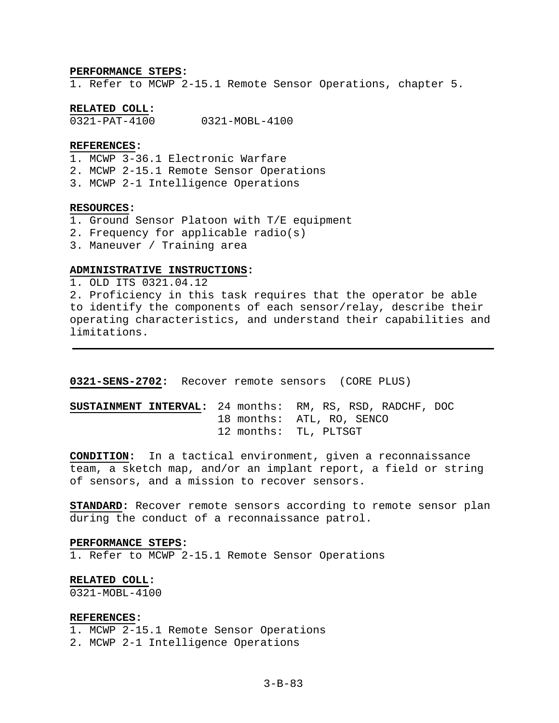### **PERFORMANCE STEPS:**

1. Refer to MCWP 2-15.1 Remote Sensor Operations, chapter 5.

# **RELATED COLL:**

0321-PAT-4100 0321-MOBL-4100

# **REFERENCES:**

- 1. MCWP 3-36.1 Electronic Warfare
- 2. MCWP 2-15.1 Remote Sensor Operations
- 3. MCWP 2-1 Intelligence Operations

### **RESOURCES:**

- 1. Ground Sensor Platoon with T/E equipment
- 2. Frequency for applicable radio(s)
- 3. Maneuver / Training area

# **ADMINISTRATIVE INSTRUCTIONS:**

1. OLD ITS 0321.04.12 2. Proficiency in this task requires that the operator be able to identify the components of each sensor/relay, describe their operating characteristics, and understand their capabilities and limitations.

**0321-SENS-2702:** Recover remote sensors (CORE PLUS)

# **SUSTAINMENT INTERVAL:** 24 months: RM, RS, RSD, RADCHF, DOC 18 months: ATL, RO, SENCO 12 months: TL, PLTSGT

**CONDITION:** In a tactical environment, given a reconnaissance team, a sketch map, and/or an implant report, a field or string of sensors, and a mission to recover sensors.

**STANDARD:** Recover remote sensors according to remote sensor plan during the conduct of a reconnaissance patrol.

### **PERFORMANCE STEPS:**

1. Refer to MCWP 2-15.1 Remote Sensor Operations

#### **RELATED COLL:**

0321-MOBL-4100

### **REFERENCES:**

1. MCWP 2-15.1 Remote Sensor Operations

2. MCWP 2-1 Intelligence Operations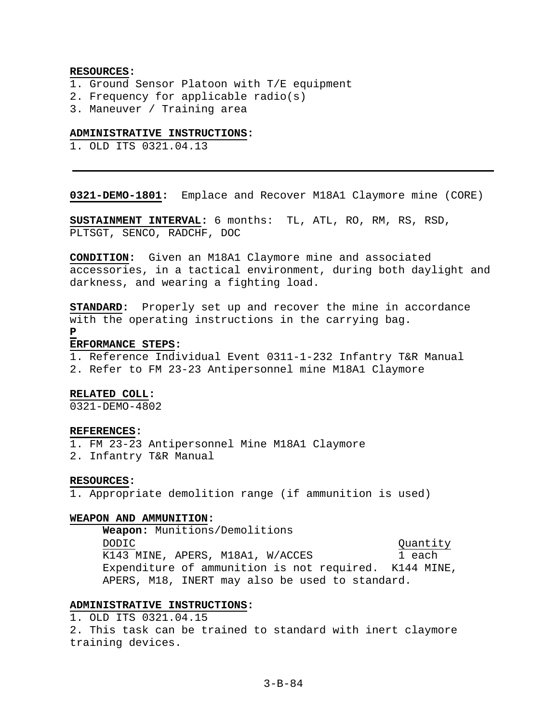### **RESOURCES:**

- 1. Ground Sensor Platoon with T/E equipment
- 2. Frequency for applicable radio(s)
- 3. Maneuver / Training area

#### **ADMINISTRATIVE INSTRUCTIONS:**

1. OLD ITS 0321.04.13

**0321-DEMO-1801:** Emplace and Recover M18A1 Claymore mine (CORE)

**SUSTAINMENT INTERVAL:** 6 months: TL, ATL, RO, RM, RS, RSD, PLTSGT, SENCO, RADCHF, DOC

**CONDITION:** Given an M18A1 Claymore mine and associated accessories, in a tactical environment, during both daylight and darkness, and wearing a fighting load.

**STANDARD:** Properly set up and recover the mine in accordance with the operating instructions in the carrying bag.

**P**

#### **ERFORMANCE STEPS:**

1. Reference Individual Event 0311-1-232 Infantry T&R Manual 2. Refer to FM 23-23 Antipersonnel mine M18A1 Claymore

### **RELATED COLL:**

0321-DEMO-4802

### **REFERENCES:**

1. FM 23-23 Antipersonnel Mine M18A1 Claymore

2. Infantry T&R Manual

### **RESOURCES:**

1. Appropriate demolition range (if ammunition is used)

# **WEAPON AND AMMUNITION:**

**Weapon:** Munitions/Demolitions DODIC Quantity K143 MINE, APERS, M18A1, W/ACCES 1 each Expenditure of ammunition is not required. K144 MINE, APERS, M18, INERT may also be used to standard.

# **ADMINISTRATIVE INSTRUCTIONS:**

1. OLD ITS 0321.04.15 2. This task can be trained to standard with inert claymore training devices.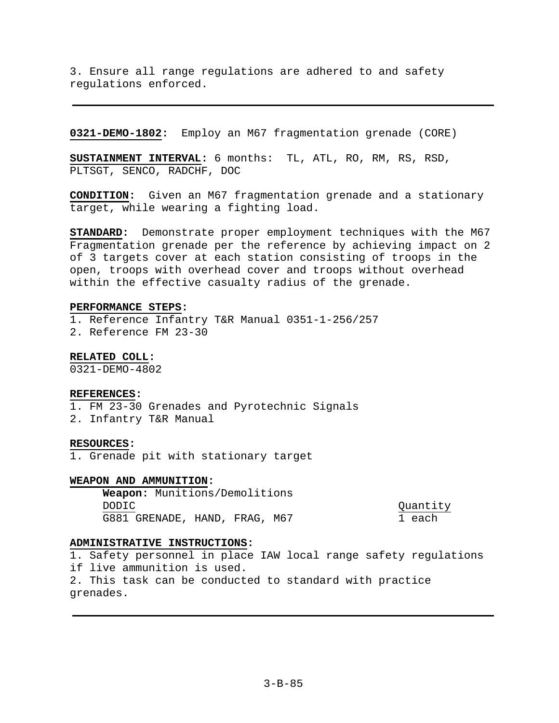3. Ensure all range regulations are adhered to and safety regulations enforced.

**0321-DEMO-1802:** Employ an M67 fragmentation grenade (CORE)

**SUSTAINMENT INTERVAL:** 6 months: TL, ATL, RO, RM, RS, RSD, PLTSGT, SENCO, RADCHF, DOC

**CONDITION:** Given an M67 fragmentation grenade and a stationary target, while wearing a fighting load.

**STANDARD:** Demonstrate proper employment techniques with the M67 Fragmentation grenade per the reference by achieving impact on 2 of 3 targets cover at each station consisting of troops in the open, troops with overhead cover and troops without overhead within the effective casualty radius of the grenade.

### **PERFORMANCE STEPS:**

1. Reference Infantry T&R Manual 0351-1-256/257 2. Reference FM 23-30

**RELATED COLL:** 

0321-DEMO-4802

# **REFERENCES:**

- 1. FM 23-30 Grenades and Pyrotechnic Signals
- 2. Infantry T&R Manual

### **RESOURCES:**

1. Grenade pit with stationary target

### **WEAPON AND AMMUNITION:**

**Weapon:** Munitions/Demolitions DODIC Quantity G881 GRENADE, HAND, FRAG, M67 1 each

# **ADMINISTRATIVE INSTRUCTIONS:**

1. Safety personnel in place IAW local range safety regulations if live ammunition is used. 2. This task can be conducted to standard with practice grenades.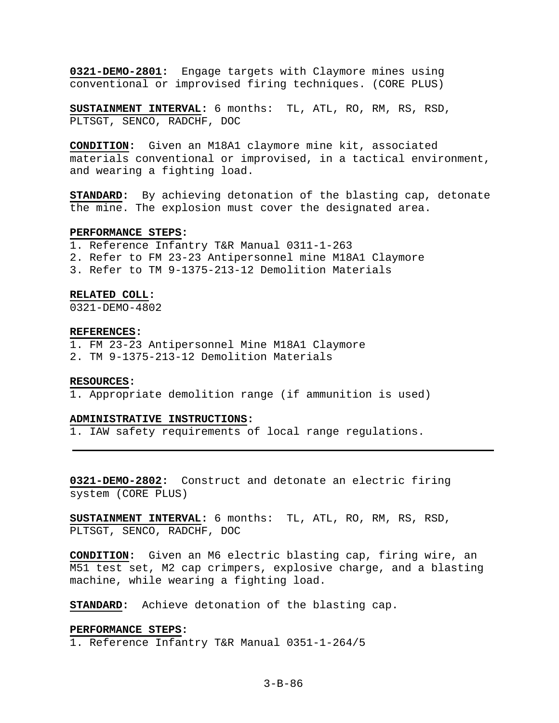**0321-DEMO-2801:** Engage targets with Claymore mines using conventional or improvised firing techniques. (CORE PLUS)

**SUSTAINMENT INTERVAL:** 6 months: TL, ATL, RO, RM, RS, RSD, PLTSGT, SENCO, RADCHF, DOC

**CONDITION:** Given an M18A1 claymore mine kit, associated materials conventional or improvised, in a tactical environment, and wearing a fighting load.

**STANDARD:** By achieving detonation of the blasting cap, detonate the mine. The explosion must cover the designated area.

#### **PERFORMANCE STEPS:**

1. Reference Infantry T&R Manual 0311-1-263

- 2. Refer to FM 23-23 Antipersonnel mine M18A1 Claymore
- 3. Refer to TM 9-1375-213-12 Demolition Materials

#### **RELATED COLL:**

0321-DEMO-4802

#### **REFERENCES:**

1. FM 23-23 Antipersonnel Mine M18A1 Claymore 2. TM 9-1375-213-12 Demolition Materials

#### **RESOURCES:**

1. Appropriate demolition range (if ammunition is used)

#### **ADMINISTRATIVE INSTRUCTIONS:**

1. IAW safety requirements of local range regulations.

**0321-DEMO-2802:** Construct and detonate an electric firing system (CORE PLUS)

**SUSTAINMENT INTERVAL:** 6 months: TL, ATL, RO, RM, RS, RSD, PLTSGT, SENCO, RADCHF, DOC

**CONDITION:** Given an M6 electric blasting cap, firing wire, an M51 test set, M2 cap crimpers, explosive charge, and a blasting machine, while wearing a fighting load.

**STANDARD:** Achieve detonation of the blasting cap.

### **PERFORMANCE STEPS:**

1. Reference Infantry T&R Manual 0351-1-264/5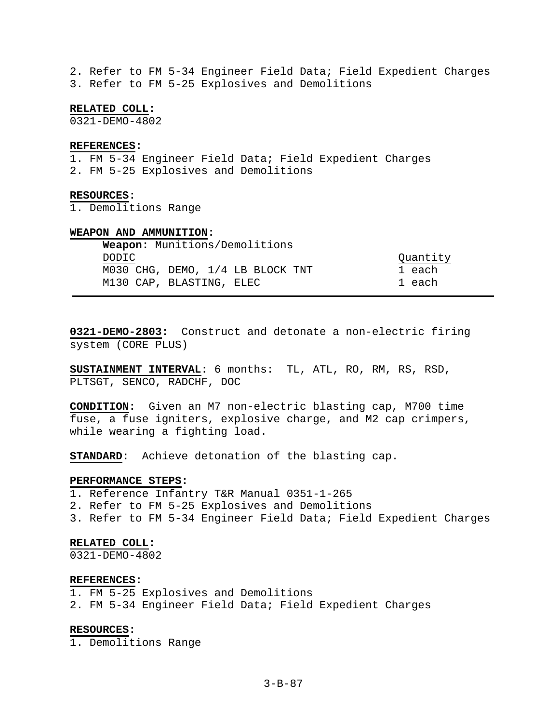2. Refer to FM 5-34 Engineer Field Data; Field Expedient Charges 3. Refer to FM 5-25 Explosives and Demolitions

**RELATED COLL:** 

0321-DEMO-4802

### **REFERENCES:**

1. FM 5-34 Engineer Field Data; Field Expedient Charges 2. FM 5-25 Explosives and Demolitions

#### **RESOURCES:**

1. Demolitions Range

#### **WEAPON AND AMMUNITION:**

|        | <b>Weapon:</b> Munitions/Demolitions |          |
|--------|--------------------------------------|----------|
| DODTC. |                                      | Quantity |
|        | M030 CHG, DEMO, 1/4 LB BLOCK TNT     | 1 each   |
|        | M130 CAP, BLASTING, ELEC             | 1 each   |

**0321-DEMO-2803:** Construct and detonate a non-electric firing system (CORE PLUS)

**SUSTAINMENT INTERVAL:** 6 months: TL, ATL, RO, RM, RS, RSD, PLTSGT, SENCO, RADCHF, DOC

**CONDITION:** Given an M7 non-electric blasting cap, M700 time fuse, a fuse igniters, explosive charge, and M2 cap crimpers, while wearing a fighting load.

**STANDARD:** Achieve detonation of the blasting cap.

# **PERFORMANCE STEPS:**

1. Reference Infantry T&R Manual 0351-1-265

2. Refer to FM 5-25 Explosives and Demolitions

3. Refer to FM 5-34 Engineer Field Data; Field Expedient Charges

### **RELATED COLL:**

0321-DEMO-4802

#### **REFERENCES:**

1. FM 5-25 Explosives and Demolitions

2. FM 5-34 Engineer Field Data; Field Expedient Charges

#### **RESOURCES:**

1. Demolitions Range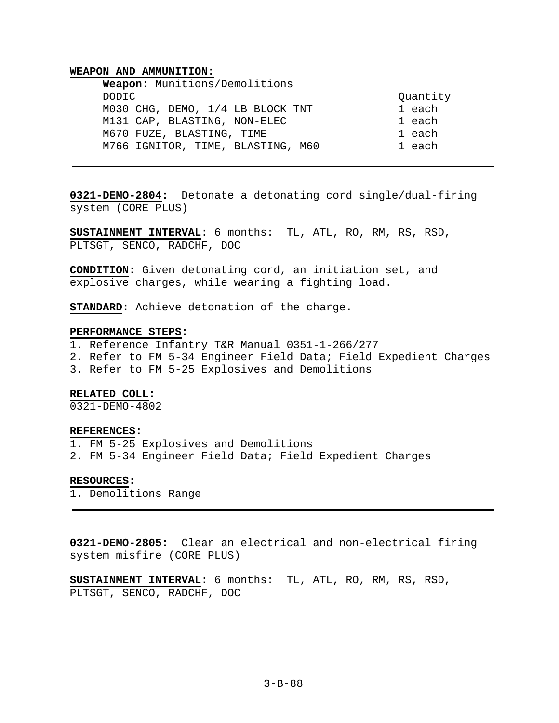#### **WEAPON AND AMMUNITION:**

| Weapon: Munitions/Demolitions     |          |
|-----------------------------------|----------|
| DODIC.                            | Quantity |
| M030 CHG, DEMO, 1/4 LB BLOCK TNT  | 1 each   |
| M131 CAP, BLASTING, NON-ELEC      | 1 each   |
| M670 FUZE, BLASTING, TIME         | 1 each   |
| M766 IGNITOR, TIME, BLASTING, M60 | 1 each   |

**0321-DEMO-2804:** Detonate a detonating cord single/dual-firing system (CORE PLUS)

**SUSTAINMENT INTERVAL:** 6 months: TL, ATL, RO, RM, RS, RSD, PLTSGT, SENCO, RADCHF, DOC

**CONDITION:** Given detonating cord, an initiation set, and explosive charges, while wearing a fighting load.

**STANDARD:** Achieve detonation of the charge.

### **PERFORMANCE STEPS:**

1. Reference Infantry T&R Manual 0351-1-266/277

- 2. Refer to FM 5-34 Engineer Field Data; Field Expedient Charges
- 3. Refer to FM 5-25 Explosives and Demolitions

#### **RELATED COLL:**

0321-DEMO-4802

### **REFERENCES:**

1. FM 5-25 Explosives and Demolitions 2. FM 5-34 Engineer Field Data; Field Expedient Charges

#### **RESOURCES:**

1. Demolitions Range

**0321-DEMO-2805:** Clear an electrical and non-electrical firing system misfire (CORE PLUS)

**SUSTAINMENT INTERVAL:** 6 months: TL, ATL, RO, RM, RS, RSD, PLTSGT, SENCO, RADCHF, DOC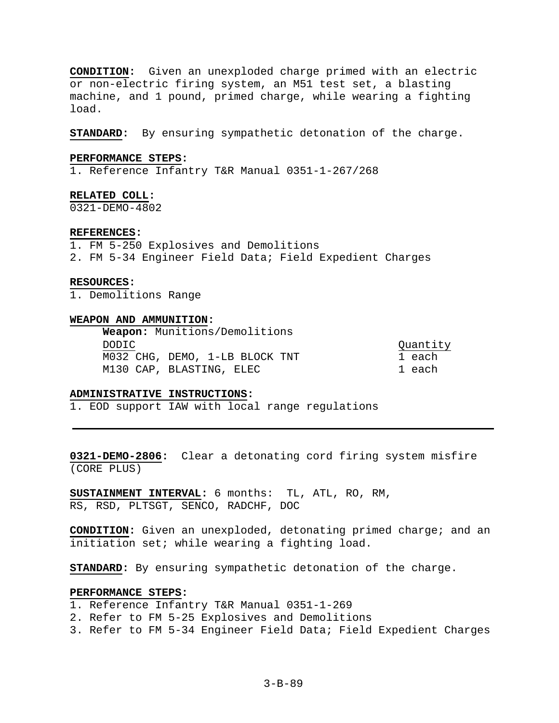**CONDITION:** Given an unexploded charge primed with an electric or non-electric firing system, an M51 test set, a blasting machine, and 1 pound, primed charge, while wearing a fighting load.

**STANDARD:** By ensuring sympathetic detonation of the charge.

# **PERFORMANCE STEPS:**

1. Reference Infantry T&R Manual 0351-1-267/268

**RELATED COLL:** 

0321-DEMO-4802

#### **REFERENCES:**

1. FM 5-250 Explosives and Demolitions

2. FM 5-34 Engineer Field Data; Field Expedient Charges

#### **RESOURCES:**

1. Demolitions Range

## **WEAPON AND AMMUNITION:**

**Weapon:** Munitions/Demolitions DODIC Quantity M032 CHG, DEMO, 1-LB BLOCK TNT 1 each M130 CAP, BLASTING, ELEC 1 each

## **ADMINISTRATIVE INSTRUCTIONS:**

1. EOD support IAW with local range regulations

**0321-DEMO-2806:** Clear a detonating cord firing system misfire (CORE PLUS)

**SUSTAINMENT INTERVAL:** 6 months: TL, ATL, RO, RM, RS, RSD, PLTSGT, SENCO, RADCHF, DOC

**CONDITION:** Given an unexploded, detonating primed charge; and an initiation set; while wearing a fighting load.

**STANDARD:** By ensuring sympathetic detonation of the charge.

# **PERFORMANCE STEPS:**

- 1. Reference Infantry T&R Manual 0351-1-269
- 2. Refer to FM 5-25 Explosives and Demolitions
- 3. Refer to FM 5-34 Engineer Field Data; Field Expedient Charges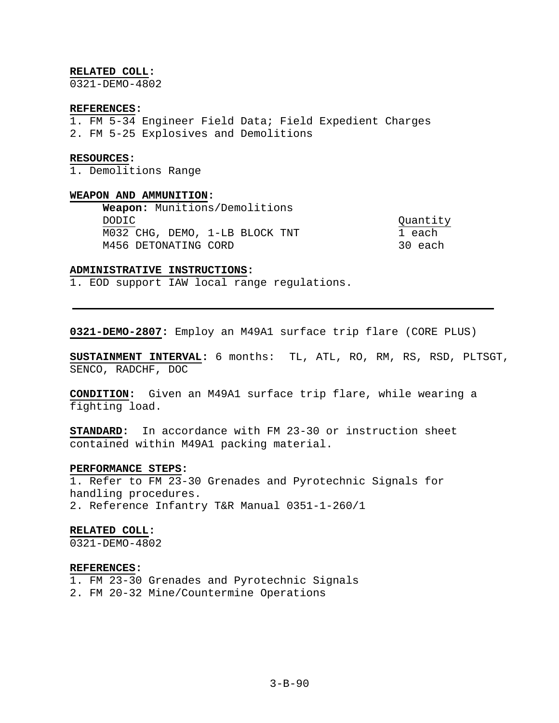### **RELATED COLL:**

0321-DEMO-4802

#### **REFERENCES:**

- 1. FM 5-34 Engineer Field Data; Field Expedient Charges
- 2. FM 5-25 Explosives and Demolitions

### **RESOURCES:**

1. Demolitions Range

# **WEAPON AND AMMUNITION:**

**Weapon:** Munitions/Demolitions DODIC Quantity M032 CHG, DEMO, 1-LB BLOCK TNT M456 DETONATING CORD 30 each

# **ADMINISTRATIVE INSTRUCTIONS:**

1. EOD support IAW local range regulations.

**0321-DEMO-2807:** Employ an M49A1 surface trip flare (CORE PLUS)

**SUSTAINMENT INTERVAL:** 6 months: TL, ATL, RO, RM, RS, RSD, PLTSGT, SENCO, RADCHF, DOC

**CONDITION:** Given an M49A1 surface trip flare, while wearing a fighting load.

**STANDARD:** In accordance with FM 23-30 or instruction sheet contained within M49A1 packing material.

# **PERFORMANCE STEPS:**

1. Refer to FM 23-30 Grenades and Pyrotechnic Signals for handling procedures. 2. Reference Infantry T&R Manual 0351-1-260/1

#### **RELATED COLL:**

 $0321 - DEMO - 4802$ 

# **REFERENCES:**

1. FM 23-30 Grenades and Pyrotechnic Signals

2. FM 20-32 Mine/Countermine Operations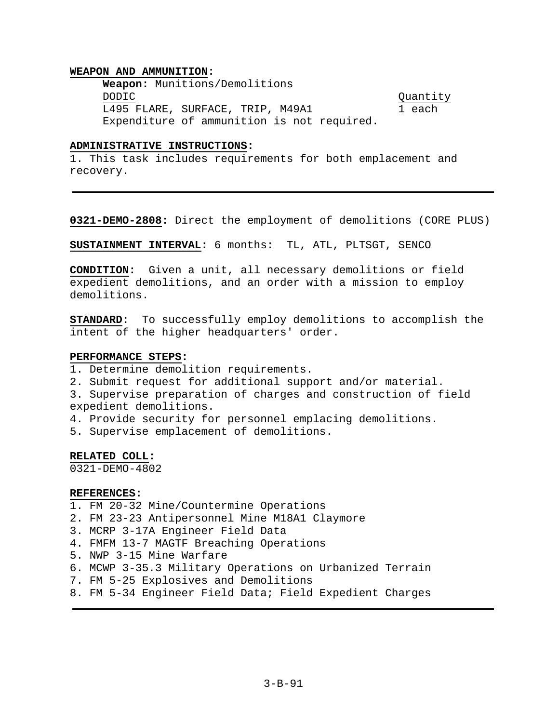# **WEAPON AND AMMUNITION:**

**Weapon:** Munitions/Demolitions DODIC Quantity L495 FLARE, SURFACE, TRIP, M49A1 1 each Expenditure of ammunition is not required.

### **ADMINISTRATIVE INSTRUCTIONS:**

1. This task includes requirements for both emplacement and recovery.

**0321-DEMO-2808:** Direct the employment of demolitions (CORE PLUS)

**SUSTAINMENT INTERVAL:** 6 months: TL, ATL, PLTSGT, SENCO

**CONDITION:** Given a unit, all necessary demolitions or field expedient demolitions, and an order with a mission to employ demolitions.

**STANDARD:** To successfully employ demolitions to accomplish the intent of the higher headquarters' order.

# **PERFORMANCE STEPS:**

- 1. Determine demolition requirements.
- 2. Submit request for additional support and/or material.
- 3. Supervise preparation of charges and construction of field expedient demolitions.
- 4. Provide security for personnel emplacing demolitions.

5. Supervise emplacement of demolitions.

### **RELATED COLL:**

0321-DEMO-4802

### **REFERENCES:**

- 1. FM 20-32 Mine/Countermine Operations
- 2. FM 23-23 Antipersonnel Mine M18A1 Claymore
- 3. MCRP 3-17A Engineer Field Data
- 4. FMFM 13-7 MAGTF Breaching Operations
- 5. NWP 3-15 Mine Warfare
- 6. MCWP 3-35.3 Military Operations on Urbanized Terrain
- 7. FM 5-25 Explosives and Demolitions
- 8. FM 5-34 Engineer Field Data; Field Expedient Charges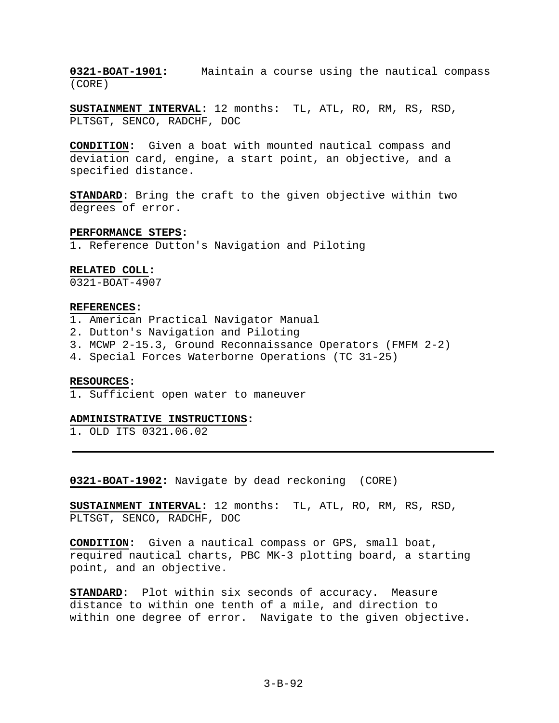**0321-BOAT-1901:** Maintain a course using the nautical compass (CORE)

**SUSTAINMENT INTERVAL:** 12 months: TL, ATL, RO, RM, RS, RSD, PLTSGT, SENCO, RADCHF, DOC

**CONDITION:** Given a boat with mounted nautical compass and deviation card, engine, a start point, an objective, and a specified distance.

**STANDARD:** Bring the craft to the given objective within two degrees of error.

#### **PERFORMANCE STEPS:**

1. Reference Dutton's Navigation and Piloting

### **RELATED COLL:**

0321-BOAT-4907

### **REFERENCES:**

- 1. American Practical Navigator Manual
- 2. Dutton's Navigation and Piloting
- 3. MCWP 2-15.3, Ground Reconnaissance Operators (FMFM 2-2)
- 4. Special Forces Waterborne Operations (TC 31-25)

#### **RESOURCES:**

1. Sufficient open water to maneuver

#### **ADMINISTRATIVE INSTRUCTIONS:**

1. OLD ITS 0321.06.02

**0321-BOAT-1902:** Navigate by dead reckoning (CORE)

**SUSTAINMENT INTERVAL:** 12 months: TL, ATL, RO, RM, RS, RSD, PLTSGT, SENCO, RADCHF, DOC

**CONDITION:** Given a nautical compass or GPS, small boat, required nautical charts, PBC MK-3 plotting board, a starting point, and an objective.

**STANDARD:** Plot within six seconds of accuracy. Measure distance to within one tenth of a mile, and direction to within one degree of error. Navigate to the given objective.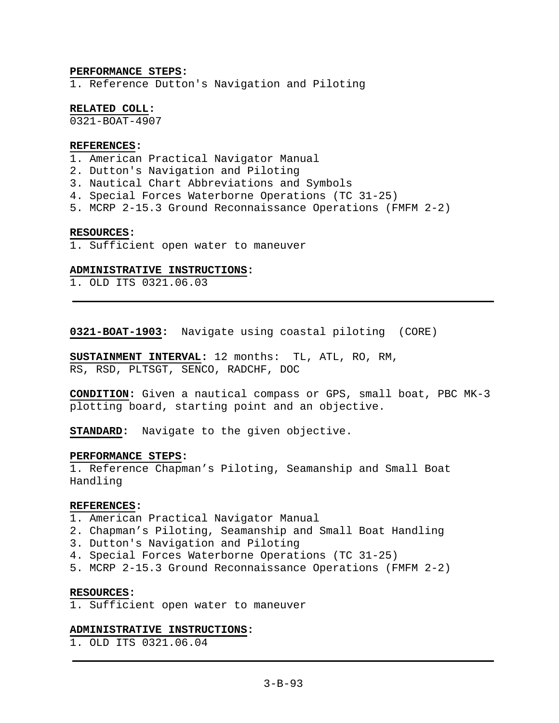# **PERFORMANCE STEPS:**

1. Reference Dutton's Navigation and Piloting

# **RELATED COLL:**

0321-BOAT-4907

## **REFERENCES:**

- 1. American Practical Navigator Manual
- 2. Dutton's Navigation and Piloting
- 3. Nautical Chart Abbreviations and Symbols
- 4. Special Forces Waterborne Operations (TC 31-25)
- 5. MCRP 2-15.3 Ground Reconnaissance Operations (FMFM 2-2)

### **RESOURCES:**

1. Sufficient open water to maneuver

# **ADMINISTRATIVE INSTRUCTIONS:**

1. OLD ITS 0321.06.03

**0321-BOAT-1903:** Navigate using coastal piloting (CORE)

**SUSTAINMENT INTERVAL:** 12 months: TL, ATL, RO, RM, RS, RSD, PLTSGT, SENCO, RADCHF, DOC

**CONDITION:** Given a nautical compass or GPS, small boat, PBC MK-3 plotting board, starting point and an objective.

**STANDARD:** Navigate to the given objective.

# **PERFORMANCE STEPS:**

1. Reference Chapman's Piloting, Seamanship and Small Boat Handling

### **REFERENCES:**

- 1. American Practical Navigator Manual
- 2. Chapman's Piloting, Seamanship and Small Boat Handling
- 3. Dutton's Navigation and Piloting
- 4. Special Forces Waterborne Operations (TC 31-25)
- 5. MCRP 2-15.3 Ground Reconnaissance Operations (FMFM 2-2)

### **RESOURCES:**

1. Sufficient open water to maneuver

### **ADMINISTRATIVE INSTRUCTIONS:**

1. OLD ITS 0321.06.04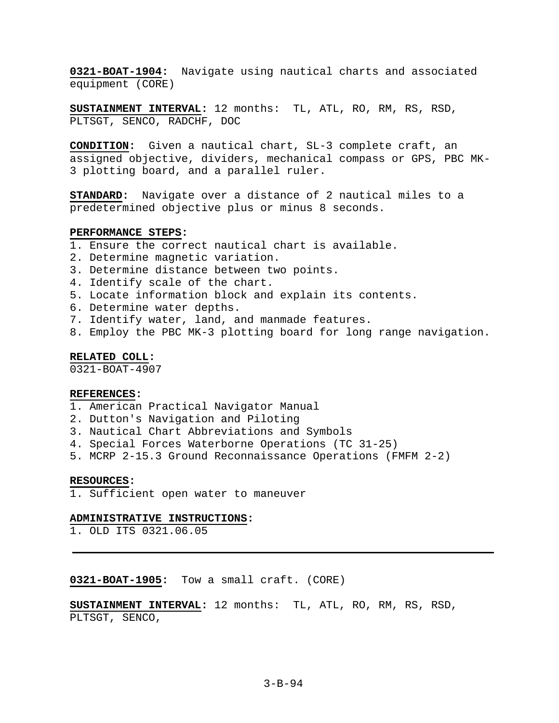**0321-BOAT-1904:** Navigate using nautical charts and associated equipment (CORE)

**SUSTAINMENT INTERVAL:** 12 months: TL, ATL, RO, RM, RS, RSD, PLTSGT, SENCO, RADCHF, DOC

**CONDITION:** Given a nautical chart, SL-3 complete craft, an assigned objective, dividers, mechanical compass or GPS, PBC MK-3 plotting board, and a parallel ruler.

**STANDARD:** Navigate over a distance of 2 nautical miles to a predetermined objective plus or minus 8 seconds.

#### **PERFORMANCE STEPS:**

- 1. Ensure the correct nautical chart is available.
- 2. Determine magnetic variation.
- 3. Determine distance between two points.
- 4. Identify scale of the chart.
- 5. Locate information block and explain its contents.
- 6. Determine water depths.
- 7. Identify water, land, and manmade features.
- 8. Employ the PBC MK-3 plotting board for long range navigation.

### **RELATED COLL:**

0321-BOAT-4907

#### **REFERENCES:**

- 1. American Practical Navigator Manual
- 2. Dutton's Navigation and Piloting
- 3. Nautical Chart Abbreviations and Symbols
- 4. Special Forces Waterborne Operations (TC 31-25)
- 5. MCRP 2-15.3 Ground Reconnaissance Operations (FMFM 2-2)

#### **RESOURCES:**

1. Sufficient open water to maneuver

#### **ADMINISTRATIVE INSTRUCTIONS:**

1. OLD ITS 0321.06.05

**0321-BOAT-1905:** Tow a small craft. (CORE)

**SUSTAINMENT INTERVAL:** 12 months: TL, ATL, RO, RM, RS, RSD, PLTSGT, SENCO,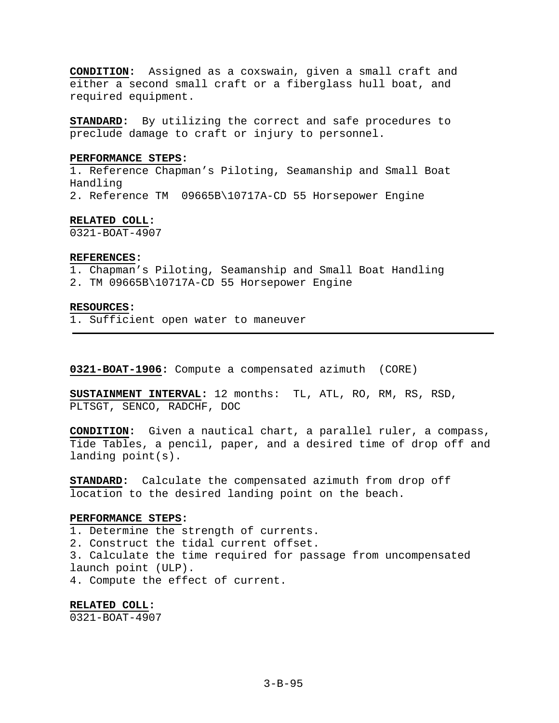**CONDITION:** Assigned as a coxswain, given a small craft and either a second small craft or a fiberglass hull boat, and required equipment.

**STANDARD:** By utilizing the correct and safe procedures to preclude damage to craft or injury to personnel.

#### **PERFORMANCE STEPS:**

1. Reference Chapman's Piloting, Seamanship and Small Boat Handling 2. Reference TM 09665B\10717A-CD 55 Horsepower Engine

### **RELATED COLL:**

0321-BOAT-4907

### **REFERENCES:**

1. Chapman's Piloting, Seamanship and Small Boat Handling 2. TM 09665B\10717A-CD 55 Horsepower Engine

# **RESOURCES:**

1. Sufficient open water to maneuver

**0321-BOAT-1906:** Compute a compensated azimuth (CORE)

**SUSTAINMENT INTERVAL:** 12 months: TL, ATL, RO, RM, RS, RSD, PLTSGT, SENCO, RADCHF, DOC

**CONDITION:** Given a nautical chart, a parallel ruler, a compass, Tide Tables, a pencil, paper, and a desired time of drop off and landing point(s).

**STANDARD:** Calculate the compensated azimuth from drop off location to the desired landing point on the beach.

#### **PERFORMANCE STEPS:**

1. Determine the strength of currents.

2. Construct the tidal current offset.

3. Calculate the time required for passage from uncompensated launch point (ULP).

4. Compute the effect of current.

**RELATED COLL:**  0321-BOAT-4907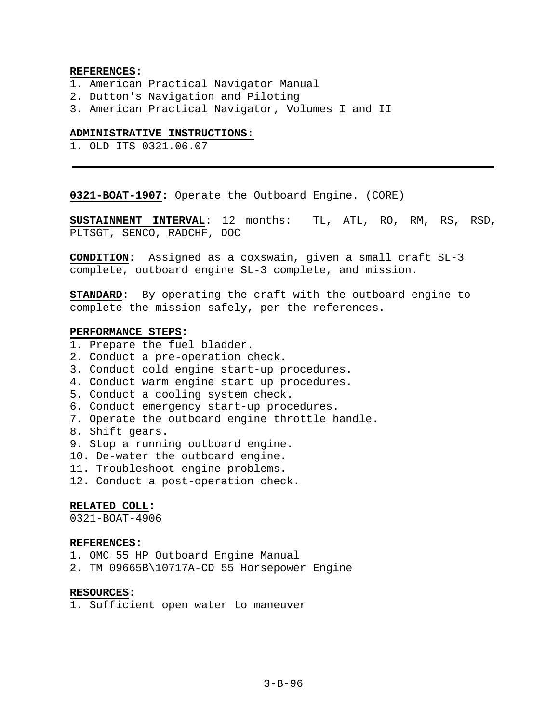### **REFERENCES:**

- 1. American Practical Navigator Manual
- 2. Dutton's Navigation and Piloting
- 3. American Practical Navigator, Volumes I and II

#### **ADMINISTRATIVE INSTRUCTIONS:**

1. OLD ITS 0321.06.07

**0321-BOAT-1907:** Operate the Outboard Engine. (CORE)

**SUSTAINMENT INTERVAL:** 12 months: TL, ATL, RO, RM, RS, RSD, PLTSGT, SENCO, RADCHF, DOC

**CONDITION:** Assigned as a coxswain, given a small craft SL-3 complete, outboard engine SL-3 complete, and mission.

**STANDARD:** By operating the craft with the outboard engine to complete the mission safely, per the references.

## **PERFORMANCE STEPS:**

- 1. Prepare the fuel bladder.
- 2. Conduct a pre-operation check.
- 3. Conduct cold engine start-up procedures.
- 4. Conduct warm engine start up procedures.
- 5. Conduct a cooling system check.
- 6. Conduct emergency start-up procedures.
- 7. Operate the outboard engine throttle handle.
- 8. Shift gears.
- 9. Stop a running outboard engine.
- 10. De-water the outboard engine.
- 11. Troubleshoot engine problems.
- 12. Conduct a post-operation check.

### **RELATED COLL:**

0321-BOAT-4906

### **REFERENCES:**

- 1. OMC 55 HP Outboard Engine Manual
- 2. TM 09665B\10717A-CD 55 Horsepower Engine

# **RESOURCES:**

1. Sufficient open water to maneuver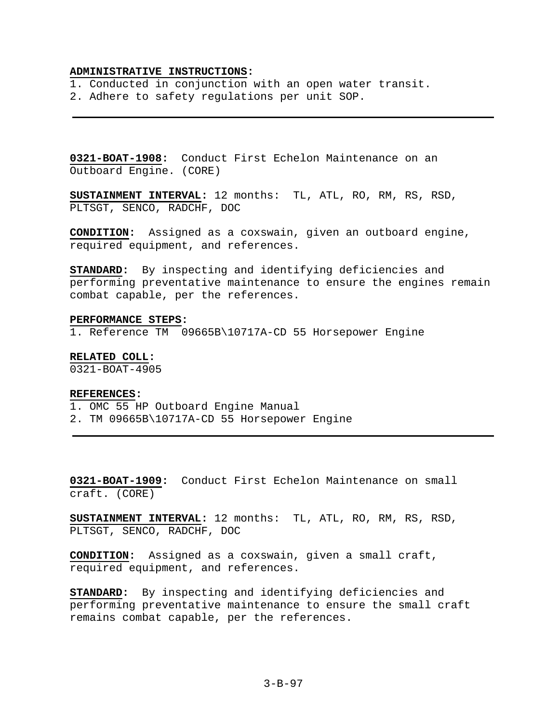### **ADMINISTRATIVE INSTRUCTIONS:**

- 1. Conducted in conjunction with an open water transit.
- 2. Adhere to safety regulations per unit SOP.

**0321-BOAT-1908:** Conduct First Echelon Maintenance on an Outboard Engine. (CORE)

**SUSTAINMENT INTERVAL:** 12 months: TL, ATL, RO, RM, RS, RSD, PLTSGT, SENCO, RADCHF, DOC

**CONDITION:** Assigned as a coxswain, given an outboard engine, required equipment, and references.

**STANDARD:** By inspecting and identifying deficiencies and performing preventative maintenance to ensure the engines remain combat capable, per the references.

#### **PERFORMANCE STEPS:**

1. Reference TM 09665B\10717A-CD 55 Horsepower Engine

# **RELATED COLL:**

0321-BOAT-4905

### **REFERENCES:**

- 1. OMC 55 HP Outboard Engine Manual
- 2. TM 09665B\10717A-CD 55 Horsepower Engine

**0321-BOAT-1909:** Conduct First Echelon Maintenance on small craft. (CORE)

**SUSTAINMENT INTERVAL:** 12 months: TL, ATL, RO, RM, RS, RSD, PLTSGT, SENCO, RADCHF, DOC

**CONDITION:** Assigned as a coxswain, given a small craft, required equipment, and references.

**STANDARD:** By inspecting and identifying deficiencies and performing preventative maintenance to ensure the small craft remains combat capable, per the references.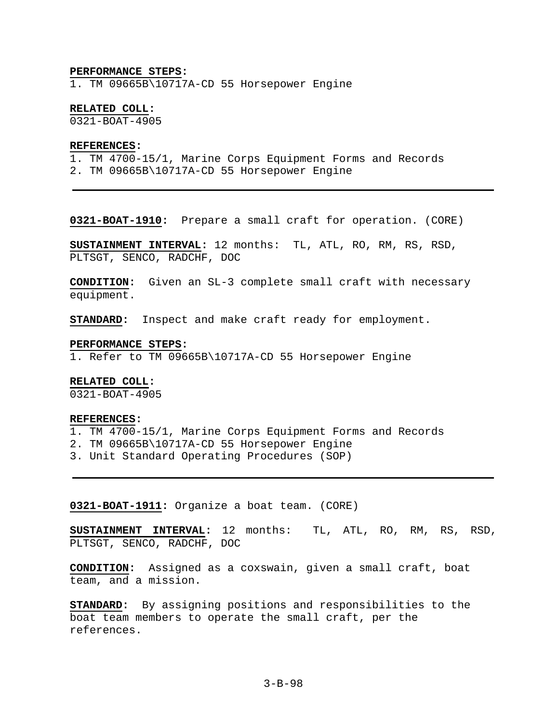#### **PERFORMANCE STEPS:**

1. TM 09665B\10717A-CD 55 Horsepower Engine

# **RELATED COLL:**

0321-BOAT-4905

# **REFERENCES:**

1. TM 4700-15/1, Marine Corps Equipment Forms and Records 2. TM 09665B\10717A-CD 55 Horsepower Engine

**0321-BOAT-1910:** Prepare a small craft for operation. (CORE)

**SUSTAINMENT INTERVAL:** 12 months: TL, ATL, RO, RM, RS, RSD, PLTSGT, SENCO, RADCHF, DOC

**CONDITION:** Given an SL-3 complete small craft with necessary equipment.

**STANDARD:** Inspect and make craft ready for employment.

#### **PERFORMANCE STEPS:**

1. Refer to TM 09665B\10717A-CD 55 Horsepower Engine

# **RELATED COLL:**

0321-BOAT-4905

#### **REFERENCES:**

- 1. TM 4700-15/1, Marine Corps Equipment Forms and Records
- 2. TM 09665B\10717A-CD 55 Horsepower Engine
- 3. Unit Standard Operating Procedures (SOP)

**0321-BOAT-1911:** Organize a boat team. (CORE)

**SUSTAINMENT INTERVAL:** 12 months: TL, ATL, RO, RM, RS, RSD, PLTSGT, SENCO, RADCHF, DOC

**CONDITION:** Assigned as a coxswain, given a small craft, boat team, and a mission.

**STANDARD:** By assigning positions and responsibilities to the boat team members to operate the small craft, per the references.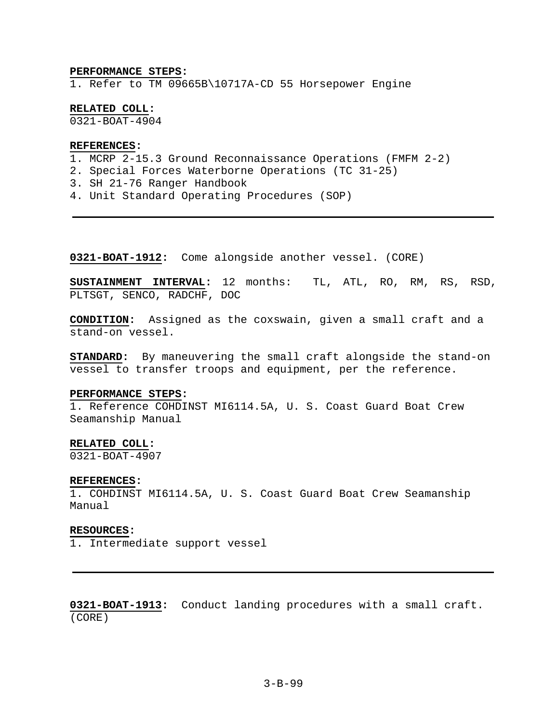#### **PERFORMANCE STEPS:**

1. Refer to TM 09665B\10717A-CD 55 Horsepower Engine

**RELATED COLL:** 

0321-BOAT-4904

## **REFERENCES:**

- 1. MCRP 2-15.3 Ground Reconnaissance Operations (FMFM 2-2)
- 2. Special Forces Waterborne Operations (TC 31-25)
- 3. SH 21-76 Ranger Handbook
- 4. Unit Standard Operating Procedures (SOP)

**0321-BOAT-1912:** Come alongside another vessel. (CORE)

**SUSTAINMENT INTERVAL:** 12 months: TL, ATL, RO, RM, RS, RSD, PLTSGT, SENCO, RADCHF, DOC

**CONDITION:** Assigned as the coxswain, given a small craft and a stand-on vessel.

**STANDARD:** By maneuvering the small craft alongside the stand-on vessel to transfer troops and equipment, per the reference.

#### **PERFORMANCE STEPS:**

1. Reference COHDINST MI6114.5A, U. S. Coast Guard Boat Crew Seamanship Manual

### **RELATED COLL:**

0321-BOAT-4907

#### **REFERENCES:**

1. COHDINST MI6114.5A, U. S. Coast Guard Boat Crew Seamanship Manual

#### **RESOURCES:**

1. Intermediate support vessel

**0321-BOAT-1913:** Conduct landing procedures with a small craft. (CORE)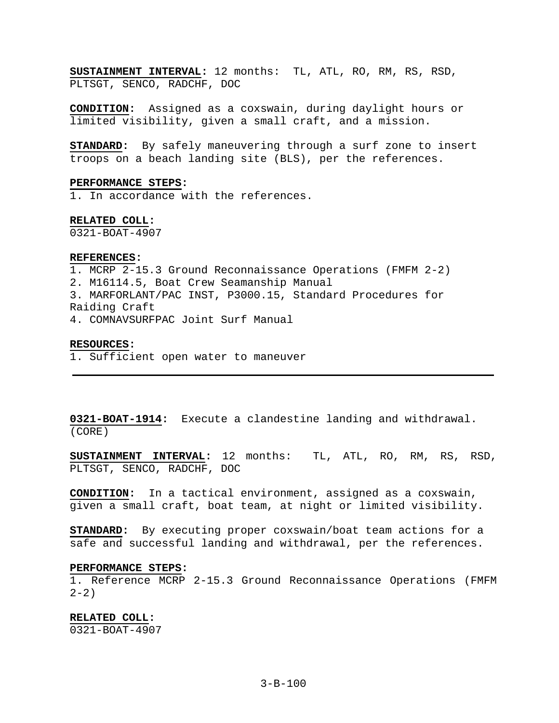**SUSTAINMENT INTERVAL:** 12 months: TL, ATL, RO, RM, RS, RSD, PLTSGT, SENCO, RADCHF, DOC

**CONDITION:** Assigned as a coxswain, during daylight hours or limited visibility, given a small craft, and a mission.

**STANDARD:** By safely maneuvering through a surf zone to insert troops on a beach landing site (BLS), per the references.

#### **PERFORMANCE STEPS:**

1. In accordance with the references.

### **RELATED COLL:**

0321-BOAT-4907

#### **REFERENCES:**

1. MCRP 2-15.3 Ground Reconnaissance Operations (FMFM 2-2) 2. M16114.5, Boat Crew Seamanship Manual 3. MARFORLANT/PAC INST, P3000.15, Standard Procedures for Raiding Craft 4. COMNAVSURFPAC Joint Surf Manual

### **RESOURCES:**

1. Sufficient open water to maneuver

**0321-BOAT-1914:** Execute a clandestine landing and withdrawal. (CORE)

**SUSTAINMENT INTERVAL:** 12 months: TL, ATL, RO, RM, RS, RSD, PLTSGT, SENCO, RADCHF, DOC

**CONDITION:** In a tactical environment, assigned as a coxswain, given a small craft, boat team, at night or limited visibility.

**STANDARD:** By executing proper coxswain/boat team actions for a safe and successful landing and withdrawal, per the references.

### **PERFORMANCE STEPS:**

1. Reference MCRP 2-15.3 Ground Reconnaissance Operations (FMFM  $2 - 2)$ 

**RELATED COLL:** 

0321-BOAT-4907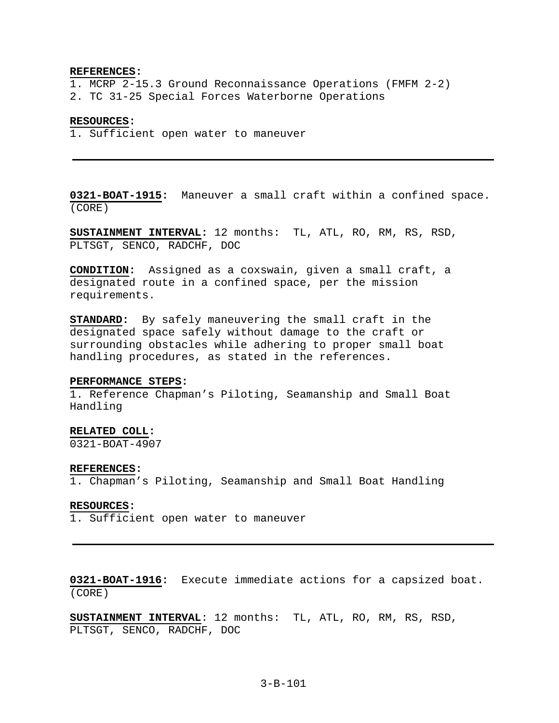#### **REFERENCES:**

1. MCRP 2-15.3 Ground Reconnaissance Operations (FMFM 2-2) 2. TC 31-25 Special Forces Waterborne Operations

#### **RESOURCES:**

1. Sufficient open water to maneuver

**0321-BOAT-1915:** Maneuver a small craft within a confined space. (CORE)

**SUSTAINMENT INTERVAL:** 12 months: TL, ATL, RO, RM, RS, RSD, PLTSGT, SENCO, RADCHF, DOC

**CONDITION:** Assigned as a coxswain, given a small craft, a designated route in a confined space, per the mission requirements.

**STANDARD:** By safely maneuvering the small craft in the designated space safely without damage to the craft or surrounding obstacles while adhering to proper small boat handling procedures, as stated in the references.

### **PERFORMANCE STEPS:**

1. Reference Chapman's Piloting, Seamanship and Small Boat Handling

# **RELATED COLL:**

0321-BOAT-4907

### **REFERENCES:**

1. Chapman's Piloting, Seamanship and Small Boat Handling

### **RESOURCES:**

1. Sufficient open water to maneuver

**0321-BOAT-1916:** Execute immediate actions for a capsized boat. (CORE)

**SUSTAINMENT INTERVAL**: 12 months: TL, ATL, RO, RM, RS, RSD, PLTSGT, SENCO, RADCHF, DOC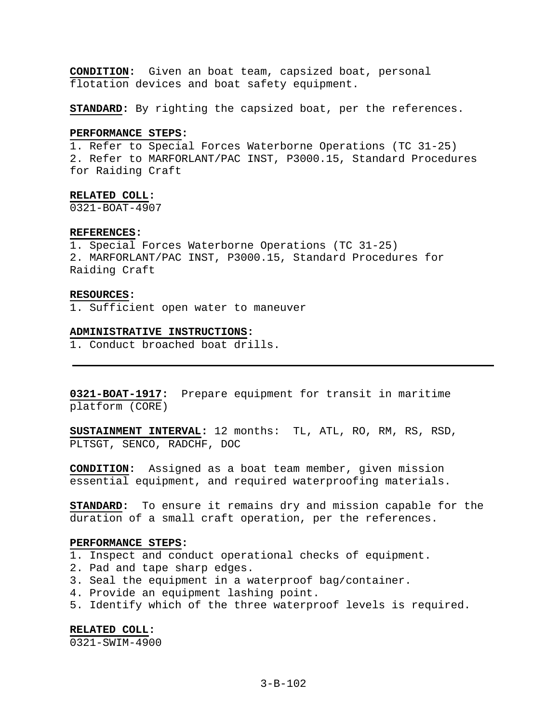**CONDITION:** Given an boat team, capsized boat, personal flotation devices and boat safety equipment.

**STANDARD:** By righting the capsized boat, per the references.

### **PERFORMANCE STEPS:**

1. Refer to Special Forces Waterborne Operations (TC 31-25) 2. Refer to MARFORLANT/PAC INST, P3000.15, Standard Procedures for Raiding Craft

### **RELATED COLL:**

0321-BOAT-4907

#### **REFERENCES:**

1. Special Forces Waterborne Operations (TC 31-25) 2. MARFORLANT/PAC INST, P3000.15, Standard Procedures for Raiding Craft

#### **RESOURCES:**

1. Sufficient open water to maneuver

#### **ADMINISTRATIVE INSTRUCTIONS:**

1. Conduct broached boat drills.

**0321-BOAT-1917:** Prepare equipment for transit in maritime platform (CORE)

**SUSTAINMENT INTERVAL:** 12 months: TL, ATL, RO, RM, RS, RSD, PLTSGT, SENCO, RADCHF, DOC

**CONDITION:** Assigned as a boat team member, given mission essential equipment, and required waterproofing materials.

**STANDARD:** To ensure it remains dry and mission capable for the duration of a small craft operation, per the references.

### **PERFORMANCE STEPS:**

- 1. Inspect and conduct operational checks of equipment.
- 2. Pad and tape sharp edges.
- 3. Seal the equipment in a waterproof bag/container.
- 4. Provide an equipment lashing point.
- 5. Identify which of the three waterproof levels is required.

**RELATED COLL:**  0321-SWIM-4900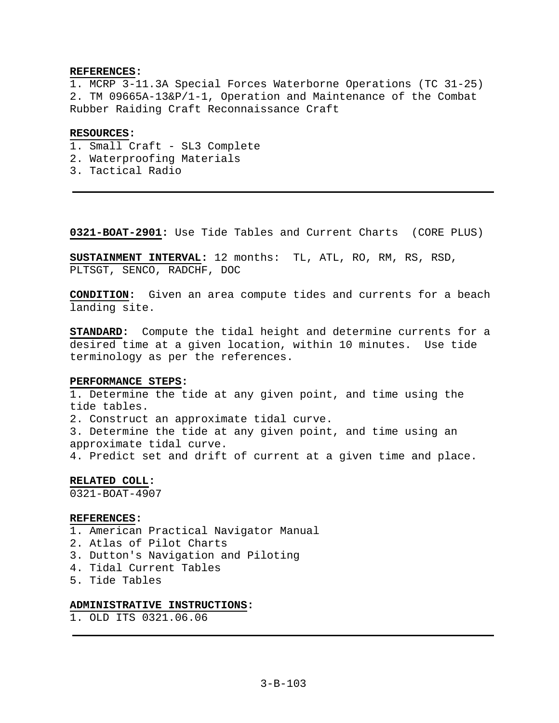## **REFERENCES:**

1. MCRP 3-11.3A Special Forces Waterborne Operations (TC 31-25) 2. TM 09665A-13&P/1-1, Operation and Maintenance of the Combat Rubber Raiding Craft Reconnaissance Craft

# **RESOURCES:**

- 1. Small Craft SL3 Complete
- 2. Waterproofing Materials
- 3. Tactical Radio

**0321-BOAT-2901:** Use Tide Tables and Current Charts (CORE PLUS)

**SUSTAINMENT INTERVAL:** 12 months: TL, ATL, RO, RM, RS, RSD, PLTSGT, SENCO, RADCHF, DOC

**CONDITION:** Given an area compute tides and currents for a beach landing site.

**STANDARD:** Compute the tidal height and determine currents for a desired time at a given location, within 10 minutes. Use tide terminology as per the references.

# **PERFORMANCE STEPS:**

1. Determine the tide at any given point, and time using the tide tables. 2. Construct an approximate tidal curve. 3. Determine the tide at any given point, and time using an approximate tidal curve. 4. Predict set and drift of current at a given time and place.

**RELATED COLL:** 

0321-BOAT-4907

### **REFERENCES:**

1. American Practical Navigator Manual 2. Atlas of Pilot Charts 3. Dutton's Navigation and Piloting 4. Tidal Current Tables 5. Tide Tables

# **ADMINISTRATIVE INSTRUCTIONS:**

1. OLD ITS 0321.06.06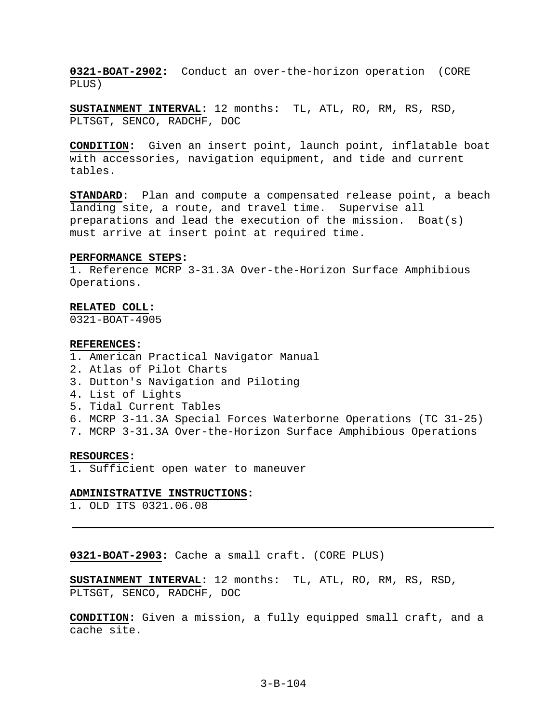**0321-BOAT-2902:** Conduct an over-the-horizon operation (CORE PLUS)

**SUSTAINMENT INTERVAL:** 12 months: TL, ATL, RO, RM, RS, RSD, PLTSGT, SENCO, RADCHF, DOC

**CONDITION:** Given an insert point, launch point, inflatable boat with accessories, navigation equipment, and tide and current tables.

**STANDARD:** Plan and compute a compensated release point, a beach landing site, a route, and travel time. Supervise all preparations and lead the execution of the mission. Boat(s) must arrive at insert point at required time.

### **PERFORMANCE STEPS:**

1. Reference MCRP 3-31.3A Over-the-Horizon Surface Amphibious Operations.

#### **RELATED COLL:**

0321-BOAT-4905

#### **REFERENCES:**

- 1. American Practical Navigator Manual
- 2. Atlas of Pilot Charts
- 3. Dutton's Navigation and Piloting
- 4. List of Lights
- 5. Tidal Current Tables
- 6. MCRP 3-11.3A Special Forces Waterborne Operations (TC 31-25)
- 7. MCRP 3-31.3A Over-the-Horizon Surface Amphibious Operations

#### **RESOURCES:**

1. Sufficient open water to maneuver

#### **ADMINISTRATIVE INSTRUCTIONS:**

1. OLD ITS 0321.06.08

**0321-BOAT-2903:** Cache a small craft. (CORE PLUS)

**SUSTAINMENT INTERVAL:** 12 months: TL, ATL, RO, RM, RS, RSD, PLTSGT, SENCO, RADCHF, DOC

**CONDITION:** Given a mission, a fully equipped small craft, and a cache site.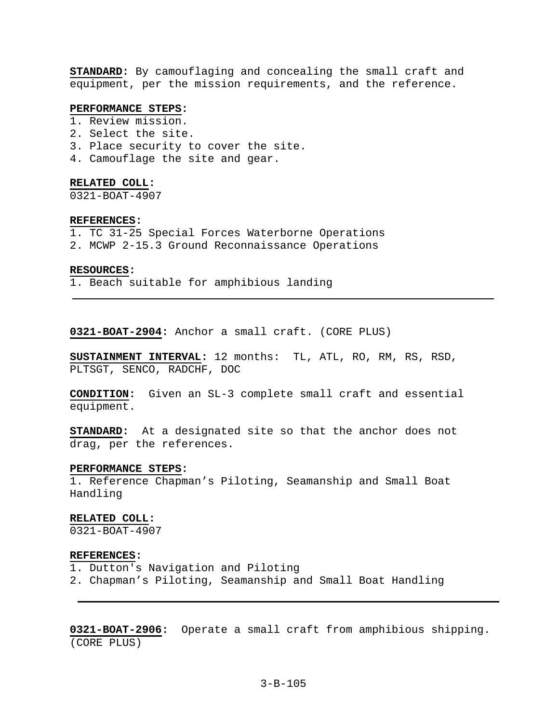**STANDARD:** By camouflaging and concealing the small craft and equipment, per the mission requirements, and the reference.

# **PERFORMANCE STEPS:**

- 1. Review mission.
- 2. Select the site.
- 3. Place security to cover the site.
- 4. Camouflage the site and gear.

#### **RELATED COLL:**

0321-BOAT-4907

### **REFERENCES:**

- 1. TC 31-25 Special Forces Waterborne Operations
- 2. MCWP 2-15.3 Ground Reconnaissance Operations

#### **RESOURCES:**

1. Beach suitable for amphibious landing

**0321-BOAT-2904:** Anchor a small craft. (CORE PLUS)

**SUSTAINMENT INTERVAL:** 12 months: TL, ATL, RO, RM, RS, RSD, PLTSGT, SENCO, RADCHF, DOC

**CONDITION:** Given an SL-3 complete small craft and essential equipment.

**STANDARD:** At a designated site so that the anchor does not drag, per the references.

### **PERFORMANCE STEPS:**

1. Reference Chapman's Piloting, Seamanship and Small Boat Handling

#### **RELATED COLL:**

0321-BOAT-4907

#### **REFERENCES:**

- 1. Dutton's Navigation and Piloting
- 2. Chapman's Piloting, Seamanship and Small Boat Handling

**0321-BOAT-2906:** Operate a small craft from amphibious shipping. (CORE PLUS)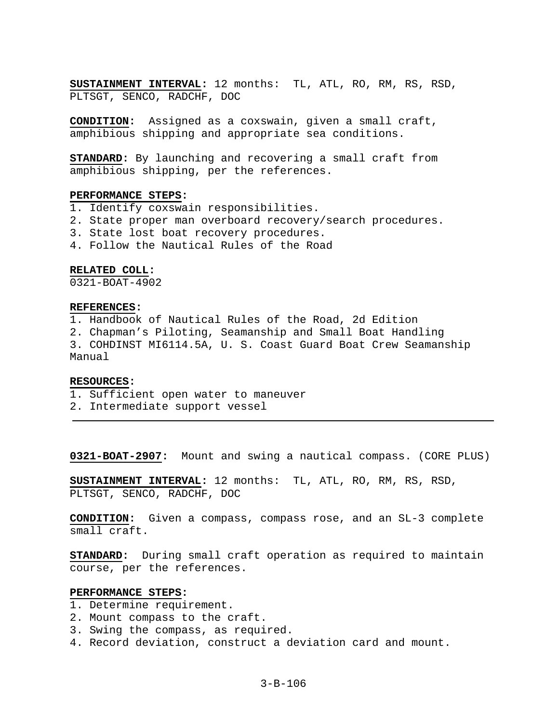**SUSTAINMENT INTERVAL:** 12 months: TL, ATL, RO, RM, RS, RSD, PLTSGT, SENCO, RADCHF, DOC

**CONDITION:** Assigned as a coxswain, given a small craft, amphibious shipping and appropriate sea conditions.

**STANDARD:** By launching and recovering a small craft from amphibious shipping, per the references.

### **PERFORMANCE STEPS:**

1. Identify coxswain responsibilities.

- 2. State proper man overboard recovery/search procedures.
- 3. State lost boat recovery procedures.
- 4. Follow the Nautical Rules of the Road

# **RELATED COLL:**

0321-BOAT-4902

# **REFERENCES:**

1. Handbook of Nautical Rules of the Road, 2d Edition

- 2. Chapman's Piloting, Seamanship and Small Boat Handling
- 3. COHDINST MI6114.5A, U. S. Coast Guard Boat Crew Seamanship Manual

# **RESOURCES:**

- 1. Sufficient open water to maneuver
- 2. Intermediate support vessel

**0321-BOAT-2907:** Mount and swing a nautical compass. (CORE PLUS)

**SUSTAINMENT INTERVAL:** 12 months: TL, ATL, RO, RM, RS, RSD, PLTSGT, SENCO, RADCHF, DOC

**CONDITION:** Given a compass, compass rose, and an SL-3 complete small craft.

**STANDARD:** During small craft operation as required to maintain course, per the references.

# **PERFORMANCE STEPS:**

- 1. Determine requirement.
- 2. Mount compass to the craft.
- 3. Swing the compass, as required.
- 4. Record deviation, construct a deviation card and mount.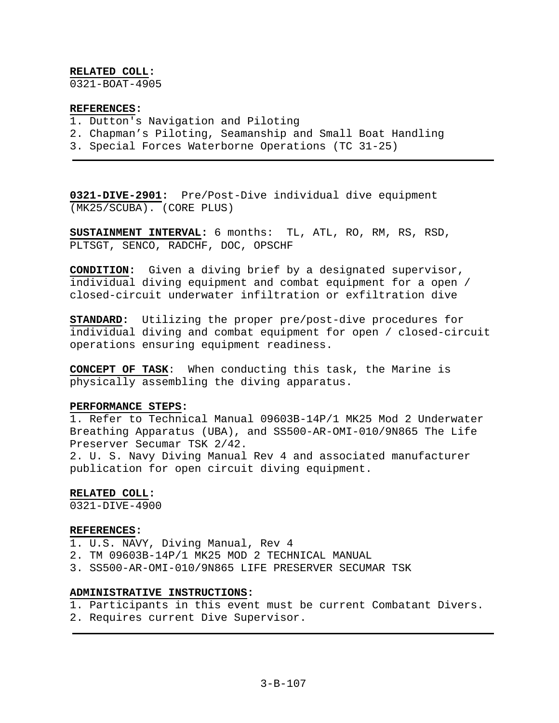# **RELATED COLL:**

0321-BOAT-4905

# **REFERENCES:**

- 1. Dutton's Navigation and Piloting
- 2. Chapman's Piloting, Seamanship and Small Boat Handling
- 3. Special Forces Waterborne Operations (TC 31-25)

**0321-DIVE-2901:** Pre/Post-Dive individual dive equipment (MK25/SCUBA). (CORE PLUS)

**SUSTAINMENT INTERVAL:** 6 months: TL, ATL, RO, RM, RS, RSD, PLTSGT, SENCO, RADCHF, DOC, OPSCHF

**CONDITION:** Given a diving brief by a designated supervisor, individual diving equipment and combat equipment for a open / closed-circuit underwater infiltration or exfiltration dive

**STANDARD:** Utilizing the proper pre/post-dive procedures for individual diving and combat equipment for open / closed-circuit operations ensuring equipment readiness.

**CONCEPT OF TASK**: When conducting this task, the Marine is physically assembling the diving apparatus.

# **PERFORMANCE STEPS:**

1. Refer to Technical Manual 09603B-14P/1 MK25 Mod 2 Underwater Breathing Apparatus (UBA), and SS500-AR-OMI-010/9N865 The Life Preserver Secumar TSK 2/42.

2. U. S. Navy Diving Manual Rev 4 and associated manufacturer publication for open circuit diving equipment.

# **RELATED COLL:**

0321-DIVE-4900

### **REFERENCES:**

1. U.S. NAVY, Diving Manual, Rev 4

- 2. TM 09603B-14P/1 MK25 MOD 2 TECHNICAL MANUAL
- 3. SS500-AR-OMI-010/9N865 LIFE PRESERVER SECUMAR TSK

# **ADMINISTRATIVE INSTRUCTIONS:**

- 1. Participants in this event must be current Combatant Divers.
- 2. Requires current Dive Supervisor.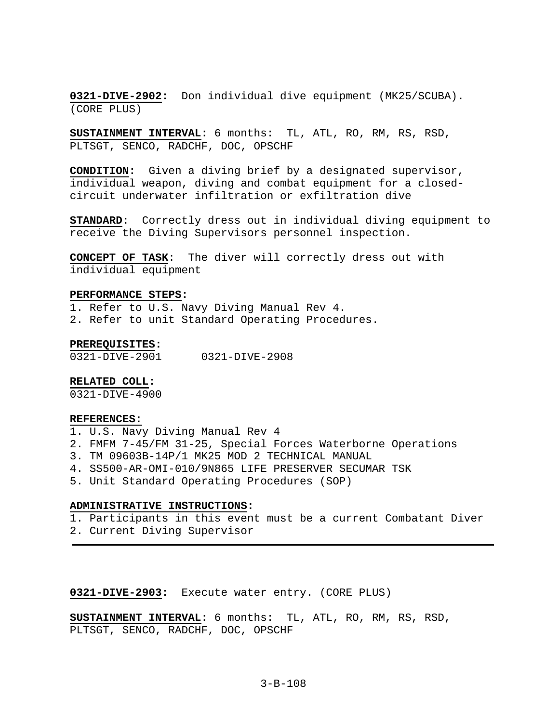**0321-DIVE-2902:** Don individual dive equipment (MK25/SCUBA). (CORE PLUS)

**SUSTAINMENT INTERVAL:** 6 months: TL, ATL, RO, RM, RS, RSD, PLTSGT, SENCO, RADCHF, DOC, OPSCHF

**CONDITION:** Given a diving brief by a designated supervisor, individual weapon, diving and combat equipment for a closedcircuit underwater infiltration or exfiltration dive

**STANDARD:** Correctly dress out in individual diving equipment to receive the Diving Supervisors personnel inspection.

**CONCEPT OF TASK**: The diver will correctly dress out with individual equipment

### **PERFORMANCE STEPS:**

1. Refer to U.S. Navy Diving Manual Rev 4. 2. Refer to unit Standard Operating Procedures.

### **PREREQUISITES:**

0321-DIVE-2901 0321-DIVE-2908

# **RELATED COLL:**

0321-DIVE-4900

#### **REFERENCES:**

- 1. U.S. Navy Diving Manual Rev 4
- 2. FMFM 7-45/FM 31-25, Special Forces Waterborne Operations
- 3. TM 09603B-14P/1 MK25 MOD 2 TECHNICAL MANUAL
- 4. SS500-AR-OMI-010/9N865 LIFE PRESERVER SECUMAR TSK
- 5. Unit Standard Operating Procedures (SOP)

### **ADMINISTRATIVE INSTRUCTIONS:**

- 1. Participants in this event must be a current Combatant Diver
- 2. Current Diving Supervisor

# **0321-DIVE-2903:** Execute water entry. (CORE PLUS)

**SUSTAINMENT INTERVAL:** 6 months: TL, ATL, RO, RM, RS, RSD, PLTSGT, SENCO, RADCHF, DOC, OPSCHF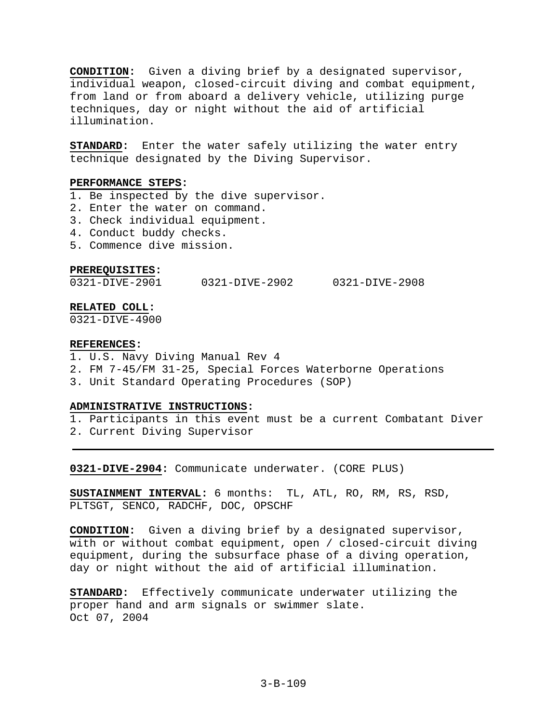**CONDITION:** Given a diving brief by a designated supervisor, individual weapon, closed-circuit diving and combat equipment, from land or from aboard a delivery vehicle, utilizing purge techniques, day or night without the aid of artificial illumination.

**STANDARD:** Enter the water safely utilizing the water entry technique designated by the Diving Supervisor.

### **PERFORMANCE STEPS:**

- 1. Be inspected by the dive supervisor.
- 2. Enter the water on command.
- 3. Check individual equipment.
- 4. Conduct buddy checks.
- 5. Commence dive mission.

### **PREREQUISITES:**

0321-DIVE-2901 0321-DIVE-2902 0321-DIVE-2908

# **RELATED COLL:**

0321-DIVE-4900

### **REFERENCES:**

- 1. U.S. Navy Diving Manual Rev 4
- 2. FM 7-45/FM 31-25, Special Forces Waterborne Operations
- 3. Unit Standard Operating Procedures (SOP)

# **ADMINISTRATIVE INSTRUCTIONS:**

1. Participants in this event must be a current Combatant Diver

2. Current Diving Supervisor

**0321-DIVE-2904:** Communicate underwater. (CORE PLUS)

**SUSTAINMENT INTERVAL:** 6 months: TL, ATL, RO, RM, RS, RSD, PLTSGT, SENCO, RADCHF, DOC, OPSCHF

**CONDITION:** Given a diving brief by a designated supervisor, with or without combat equipment, open / closed-circuit diving equipment, during the subsurface phase of a diving operation, day or night without the aid of artificial illumination.

**STANDARD:** Effectively communicate underwater utilizing the proper hand and arm signals or swimmer slate. Oct 07, 2004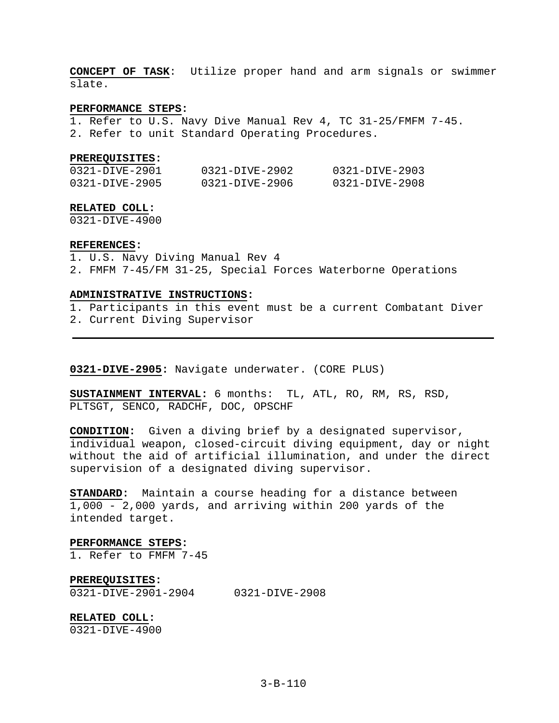**CONCEPT OF TASK**: Utilize proper hand and arm signals or swimmer slate.

# **PERFORMANCE STEPS:**

1. Refer to U.S. Navy Dive Manual Rev 4, TC 31-25/FMFM 7-45. 2. Refer to unit Standard Operating Procedures.

#### **PREREQUISITES:**

| 0321-DIVE-2901 | 0321-DIVE-2902 | 0321-DIVE-2903 |
|----------------|----------------|----------------|
| 0321-DIVE-2905 | 0321-DIVE-2906 | 0321-DIVE-2908 |

#### **RELATED COLL:**

0321-DIVE-4900

### **REFERENCES:**

1. U.S. Navy Diving Manual Rev 4

2. FMFM 7-45/FM 31-25, Special Forces Waterborne Operations

### **ADMINISTRATIVE INSTRUCTIONS:**

1. Participants in this event must be a current Combatant Diver

2. Current Diving Supervisor

**0321-DIVE-2905:** Navigate underwater. (CORE PLUS)

**SUSTAINMENT INTERVAL:** 6 months: TL, ATL, RO, RM, RS, RSD, PLTSGT, SENCO, RADCHF, DOC, OPSCHF

**CONDITION:** Given a diving brief by a designated supervisor, individual weapon, closed-circuit diving equipment, day or night without the aid of artificial illumination, and under the direct supervision of a designated diving supervisor.

**STANDARD:** Maintain a course heading for a distance between 1,000 - 2,000 yards, and arriving within 200 yards of the intended target.

### **PERFORMANCE STEPS:**

1. Refer to FMFM 7-45

# **PREREQUISITES:**

0321-DIVE-2901-2904 0321-DIVE-2908

### **RELATED COLL:**

0321-DIVE-4900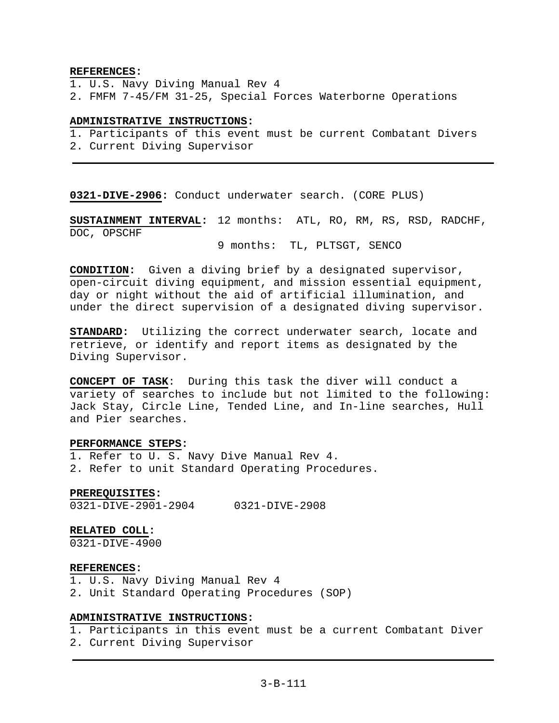### **REFERENCES:**

- 1. U.S. Navy Diving Manual Rev 4
- 2. FMFM 7-45/FM 31-25, Special Forces Waterborne Operations

### **ADMINISTRATIVE INSTRUCTIONS:**

1. Participants of this event must be current Combatant Divers

2. Current Diving Supervisor

**0321-DIVE-2906:** Conduct underwater search. (CORE PLUS)

**SUSTAINMENT INTERVAL:** 12 months: ATL, RO, RM, RS, RSD, RADCHF, DOC, OPSCHF

9 months: TL, PLTSGT, SENCO

**CONDITION:** Given a diving brief by a designated supervisor, open-circuit diving equipment, and mission essential equipment, day or night without the aid of artificial illumination, and under the direct supervision of a designated diving supervisor.

**STANDARD:** Utilizing the correct underwater search, locate and retrieve, or identify and report items as designated by the Diving Supervisor.

**CONCEPT OF TASK**: During this task the diver will conduct a variety of searches to include but not limited to the following: Jack Stay, Circle Line, Tended Line, and In-line searches, Hull and Pier searches.

### **PERFORMANCE STEPS:**

1. Refer to U. S. Navy Dive Manual Rev 4. 2. Refer to unit Standard Operating Procedures.

### **PREREQUISITES:**

0321-DIVE-2901-2904 0321-DIVE-2908

### **RELATED COLL:**

0321-DIVE-4900

# **REFERENCES:**

1. U.S. Navy Diving Manual Rev 4

2. Unit Standard Operating Procedures (SOP)

# **ADMINISTRATIVE INSTRUCTIONS:**

1. Participants in this event must be a current Combatant Diver

2. Current Diving Supervisor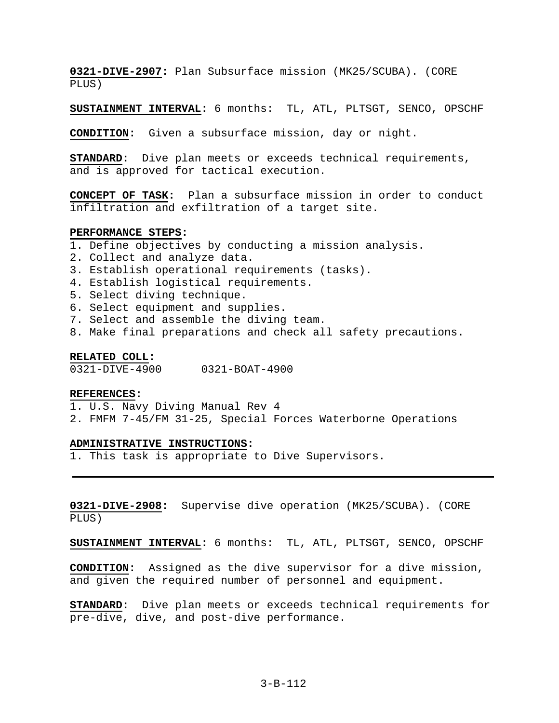**0321-DIVE-2907:** Plan Subsurface mission (MK25/SCUBA). (CORE PLUS)

**SUSTAINMENT INTERVAL:** 6 months: TL, ATL, PLTSGT, SENCO, OPSCHF

**CONDITION:** Given a subsurface mission, day or night.

**STANDARD:** Dive plan meets or exceeds technical requirements, and is approved for tactical execution.

**CONCEPT OF TASK:** Plan a subsurface mission in order to conduct infiltration and exfiltration of a target site.

#### **PERFORMANCE STEPS:**

- 1. Define objectives by conducting a mission analysis.
- 2. Collect and analyze data.
- 3. Establish operational requirements (tasks).
- 4. Establish logistical requirements.
- 5. Select diving technique.
- 6. Select equipment and supplies.
- 7. Select and assemble the diving team.
- 8. Make final preparations and check all safety precautions.

### **RELATED COLL:**

0321-DIVE-4900 0321-BOAT-4900

#### **REFERENCES:**

- 1. U.S. Navy Diving Manual Rev 4
- 2. FMFM 7-45/FM 31-25, Special Forces Waterborne Operations

#### **ADMINISTRATIVE INSTRUCTIONS:**

1. This task is appropriate to Dive Supervisors.

**0321-DIVE-2908:** Supervise dive operation (MK25/SCUBA). (CORE PLUS)

**SUSTAINMENT INTERVAL:** 6 months: TL, ATL, PLTSGT, SENCO, OPSCHF

**CONDITION:** Assigned as the dive supervisor for a dive mission, and given the required number of personnel and equipment.

**STANDARD:** Dive plan meets or exceeds technical requirements for pre-dive, dive, and post-dive performance.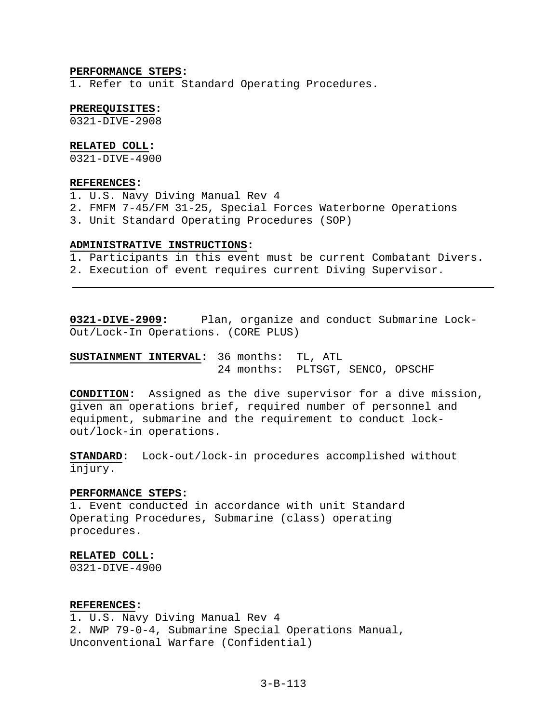### **PERFORMANCE STEPS:**

1. Refer to unit Standard Operating Procedures.

## **PREREQUISITES:**

0321-DIVE-2908

# **RELATED COLL:**

0321-DIVE-4900

# **REFERENCES:**

1. U.S. Navy Diving Manual Rev 4

- 2. FMFM 7-45/FM 31-25, Special Forces Waterborne Operations
- 3. Unit Standard Operating Procedures (SOP)

### **ADMINISTRATIVE INSTRUCTIONS:**

- 1. Participants in this event must be current Combatant Divers.
- 2. Execution of event requires current Diving Supervisor.

**0321-DIVE-2909:** Plan, organize and conduct Submarine Lock-Out/Lock-In Operations. (CORE PLUS)

**SUSTAINMENT INTERVAL:** 36 months: TL, ATL 24 months: PLTSGT, SENCO, OPSCHF

**CONDITION:** Assigned as the dive supervisor for a dive mission, given an operations brief, required number of personnel and equipment, submarine and the requirement to conduct lockout/lock-in operations.

**STANDARD:** Lock-out/lock-in procedures accomplished without injury.

### **PERFORMANCE STEPS:**

1. Event conducted in accordance with unit Standard Operating Procedures, Submarine (class) operating procedures.

#### **RELATED COLL:**

0321-DIVE-4900

# **REFERENCES:**

1. U.S. Navy Diving Manual Rev 4 2. NWP 79-0-4, Submarine Special Operations Manual, Unconventional Warfare (Confidential)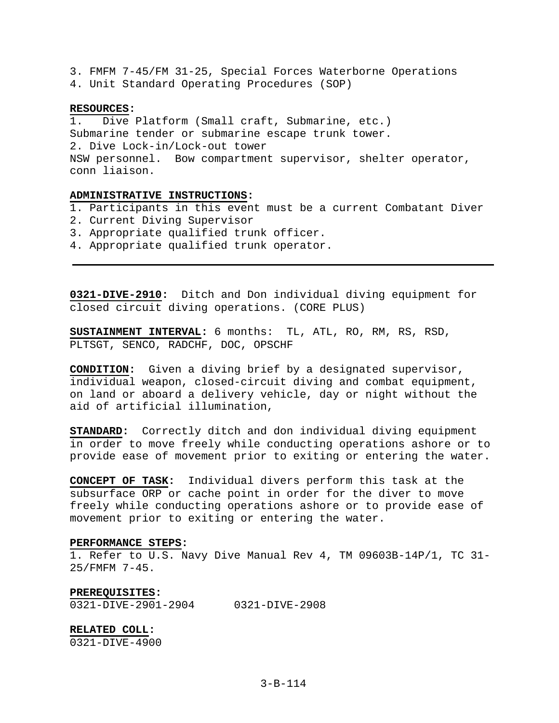3. FMFM 7-45/FM 31-25, Special Forces Waterborne Operations 4. Unit Standard Operating Procedures (SOP)

#### **RESOURCES:**

1. Dive Platform (Small craft, Submarine, etc.) Submarine tender or submarine escape trunk tower. 2. Dive Lock-in/Lock-out tower NSW personnel. Bow compartment supervisor, shelter operator, conn liaison.

# **ADMINISTRATIVE INSTRUCTIONS:**

1. Participants in this event must be a current Combatant Diver

- 2. Current Diving Supervisor
- 3. Appropriate qualified trunk officer.
- 4. Appropriate qualified trunk operator.

**0321-DIVE-2910:** Ditch and Don individual diving equipment for closed circuit diving operations. (CORE PLUS)

**SUSTAINMENT INTERVAL:** 6 months: TL, ATL, RO, RM, RS, RSD, PLTSGT, SENCO, RADCHF, DOC, OPSCHF

**CONDITION:** Given a diving brief by a designated supervisor, individual weapon, closed-circuit diving and combat equipment, on land or aboard a delivery vehicle, day or night without the aid of artificial illumination,

**STANDARD:** Correctly ditch and don individual diving equipment in order to move freely while conducting operations ashore or to provide ease of movement prior to exiting or entering the water.

**CONCEPT OF TASK:** Individual divers perform this task at the subsurface ORP or cache point in order for the diver to move freely while conducting operations ashore or to provide ease of movement prior to exiting or entering the water.

### **PERFORMANCE STEPS:**

1. Refer to U.S. Navy Dive Manual Rev 4, TM 09603B-14P/1, TC 31- 25/FMFM 7-45.

#### **PREREQUISITES:**

0321-DIVE-2901-2904 0321-DIVE-2908

**RELATED COLL:** 

0321-DIVE-4900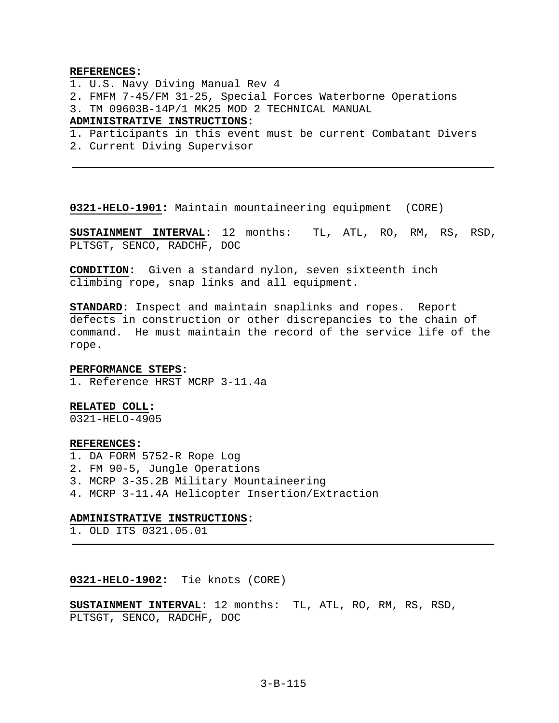### **REFERENCES:**

- 1. U.S. Navy Diving Manual Rev 4
- 2. FMFM 7-45/FM 31-25, Special Forces Waterborne Operations
- 3. TM 09603B-14P/1 MK25 MOD 2 TECHNICAL MANUAL

# **ADMINISTRATIVE INSTRUCTIONS:**

- 1. Participants in this event must be current Combatant Divers
- 2. Current Diving Supervisor

**0321-HELO-1901:** Maintain mountaineering equipment (CORE)

**SUSTAINMENT INTERVAL:** 12 months: TL, ATL, RO, RM, RS, RSD, PLTSGT, SENCO, RADCHF, DOC

**CONDITION:** Given a standard nylon, seven sixteenth inch climbing rope, snap links and all equipment.

**STANDARD:** Inspect and maintain snaplinks and ropes. Report defects in construction or other discrepancies to the chain of command. He must maintain the record of the service life of the rope.

#### **PERFORMANCE STEPS:**

1. Reference HRST MCRP 3-11.4a

#### **RELATED COLL:**

0321-HELO-4905

#### **REFERENCES:**

1. DA FORM 5752-R Rope Log 2. FM 90-5, Jungle Operations 3. MCRP 3-35.2B Military Mountaineering 4. MCRP 3-11.4A Helicopter Insertion/Extraction

#### **ADMINISTRATIVE INSTRUCTIONS:**

1. OLD ITS 0321.05.01

### **0321-HELO-1902:** Tie knots (CORE)

**SUSTAINMENT INTERVAL:** 12 months: TL, ATL, RO, RM, RS, RSD, PLTSGT, SENCO, RADCHF, DOC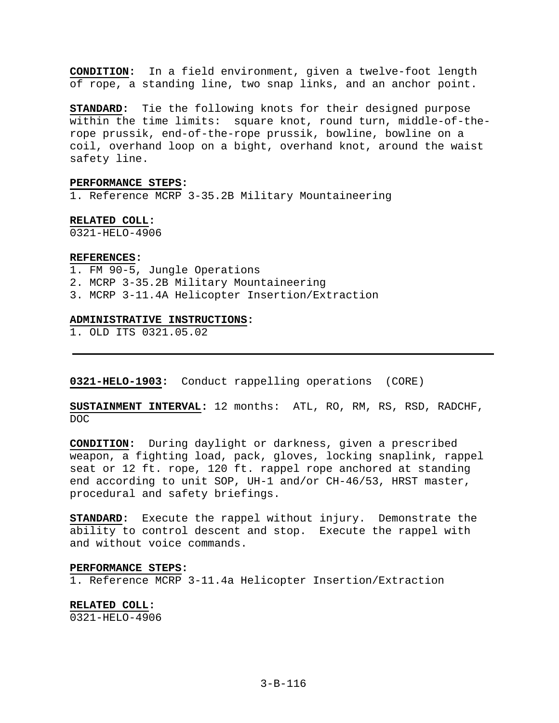**CONDITION:** In a field environment, given a twelve-foot length of rope, a standing line, two snap links, and an anchor point.

**STANDARD:** Tie the following knots for their designed purpose within the time limits: square knot, round turn, middle-of-therope prussik, end-of-the-rope prussik, bowline, bowline on a coil, overhand loop on a bight, overhand knot, around the waist safety line.

### **PERFORMANCE STEPS:**

1. Reference MCRP 3-35.2B Military Mountaineering

# **RELATED COLL:**

0321-HELO-4906

#### **REFERENCES:**

- 1. FM 90-5, Jungle Operations
- 2. MCRP 3-35.2B Military Mountaineering
- 3. MCRP 3-11.4A Helicopter Insertion/Extraction

#### **ADMINISTRATIVE INSTRUCTIONS:**

1. OLD ITS 0321.05.02

**0321-HELO-1903:** Conduct rappelling operations (CORE)

**SUSTAINMENT INTERVAL:** 12 months: ATL, RO, RM, RS, RSD, RADCHF, DOC

**CONDITION:** During daylight or darkness, given a prescribed weapon, a fighting load, pack, gloves, locking snaplink, rappel seat or 12 ft. rope, 120 ft. rappel rope anchored at standing end according to unit SOP, UH-1 and/or CH-46/53, HRST master, procedural and safety briefings.

**STANDARD:** Execute the rappel without injury. Demonstrate the ability to control descent and stop. Execute the rappel with and without voice commands.

#### **PERFORMANCE STEPS:**

1. Reference MCRP 3-11.4a Helicopter Insertion/Extraction

# **RELATED COLL:**

0321-HELO-4906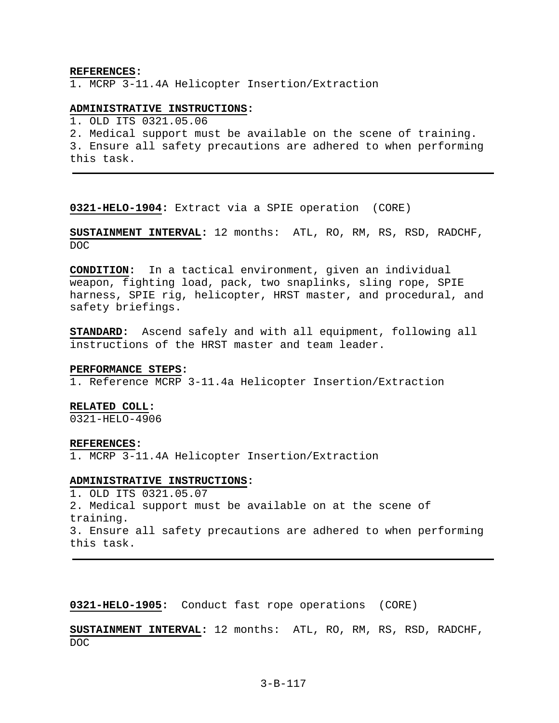#### **REFERENCES:**

1. MCRP 3-11.4A Helicopter Insertion/Extraction

### **ADMINISTRATIVE INSTRUCTIONS:**

1. OLD ITS 0321.05.06

2. Medical support must be available on the scene of training.

3. Ensure all safety precautions are adhered to when performing this task.

**0321-HELO-1904:** Extract via a SPIE operation (CORE)

**SUSTAINMENT INTERVAL:** 12 months: ATL, RO, RM, RS, RSD, RADCHF, DOC

**CONDITION:** In a tactical environment, given an individual weapon, fighting load, pack, two snaplinks, sling rope, SPIE harness, SPIE rig, helicopter, HRST master, and procedural, and safety briefings.

**STANDARD:** Ascend safely and with all equipment, following all instructions of the HRST master and team leader.

#### **PERFORMANCE STEPS:**

1. Reference MCRP 3-11.4a Helicopter Insertion/Extraction

#### **RELATED COLL:**

0321-HELO-4906

#### **REFERENCES:**

1. MCRP 3-11.4A Helicopter Insertion/Extraction

### **ADMINISTRATIVE INSTRUCTIONS:**

1. OLD ITS 0321.05.07 2. Medical support must be available on at the scene of training. 3. Ensure all safety precautions are adhered to when performing this task.

**0321-HELO-1905:** Conduct fast rope operations (CORE)

**SUSTAINMENT INTERVAL:** 12 months: ATL, RO, RM, RS, RSD, RADCHF, DOC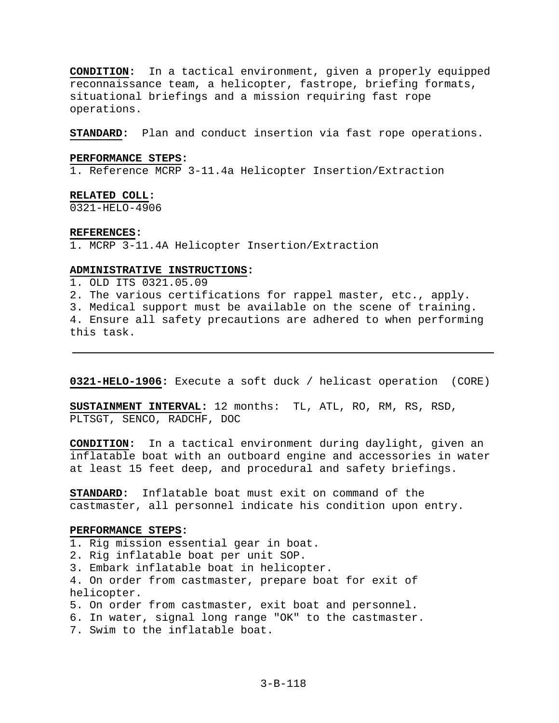**CONDITION:** In a tactical environment, given a properly equipped reconnaissance team, a helicopter, fastrope, briefing formats, situational briefings and a mission requiring fast rope operations.

**STANDARD:** Plan and conduct insertion via fast rope operations.

### **PERFORMANCE STEPS:**

1. Reference MCRP 3-11.4a Helicopter Insertion/Extraction

### **RELATED COLL:**

0321-HELO-4906

#### **REFERENCES:**

1. MCRP 3-11.4A Helicopter Insertion/Extraction

# **ADMINISTRATIVE INSTRUCTIONS:**

1. OLD ITS 0321.05.09 2. The various certifications for rappel master, etc., apply. 3. Medical support must be available on the scene of training. 4. Ensure all safety precautions are adhered to when performing this task.

**0321-HELO-1906:** Execute a soft duck / helicast operation (CORE)

**SUSTAINMENT INTERVAL:** 12 months: TL, ATL, RO, RM, RS, RSD, PLTSGT, SENCO, RADCHF, DOC

**CONDITION:** In a tactical environment during daylight, given an inflatable boat with an outboard engine and accessories in water at least 15 feet deep, and procedural and safety briefings.

**STANDARD:** Inflatable boat must exit on command of the castmaster, all personnel indicate his condition upon entry.

### **PERFORMANCE STEPS:**

1. Rig mission essential gear in boat.

- 2. Rig inflatable boat per unit SOP.
- 3. Embark inflatable boat in helicopter.

4. On order from castmaster, prepare boat for exit of helicopter.

- 5. On order from castmaster, exit boat and personnel.
- 6. In water, signal long range "OK" to the castmaster.
- 7. Swim to the inflatable boat.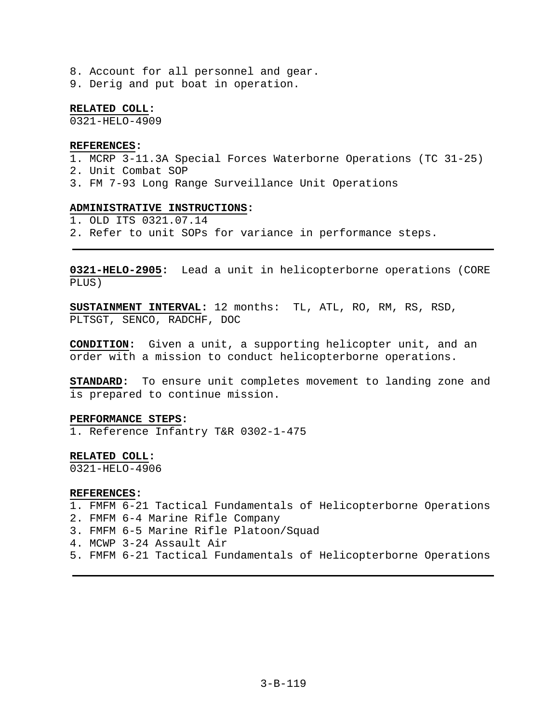8. Account for all personnel and gear. 9. Derig and put boat in operation.

**RELATED COLL:** 

0321-HELO-4909

### **REFERENCES:**

- 1. MCRP 3-11.3A Special Forces Waterborne Operations (TC 31-25)
- 2. Unit Combat SOP
- 3. FM 7-93 Long Range Surveillance Unit Operations

### **ADMINISTRATIVE INSTRUCTIONS:**

1. OLD ITS 0321.07.14

2. Refer to unit SOPs for variance in performance steps.

**0321-HELO-2905:** Lead a unit in helicopterborne operations (CORE PLUS)

**SUSTAINMENT INTERVAL:** 12 months: TL, ATL, RO, RM, RS, RSD, PLTSGT, SENCO, RADCHF, DOC

**CONDITION:** Given a unit, a supporting helicopter unit, and an order with a mission to conduct helicopterborne operations.

**STANDARD:** To ensure unit completes movement to landing zone and is prepared to continue mission.

#### **PERFORMANCE STEPS:**

1. Reference Infantry T&R 0302-1-475

### **RELATED COLL:**

0321-HELO-4906

#### **REFERENCES:**

1. FMFM 6-21 Tactical Fundamentals of Helicopterborne Operations

2. FMFM 6-4 Marine Rifle Company

- 3. FMFM 6-5 Marine Rifle Platoon/Squad
- 4. MCWP 3-24 Assault Air
- 5. FMFM 6-21 Tactical Fundamentals of Helicopterborne Operations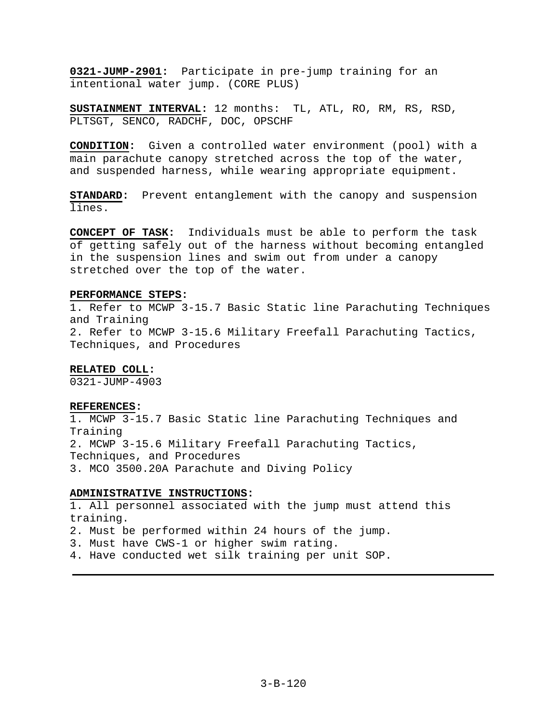**0321-JUMP-2901:** Participate in pre-jump training for an intentional water jump. (CORE PLUS)

**SUSTAINMENT INTERVAL:** 12 months: TL, ATL, RO, RM, RS, RSD, PLTSGT, SENCO, RADCHF, DOC, OPSCHF

**CONDITION:** Given a controlled water environment (pool) with a main parachute canopy stretched across the top of the water, and suspended harness, while wearing appropriate equipment.

**STANDARD:** Prevent entanglement with the canopy and suspension lines.

**CONCEPT OF TASK:** Individuals must be able to perform the task of getting safely out of the harness without becoming entangled in the suspension lines and swim out from under a canopy stretched over the top of the water.

### **PERFORMANCE STEPS:**

1. Refer to MCWP 3-15.7 Basic Static line Parachuting Techniques and Training 2. Refer to MCWP 3-15.6 Military Freefall Parachuting Tactics, Techniques, and Procedures

### **RELATED COLL:**

0321-JUMP-4903

#### **REFERENCES:**

1. MCWP 3-15.7 Basic Static line Parachuting Techniques and Training 2. MCWP 3-15.6 Military Freefall Parachuting Tactics, Techniques, and Procedures 3. MCO 3500.20A Parachute and Diving Policy

### **ADMINISTRATIVE INSTRUCTIONS:**

1. All personnel associated with the jump must attend this training.

2. Must be performed within 24 hours of the jump.

- 3. Must have CWS-1 or higher swim rating.
- 4. Have conducted wet silk training per unit SOP.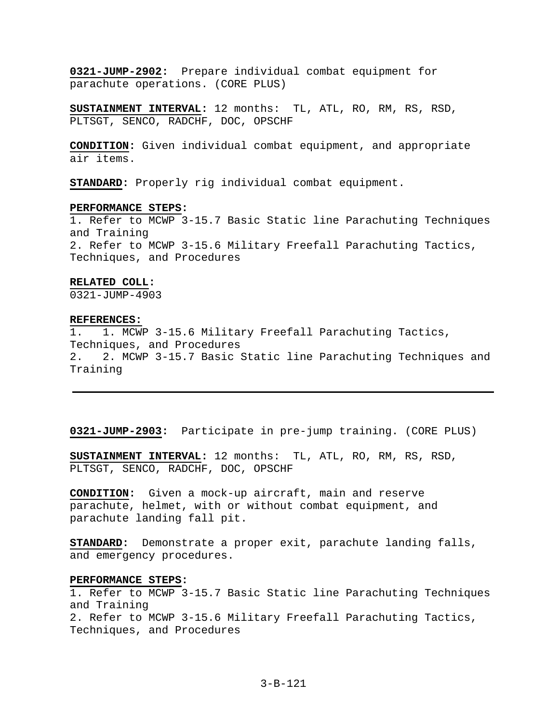**0321-JUMP-2902:** Prepare individual combat equipment for parachute operations. (CORE PLUS)

**SUSTAINMENT INTERVAL:** 12 months: TL, ATL, RO, RM, RS, RSD, PLTSGT, SENCO, RADCHF, DOC, OPSCHF

**CONDITION:** Given individual combat equipment, and appropriate air items.

**STANDARD:** Properly rig individual combat equipment.

### **PERFORMANCE STEPS:**

1. Refer to MCWP 3-15.7 Basic Static line Parachuting Techniques and Training 2. Refer to MCWP 3-15.6 Military Freefall Parachuting Tactics, Techniques, and Procedures

### **RELATED COLL:**

0321-JUMP-4903

#### **REFERENCES:**

1. 1. MCWP 3-15.6 Military Freefall Parachuting Tactics, Techniques, and Procedures 2. 2. MCWP 3-15.7 Basic Static line Parachuting Techniques and Training

**0321-JUMP-2903:** Participate in pre-jump training. (CORE PLUS)

**SUSTAINMENT INTERVAL:** 12 months: TL, ATL, RO, RM, RS, RSD, PLTSGT, SENCO, RADCHF, DOC, OPSCHF

**CONDITION:** Given a mock-up aircraft, main and reserve parachute, helmet, with or without combat equipment, and parachute landing fall pit.

**STANDARD:** Demonstrate a proper exit, parachute landing falls, and emergency procedures.

### **PERFORMANCE STEPS:**

1. Refer to MCWP 3-15.7 Basic Static line Parachuting Techniques and Training 2. Refer to MCWP 3-15.6 Military Freefall Parachuting Tactics, Techniques, and Procedures

# 3-B-121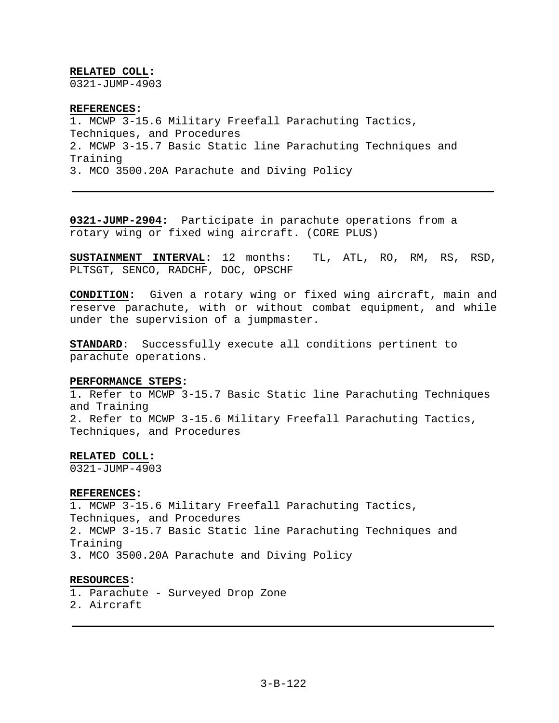# **RELATED COLL:**

0321-JUMP-4903

# **REFERENCES:**  1. MCWP 3-15.6 Military Freefall Parachuting Tactics, Techniques, and Procedures 2. MCWP 3-15.7 Basic Static line Parachuting Techniques and Training 3. MCO 3500.20A Parachute and Diving Policy

**0321-JUMP-2904:** Participate in parachute operations from a rotary wing or fixed wing aircraft. (CORE PLUS)

**SUSTAINMENT INTERVAL:** 12 months: TL, ATL, RO, RM, RS, RSD, PLTSGT, SENCO, RADCHF, DOC, OPSCHF

**CONDITION:** Given a rotary wing or fixed wing aircraft, main and reserve parachute, with or without combat equipment, and while under the supervision of a jumpmaster.

**STANDARD:** Successfully execute all conditions pertinent to parachute operations.

## **PERFORMANCE STEPS:**

1. Refer to MCWP 3-15.7 Basic Static line Parachuting Techniques and Training 2. Refer to MCWP 3-15.6 Military Freefall Parachuting Tactics, Techniques, and Procedures

# **RELATED COLL:**

0321-JUMP-4903

## **REFERENCES:**

1. MCWP 3-15.6 Military Freefall Parachuting Tactics, Techniques, and Procedures 2. MCWP 3-15.7 Basic Static line Parachuting Techniques and Training 3. MCO 3500.20A Parachute and Diving Policy

## **RESOURCES:**

- 1. Parachute Surveyed Drop Zone
- 2. Aircraft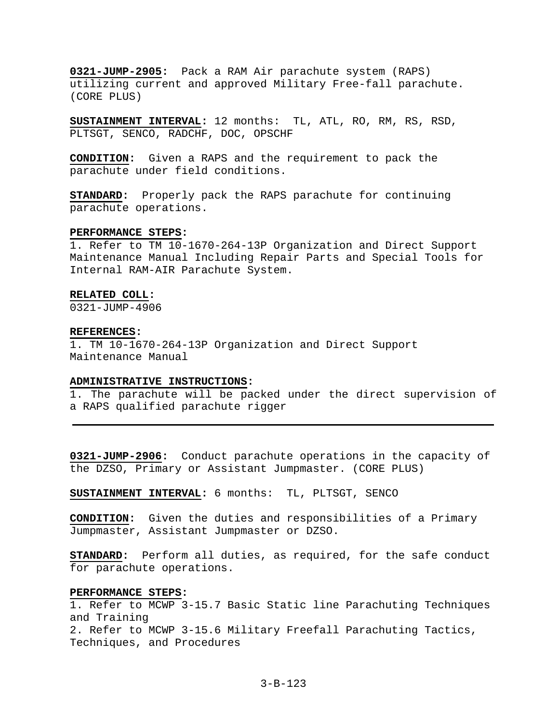**0321-JUMP-2905:** Pack a RAM Air parachute system (RAPS) utilizing current and approved Military Free-fall parachute. (CORE PLUS)

**SUSTAINMENT INTERVAL:** 12 months: TL, ATL, RO, RM, RS, RSD, PLTSGT, SENCO, RADCHF, DOC, OPSCHF

**CONDITION:** Given a RAPS and the requirement to pack the parachute under field conditions.

**STANDARD:** Properly pack the RAPS parachute for continuing parachute operations.

#### **PERFORMANCE STEPS:**

1. Refer to TM 10-1670-264-13P Organization and Direct Support Maintenance Manual Including Repair Parts and Special Tools for Internal RAM-AIR Parachute System.

#### **RELATED COLL:**

0321-JUMP-4906

#### **REFERENCES:**

1. TM 10-1670-264-13P Organization and Direct Support Maintenance Manual

## **ADMINISTRATIVE INSTRUCTIONS:**

1. The parachute will be packed under the direct supervision of a RAPS qualified parachute rigger

**0321-JUMP-2906:** Conduct parachute operations in the capacity of the DZSO, Primary or Assistant Jumpmaster. (CORE PLUS)

**SUSTAINMENT INTERVAL:** 6 months: TL, PLTSGT, SENCO

**CONDITION:** Given the duties and responsibilities of a Primary Jumpmaster, Assistant Jumpmaster or DZSO.

**STANDARD:** Perform all duties, as required, for the safe conduct for parachute operations.

## **PERFORMANCE STEPS:**

1. Refer to MCWP 3-15.7 Basic Static line Parachuting Techniques and Training 2. Refer to MCWP 3-15.6 Military Freefall Parachuting Tactics, Techniques, and Procedures

3-B-123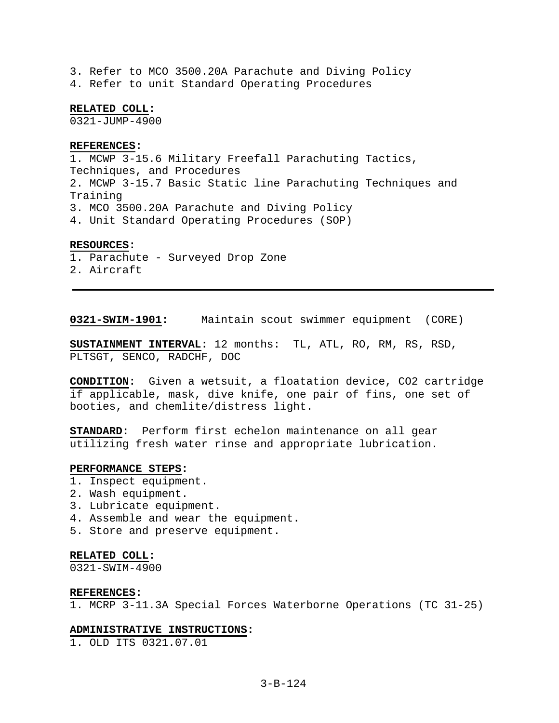3. Refer to MCO 3500.20A Parachute and Diving Policy 4. Refer to unit Standard Operating Procedures

**RELATED COLL:** 

0321-JUMP-4900

#### **REFERENCES:**

1. MCWP 3-15.6 Military Freefall Parachuting Tactics, Techniques, and Procedures 2. MCWP 3-15.7 Basic Static line Parachuting Techniques and Training 3. MCO 3500.20A Parachute and Diving Policy 4. Unit Standard Operating Procedures (SOP)

## **RESOURCES:**

- 1. Parachute Surveyed Drop Zone
- 2. Aircraft

**0321-SWIM-1901:** Maintain scout swimmer equipment (CORE)

**SUSTAINMENT INTERVAL:** 12 months: TL, ATL, RO, RM, RS, RSD, PLTSGT, SENCO, RADCHF, DOC

**CONDITION:** Given a wetsuit, a floatation device, CO2 cartridge if applicable, mask, dive knife, one pair of fins, one set of booties, and chemlite/distress light.

**STANDARD:** Perform first echelon maintenance on all gear utilizing fresh water rinse and appropriate lubrication.

## **PERFORMANCE STEPS:**

- 1. Inspect equipment.
- 2. Wash equipment.
- 3. Lubricate equipment.
- 4. Assemble and wear the equipment.
- 5. Store and preserve equipment.

## **RELATED COLL:**

0321-SWIM-4900

#### **REFERENCES:**

1. MCRP 3-11.3A Special Forces Waterborne Operations (TC 31-25)

#### **ADMINISTRATIVE INSTRUCTIONS:**

1. OLD ITS 0321.07.01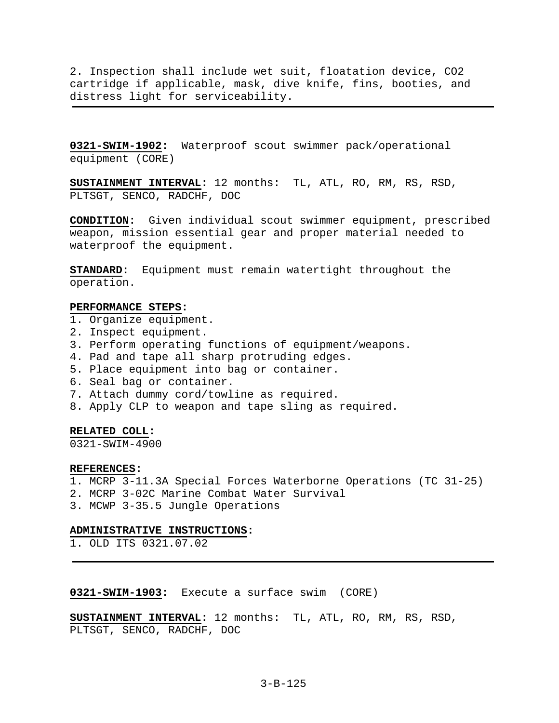2. Inspection shall include wet suit, floatation device, CO2 cartridge if applicable, mask, dive knife, fins, booties, and distress light for serviceability.

**0321-SWIM-1902:** Waterproof scout swimmer pack/operational equipment (CORE)

**SUSTAINMENT INTERVAL:** 12 months: TL, ATL, RO, RM, RS, RSD, PLTSGT, SENCO, RADCHF, DOC

**CONDITION:** Given individual scout swimmer equipment, prescribed weapon, mission essential gear and proper material needed to waterproof the equipment.

**STANDARD:** Equipment must remain watertight throughout the operation.

## **PERFORMANCE STEPS:**

- 1. Organize equipment.
- 2. Inspect equipment.
- 3. Perform operating functions of equipment/weapons.
- 4. Pad and tape all sharp protruding edges.
- 5. Place equipment into bag or container.
- 6. Seal bag or container.
- 7. Attach dummy cord/towline as required.
- 8. Apply CLP to weapon and tape sling as required.

## **RELATED COLL:**

0321-SWIM-4900

## **REFERENCES:**

- 1. MCRP 3-11.3A Special Forces Waterborne Operations (TC 31-25)
- 2. MCRP 3-02C Marine Combat Water Survival
- 3. MCWP 3-35.5 Jungle Operations

## **ADMINISTRATIVE INSTRUCTIONS:**

1. OLD ITS 0321.07.02

# **0321-SWIM-1903:** Execute a surface swim (CORE)

**SUSTAINMENT INTERVAL:** 12 months: TL, ATL, RO, RM, RS, RSD, PLTSGT, SENCO, RADCHF, DOC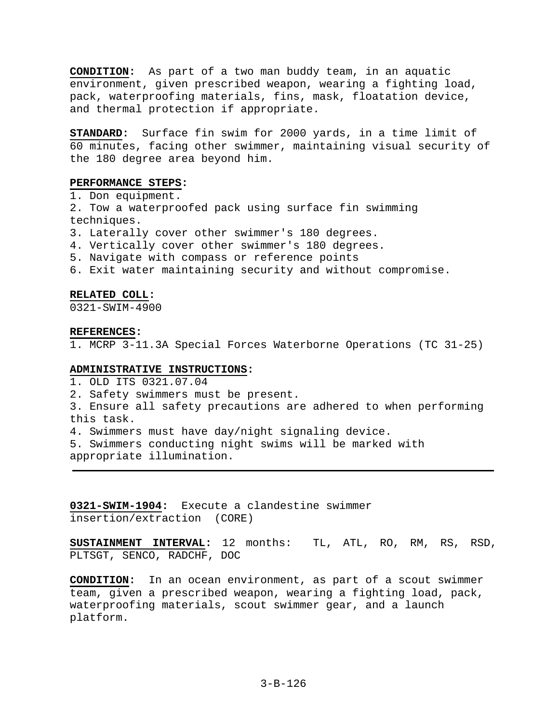**CONDITION:** As part of a two man buddy team, in an aquatic environment, given prescribed weapon, wearing a fighting load, pack, waterproofing materials, fins, mask, floatation device, and thermal protection if appropriate.

**STANDARD:** Surface fin swim for 2000 yards, in a time limit of 60 minutes, facing other swimmer, maintaining visual security of the 180 degree area beyond him.

## **PERFORMANCE STEPS:**

1. Don equipment.

2. Tow a waterproofed pack using surface fin swimming techniques.

3. Laterally cover other swimmer's 180 degrees.

4. Vertically cover other swimmer's 180 degrees.

5. Navigate with compass or reference points

6. Exit water maintaining security and without compromise.

## **RELATED COLL:**

0321-SWIM-4900

#### **REFERENCES:**

1. MCRP 3-11.3A Special Forces Waterborne Operations (TC 31-25)

## **ADMINISTRATIVE INSTRUCTIONS:**

1. OLD ITS 0321.07.04

2. Safety swimmers must be present.

3. Ensure all safety precautions are adhered to when performing this task.

4. Swimmers must have day/night signaling device.

5. Swimmers conducting night swims will be marked with appropriate illumination.

**0321-SWIM-1904:** Execute a clandestine swimmer insertion/extraction (CORE)

**SUSTAINMENT INTERVAL:** 12 months: TL, ATL, RO, RM, RS, RSD, PLTSGT, SENCO, RADCHF, DOC

**CONDITION:** In an ocean environment, as part of a scout swimmer team, given a prescribed weapon, wearing a fighting load, pack, waterproofing materials, scout swimmer gear, and a launch platform.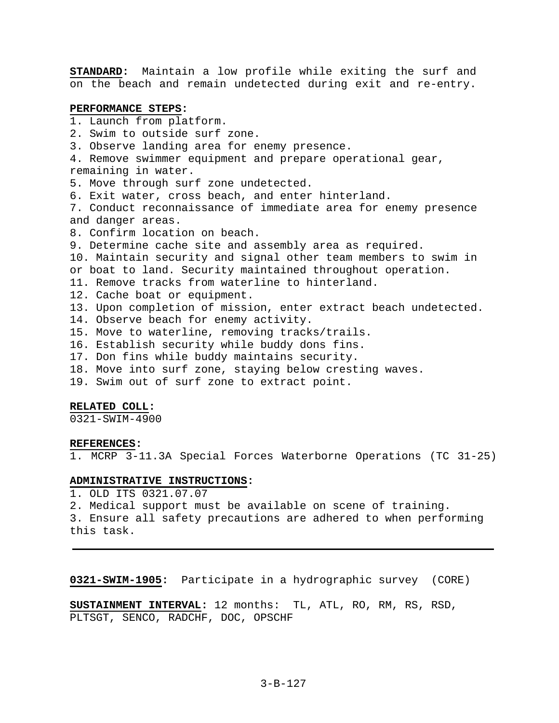**STANDARD:** Maintain a low profile while exiting the surf and on the beach and remain undetected during exit and re-entry.

## **PERFORMANCE STEPS:**

1. Launch from platform. 2. Swim to outside surf zone. 3. Observe landing area for enemy presence. 4. Remove swimmer equipment and prepare operational gear, remaining in water. 5. Move through surf zone undetected. 6. Exit water, cross beach, and enter hinterland. 7. Conduct reconnaissance of immediate area for enemy presence and danger areas. 8. Confirm location on beach. 9. Determine cache site and assembly area as required. 10. Maintain security and signal other team members to swim in or boat to land. Security maintained throughout operation. 11. Remove tracks from waterline to hinterland. 12. Cache boat or equipment. 13. Upon completion of mission, enter extract beach undetected. 14. Observe beach for enemy activity. 15. Move to waterline, removing tracks/trails. 16. Establish security while buddy dons fins. 17. Don fins while buddy maintains security. 18. Move into surf zone, staying below cresting waves. 19. Swim out of surf zone to extract point.

## **RELATED COLL:**

0321-SWIM-4900

#### **REFERENCES:**

1. MCRP 3-11.3A Special Forces Waterborne Operations (TC 31-25)

# **ADMINISTRATIVE INSTRUCTIONS:**

1. OLD ITS 0321.07.07

2. Medical support must be available on scene of training.

3. Ensure all safety precautions are adhered to when performing this task.

**0321-SWIM-1905:** Participate in a hydrographic survey (CORE)

**SUSTAINMENT INTERVAL:** 12 months: TL, ATL, RO, RM, RS, RSD, PLTSGT, SENCO, RADCHF, DOC, OPSCHF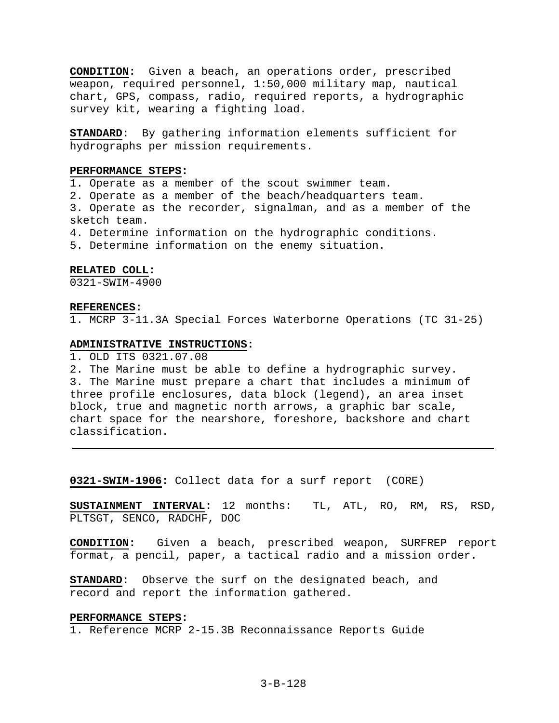**CONDITION:** Given a beach, an operations order, prescribed weapon, required personnel, 1:50,000 military map, nautical chart, GPS, compass, radio, required reports, a hydrographic survey kit, wearing a fighting load.

**STANDARD:** By gathering information elements sufficient for hydrographs per mission requirements.

# **PERFORMANCE STEPS:**

1. Operate as a member of the scout swimmer team.

2. Operate as a member of the beach/headquarters team.

3. Operate as the recorder, signalman, and as a member of the sketch team.

4. Determine information on the hydrographic conditions.

5. Determine information on the enemy situation.

#### **RELATED COLL:**

0321-SWIM-4900

#### **REFERENCES:**

1. MCRP 3-11.3A Special Forces Waterborne Operations (TC 31-25)

## **ADMINISTRATIVE INSTRUCTIONS:**

1. OLD ITS 0321.07.08

2. The Marine must be able to define a hydrographic survey. 3. The Marine must prepare a chart that includes a minimum of three profile enclosures, data block (legend), an area inset block, true and magnetic north arrows, a graphic bar scale, chart space for the nearshore, foreshore, backshore and chart classification.

**0321-SWIM-1906:** Collect data for a surf report (CORE)

**SUSTAINMENT INTERVAL:** 12 months: TL, ATL, RO, RM, RS, RSD, PLTSGT, SENCO, RADCHF, DOC

**CONDITION:** Given a beach, prescribed weapon, SURFREP report format, a pencil, paper, a tactical radio and a mission order.

**STANDARD:** Observe the surf on the designated beach, and record and report the information gathered.

## **PERFORMANCE STEPS:**

1. Reference MCRP 2-15.3B Reconnaissance Reports Guide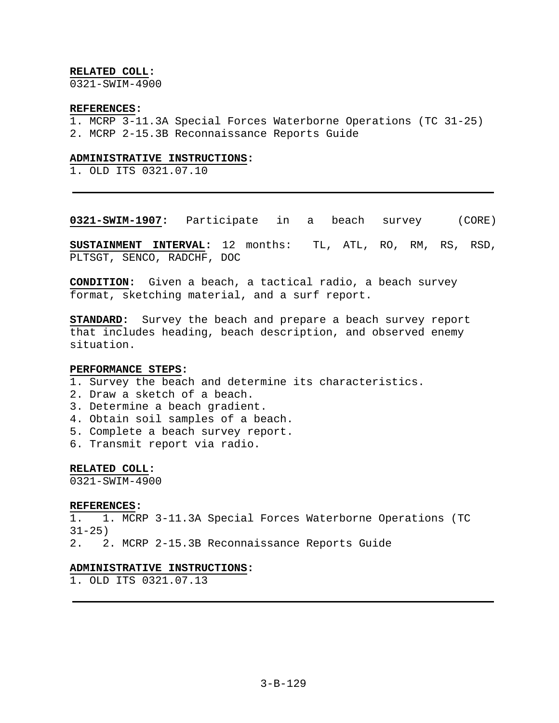# **RELATED COLL:**

0321-SWIM-4900

## **REFERENCES:**

- 1. MCRP 3-11.3A Special Forces Waterborne Operations (TC 31-25)
- 2. MCRP 2-15.3B Reconnaissance Reports Guide

# **ADMINISTRATIVE INSTRUCTIONS:**

1. OLD ITS 0321.07.10

**0321-SWIM-1907:** Participate in a beach survey (CORE)

**SUSTAINMENT INTERVAL:** 12 months: TL, ATL, RO, RM, RS, RSD, PLTSGT, SENCO, RADCHF, DOC

**CONDITION:** Given a beach, a tactical radio, a beach survey format, sketching material, and a surf report.

**STANDARD:** Survey the beach and prepare a beach survey report that includes heading, beach description, and observed enemy situation.

## **PERFORMANCE STEPS:**

- 1. Survey the beach and determine its characteristics.
- 2. Draw a sketch of a beach.
- 3. Determine a beach gradient.
- 4. Obtain soil samples of a beach.
- 5. Complete a beach survey report.
- 6. Transmit report via radio.

## **RELATED COLL:**

0321-SWIM-4900

# **REFERENCES:**

1. 1. MCRP 3-11.3A Special Forces Waterborne Operations (TC  $31 - 25$ 

2. 2. MCRP 2-15.3B Reconnaissance Reports Guide

# **ADMINISTRATIVE INSTRUCTIONS:**

1. OLD ITS 0321.07.13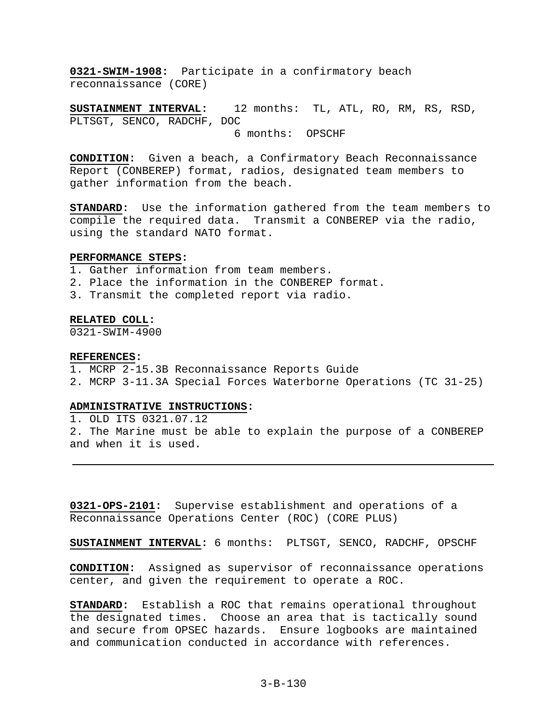**0321-SWIM-1908:** Participate in a confirmatory beach reconnaissance (CORE)

**SUSTAINMENT INTERVAL:** 12 months: TL, ATL, RO, RM, RS, RSD, PLTSGT, SENCO, RADCHF, DOC 6 months: OPSCHF

**CONDITION:** Given a beach, a Confirmatory Beach Reconnaissance Report (CONBEREP) format, radios, designated team members to gather information from the beach.

**STANDARD:** Use the information gathered from the team members to compile the required data. Transmit a CONBEREP via the radio, using the standard NATO format.

## **PERFORMANCE STEPS:**

1. Gather information from team members.

- 2. Place the information in the CONBEREP format.
- 3. Transmit the completed report via radio.

## **RELATED COLL:**

0321-SWIM-4900

## **REFERENCES:**

- 1. MCRP 2-15.3B Reconnaissance Reports Guide
- 2. MCRP 3-11.3A Special Forces Waterborne Operations (TC 31-25)

# **ADMINISTRATIVE INSTRUCTIONS:**

1. OLD ITS 0321.07.12 2. The Marine must be able to explain the purpose of a CONBEREP and when it is used.

**0321-OPS-2101:** Supervise establishment and operations of a Reconnaissance Operations Center (ROC) (CORE PLUS)

**SUSTAINMENT INTERVAL:** 6 months: PLTSGT, SENCO, RADCHF, OPSCHF

**CONDITION:** Assigned as supervisor of reconnaissance operations center, and given the requirement to operate a ROC.

**STANDARD:** Establish a ROC that remains operational throughout the designated times. Choose an area that is tactically sound and secure from OPSEC hazards. Ensure logbooks are maintained and communication conducted in accordance with references.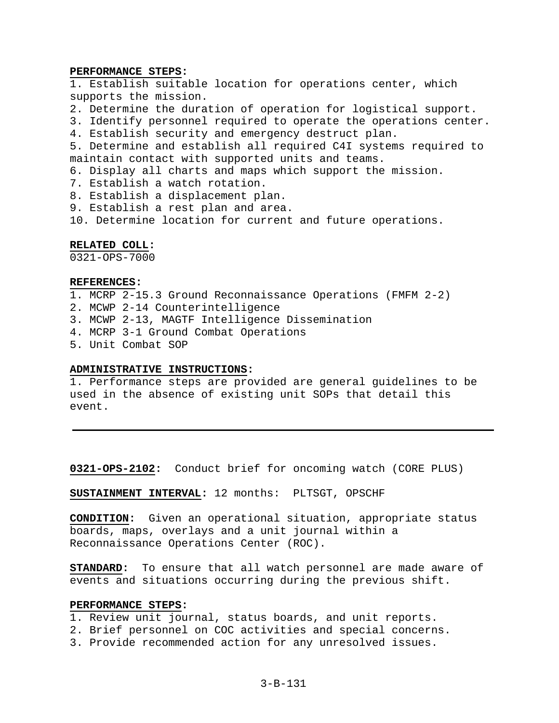## **PERFORMANCE STEPS:**

1. Establish suitable location for operations center, which supports the mission.

2. Determine the duration of operation for logistical support.

3. Identify personnel required to operate the operations center.

4. Establish security and emergency destruct plan.

5. Determine and establish all required C4I systems required to maintain contact with supported units and teams.

6. Display all charts and maps which support the mission.

- 7. Establish a watch rotation.
- 8. Establish a displacement plan.
- 9. Establish a rest plan and area.

10. Determine location for current and future operations.

# **RELATED COLL:**

0321-OPS-7000

# **REFERENCES:**

- 1. MCRP 2-15.3 Ground Reconnaissance Operations (FMFM 2-2)
- 2. MCWP 2-14 Counterintelligence
- 3. MCWP 2-13, MAGTF Intelligence Dissemination
- 4. MCRP 3-1 Ground Combat Operations
- 5. Unit Combat SOP

## **ADMINISTRATIVE INSTRUCTIONS:**

1. Performance steps are provided are general guidelines to be used in the absence of existing unit SOPs that detail this event.

**0321-OPS-2102:** Conduct brief for oncoming watch (CORE PLUS)

**SUSTAINMENT INTERVAL:** 12 months: PLTSGT, OPSCHF

**CONDITION:** Given an operational situation, appropriate status boards, maps, overlays and a unit journal within a Reconnaissance Operations Center (ROC).

**STANDARD:** To ensure that all watch personnel are made aware of events and situations occurring during the previous shift.

# **PERFORMANCE STEPS:**

- 1. Review unit journal, status boards, and unit reports.
- 2. Brief personnel on COC activities and special concerns.
- 3. Provide recommended action for any unresolved issues.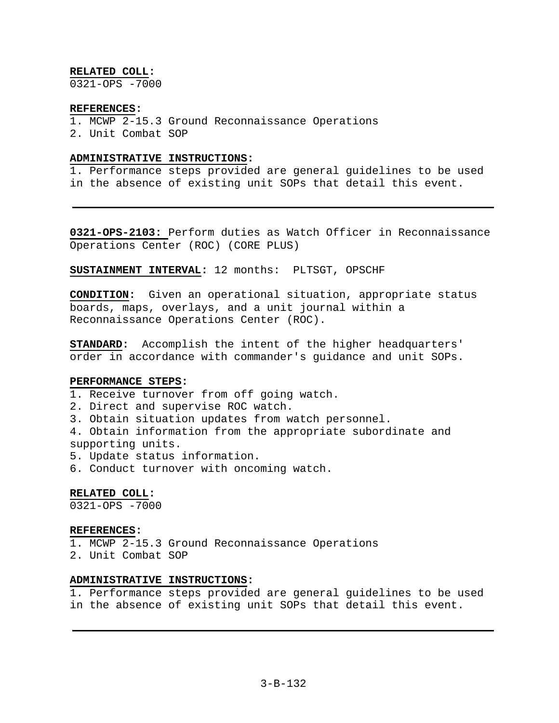# **RELATED COLL:**

0321-OPS -7000

## **REFERENCES:**

1. MCWP 2-15.3 Ground Reconnaissance Operations 2. Unit Combat SOP

# **ADMINISTRATIVE INSTRUCTIONS:**

1. Performance steps provided are general guidelines to be used in the absence of existing unit SOPs that detail this event.

**0321-OPS-2103:** Perform duties as Watch Officer in Reconnaissance Operations Center (ROC) (CORE PLUS)

**SUSTAINMENT INTERVAL:** 12 months: PLTSGT, OPSCHF

**CONDITION:** Given an operational situation, appropriate status boards, maps, overlays, and a unit journal within a Reconnaissance Operations Center (ROC).

**STANDARD:** Accomplish the intent of the higher headquarters' order in accordance with commander's guidance and unit SOPs.

## **PERFORMANCE STEPS:**

- 1. Receive turnover from off going watch.
- 2. Direct and supervise ROC watch.
- 3. Obtain situation updates from watch personnel.

4. Obtain information from the appropriate subordinate and supporting units.

- 5. Update status information.
- 6. Conduct turnover with oncoming watch.

# **RELATED COLL:**

0321-OPS -7000

## **REFERENCES:**

- 1. MCWP 2-15.3 Ground Reconnaissance Operations
- 2. Unit Combat SOP

## **ADMINISTRATIVE INSTRUCTIONS:**

1. Performance steps provided are general guidelines to be used in the absence of existing unit SOPs that detail this event.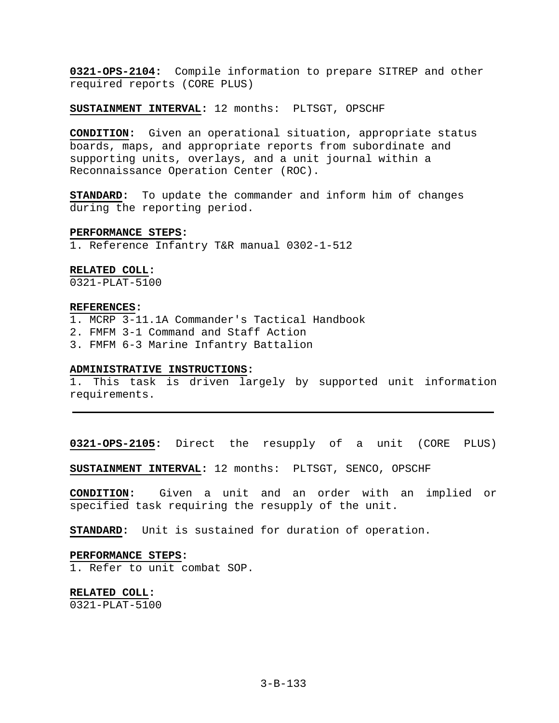**0321-OPS-2104:** Compile information to prepare SITREP and other required reports (CORE PLUS)

**SUSTAINMENT INTERVAL:** 12 months: PLTSGT, OPSCHF

**CONDITION:** Given an operational situation, appropriate status boards, maps, and appropriate reports from subordinate and supporting units, overlays, and a unit journal within a Reconnaissance Operation Center (ROC).

**STANDARD:** To update the commander and inform him of changes during the reporting period.

#### **PERFORMANCE STEPS:**

1. Reference Infantry T&R manual 0302-1-512

## **RELATED COLL:**

0321-PLAT-5100

# **REFERENCES:**

1. MCRP 3-11.1A Commander's Tactical Handbook

2. FMFM 3-1 Command and Staff Action

3. FMFM 6-3 Marine Infantry Battalion

#### **ADMINISTRATIVE INSTRUCTIONS:**

1. This task is driven largely by supported unit information requirements.

**0321-OPS-2105:** Direct the resupply of a unit (CORE PLUS)

**SUSTAINMENT INTERVAL:** 12 months: PLTSGT, SENCO, OPSCHF

**CONDITION:** Given a unit and an order with an implied or specified task requiring the resupply of the unit.

**STANDARD:** Unit is sustained for duration of operation.

## **PERFORMANCE STEPS:**

1. Refer to unit combat SOP.

**RELATED COLL:**  0321-PLAT-5100